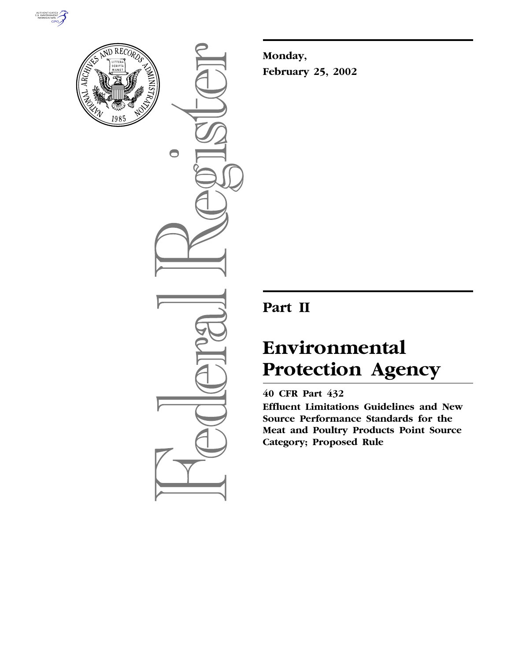



 $\bigcirc$ 

**Monday, February 25, 2002**

# **Part II**

# **Environmental Protection Agency**

# **40 CFR Part 432**

**Effluent Limitations Guidelines and New Source Performance Standards for the Meat and Poultry Products Point Source Category; Proposed Rule**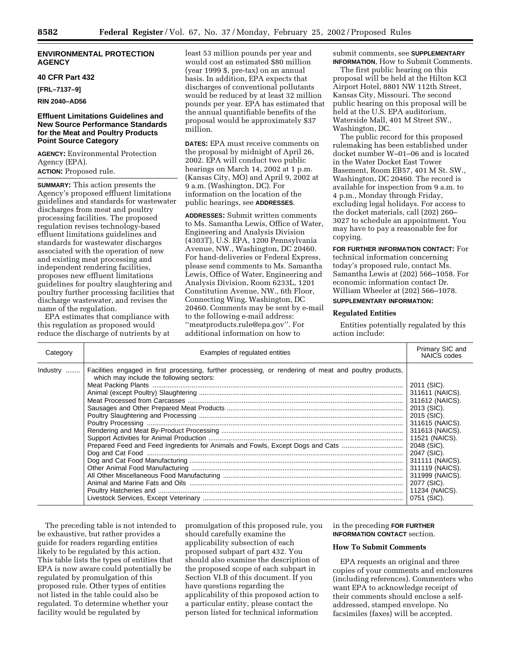## **ENVIRONMENTAL PROTECTION AGENCY**

#### **40 CFR Part 432**

**[FRL–7137–9]**

## **RIN 2040–AD56**

## **Effluent Limitations Guidelines and New Source Performance Standards for the Meat and Poultry Products Point Source Category**

**AGENCY:** Environmental Protection Agency (EPA). **ACTION:** Proposed rule.

**SUMMARY:** This action presents the Agency's proposed effluent limitations guidelines and standards for wastewater discharges from meat and poultry processing facilities. The proposed regulation revises technology-based effluent limitations guidelines and standards for wastewater discharges associated with the operation of new and existing meat processing and independent rendering facilities, proposes new effluent limitations guidelines for poultry slaughtering and poultry further processing facilities that discharge wastewater, and revises the name of the regulation.

EPA estimates that compliance with this regulation as proposed would reduce the discharge of nutrients by at least 53 million pounds per year and would cost an estimated \$80 million (year 1999 \$, pre-tax) on an annual basis. In addition, EPA expects that discharges of conventional pollutants would be reduced by at least 32 million pounds per year. EPA has estimated that the annual quantifiable benefits of the proposal would be approximately \$37 million.

**DATES:** EPA must receive comments on the proposal by midnight of April 26, 2002. EPA will conduct two public hearings on March 14, 2002 at 1 p.m. (Kansas City, MO) and April 9, 2002 at 9 a.m. (Washington, DC). For information on the location of the public hearings, see **ADDRESSES**.

**ADDRESSES:** Submit written comments to Ms. Samantha Lewis, Office of Water, Engineering and Analysis Division (4303T), U.S. EPA, 1200 Pennsylvania Avenue, NW., Washington, DC 20460. For hand-deliveries or Federal Express, please send comments to Ms. Samantha Lewis, Office of Water, Engineering and Analysis Division, Room 6233L, 1201 Constitution Avenue, NW., 6th Floor, Connecting Wing, Washington, DC 20460. Comments may be sent by e-mail to the following e-mail address: ''meatproducts.rule@epa.gov''. For additional information on how to

submit comments, see **SUPPLEMENTARY INFORMATION**, How to Submit Comments.

The first public hearing on this proposal will be held at the Hilton KCI Airport Hotel, 8801 NW 112th Street, Kansas City, Missouri. The second public hearing on this proposal will be held at the U.S. EPA auditorium, Waterside Mall, 401 M Street SW., Washington, DC.

The public record for this proposed rulemaking has been established under docket number W–01–06 and is located in the Water Docket East Tower Basement, Room EB57, 401 M St. SW., Washington, DC 20460. The record is available for inspection from 9 a.m. to 4 p.m., Monday through Friday, excluding legal holidays. For access to the docket materials, call (202) 260– 3027 to schedule an appointment. You may have to pay a reasonable fee for copying.

**FOR FURTHER INFORMATION CONTACT:** For technical information concerning today's proposed rule, contact Ms. Samantha Lewis at (202) 566–1058. For economic information contact Dr. William Wheeler at (202) 566–1078.

## **SUPPLEMENTARY INFORMATION:**

#### **Regulated Entities**

Entities potentially regulated by this action include:

| Category | Examples of regulated entities                                                                                                                     |                                                                                                      |  |  |  |  |
|----------|----------------------------------------------------------------------------------------------------------------------------------------------------|------------------------------------------------------------------------------------------------------|--|--|--|--|
| Industry | Facilities engaged in first processing, further processing, or rendering of meat and poultry products,<br>which may include the following sectors: | 2011 (SIC).<br>311612 (NAICS).<br>311615 (NAICS).<br>11521 (NAICS).<br>2047 (SIC).<br>11234 (NAICS). |  |  |  |  |

The preceding table is not intended to be exhaustive, but rather provides a guide for readers regarding entities likely to be regulated by this action. This table lists the types of entities that EPA is now aware could potentially be regulated by promulgation of this proposed rule. Other types of entities not listed in the table could also be regulated. To determine whether your facility would be regulated by

promulgation of this proposed rule, you should carefully examine the applicability subsection of each proposed subpart of part 432. You should also examine the description of the proposed scope of each subpart in Section VI.B of this document. If you have questions regarding the applicability of this proposed action to a particular entity, please contact the person listed for technical information

in the preceding **FOR FURTHER INFORMATION CONTACT** section.

## **How To Submit Comments**

EPA requests an original and three copies of your comments and enclosures (including references). Commenters who want EPA to acknowledge receipt of their comments should enclose a selfaddressed, stamped envelope. No facsimiles (faxes) will be accepted.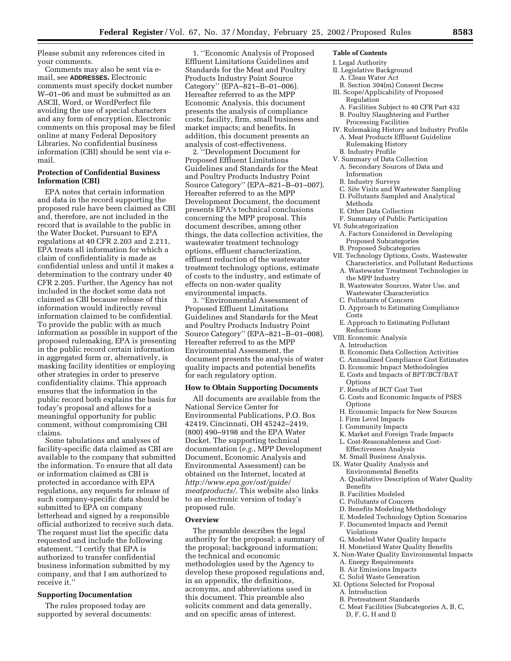Please submit any references cited in your comments.

Comments may also be sent via email, see **ADDRESSES.** Electronic comments must specify docket number W–01–06 and must be submitted as an ASCII, Word, or WordPerfect file avoiding the use of special characters and any form of encryption. Electronic comments on this proposal may be filed online at many Federal Depository Libraries. No confidential business information (CBI) should be sent via email.

## **Protection of Confidential Business Information (CBI)**

EPA notes that certain information and data in the record supporting the proposed rule have been claimed as CBI and, therefore, are not included in the record that is available to the public in the Water Docket. Pursuant to EPA regulations at 40 CFR 2.203 and 2.211, EPA treats all information for which a claim of confidentiality is made as confidential unless and until it makes a determination to the contrary under 40 CFR 2.205. Further, the Agency has not included in the docket some data not claimed as CBI because release of this information would indirectly reveal information claimed to be confidential. To provide the public with as much information as possible in support of the proposed rulemaking, EPA is presenting in the public record certain information in aggregated form or, alternatively, is masking facility identities or employing other strategies in order to preserve confidentiality claims. This approach ensures that the information in the public record both explains the basis for today's proposal and allows for a meaningful opportunity for public comment, without compromising CBI claims.

Some tabulations and analyses of facility-specific data claimed as CBI are available to the company that submitted the information. To ensure that all data or information claimed as CBI is protected in accordance with EPA regulations, any requests for release of such company-specific data should be submitted to EPA on company letterhead and signed by a responsible official authorized to receive such data. The request must list the specific data requested and include the following statement, ''I certify that EPA is authorized to transfer confidential business information submitted by my company, and that I am authorized to receive it.''

#### **Supporting Documentation**

The rules proposed today are supported by several documents:

1. ''Economic Analysis of Proposed Effluent Limitations Guidelines and Standards for the Meat and Poultry Products Industry Point Source Category'' (EPA–821–B–01–006). Hereafter referred to as the MPP Economic Analysis, this document presents the analysis of compliance costs; facility, firm, small business and market impacts; and benefits. In addition, this document presents an analysis of cost-effectiveness.

2. ''Development Document for Proposed Effluent Limitations Guidelines and Standards for the Meat and Poultry Products Industry Point Source Category'' (EPA–821–B–01–007). Hereafter referred to as the MPP Development Document, the document presents EPA's technical conclusions concerning the MPP proposal. This document describes, among other things, the data collection activities, the wastewater treatment technology options, effluent characterization, effluent reduction of the wastewater treatment technology options, estimate of costs to the industry, and estimate of effects on non-water quality environmental impacts.

3. ''Environmental Assessment of Proposed Effluent Limitations Guidelines and Standards for the Meat and Poultry Products Industry Point Source Category'' (EPA–821–B–01–008). Hereafter referred to as the MPP Environmental Assessment, the document presents the analysis of water quality impacts and potential benefits for each regulatory option.

#### **How to Obtain Supporting Documents**

All documents are available from the National Service Center for Environmental Publications, P.O. Box 42419, Cincinnati, OH 45242–2419, (800) 490–9198 and the EPA Water Docket. The supporting technical documentation (*e.g.*, MPP Development Document, Economic Analysis and Environmental Assessment) can be obtained on the Internet, located at *http://www.epa.gov/ost/guide/ meatproducts/*. This website also links to an electronic version of today's proposed rule.

#### **Overview**

The preamble describes the legal authority for the proposal; a summary of the proposal; background information; the technical and economic methodologies used by the Agency to develop these proposed regulations and, in an appendix, the definitions, acronyms, and abbreviations used in this document. This preamble also solicits comment and data generally, and on specific areas of interest.

## **Table of Contents**

- I. Legal Authority II. Legislative Background
- A. Clean Water Act
- B. Section 304(m) Consent Decree
- III. Scope/Applicability of Proposed Regulation
- A. Facilities Subject to 40 CFR Part 432 B. Poultry Slaughtering and Further
- Processing Facilities
- IV. Rulemaking History and Industry Profile A. Meat Products Effluent Guideline Rulemaking History
- B. Industry Profile
- V. Summary of Data Collection
- A. Secondary Sources of Data and Information
- B. Industry Surveys
- Site Visits and Wastewater Sampling D. Pollutants Sampled and Analytical Methods
- E. Other Data Collection
- F. Summary of Public Participation
- VI. Subcategorization
	- A. Factors Considered in Developing Proposed Subcategories B. Proposed Subcategories
- VII. Technology Options, Costs, Wastewater
- Characteristics, and Pollutant Reductions A. Wastewater Treatment Technologies in
- the MPP Industry
- B. Wastewater Sources, Water Use, and Wastewater Characteristics
- C. Pollutants of Concern D. Approach to Estimating Compliance Costs
- E. Approach to Estimating Pollutant Reductions
- VIII. Economic Analysis
- A. Introduction
- B. Economic Data Collection Activities
- C. Annualized Compliance Cost Estimates
- D. Economic Impact Methodologies
- E. Costs and Impacts of BPT/BCT/BAT
- **Options**
- F. Results of BCT Cost Test
- G. Costs and Economic Impacts of PSES Options
- H. Economic Impacts for New Sources
- I. Firm Level Impacts
- J. Community Impacts
- K. Market and Foreign Trade Impacts
- L. Cost-Reasonableness and Cost-Effectiveness Analysis
- M. Small Business Analysis. IX. Water Quality Analysis and
	- Environmental Benefits
- A. Qualitative Description of Water Quality Benefits
- B. Facilities Modeled
- C. Pollutants of Concern
- D. Benefits Modeling Methodology
- E. Modeled Technology Option Scenarios
- F. Documented Impacts and Permit Violations
- G. Modeled Water Quality Impacts
- H. Monetized Water Quality Benefits

- B. Air Emissions Impacts
- C. Solid Waste Generation
- XI. Options Selected for Proposal A. Introduction
	- B. Pretreatment Standards
	- C. Meat Facilities (Subcategories A, B, C, D, F, G, H and I)

X. Non-Water Quality Environmental Impacts A. Energy Requirements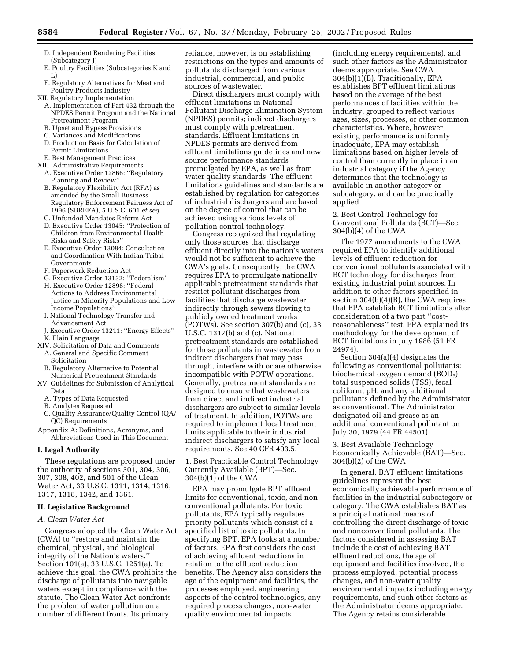- D. Independent Rendering Facilities (Subcategory J)
- E. Poultry Facilities (Subcategories K and L)
- F. Regulatory Alternatives for Meat and Poultry Products Industry
- XII. Regulatory Implementation
	- A. Implementation of Part 432 through the NPDES Permit Program and the National Pretreatment Program
	- B. Upset and Bypass Provisions
	- C. Variances and Modifications
	- D. Production Basis for Calculation of Permit Limitations
	- E. Best Management Practices
- XIII. Administrative Requirements
	- A. Executive Order 12866: ''Regulatory Planning and Review''
	- B. Regulatory Flexibility Act (RFA) as amended by the Small Business Regulatory Enforcement Fairness Act of 1996 (SBREFA), 5 U.S.C. 601 *et seq.*
	- C. Unfunded Mandates Reform Act
	- D. Executive Order 13045: ''Protection of Children from Environmental Health Risks and Safety Risks''
	- E. Executive Order 13084: Consultation and Coordination With Indian Tribal Governments
	- F. Paperwork Reduction Act
	- G. Executive Order 13132: ''Federalism''
	- H. Executive Order 12898: ''Federal Actions to Address Environmental Justice in Minority Populations and Low-Income Populations''
	- I. National Technology Transfer and Advancement Act
- J. Executive Order 13211: ''Energy Effects''
- K. Plain Language
- XIV. Solicitation of Data and Comments A. General and Specific Comment
	- Solicitation B. Regulatory Alternative to Potential
- Numerical Pretreatment Standards XV. Guidelines for Submission of Analytical
	- Data
	- A. Types of Data Requested B. Analytes Requested
	-
- C. Quality Assurance/Quality Control (QA/ QC) Requirements

Appendix A: Definitions, Acronyms, and Abbreviations Used in This Document

#### **I. Legal Authority**

These regulations are proposed under the authority of sections 301, 304, 306, 307, 308, 402, and 501 of the Clean Water Act, 33 U.S.C. 1311, 1314, 1316, 1317, 1318, 1342, and 1361.

## **II. Legislative Background**

## *A. Clean Water Act*

Congress adopted the Clean Water Act (CWA) to ''restore and maintain the chemical, physical, and biological integrity of the Nation's waters.'' Section 101(a), 33 U.S.C. 1251(a). To achieve this goal, the CWA prohibits the discharge of pollutants into navigable waters except in compliance with the statute. The Clean Water Act confronts the problem of water pollution on a number of different fronts. Its primary

reliance, however, is on establishing restrictions on the types and amounts of pollutants discharged from various industrial, commercial, and public sources of wastewater.

Direct dischargers must comply with effluent limitations in National Pollutant Discharge Elimination System (NPDES) permits; indirect dischargers must comply with pretreatment standards. Effluent limitations in NPDES permits are derived from effluent limitations guidelines and new source performance standards promulgated by EPA, as well as from water quality standards. The effluent limitations guidelines and standards are established by regulation for categories of industrial dischargers and are based on the degree of control that can be achieved using various levels of pollution control technology.

Congress recognized that regulating only those sources that discharge effluent directly into the nation's waters would not be sufficient to achieve the CWA's goals. Consequently, the CWA requires EPA to promulgate nationally applicable pretreatment standards that restrict pollutant discharges from facilities that discharge wastewater indirectly through sewers flowing to publicly owned treatment works (POTWs). See section 307(b) and (c), 33 U.S.C. 1317(b) and (c). National pretreatment standards are established for those pollutants in wastewater from indirect dischargers that may pass through, interfere with or are otherwise incompatible with POTW operations. Generally, pretreatment standards are designed to ensure that wastewaters from direct and indirect industrial dischargers are subject to similar levels of treatment. In addition, POTWs are required to implement local treatment limits applicable to their industrial indirect dischargers to satisfy any local requirements. See 40 CFR 403.5.

1. Best Practicable Control Technology Currently Available (BPT)—Sec. 304(b)(1) of the CWA

EPA may promulgate BPT effluent limits for conventional, toxic, and nonconventional pollutants. For toxic pollutants, EPA typically regulates priority pollutants which consist of a specified list of toxic pollutants. In specifying BPT, EPA looks at a number of factors. EPA first considers the cost of achieving effluent reductions in relation to the effluent reduction benefits. The Agency also considers the age of the equipment and facilities, the processes employed, engineering aspects of the control technologies, any required process changes, non-water quality environmental impacts

(including energy requirements), and such other factors as the Administrator deems appropriate. See CWA 304(b)(1)(B). Traditionally, EPA establishes BPT effluent limitations based on the average of the best performances of facilities within the industry, grouped to reflect various ages, sizes, processes, or other common characteristics. Where, however, existing performance is uniformly inadequate, EPA may establish limitations based on higher levels of control than currently in place in an industrial category if the Agency determines that the technology is available in another category or subcategory, and can be practically applied.

2. Best Control Technology for Conventional Pollutants (BCT)—Sec. 304(b)(4) of the CWA

The 1977 amendments to the CWA required EPA to identify additional levels of effluent reduction for conventional pollutants associated with BCT technology for discharges from existing industrial point sources. In addition to other factors specified in section 304(b)(4)(B), the CWA requires that EPA establish BCT limitations after consideration of a two part ''costreasonableness'' test. EPA explained its methodology for the development of BCT limitations in July 1986 (51 FR 24974).

Section 304(a)(4) designates the following as conventional pollutants: biochemical oxygen demand (BOD<sub>5</sub>), total suspended solids (TSS), fecal coliform, pH, and any additional pollutants defined by the Administrator as conventional. The Administrator designated oil and grease as an additional conventional pollutant on July 30, 1979 (44 FR 44501).

3. Best Available Technology Economically Achievable (BAT)—Sec. 304(b)(2) of the CWA

In general, BAT effluent limitations guidelines represent the best economically achievable performance of facilities in the industrial subcategory or category. The CWA establishes BAT as a principal national means of controlling the direct discharge of toxic and nonconventional pollutants. The factors considered in assessing BAT include the cost of achieving BAT effluent reductions, the age of equipment and facilities involved, the process employed, potential process changes, and non-water quality environmental impacts including energy requirements, and such other factors as the Administrator deems appropriate. The Agency retains considerable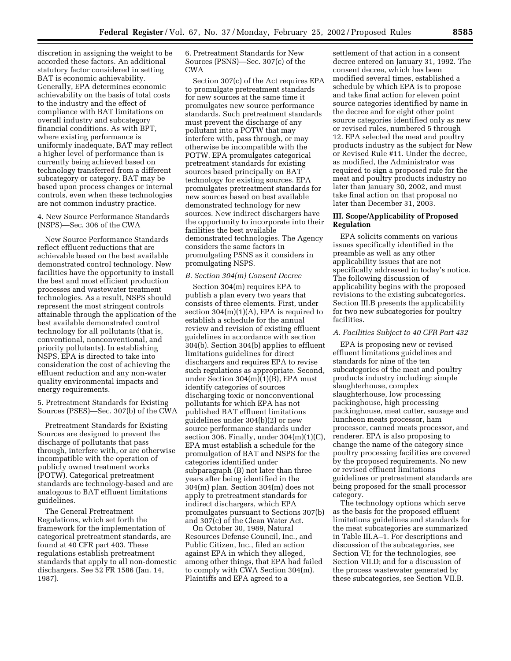discretion in assigning the weight to be accorded these factors. An additional statutory factor considered in setting BAT is economic achievability. Generally, EPA determines economic achievability on the basis of total costs to the industry and the effect of compliance with BAT limitations on overall industry and subcategory financial conditions. As with BPT, where existing performance is uniformly inadequate, BAT may reflect a higher level of performance than is currently being achieved based on technology transferred from a different subcategory or category. BAT may be based upon process changes or internal controls, even when these technologies are not common industry practice.

4. New Source Performance Standards (NSPS)—Sec. 306 of the CWA

New Source Performance Standards reflect effluent reductions that are achievable based on the best available demonstrated control technology. New facilities have the opportunity to install the best and most efficient production processes and wastewater treatment technologies. As a result, NSPS should represent the most stringent controls attainable through the application of the best available demonstrated control technology for all pollutants (that is, conventional, nonconventional, and priority pollutants). In establishing NSPS, EPA is directed to take into consideration the cost of achieving the effluent reduction and any non-water quality environmental impacts and energy requirements.

5. Pretreatment Standards for Existing Sources (PSES)—Sec. 307(b) of the CWA

Pretreatment Standards for Existing Sources are designed to prevent the discharge of pollutants that pass through, interfere with, or are otherwise incompatible with the operation of publicly owned treatment works (POTW). Categorical pretreatment standards are technology-based and are analogous to BAT effluent limitations guidelines.

The General Pretreatment Regulations, which set forth the framework for the implementation of categorical pretreatment standards, are found at 40 CFR part 403. These regulations establish pretreatment standards that apply to all non-domestic dischargers. See 52 FR 1586 (Jan. 14, 1987).

6. Pretreatment Standards for New Sources (PSNS)—Sec. 307(c) of the CWA

Section 307(c) of the Act requires EPA to promulgate pretreatment standards for new sources at the same time it promulgates new source performance standards. Such pretreatment standards must prevent the discharge of any pollutant into a POTW that may interfere with, pass through, or may otherwise be incompatible with the POTW. EPA promulgates categorical pretreatment standards for existing sources based principally on BAT technology for existing sources. EPA promulgates pretreatment standards for new sources based on best available demonstrated technology for new sources. New indirect dischargers have the opportunity to incorporate into their facilities the best available demonstrated technologies. The Agency considers the same factors in promulgating PSNS as it considers in promulgating NSPS.

### *B. Section 304(m) Consent Decree*

Section 304(m) requires EPA to publish a plan every two years that consists of three elements. First, under section  $304(m)(1)(A)$ , EPA is required to establish a schedule for the annual review and revision of existing effluent guidelines in accordance with section 304(b). Section 304(b) applies to effluent limitations guidelines for direct dischargers and requires EPA to revise such regulations as appropriate. Second, under Section 304(m)(1)(B), EPA must identify categories of sources discharging toxic or nonconventional pollutants for which EPA has not published BAT effluent limitations guidelines under 304(b)(2) or new source performance standards under section 306. Finally, under  $304(m)(1)(C)$ , EPA must establish a schedule for the promulgation of BAT and NSPS for the categories identified under subparagraph (B) not later than three years after being identified in the 304(m) plan. Section 304(m) does not apply to pretreatment standards for indirect dischargers, which EPA promulgates pursuant to Sections 307(b) and 307(c) of the Clean Water Act.

On October 30, 1989, Natural Resources Defense Council, Inc., and Public Citizen, Inc., filed an action against EPA in which they alleged, among other things, that EPA had failed to comply with CWA Section 304(m). Plaintiffs and EPA agreed to a

settlement of that action in a consent decree entered on January 31, 1992. The consent decree, which has been modified several times, established a schedule by which EPA is to propose and take final action for eleven point source categories identified by name in the decree and for eight other point source categories identified only as new or revised rules, numbered 5 through 12. EPA selected the meat and poultry products industry as the subject for New or Revised Rule #11. Under the decree, as modified, the Administrator was required to sign a proposed rule for the meat and poultry products industry no later than January 30, 2002, and must take final action on that proposal no later than December 31, 2003.

## **III. Scope/Applicability of Proposed Regulation**

EPA solicits comments on various issues specifically identified in the preamble as well as any other applicability issues that are not specifically addressed in today's notice. The following discussion of applicability begins with the proposed revisions to the existing subcategories. Section III.B presents the applicability for two new subcategories for poultry facilities.

#### *A. Facilities Subject to 40 CFR Part 432*

EPA is proposing new or revised effluent limitations guidelines and standards for nine of the ten subcategories of the meat and poultry products industry including: simple slaughterhouse, complex slaughterhouse, low processing packinghouse, high processing packinghouse, meat cutter, sausage and luncheon meats processor, ham processor, canned meats processor, and renderer. EPA is also proposing to change the name of the category since poultry processing facilities are covered by the proposed requirements. No new or revised effluent limitations guidelines or pretreatment standards are being proposed for the small processor category.

The technology options which serve as the basis for the proposed effluent limitations guidelines and standards for the meat subcategories are summarized in Table III.A–1. For descriptions and discussion of the subcategories, see Section VI; for the technologies, see Section VII.D; and for a discussion of the process wastewater generated by these subcategories, see Section VII.B.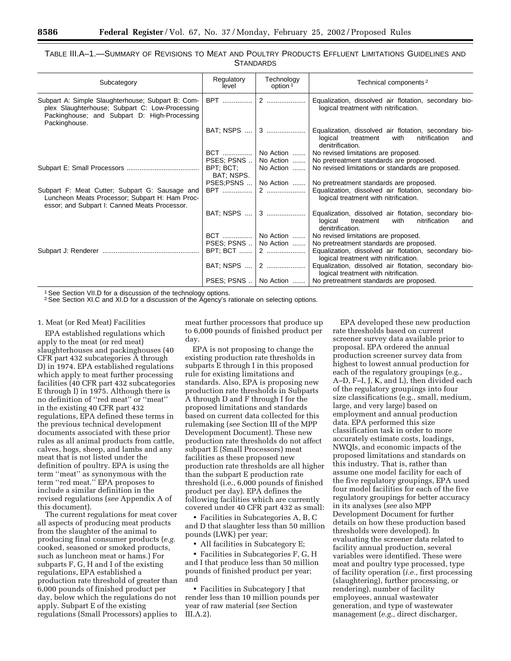## TABLE III.A–1.—SUMMARY OF REVISIONS TO MEAT AND POULTRY PRODUCTS EFFLUENT LIMITATIONS GUIDELINES AND **STANDARDS**

| Subcategory                                                                                                                                                          | Regulatory<br>level     | Technology<br>option <sup>1</sup>      | Technical components <sup>2</sup>                                                                                                 |
|----------------------------------------------------------------------------------------------------------------------------------------------------------------------|-------------------------|----------------------------------------|-----------------------------------------------------------------------------------------------------------------------------------|
| Subpart A: Simple Slaughterhouse; Subpart B: Com-<br>plex Slaughterhouse; Subpart C: Low-Processing<br>Packinghouse; and Subpart D: High-Processing<br>Packinghouse. |                         | BPT $\ldots$   2 $\ldots$   2 $\ldots$ | Equalization, dissolved air flotation, secondary bio-<br>logical treatment with nitrification.                                    |
|                                                                                                                                                                      |                         |                                        | Equalization, dissolved air flotation, secondary bio-<br>logical<br>nitrification<br>treatment<br>with<br>and<br>denitrification. |
|                                                                                                                                                                      |                         | BCT    No Action                       | No revised limitations are proposed.                                                                                              |
|                                                                                                                                                                      | PSES: PSNS              | No Action                              | No pretreatment standards are proposed.                                                                                           |
|                                                                                                                                                                      | BPT: BCT:<br>BAT; NSPS. | No Action                              | No revised limitations or standards are proposed.                                                                                 |
|                                                                                                                                                                      | PSES;PSNS               | No Action                              | No pretreatment standards are proposed.                                                                                           |
| Subpart F: Meat Cutter; Subpart G: Sausage and<br>Luncheon Meats Processor; Subpart H: Ham Proc-<br>essor; and Subpart I: Canned Meats Processor.                    | <b>BPT</b>              |                                        | Equalization, dissolved air flotation, secondary bio-<br>logical treatment with nitrification.                                    |
|                                                                                                                                                                      |                         | BAT; NSPS  3                           | Equalization, dissolved air flotation, secondary bio-<br>logical treatment<br>nitrification<br>with<br>and<br>denitrification.    |
|                                                                                                                                                                      |                         | BCT    No Action                       | No revised limitations are proposed.                                                                                              |
|                                                                                                                                                                      |                         | PSES: PSNS    No Action                | No pretreatment standards are proposed.                                                                                           |
|                                                                                                                                                                      |                         |                                        | Equalization, dissolved air flotation, secondary bio-<br>logical treatment with nitrification.                                    |
|                                                                                                                                                                      |                         |                                        | Equalization, dissolved air flotation, secondary bio-<br>logical treatment with nitrification.                                    |
|                                                                                                                                                                      |                         |                                        | PSES; PSNS    No Action    No pretreatment standards are proposed.                                                                |
|                                                                                                                                                                      |                         |                                        |                                                                                                                                   |

<sup>1</sup> See Section VII.D for a discussion of the technology options.

2See Section XI.C and XI.D for a discussion of the Agency's rationale on selecting options.

#### 1. Meat (or Red Meat) Facilities

EPA established regulations which apply to the meat (or red meat) slaughterhouses and packinghouses (40 CFR part 432 subcategories A through D) in 1974. EPA established regulations which apply to meat further processing facilities (40 CFR part 432 subcategories E through I) in 1975. Although there is no definition of ''red meat'' or ''meat'' in the existing 40 CFR part 432 regulations, EPA defined these terms in the previous technical development documents associated with these prior rules as all animal products from cattle, calves, hogs, sheep, and lambs and any meat that is not listed under the definition of poultry. EPA is using the term ''meat'' as synonymous with the term ''red meat.'' EPA proposes to include a similar definition in the revised regulations (*see* Appendix A of this document).

The current regulations for meat cover all aspects of producing meat products from the slaughter of the animal to producing final consumer products (*e.g.* cooked, seasoned or smoked products, such as luncheon meat or hams.) For subparts F, G, H and I of the existing regulations, EPA established a production rate threshold of greater than 6,000 pounds of finished product per day, below which the regulations do not apply. Subpart E of the existing regulations (Small Processors) applies to meat further processors that produce up to 6,000 pounds of finished product per day.

EPA is not proposing to change the existing production rate thresholds in subparts E through I in this proposed rule for existing limitations and standards. Also, EPA is proposing new production rate thresholds in Subparts A through D and F through I for the proposed limitations and standards based on current data collected for this rulemaking (*see* Section III of the MPP Development Document). These new production rate thresholds do not affect subpart E (Small Processors) meat facilities as these proposed new production rate thresholds are all higher than the subpart E production rate threshold (i.e., 6,000 pounds of finished product per day). EPA defines the following facilities which are currently covered under 40 CFR part 432 as small:

• Facilities in Subcategories A, B, C and D that slaughter less than 50 million pounds (LWK) per year;

• All facilities in Subcategory E;

• Facilities in Subcategories F, G, H and I that produce less than 50 million pounds of finished product per year; and

• Facilities in Subcategory J that render less than 10 million pounds per year of raw material (*see* Section III.A.2).

EPA developed these new production rate thresholds based on current screener survey data available prior to proposal. EPA ordered the annual production screener survey data from highest to lowest annual production for each of the regulatory groupings (e.g., A–D, F–I, J, K, and L), then divided each of the regulatory groupings into four size classifications (e.g., small, medium, large, and very large) based on employment and annual production data. EPA performed this size classification task in order to more accurately estimate costs, loadings, NWQIs, and economic impacts of the proposed limitations and standards on this industry. That is, rather than assume one model facility for each of the five regulatory groupings, EPA used four model facilities for each of the five regulatory groupings for better accuracy in its analyses (*see* also MPP Development Document for further details on how these production based thresholds were developed). In evaluating the screener data related to facility annual production, several variables were identified. These were meat and poultry type processed, type of facility operation (*i.e.,* first processing (slaughtering), further processing, or rendering), number of facility employees, annual wastewater generation, and type of wastewater management (*e.g.,* direct discharger,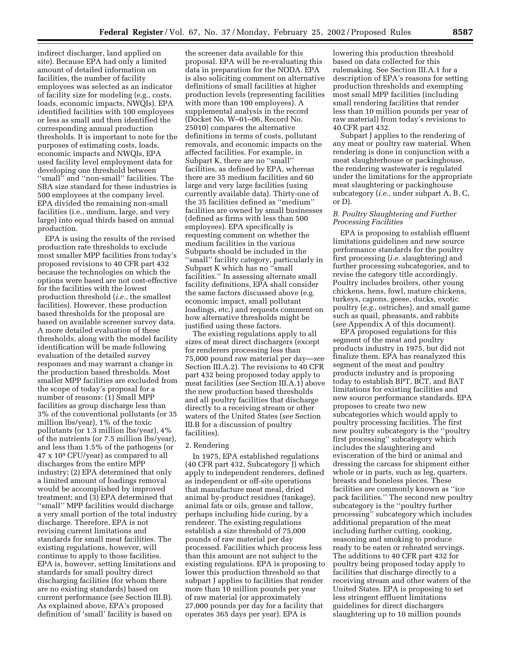indirect discharger, land applied on site). Because EPA had only a limited amount of detailed information on facilities, the number of facility employees was selected as an indicator of facility size for modeling (e.g., costs, loads, economic impacts, NWQIs). EPA identified facilities with 100 employees or less as small and then identified the corresponding annual production thresholds. It is important to note for the purposes of estimating costs, loads, economic impacts and NWQIs, EPA used facility level employment data for developing one threshold between ''small'' and ''non-small'' facilities. The SBA size standard for these industries is 500 employees at the company level. EPA divided the remaining non-small facilities (i.e., medium, large, and very large) into equal thirds based on annual production.

EPA is using the results of the revised production rate thresholds to exclude most smaller MPP facilities from today's proposed revisions to 40 CFR part 432 because the technologies on which the options were based are not cost-effective for the facilities with the lowest production threshold (*i.e.,* the smallest facilities). However, these production based thresholds for the proposal are based on available screener survey data. A more detailed evaluation of these thresholds, along with the model facility identification will be made following evaluation of the detailed survey responses and may warrant a change in the production based thresholds. Most smaller MPP facilities are excluded from the scope of today's proposal for a number of reasons: (1) Small MPP facilities as group discharge less than 3% of the conventional pollutants (or 35 million lbs/year), 1% of the toxic pollutants (or 1.3 million lbs/year), 4% of the nutrients (or 7.5 million lbs/year), and less than 1.5% of the pathogens (or 47 x 109 CFU/year) as compared to all discharges from the entire MPP industry; (2) EPA determined that only a limited amount of loadings removal would be accomplished by improved treatment; and (3) EPA determined that ''small'' MPP facilities would discharge a very small portion of the total industry discharge. Therefore, EPA is not revising current limitations and standards for small meat facilities. The existing regulations, however, will continue to apply to those facilities. EPA is, however, setting limitations and standards for small poultry direct discharging facilities (for whom there are no existing standards) based on current performance (*see* Section III.B). As explained above, EPA's proposed definition of 'small' facility is based on

the screener data available for this proposal. EPA will be re-evaluating this data in preparation for the NODA. EPA is also soliciting comment on alternative definitions of small facilities at higher production levels (representing facilities with more than 100 employees). A supplemental analysis in the record (Docket No. W–01–06, Record No. 25010) compares the alternative definitions in terms of costs, pollutant removals, and economic impacts on the affected facilities. For example, in Subpart K, there are no ''small'' facilities, as defined by EPA, whereas there are 35 medium facilities and 60 large and very large facilities (using currently available data). Thirty-one of the 35 facilities defined as ''medium'' facilities are owned by small businesses (defined as firms with less than 500 employees). EPA specifically is requesting comment on whether the medium facilities in the various Subparts should be included in the ''small'' facility category, particularly in Subpart K which has no ''small facilities.'' In assessing alternate small facility definitions, EPA shall consider the same factors discussed above (e.g. economic impact, small pollutant loadings, etc.) and requests comment on how alternative thresholds might be justified using these factors.

The existing regulations apply to all sizes of meat direct dischargers (except for renderers processing less than 75,000 pound raw material per day—*see* Section III.A.2). The revisions to 40 CFR part 432 being proposed today apply to meat facilities (*see* Section III.A.1) above the new production based thresholds and all poultry facilities that discharge directly to a receiving stream or other waters of the United States (*see* Section III.B for a discussion of poultry facilities).

## 2. Rendering

In 1975, EPA established regulations (40 CFR part 432, Subcategory J) which apply to independent renderers, defined as independent or off-site operations that manufacture meat meal, dried animal by-product residues (tankage), animal fats or oils, grease and tallow, perhaps including hide curing, by a renderer. The existing regulations establish a size threshold of 75,000 pounds of raw material per day processed. Facilities which process less than this amount are not subject to the existing regulations. EPA is proposing to lower this production threshold so that subpart J applies to facilities that render more than 10 million pounds per year of raw material (or approximately 27,000 pounds per day for a facility that operates 365 days per year). EPA is

lowering this production threshold based on data collected for this rulemaking. See Section III.A.1 for a description of EPA's reasons for setting production thresholds and exempting most small MPP facilities (including small rendering facilities that render less than 10 million pounds per year of raw material) from today's revisions to 40 CFR part 432.

Subpart J applies to the rendering of any meat or poultry raw material. When rendering is done in conjunction with a meat slaughterhouse or packinghouse, the rendering wastewater is regulated under the limitations for the appropriate meat slaughtering or packinghouse subcategory (*i.e.,* under subpart A, B, C, or D).

## *B. Poultry Slaughtering and Further Processing Facilities*

EPA is proposing to establish effluent limitations guidelines and new source performance standards for the poultry first processing (*i.e.* slaughtering) and further processing subcategories, and to revise the category title accordingly. Poultry includes broilers, other young chickens, hens, fowl, mature chickens, turkeys, capons, geese, ducks, exotic poultry (*e.g.*, ostriches), and small game such as quail, pheasants, and rabbits (*see* Appendix A of this document).

EPA proposed regulations for this segment of the meat and poultry products industry in 1975, but did not finalize them. EPA has reanalyzed this segment of the meat and poultry products industry and is proposing today to establish BPT, BCT, and BAT limitations for existing facilities and new source performance standards. EPA proposes to create two new subcategories which would apply to poultry processing facilities. The first new poultry subcategory is the ''poultry first processing'' subcategory which includes the slaughtering and evisceration of the bird or animal and dressing the carcass for shipment either whole or in parts, such as leg, quarters, breasts and boneless pieces. These facilities are commonly known as ''ice pack facilities.'' The second new poultry subcategory is the ''poultry further processing'' subcategory which includes additional preparation of the meat including further cutting, cooking, seasoning and smoking to produce ready to be eaten or reheated servings. The additions to 40 CFR part 432 for poultry being proposed today apply to facilities that discharge directly to a receiving stream and other waters of the United States. EPA is proposing to set less stringent effluent limitations guidelines for direct dischargers slaughtering up to 10 million pounds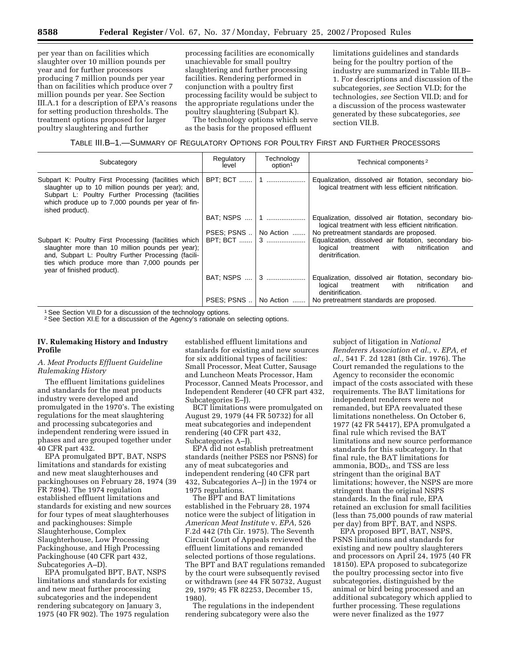per year than on facilities which slaughter over 10 million pounds per year and for further processors producing 7 million pounds per year than on facilities which produce over 7 million pounds per year. See Section III.A.1 for a description of EPA's reasons for setting production thresholds. The treatment options proposed for larger poultry slaughtering and further

processing facilities are economically unachievable for small poultry slaughtering and further processing facilities. Rendering performed in conjunction with a poultry first processing facility would be subject to the appropriate regulations under the poultry slaughtering (Subpart K).

The technology options which serve as the basis for the proposed effluent

limitations guidelines and standards being for the poultry portion of the industry are summarized in Table III.B– 1. For descriptions and discussion of the subcategories, *see* Section VI.D; for the technologies, *see* Section VII.D; and for a discussion of the process wastewater generated by these subcategories, *see* section VII.B.

## TABLE III.B–1.—SUMMARY OF REGULATORY OPTIONS FOR POULTRY FIRST AND FURTHER PROCESSORS

| Subcategory                                                                                                                                                                                                                                     | Regulatory<br>level | Technology<br>option <sup>1</sup> | Technical components <sup>2</sup>                                                                                                  |  |  |
|-------------------------------------------------------------------------------------------------------------------------------------------------------------------------------------------------------------------------------------------------|---------------------|-----------------------------------|------------------------------------------------------------------------------------------------------------------------------------|--|--|
| Subpart K: Poultry First Processing (facilities which<br>slaughter up to 10 million pounds per year); and,<br>Subpart L: Poultry Further Processing (facilities<br>which produce up to 7,000 pounds per year of fin-<br>ished product).         | BPT; BCT    1       |                                   | Equalization, dissolved air flotation, secondary bio-<br>logical treatment with less efficient nitrification.                      |  |  |
|                                                                                                                                                                                                                                                 |                     | BAT; NSPS    1                    | Equalization, dissolved air flotation, secondary bio-<br>logical treatment with less efficient nitrification.                      |  |  |
|                                                                                                                                                                                                                                                 |                     | PSES; PSNS    No Action           | No pretreatment standards are proposed.                                                                                            |  |  |
| Subpart K: Poultry First Processing (facilities which<br>slaughter more than 10 million pounds per year);<br>and, Subpart L: Poultry Further Processing (facili-<br>ties which produce more than 7,000 pounds per<br>year of finished product). |                     | BPT: BCT  3                       | Equalization, dissolved air flotation, secondary bio-<br>nitrification<br>logical<br>treatment<br>with<br>and<br>denitrification.  |  |  |
|                                                                                                                                                                                                                                                 |                     | BAT; NSPS  3                      | Equalization, dissolved air flotation, secondary bio-<br>nitrification<br>treatment<br>and<br>logical<br>with<br>denitirification. |  |  |
|                                                                                                                                                                                                                                                 |                     | PSES: PSNS    No Action           | No pretreatment standards are proposed.                                                                                            |  |  |

<sup>1</sup> See Section VII.D for a discussion of the technology options.

2See Section XI.E for a discussion of the Agency's rationale on selecting options.

## **IV. Rulemaking History and Industry Profile**

## *A. Meat Products Effluent Guideline Rulemaking History*

The effluent limitations guidelines and standards for the meat products industry were developed and promulgated in the 1970's. The existing regulations for the meat slaughtering and processing subcategories and independent rendering were issued in phases and are grouped together under 40 CFR part 432.

EPA promulgated BPT, BAT, NSPS limitations and standards for existing and new meat slaughterhouses and packinghouses on February 28, 1974 (39 FR 7894). The 1974 regulation established effluent limitations and standards for existing and new sources for four types of meat slaughterhouses and packinghouses: Simple Slaughterhouse, Complex Slaughterhouse, Low Processing Packinghouse, and High Processing Packinghouse (40 CFR part 432, Subcategories A–D).

EPA promulgated BPT, BAT, NSPS limitations and standards for existing and new meat further processing subcategories and the independent rendering subcategory on January 3, 1975 (40 FR 902). The 1975 regulation established effluent limitations and standards for existing and new sources for six additional types of facilities: Small Processor, Meat Cutter, Sausage and Luncheon Meats Processor, Ham Processor, Canned Meats Processor, and Independent Renderer (40 CFR part 432, Subcategories E–J).

BCT limitations were promulgated on August 29, 1979 (44 FR 50732) for all meat subcategories and independent rendering (40 CFR part 432, Subcategories A–J).

EPA did not establish pretreatment standards (neither PSES nor PSNS) for any of meat subcategories and independent rendering (40 CFR part 432, Subcategories A–J) in the 1974 or 1975 regulations.

The BPT and BAT limitations established in the February 28, 1974 notice were the subject of litigation in *American Meat Institute* v. *EPA*, 526 F.2d 442 (7th Cir. 1975). The Seventh Circuit Court of Appeals reviewed the effluent limitations and remanded selected portions of those regulations. The BPT and BAT regulations remanded by the court were subsequently revised or withdrawn (*see* 44 FR 50732, August 29, 1979; 45 FR 82253, December 15, 1980).

The regulations in the independent rendering subcategory were also the

subject of litigation in *National Renderers Association et al.,* v. *EPA, et al.,* 541 F. 2d 1281 (8th Cir. 1976). The Court remanded the regulations to the Agency to reconsider the economic impact of the costs associated with these requirements. The BAT limitations for independent renderers were not remanded, but EPA reevaluated these limitations nonetheless. On October 6, 1977 (42 FR 54417), EPA promulgated a final rule which revised the BAT limitations and new source performance standards for this subcategory. In that final rule, the BAT limitations for ammonia, BOD<sub>5</sub>, and TSS are less stringent than the original BAT limitations; however, the NSPS are more stringent than the original NSPS standards. In the final rule, EPA retained an exclusion for small facilities (less than 75,000 pounds of raw material per day) from BPT, BAT, and NSPS.

EPA proposed BPT, BAT, NSPS, PSNS limitations and standards for existing and new poultry slaughterers and processors on April 24, 1975 (40 FR 18150). EPA proposed to subcategorize the poultry processing sector into five subcategories, distinguished by the animal or bird being processed and an additional subcategory which applied to further processing. These regulations were never finalized as the 1977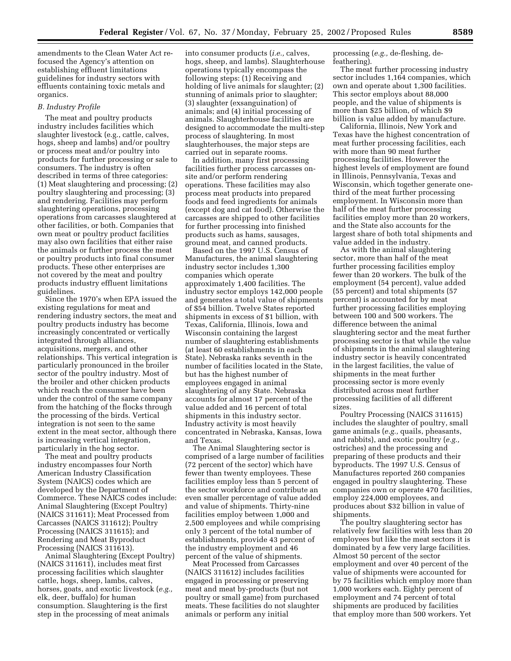amendments to the Clean Water Act refocused the Agency's attention on establishing effluent limitations guidelines for industry sectors with effluents containing toxic metals and organics.

#### *B. Industry Profile*

The meat and poultry products industry includes facilities which slaughter livestock (e.g., cattle, calves, hogs, sheep and lambs) and/or poultry or process meat and/or poultry into products for further processing or sale to consumers. The industry is often described in terms of three categories: (1) Meat slaughtering and processing; (2) poultry slaughtering and processing; (3) and rendering. Facilities may perform slaughtering operations, processing operations from carcasses slaughtered at other facilities, or both. Companies that own meat or poultry product facilities may also own facilities that either raise the animals or further process the meat or poultry products into final consumer products. These other enterprises are not covered by the meat and poultry products industry effluent limitations guidelines.

Since the 1970's when EPA issued the existing regulations for meat and rendering industry sectors, the meat and poultry products industry has become increasingly concentrated or vertically integrated through alliances, acquisitions, mergers, and other relationships. This vertical integration is particularly pronounced in the broiler sector of the poultry industry. Most of the broiler and other chicken products which reach the consumer have been under the control of the same company from the hatching of the flocks through the processing of the birds. Vertical integration is not seen to the same extent in the meat sector, although there is increasing vertical integration, particularly in the hog sector.

The meat and poultry products industry encompasses four North American Industry Classification System (NAICS) codes which are developed by the Department of Commerce. These NAICS codes include: Animal Slaughtering (Except Poultry) (NAICS 311611); Meat Processed from Carcasses (NAICS 311612); Poultry Processing (NAICS 311615); and Rendering and Meat Byproduct Processing (NAICS 311613).

Animal Slaughtering (Except Poultry) (NAICS 311611), includes meat first processing facilities which slaughter cattle, hogs, sheep, lambs, calves, horses, goats, and exotic livestock (*e.g.,* elk, deer, buffalo) for human consumption. Slaughtering is the first step in the processing of meat animals

into consumer products (*i.e.,* calves, hogs, sheep, and lambs). Slaughterhouse operations typically encompass the following steps: (1) Receiving and holding of live animals for slaughter; (2) stunning of animals prior to slaughter; (3) slaughter (exsanguination) of animals; and (4) initial processing of animals. Slaughterhouse facilities are designed to accommodate the multi-step process of slaughtering. In most slaughterhouses, the major steps are carried out in separate rooms.

In addition, many first processing facilities further process carcasses onsite and/or perform rendering operations. These facilities may also process meat products into prepared foods and feed ingredients for animals (except dog and cat food). Otherwise the carcasses are shipped to other facilities for further processing into finished products such as hams, sausages, ground meat, and canned products.

Based on the 1997 U.S. Census of Manufactures, the animal slaughtering industry sector includes 1,300 companies which operate approximately 1,400 facilities. The industry sector employs 142,000 people and generates a total value of shipments of \$54 billion. Twelve States reported shipments in excess of \$1 billion, with Texas, California, Illinois, Iowa and Wisconsin containing the largest number of slaughtering establishments (at least 60 establishments in each State). Nebraska ranks seventh in the number of facilities located in the State, but has the highest number of employees engaged in animal slaughtering of any State. Nebraska accounts for almost 17 percent of the value added and 16 percent of total shipments in this industry sector. Industry activity is most heavily concentrated in Nebraska, Kansas, Iowa and Texas.

The Animal Slaughtering sector is comprised of a large number of facilities (72 percent of the sector) which have fewer than twenty employees. These facilities employ less than 5 percent of the sector workforce and contribute an even smaller percentage of value added and value of shipments. Thirty-nine facilities employ between 1,000 and 2,500 employees and while comprising only 3 percent of the total number of establishments, provide 43 percent of the industry employment and 46 percent of the value of shipments.

Meat Processed from Carcasses (NAICS 311612) includes facilities engaged in processing or preserving meat and meat by-products (but not poultry or small game) from purchased meats. These facilities do not slaughter animals or perform any initial

processing (*e.g.,* de-fleshing, defeathering).

The meat further processing industry sector includes 1,164 companies, which own and operate about 1,300 facilities. This sector employs about 88,000 people, and the value of shipments is more than \$25 billion, of which \$9 billion is value added by manufacture.

California, Illinois, New York and Texas have the highest concentration of meat further processing facilities, each with more than 90 meat further processing facilities. However the highest levels of employment are found in Illinois, Pennsylvania, Texas and Wisconsin, which together generate onethird of the meat further processing employment. In Wisconsin more than half of the meat further processing facilities employ more than 20 workers, and the State also accounts for the largest share of both total shipments and value added in the industry.

As with the animal slaughtering sector, more than half of the meat further processing facilities employ fewer than 20 workers. The bulk of the employment (54 percent), value added (55 percent) and total shipments (57 percent) is accounted for by meat further processing facilities employing between 100 and 500 workers. The difference between the animal slaughtering sector and the meat further processing sector is that while the value of shipments in the animal slaughtering industry sector is heavily concentrated in the largest facilities, the value of shipments in the meat further processing sector is more evenly distributed across meat further processing facilities of all different sizes.

Poultry Processing (NAICS 311615) includes the slaughter of poultry, small game animals (*e.g.,* quails, pheasants, and rabbits), and exotic poultry (*e.g.,* ostriches) and the processing and preparing of these products and their byproducts. The 1997 U.S. Census of Manufactures reported 260 companies engaged in poultry slaughtering. These companies own or operate 470 facilities, employ 224,000 employees, and produces about \$32 billion in value of shipments.

The poultry slaughtering sector has relatively few facilities with less than 20 employees but like the meat sectors it is dominated by a few very large facilities. Almost 50 percent of the sector employment and over 40 percent of the value of shipments were accounted for by 75 facilities which employ more than 1,000 workers each. Eighty percent of employment and 74 percent of total shipments are produced by facilities that employ more than 500 workers. Yet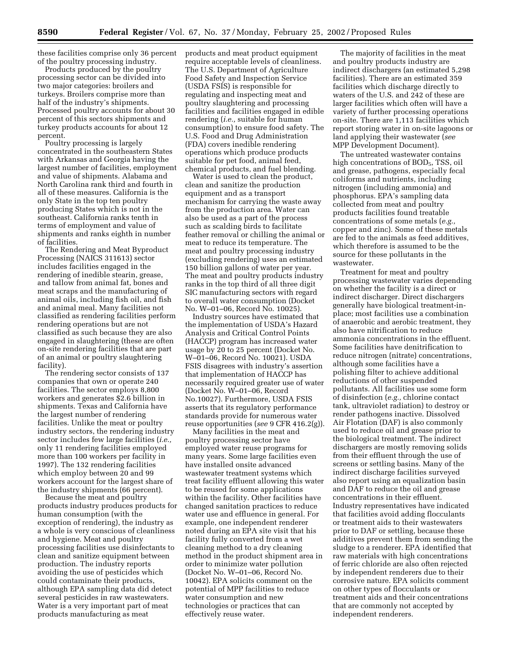these facilities comprise only 36 percent of the poultry processing industry.

Products produced by the poultry processing sector can be divided into two major categories: broilers and turkeys. Broilers comprise more than half of the industry's shipments. Processed poultry accounts for about 30 percent of this sectors shipments and turkey products accounts for about 12 percent.

Poultry processing is largely concentrated in the southeastern States with Arkansas and Georgia having the largest number of facilities, employment and value of shipments. Alabama and North Carolina rank third and fourth in all of these measures. California is the only State in the top ten poultry producing States which is not in the southeast. California ranks tenth in terms of employment and value of shipments and ranks eighth in number of facilities.

The Rendering and Meat Byproduct Processing (NAICS 311613) sector includes facilities engaged in the rendering of inedible stearin, grease, and tallow from animal fat, bones and meat scraps and the manufacturing of animal oils, including fish oil, and fish and animal meal. Many facilities not classified as rendering facilities perform rendering operations but are not classified as such because they are also engaged in slaughtering (these are often on-site rendering facilities that are part of an animal or poultry slaughtering facility).

The rendering sector consists of 137 companies that own or operate 240 facilities. The sector employs 8,800 workers and generates \$2.6 billion in shipments. Texas and California have the largest number of rendering facilities. Unlike the meat or poultry industry sectors, the rendering industry sector includes few large facilities (*i.e.,* only 11 rendering facilities employed more than 100 workers per facility in 1997). The 132 rendering facilities which employ between 20 and 99 workers account for the largest share of the industry shipments (66 percent).

Because the meat and poultry products industry produces products for human consumption (with the exception of rendering), the industry as a whole is very conscious of cleanliness and hygiene. Meat and poultry processing facilities use disinfectants to clean and sanitize equipment between production. The industry reports avoiding the use of pesticides which could contaminate their products, although EPA sampling data did detect several pesticides in raw wastewaters. Water is a very important part of meat products manufacturing as meat

products and meat product equipment require acceptable levels of cleanliness. The U.S. Department of Agriculture Food Safety and Inspection Service (USDA FSIS) is responsible for regulating and inspecting meat and poultry slaughtering and processing facilities and facilities engaged in edible rendering (*i.e.,* suitable for human consumption) to ensure food safety. The U.S. Food and Drug Administration (FDA) covers inedible rendering operations which produce products suitable for pet food, animal feed, chemical products, and fuel blending.

Water is used to clean the product, clean and sanitize the production equipment and as a transport mechanism for carrying the waste away from the production area. Water can also be used as a part of the process such as scalding birds to facilitate feather removal or chilling the animal or meat to reduce its temperature. The meat and poultry processing industry (excluding rendering) uses an estimated 150 billion gallons of water per year. The meat and poultry products industry ranks in the top third of all three digit SIC manufacturing sectors with regard to overall water consumption (Docket No. W–01–06, Record No. 10025).

Industry sources have estimated that the implementation of USDA's Hazard Analysis and Critical Control Points (HACCP) program has increased water usage by 20 to 25 percent (Docket No. W–01–06, Record No. 10021). USDA FSIS disagrees with industry's assertion that implementation of HACCP has necessarily required greater use of water (Docket No. W–01–06, Record No.10027). Furthermore, USDA FSIS asserts that its regulatory performance standards provide for numerous water reuse opportunities (*see* 9 CFR 416.2(g)).

Many facilities in the meat and poultry processing sector have employed water reuse programs for many years. Some large facilities even have installed onsite advanced wastewater treatment systems which treat facility effluent allowing this water to be reused for some applications within the facility. Other facilities have changed sanitation practices to reduce water use and effluence in general. For example, one independent renderer noted during an EPA site visit that his facility fully converted from a wet cleaning method to a dry cleaning method in the product shipment area in order to minimize water pollution (Docket No. W–01–06, Record No. 10042). EPA solicits comment on the potential of MPP facilities to reduce water consumption and new technologies or practices that can effectively reuse water.

The majority of facilities in the meat and poultry products industry are indirect dischargers (an estimated 5,298 facilities). There are an estimated 359 facilities which discharge directly to waters of the U.S. and 242 of these are larger facilities which often will have a variety of further processing operations on-site. There are 1,113 facilities which report storing water in on-site lagoons or land applying their wastewater (*see* MPP Development Document).

The untreated wastewater contains high concentrations of BOD<sub>5</sub>, TSS, oil and grease, pathogens, especially fecal coliforms and nutrients, including nitrogen (including ammonia) and phosphorus. EPA's sampling data collected from meat and poultry products facilities found treatable concentrations of some metals (*e.g.,* copper and zinc). Some of these metals are fed to the animals as feed additives, which therefore is assumed to be the source for these pollutants in the wastewater.

Treatment for meat and poultry processing wastewater varies depending on whether the facility is a direct or indirect discharger. Direct dischargers generally have biological treatment-inplace; most facilities use a combination of anaerobic and aerobic treatment, they also have nitrification to reduce ammonia concentrations in the effluent. Some facilities have denitrification to reduce nitrogen (nitrate) concentrations, although some facilities have a polishing filter to achieve additional reductions of other suspended pollutants. All facilities use some form of disinfection (*e.g.,* chlorine contact tank, ultraviolet radiation) to destroy or render pathogens inactive. Dissolved Air Flotation (DAF) is also commonly used to reduce oil and grease prior to the biological treatment. The indirect dischargers are mostly removing solids from their effluent through the use of screens or settling basins. Many of the indirect discharge facilities surveyed also report using an equalization basin and DAF to reduce the oil and grease concentrations in their effluent. Industry representatives have indicated that facilities avoid adding flocculants or treatment aids to their wastewaters prior to DAF or settling, because these additives prevent them from sending the sludge to a renderer. EPA identified that raw materials with high concentrations of ferric chloride are also often rejected by independent renderers due to their corrosive nature. EPA solicits comment on other types of flocculants or treatment aids and their concentrations that are commonly not accepted by independent renderers.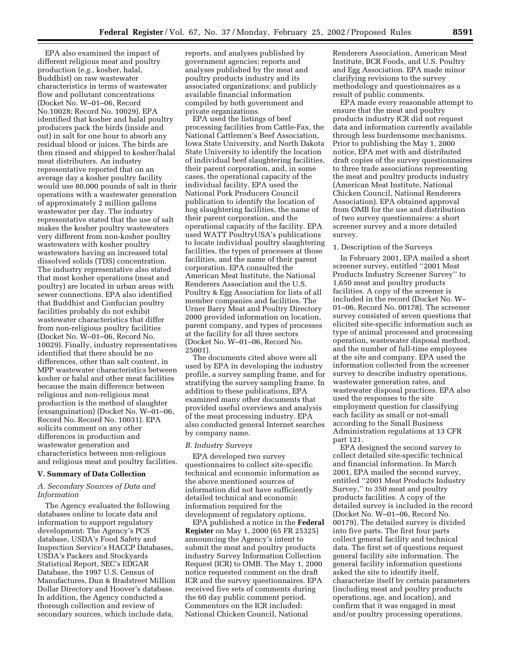EPA also examined the impact of different religious meat and poultry production (*e.g.,* kosher, halal, Buddhist) on raw wastewater characteristics in terms of wastewater flow and pollutant concentrations (Docket No. W–01–06, Record No.10028; Record No. 10029). EPA identified that kosher and halal poultry producers pack the birds (inside and out) in salt for one hour to absorb any residual blood or juices. The birds are then rinsed and shipped to kosher/halal meat distributers. An industry representative reported that on an average day a kosher poultry facility would use 80,000 pounds of salt in their operations with a wastewater generation of approximately 2 million gallons wastewater per day. The industry representative stated that the use of salt makes the kosher poultry wastewaters very different from non-kosher poultry wastewaters with kosher poultry wastewaters having an increased total dissolved solids (TDS) concentration. The industry representative also stated that most kosher operations (meat and poultry) are located in urban areas with sewer connections. EPA also identified that Buddhist and Confucian poultry facilities probably do not exhibit wastewater characteristics that differ from non-religious poultry facilities (Docket No. W–01–06, Record No. 10029). Finally, industry representatives identified that there should be no differences, other than salt content, in MPP wastewater characteristics between kosher or halal and other meat facilities because the main difference between religious and non-religious meat production is the method of slaughter (exsanguination) (Docket No. W–01–06, Record No. Record No. 10031). EPA solicits comment on any other differences in production and wastewater generation and characteristics between non-religious and religious meat and poultry facilities.

## **V. Summary of Data Collection**

#### *A. Secondary Sources of Data and Information*

The Agency evaluated the following databases online to locate data and information to support regulatory development: The Agency's PCS database, USDA's Food Safety and Inspection Service's HACCP Databases, USDA's Packers and Stockyards Statistical Report, SEC's EDGAR Database, the 1997 U.S. Census of Manufactures, Dun & Bradstreet Million Dollar Directory and Hoover's database. In addition, the Agency conducted a thorough collection and review of secondary sources, which include data,

reports, and analyses published by government agencies; reports and analyses published by the meat and poultry products industry and its associated organizations; and publicly available financial information compiled by both government and private organizations.

EPA used the listings of beef processing facilities from Cattle-Fax, the National Cattlemen's Beef Association, Iowa State University, and North Dakota State University to identify the location of individual beef slaughtering facilities, their parent corporation, and, in some cases, the operational capacity of the individual facility. EPA used the National Pork Producers Council publication to identify the location of hog slaughtering facilities, the name of their parent corporation, and the operational capacity of the facility. EPA used WATT PoultryUSA's publications to locate individual poultry slaughtering facilities, the types of processes at those facilities, and the name of their parent corporation. EPA consulted the American Meat Institute, the National Renderers Association and the U.S. Poultry & Egg Association for lists of all member companies and facilities. The Urner Barry Meat and Poultry Directory 2000 provided information on location, parent company, and types of processes at the facility for all three sectors (Docket No. W–01–06, Record No. 25001).

The documents cited above were all used by EPA in developing the industry profile, a survey sampling frame, and for stratifying the survey sampling frame. In addition to these publications, EPA examined many other documents that provided useful overviews and analysis of the meat processing industry. EPA also conducted general Internet searches by company name.

## *B. Industry Surveys*

EPA developed two survey questionnaires to collect site-specific technical and economic information as the above mentioned sources of information did not have sufficiently detailed technical and economic information required for the development of regulatory options.

EPA published a notice in the **Federal Register** on May 1, 2000 (65 FR 25325) announcing the Agency's intent to submit the meat and poultry products industry Survey Information Collection Request (ICR) to OMB. The May 1, 2000 notice requested comment on the draft ICR and the survey questionnaires. EPA received five sets of comments during the 60 day public comment period. Commentors on the ICR included: National Chicken Council, National

Renderers Association, American Meat Institute, BCR Foods, and U.S. Poultry and Egg Association. EPA made minor clarifying revisions to the survey methodology and questionnaires as a result of public comments.

EPA made every reasonable attempt to ensure that the meat and poultry products industry ICR did not request data and information currently available through less burdensome mechanisms. Prior to publishing the May 1, 2000 notice, EPA met with and distributed draft copies of the survey questionnaires to three trade associations representing the meat and poultry products industry (American Meat Institute, National Chicken Council, National Renderers Association). EPA obtained approval from OMB for the use and distribution of two survey questionnaires: a short screener survey and a more detailed survey.

#### 1. Description of the Surveys

In February 2001, EPA mailed a short screener survey, entitled ''2001 Meat Products Industry Screener Survey'' to 1,650 meat and poultry products facilities. A copy of the screener is included in the record (Docket No. W– 01–06, Record No. 00178). The screener survey consisted of seven questions that elicited site-specific information such as type of animal processed and processing operation, wastewater disposal method, and the number of full-time employees at the site and company. EPA used the information collected from the screener survey to describe industry operations, wastewater generation rates, and wastewater disposal practices. EPA also used the responses to the site employment question for classifying each facility as small or not-small according to the Small Business Administration regulations at 13 CFR part 121.

EPA designed the second survey to collect detailed site-specific technical and financial information. In March 2001, EPA mailed the second survey, entitled ''2001 Meat Products Industry Survey,'' to 350 meat and poultry products facilities. A copy of the detailed survey is included in the record (Docket No. W–01–06, Record No. 00179). The detailed survey is divided into five parts. The first four parts collect general facility and technical data. The first set of questions request general facility site information. The general facility information questions asked the site to identify itself, characterize itself by certain parameters (including meat and poultry products operations, age, and location), and confirm that it was engaged in meat and/or poultry processing operations.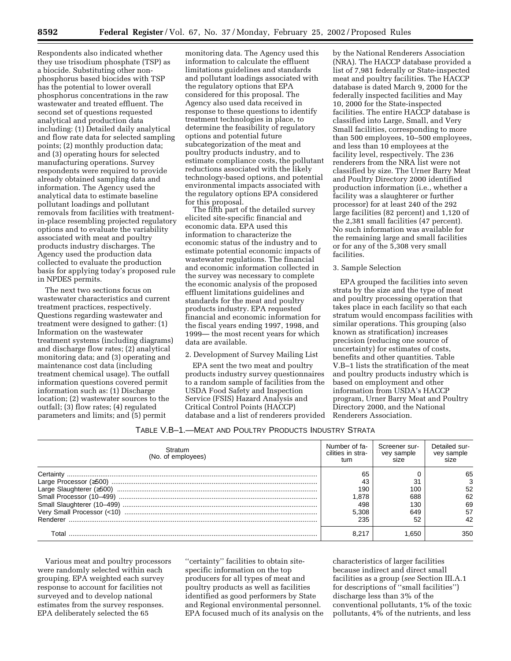Respondents also indicated whether they use trisodium phosphate (TSP) as a biocide. Substituting other nonphosphorus based biocides with TSP has the potential to lower overall phosphorus concentrations in the raw wastewater and treated effluent. The second set of questions requested analytical and production data including: (1) Detailed daily analytical and flow rate data for selected sampling points; (2) monthly production data; and (3) operating hours for selected manufacturing operations. Survey respondents were required to provide already obtained sampling data and information. The Agency used the analytical data to estimate baseline pollutant loadings and pollutant removals from facilities with treatmentin-place resembling projected regulatory options and to evaluate the variability associated with meat and poultry products industry discharges. The Agency used the production data collected to evaluate the production basis for applying today's proposed rule in NPDES permits.

The next two sections focus on wastewater characteristics and current treatment practices, respectively. Questions regarding wastewater and treatment were designed to gather: (1) Information on the wastewater treatment systems (including diagrams) and discharge flow rates; (2) analytical monitoring data; and (3) operating and maintenance cost data (including treatment chemical usage). The outfall information questions covered permit information such as: (1) Discharge location; (2) wastewater sources to the outfall; (3) flow rates; (4) regulated parameters and limits; and (5) permit

monitoring data. The Agency used this information to calculate the effluent limitations guidelines and standards and pollutant loadings associated with the regulatory options that EPA considered for this proposal. The Agency also used data received in response to these questions to identify treatment technologies in place, to determine the feasibility of regulatory options and potential future subcategorization of the meat and poultry products industry, and to estimate compliance costs, the pollutant reductions associated with the likely technology-based options, and potential environmental impacts associated with the regulatory options EPA considered for this proposal.

The fifth part of the detailed survey elicited site-specific financial and economic data. EPA used this information to characterize the economic status of the industry and to estimate potential economic impacts of wastewater regulations. The financial and economic information collected in the survey was necessary to complete the economic analysis of the proposed effluent limitations guidelines and standards for the meat and poultry products industry. EPA requested financial and economic information for the fiscal years ending 1997, 1998, and 1999— the most recent years for which data are available.

#### 2. Development of Survey Mailing List

EPA sent the two meat and poultry products industry survey questionnaires to a random sample of facilities from the USDA Food Safety and Inspection Service (FSIS) Hazard Analysis and Critical Control Points (HACCP) database and a list of renderers provided

by the National Renderers Association (NRA). The HACCP database provided a list of 7,981 federally or State-inspected meat and poultry facilities. The HACCP database is dated March 9, 2000 for the federally inspected facilities and May 10, 2000 for the State-inspected facilities. The entire HACCP database is classified into Large, Small, and Very Small facilities, corresponding to more than 500 employees, 10–500 employees, and less than 10 employees at the facility level, respectively. The 236 renderers from the NRA list were not classified by size. The Urner Barry Meat and Poultry Directory 2000 identified production information (i.e., whether a facility was a slaughterer or further processor) for at least 240 of the 292 large facilities (82 percent) and 1,120 of the 2,381 small facilities (47 percent). No such information was available for the remaining large and small facilities or for any of the 5,308 very small facilities.

#### 3. Sample Selection

EPA grouped the facilities into seven strata by the size and the type of meat and poultry processing operation that takes place in each facility so that each stratum would encompass facilities with similar operations. This grouping (also known as stratification) increases precision (reducing one source of uncertainty) for estimates of costs, benefits and other quantities. Table V.B–1 lists the stratification of the meat and poultry products industry which is based on employment and other information from USDA's HACCP program, Urner Barry Meat and Poultry Directory 2000, and the National Renderers Association.

| Table V.B-1.—Meat and Poultry Products Industry Strata |  |  |
|--------------------------------------------------------|--|--|
|--------------------------------------------------------|--|--|

| Stratum<br>(No. of employees) | Number of fa-<br>cilities in stra-<br>tum | Screener sur-<br>vey sample<br>size | Detailed sur-<br>vey sample |
|-------------------------------|-------------------------------------------|-------------------------------------|-----------------------------|
|                               | 65                                        |                                     | 65                          |
|                               | 43                                        |                                     |                             |
|                               | 190                                       | 100                                 | 52                          |
|                               | .878                                      | 688                                 | 62                          |
|                               | 498                                       | 130                                 | 69                          |
|                               | 5.308                                     | 649                                 | 57                          |
|                               | 235                                       | 52                                  |                             |
|                               |                                           | .650                                | 350                         |

Various meat and poultry processors were randomly selected within each grouping. EPA weighted each survey response to account for facilities not surveyed and to develop national estimates from the survey responses. EPA deliberately selected the 65

''certainty'' facilities to obtain sitespecific information on the top producers for all types of meat and poultry products as well as facilities identified as good performers by State and Regional environmental personnel. EPA focused much of its analysis on the

characteristics of larger facilities because indirect and direct small facilities as a group (*see* Section III.A.1 for descriptions of ''small facilities'') discharge less than 3% of the conventional pollutants, 1% of the toxic pollutants, 4% of the nutrients, and less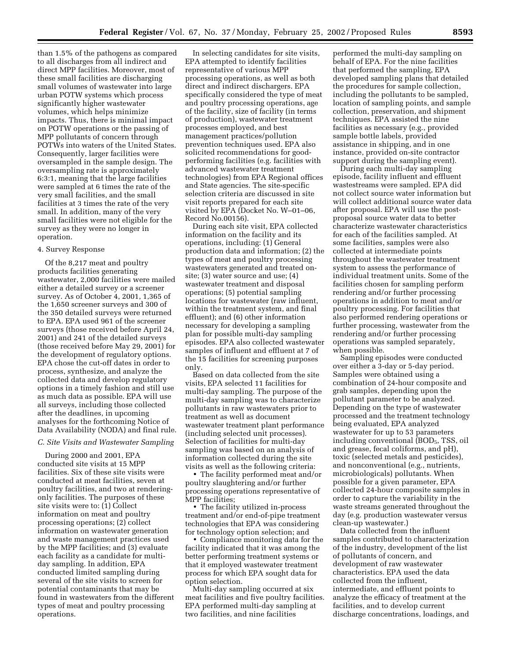than 1.5% of the pathogens as compared to all discharges from all indirect and direct MPP facilities. Moreover, most of these small facilities are discharging small volumes of wastewater into large urban POTW systems which process significantly higher wastewater volumes, which helps minimize impacts. Thus, there is minimal impact on POTW operations or the passing of MPP pollutants of concern through POTWs into waters of the United States. Consequently, larger facilities were oversampled in the sample design. The oversampling rate is approximately 6:3:1, meaning that the large facilities were sampled at 6 times the rate of the very small facilities, and the small facilities at 3 times the rate of the very small. In addition, many of the very small facilities were not eligible for the survey as they were no longer in operation.

#### 4. Survey Response

Of the 8,217 meat and poultry products facilities generating wastewater, 2,000 facilities were mailed either a detailed survey or a screener survey. As of October 4, 2001, 1,365 of the 1,650 screener surveys and 300 of the 350 detailed surveys were returned to EPA. EPA used 961 of the screener surveys (those received before April 24, 2001) and 241 of the detailed surveys (those received before May 29, 2001) for the development of regulatory options. EPA chose the cut-off dates in order to process, synthesize, and analyze the collected data and develop regulatory options in a timely fashion and still use as much data as possible. EPA will use all surveys, including those collected after the deadlines, in upcoming analyses for the forthcoming Notice of Data Availability (NODA) and final rule.

#### *C. Site Visits and Wastewater Sampling*

During 2000 and 2001, EPA conducted site visits at 15 MPP facilities. Six of these site visits were conducted at meat facilities, seven at poultry facilities, and two at renderingonly facilities. The purposes of these site visits were to: (1) Collect information on meat and poultry processing operations; (2) collect information on wastewater generation and waste management practices used by the MPP facilities; and (3) evaluate each facility as a candidate for multiday sampling. In addition, EPA conducted limited sampling during several of the site visits to screen for potential contaminants that may be found in wastewaters from the different types of meat and poultry processing operations.

In selecting candidates for site visits, EPA attempted to identify facilities representative of various MPP processing operations, as well as both direct and indirect dischargers. EPA specifically considered the type of meat and poultry processing operations, age of the facility, size of facility (in terms of production), wastewater treatment processes employed, and best management practices/pollution prevention techniques used. EPA also solicited recommendations for goodperforming facilities (e.g. facilities with advanced wastewater treatment technologies) from EPA Regional offices and State agencies. The site-specific selection criteria are discussed in site visit reports prepared for each site visited by EPA (Docket No. W–01–06, Record No.00156).

During each site visit, EPA collected information on the facility and its operations, including: (1) General production data and information; (2) the types of meat and poultry processing wastewaters generated and treated onsite; (3) water source and use; (4) wastewater treatment and disposal operations; (5) potential sampling locations for wastewater (raw influent, within the treatment system, and final effluent); and (6) other information necessary for developing a sampling plan for possible multi-day sampling episodes. EPA also collected wastewater samples of influent and effluent at 7 of the 15 facilities for screening purposes only.

Based on data collected from the site visits, EPA selected 11 facilities for multi-day sampling. The purpose of the multi-day sampling was to characterize pollutants in raw wastewaters prior to treatment as well as document wastewater treatment plant performance (including selected unit processes). Selection of facilities for multi-day sampling was based on an analysis of information collected during the site visits as well as the following criteria:

• The facility performed meat and/or poultry slaughtering and/or further processing operations representative of MPP facilities;

• The facility utilized in-process treatment and/or end-of-pipe treatment technologies that EPA was considering for technology option selection; and

• Compliance monitoring data for the facility indicated that it was among the better performing treatment systems or that it employed wastewater treatment process for which EPA sought data for option selection.

Multi-day sampling occurred at six meat facilities and five poultry facilities. EPA performed multi-day sampling at two facilities, and nine facilities

performed the multi-day sampling on behalf of EPA. For the nine facilities that performed the sampling, EPA developed sampling plans that detailed the procedures for sample collection, including the pollutants to be sampled, location of sampling points, and sample collection, preservation, and shipment techniques. EPA assisted the nine facilities as necessary (e.g., provided sample bottle labels, provided assistance in shipping, and in one instance, provided on-site contractor support during the sampling event).

During each multi-day sampling episode, facility influent and effluent wastestreams were sampled. EPA did not collect source water information but will collect additional source water data after proposal. EPA will use the postproposal source water data to better characterize wastewater characteristics for each of the facilities sampled. At some facilities, samples were also collected at intermediate points throughout the wastewater treatment system to assess the performance of individual treatment units. Some of the facilities chosen for sampling perform rendering and/or further processing operations in addition to meat and/or poultry processing. For facilities that also performed rendering operations or further processing, wastewater from the rendering and/or further processing operations was sampled separately, when possible.

Sampling episodes were conducted over either a 3-day or 5-day period. Samples were obtained using a combination of 24-hour composite and grab samples, depending upon the pollutant parameter to be analyzed. Depending on the type of wastewater processed and the treatment technology being evaluated, EPA analyzed wastewater for up to 53 parameters including conventional (BOD<sub>5</sub>, TSS, oil and grease, fecal coliforms, and pH), toxic (selected metals and pesticides), and nonconventional (e.g., nutrients, microbiologicals) pollutants. When possible for a given parameter, EPA collected 24-hour composite samples in order to capture the variability in the waste streams generated throughout the day (e.g. production wastewater versus clean-up wastewater.)

Data collected from the influent samples contributed to characterization of the industry, development of the list of pollutants of concern, and development of raw wastewater characteristics. EPA used the data collected from the influent, intermediate, and effluent points to analyze the efficacy of treatment at the facilities, and to develop current discharge concentrations, loadings, and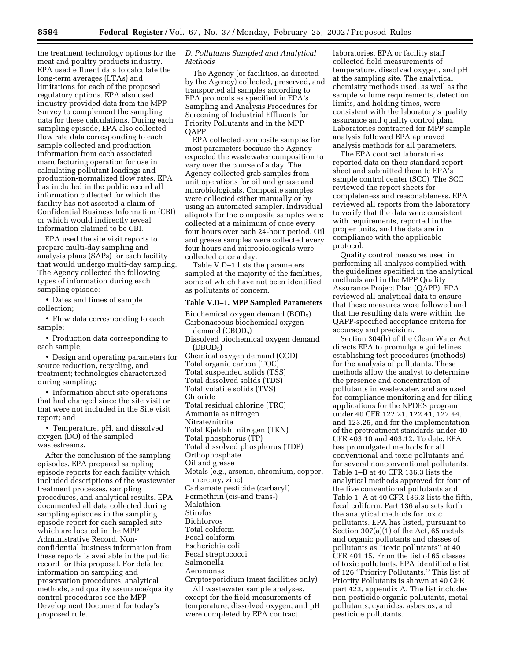the treatment technology options for the meat and poultry products industry. EPA used effluent data to calculate the long-term averages (LTAs) and limitations for each of the proposed regulatory options. EPA also used industry-provided data from the MPP Survey to complement the sampling data for these calculations. During each sampling episode, EPA also collected flow rate data corresponding to each sample collected and production information from each associated manufacturing operation for use in calculating pollutant loadings and production-normalized flow rates. EPA has included in the public record all information collected for which the facility has not asserted a claim of Confidential Business Information (CBI) or which would indirectly reveal information claimed to be CBI.

EPA used the site visit reports to prepare multi-day sampling and analysis plans (SAPs) for each facility that would undergo multi-day sampling. The Agency collected the following types of information during each sampling episode:

• Dates and times of sample collection;

• Flow data corresponding to each sample;

• Production data corresponding to each sample;

• Design and operating parameters for source reduction, recycling, and treatment; technologies characterized during sampling;

• Information about site operations that had changed since the site visit or that were not included in the Site visit report; and

• Temperature, pH, and dissolved oxygen (DO) of the sampled wastestreams.

After the conclusion of the sampling episodes, EPA prepared sampling episode reports for each facility which included descriptions of the wastewater treatment processes, sampling procedures, and analytical results. EPA documented all data collected during sampling episodes in the sampling episode report for each sampled site which are located in the MPP Administrative Record. Nonconfidential business information from these reports is available in the public record for this proposal. For detailed information on sampling and preservation procedures, analytical methods, and quality assurance/quality control procedures see the MPP Development Document for today's proposed rule.

## *D. Pollutants Sampled and Analytical Methods*

The Agency (or facilities, as directed by the Agency) collected, preserved, and transported all samples according to EPA protocols as specified in EPA's Sampling and Analysis Procedures for Screening of Industrial Effluents for Priority Pollutants and in the MPP QAPP.

EPA collected composite samples for most parameters because the Agency expected the wastewater composition to vary over the course of a day. The Agency collected grab samples from unit operations for oil and grease and microbiologicals. Composite samples were collected either manually or by using an automated sampler. Individual aliquots for the composite samples were collected at a minimum of once every four hours over each 24-hour period. Oil and grease samples were collected every four hours and microbiologicals were collected once a day.

Table V.D–1 lists the parameters sampled at the majority of the facilities, some of which have not been identified as pollutants of concern.

## **Table V.D–1. MPP Sampled Parameters**

Biochemical oxygen demand (BOD<sub>5</sub>) Carbonaceous biochemical oxygen demand (CBOD<sub>5</sub>) Dissolved biochemical oxygen demand  $(DBOD<sub>5</sub>)$ Chemical oxygen demand (COD) Total organic carbon (TOC) Total suspended solids (TSS) Total dissolved solids (TDS) Total volatile solids (TVS) Chloride Total residual chlorine (TRC) Ammonia as nitrogen Nitrate/nitrite Total Kjeldahl nitrogen (TKN) Total phosphorus (TP) Total dissolved phosphorus (TDP) Orthophosphate Oil and grease Metals (e.g., arsenic, chromium, copper, mercury, zinc) Carbamate pesticide (carbaryl) Permethrin (cis-and trans-) Malathion Stirofos Dichlorvos Total coliform Fecal coliform Escherichia coli Fecal streptococci Salmonella Aeromonas Cryptosporidium (meat facilities only) All wastewater sample analyses, except for the field measurements of

temperature, dissolved oxygen, and pH were completed by EPA contract

laboratories. EPA or facility staff collected field measurements of temperature, dissolved oxygen, and pH at the sampling site. The analytical chemistry methods used, as well as the sample volume requirements, detection limits, and holding times, were consistent with the laboratory's quality assurance and quality control plan. Laboratories contracted for MPP sample analysis followed EPA approved analysis methods for all parameters.

The EPA contract laboratories reported data on their standard report sheet and submitted them to EPA's sample control center (SCC). The SCC reviewed the report sheets for completeness and reasonableness. EPA reviewed all reports from the laboratory to verify that the data were consistent with requirements, reported in the proper units, and the data are in compliance with the applicable protocol.

Quality control measures used in performing all analyses complied with the guidelines specified in the analytical methods and in the MPP Quality Assurance Project Plan (QAPP). EPA reviewed all analytical data to ensure that these measures were followed and that the resulting data were within the QAPP-specified acceptance criteria for accuracy and precision.

Section 304(h) of the Clean Water Act directs EPA to promulgate guidelines establishing test procedures (methods) for the analysis of pollutants. These methods allow the analyst to determine the presence and concentration of pollutants in wastewater, and are used for compliance monitoring and for filing applications for the NPDES program under 40 CFR 122.21, 122.41, 122.44, and 123.25, and for the implementation of the pretreatment standards under 40 CFR 403.10 and 403.12. To date, EPA has promulgated methods for all conventional and toxic pollutants and for several nonconventional pollutants. Table 1–B at 40 CFR 136.3 lists the analytical methods approved for four of the five conventional pollutants and Table 1–A at 40 CFR 136.3 lists the fifth, fecal coliform. Part 136 also sets forth the analytical methods for toxic pollutants. EPA has listed, pursuant to Section 307(a)(1) of the Act, 65 metals and organic pollutants and classes of pollutants as ''toxic pollutants'' at 40 CFR 401.15. From the list of 65 classes of toxic pollutants, EPA identified a list of 126 ''Priority Pollutants.'' This list of Priority Pollutants is shown at 40 CFR part 423, appendix A. The list includes non-pesticide organic pollutants, metal pollutants, cyanides, asbestos, and pesticide pollutants.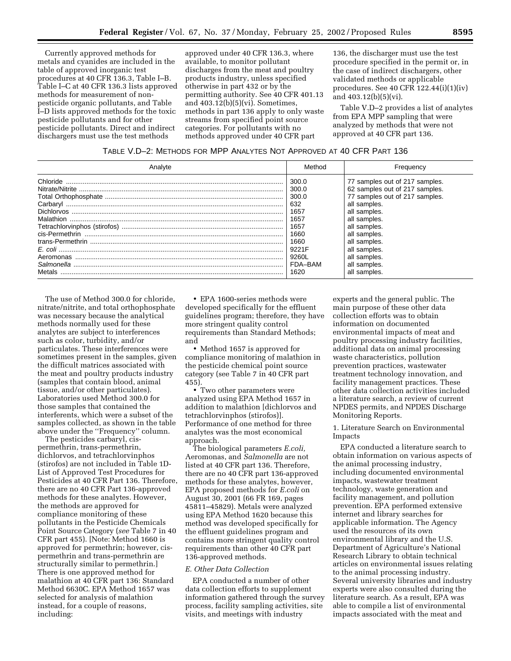Currently approved methods for metals and cyanides are included in the table of approved inorganic test procedures at 40 CFR 136.3, Table I–B. Table I–C at 40 CFR 136.3 lists approved methods for measurement of nonpesticide organic pollutants, and Table I–D lists approved methods for the toxic pesticide pollutants and for other pesticide pollutants. Direct and indirect dischargers must use the test methods

approved under 40 CFR 136.3, where available, to monitor pollutant discharges from the meat and poultry products industry, unless specified otherwise in part 432 or by the permitting authority. See 40 CFR 401.13 and 403.12(b)(5)(vi). Sometimes, methods in part 136 apply to only waste streams from specified point source categories. For pollutants with no methods approved under 40 CFR part

136, the discharger must use the test procedure specified in the permit or, in the case of indirect dischargers, other validated methods or applicable procedures. See 40 CFR 122.44(i)(1)(iv) and 403.12(b)(5)(vi).

Table V.D–2 provides a list of analytes from EPA MPP sampling that were analyzed by methods that were not approved at 40 CFR part 136.

| TABLE V.D-2: METHODS FOR MPP ANALYTES NOT APPROVED AT 40 CFR PART 136 |  |
|-----------------------------------------------------------------------|--|
|-----------------------------------------------------------------------|--|

|                                                                                                          | Method                                                                                                      | Frequency                                                                                                                                                                                                                                                        |
|----------------------------------------------------------------------------------------------------------|-------------------------------------------------------------------------------------------------------------|------------------------------------------------------------------------------------------------------------------------------------------------------------------------------------------------------------------------------------------------------------------|
| Chloride.<br>Carbarvl<br>Dichlorvos.<br>Malathion<br>cis-Permethrin<br>Aeromonas<br>Salmonella<br>Metals | 300.0<br>300.0<br>300.0<br>632<br>1657<br>1657<br>1657<br>1660<br>1660<br>9221F<br>9260L<br>FDA-BAM<br>1620 | 77 samples out of 217 samples.<br>62 samples out of 217 samples.<br>77 samples out of 217 samples.<br>all samples.<br>all samples.<br>all samples.<br>all samples.<br>all samples.<br>all samples.<br>all samples.<br>all samples<br>all samples.<br>all samples |

The use of Method 300.0 for chloride, nitrate/nitrite, and total orthophosphate was necessary because the analytical methods normally used for these analytes are subject to interferences such as color, turbidity, and/or particulates. These interferences were sometimes present in the samples, given the difficult matrices associated with the meat and poultry products industry (samples that contain blood, animal tissue, and/or other particulates). Laboratories used Method 300.0 for those samples that contained the interferents, which were a subset of the samples collected, as shown in the table above under the ''Frequency'' column.

The pesticides carbaryl, cispermethrin, trans-permethrin, dichlorvos, and tetrachlorvinphos (stirofos) are not included in Table 1D-List of Approved Test Procedures for Pesticides at 40 CFR Part 136. Therefore, there are no 40 CFR Part 136-approved methods for these analytes. However, the methods are approved for compliance monitoring of these pollutants in the Pesticide Chemicals Point Source Category (*see* Table 7 in 40 CFR part 455). [Note: Method 1660 is approved for permethrin; however, cispermethrin and trans-permethrin are structurally similar to permethrin.] There is one approved method for malathion at 40 CFR part 136: Standard Method 6630C. EPA Method 1657 was selected for analysis of malathion instead, for a couple of reasons, including:

• EPA 1600-series methods were developed specifically for the effluent guidelines program; therefore, they have more stringent quality control requirements than Standard Methods; and

• Method 1657 is approved for compliance monitoring of malathion in the pesticide chemical point source category (see Table 7 in 40 CFR part 455).

• Two other parameters were analyzed using EPA Method 1657 in addition to malathion [dichlorvos and tetrachlorvinphos (stirofos)]. Performance of one method for three analytes was the most economical approach.

The biological parameters *E.coli,* Aeromonas, and *Salmonella* are not listed at 40 CFR part 136. Therefore, there are no 40 CFR part 136-approved methods for these analytes, however, EPA proposed methods for *E.coli* on August 30, 2001 (66 FR 169, pages 45811–45829). Metals were analyzed using EPA Method 1620 because this method was developed specifically for the effluent guidelines program and contains more stringent quality control requirements than other 40 CFR part 136-approved methods.

#### *E. Other Data Collection*

EPA conducted a number of other data collection efforts to supplement information gathered through the survey process, facility sampling activities, site visits, and meetings with industry

experts and the general public. The main purpose of these other data collection efforts was to obtain information on documented environmental impacts of meat and poultry processing industry facilities, additional data on animal processing waste characteristics, pollution prevention practices, wastewater treatment technology innovation, and facility management practices. These other data collection activities included a literature search, a review of current NPDES permits, and NPDES Discharge Monitoring Reports.

1. Literature Search on Environmental Impacts

EPA conducted a literature search to obtain information on various aspects of the animal processing industry, including documented environmental impacts, wastewater treatment technology, waste generation and facility management, and pollution prevention. EPA performed extensive internet and library searches for applicable information. The Agency used the resources of its own environmental library and the U.S. Department of Agriculture's National Research Library to obtain technical articles on environmental issues relating to the animal processing industry. Several university libraries and industry experts were also consulted during the literature search. As a result, EPA was able to compile a list of environmental impacts associated with the meat and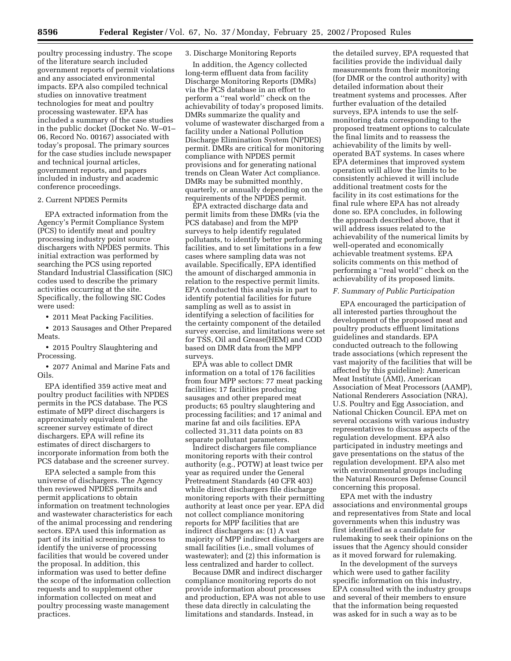poultry processing industry. The scope of the literature search included government reports of permit violations and any associated environmental impacts. EPA also compiled technical studies on innovative treatment technologies for meat and poultry processing wastewater. EPA has included a summary of the case studies in the public docket (Docket No. W–01– 06, Record No. 00167) associated with today's proposal. The primary sources for the case studies include newspaper and technical journal articles, government reports, and papers included in industry and academic conference proceedings.

#### 2. Current NPDES Permits

EPA extracted information from the Agency's Permit Compliance System (PCS) to identify meat and poultry processing industry point source dischargers with NPDES permits. This initial extraction was performed by searching the PCS using reported Standard Industrial Classification (SIC) codes used to describe the primary activities occurring at the site. Specifically, the following SIC Codes were used:

• 2011 Meat Packing Facilities.

• 2013 Sausages and Other Prepared Meats.

• 2015 Poultry Slaughtering and Processing.

• 2077 Animal and Marine Fats and Oils.

EPA identified 359 active meat and poultry product facilities with NPDES permits in the PCS database. The PCS estimate of MPP direct dischargers is approximately equivalent to the screener survey estimate of direct dischargers. EPA will refine its estimates of direct dischargers to incorporate information from both the PCS database and the screener survey.

EPA selected a sample from this universe of dischargers. The Agency then reviewed NPDES permits and permit applications to obtain information on treatment technologies and wastewater characteristics for each of the animal processing and rendering sectors. EPA used this information as part of its initial screening process to identify the universe of processing facilities that would be covered under the proposal. In addition, this information was used to better define the scope of the information collection requests and to supplement other information collected on meat and poultry processing waste management practices.

## 3. Discharge Monitoring Reports

In addition, the Agency collected long-term effluent data from facility Discharge Monitoring Reports (DMRs) via the PCS database in an effort to perform a ''real world'' check on the achievability of today's proposed limits. DMRs summarize the quality and volume of wastewater discharged from a facility under a National Pollution Discharge Elimination System (NPDES) permit. DMRs are critical for monitoring compliance with NPDES permit provisions and for generating national trends on Clean Water Act compliance. DMRs may be submitted monthly, quarterly, or annually depending on the requirements of the NPDES permit.

EPA extracted discharge data and permit limits from these DMRs (via the PCS database) and from the MPP surveys to help identify regulated pollutants, to identify better performing facilities, and to set limitations in a few cases where sampling data was not available. Specifically, EPA identified the amount of discharged ammonia in relation to the respective permit limits. EPA conducted this analysis in part to identify potential facilities for future sampling as well as to assist in identifying a selection of facilities for the certainty component of the detailed survey exercise, and limitations were set for TSS, Oil and Grease(HEM) and COD based on DMR data from the MPP surveys.

EPA was able to collect DMR information on a total of 176 facilities from four MPP sectors: 77 meat packing facilities; 17 facilities producing sausages and other prepared meat products; 65 poultry slaughtering and processing facilities; and 17 animal and marine fat and oils facilities. EPA collected 31,311 data points on 83 separate pollutant parameters.

Indirect dischargers file compliance monitoring reports with their control authority (e.g., POTW) at least twice per year as required under the General Pretreatment Standards (40 CFR 403) while direct dischargers file discharge monitoring reports with their permitting authority at least once per year. EPA did not collect compliance monitoring reports for MPP facilities that are indirect dischargers as: (1) A vast majority of MPP indirect dischargers are small facilities (i.e., small volumes of wastewater); and (2) this information is less centralized and harder to collect.

Because DMR and indirect discharger compliance monitoring reports do not provide information about processes and production, EPA was not able to use these data directly in calculating the limitations and standards. Instead, in

the detailed survey, EPA requested that facilities provide the individual daily measurements from their monitoring (for DMR or the control authority) with detailed information about their treatment systems and processes. After further evaluation of the detailed surveys, EPA intends to use the selfmonitoring data corresponding to the proposed treatment options to calculate the final limits and to reassess the achievability of the limits by welloperated BAT systems. In cases where EPA determines that improved system operation will allow the limits to be consistently achieved it will include additional treatment costs for the facility in its cost estimations for the final rule where EPA has not already done so. EPA concludes, in following the approach described above, that it will address issues related to the achievability of the numerical limits by well-operated and economically achievable treatment systems. EPA solicits comments on this method of performing a ''real world'' check on the achievability of its proposed limits.

#### *F. Summary of Public Participation*

EPA encouraged the participation of all interested parties throughout the development of the proposed meat and poultry products effluent limitations guidelines and standards. EPA conducted outreach to the following trade associations (which represent the vast majority of the facilities that will be affected by this guideline): American Meat Institute (AMI), American Association of Meat Processors (AAMP), National Renderers Association (NRA), U.S. Poultry and Egg Association, and National Chicken Council. EPA met on several occasions with various industry representatives to discuss aspects of the regulation development. EPA also participated in industry meetings and gave presentations on the status of the regulation development. EPA also met with environmental groups including the Natural Resources Defense Council concerning this proposal.

EPA met with the industry associations and environmental groups and representatives from State and local governments when this industry was first identified as a candidate for rulemaking to seek their opinions on the issues that the Agency should consider as it moved forward for rulemaking.

In the development of the surveys which were used to gather facility specific information on this industry, EPA consulted with the industry groups and several of their members to ensure that the information being requested was asked for in such a way as to be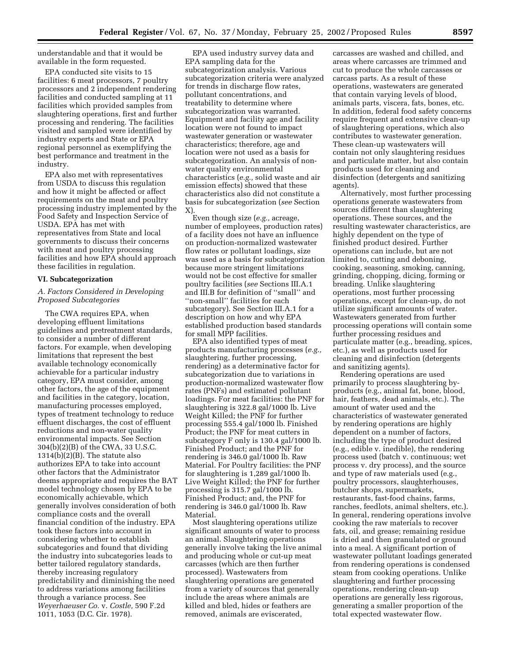understandable and that it would be available in the form requested.

EPA conducted site visits to 15 facilities: 6 meat processors, 7 poultry processors and 2 independent rendering facilities and conducted sampling at 11 facilities which provided samples from slaughtering operations, first and further processing and rendering. The facilities visited and sampled were identified by industry experts and State or EPA regional personnel as exemplifying the best performance and treatment in the industry.

EPA also met with representatives from USDA to discuss this regulation and how it might be affected or affect requirements on the meat and poultry processing industry implemented by the Food Safety and Inspection Service of USDA. EPA has met with representatives from State and local governments to discuss their concerns with meat and poultry processing facilities and how EPA should approach these facilities in regulation.

## **VI. Subcategorization**

## *A. Factors Considered in Developing Proposed Subcategories*

The CWA requires EPA, when developing effluent limitations guidelines and pretreatment standards, to consider a number of different factors. For example, when developing limitations that represent the best available technology economically achievable for a particular industry category, EPA must consider, among other factors, the age of the equipment and facilities in the category, location, manufacturing processes employed, types of treatment technology to reduce effluent discharges, the cost of effluent reductions and non-water quality environmental impacts. See Section 304(b)(2)(B) of the CWA, 33 U.S.C. 1314(b)(2)(B). The statute also authorizes EPA to take into account other factors that the Administrator deems appropriate and requires the BAT model technology chosen by EPA to be economically achievable, which generally involves consideration of both compliance costs and the overall financial condition of the industry. EPA took these factors into account in considering whether to establish subcategories and found that dividing the industry into subcategories leads to better tailored regulatory standards, thereby increasing regulatory predictability and diminishing the need to address variations among facilities through a variance process. See *Weyerhaeuser Co.* v. *Costle,* 590 F.2d 1011, 1053 (D.C. Cir. 1978).

EPA used industry survey data and EPA sampling data for the subcategorization analysis. Various subcategorization criteria were analyzed for trends in discharge flow rates, pollutant concentrations, and treatability to determine where subcategorization was warranted. Equipment and facility age and facility location were not found to impact wastewater generation or wastewater characteristics; therefore, age and location were not used as a basis for subcategorization. An analysis of nonwater quality environmental characteristics (*e.g.,* solid waste and air emission effects) showed that these characteristics also did not constitute a basis for subcategorization (*see* Section X).

Even though size (*e.g.,* acreage, number of employees, production rates) of a facility does not have an influence on production-normalized wastewater flow rates or pollutant loadings, size was used as a basis for subcategorization because more stringent limitations would not be cost effective for smaller poultry facilities (*see* Sections III.A.1 and III.B for definition of ''small'' and ''non-small'' facilities for each subcategory). See Section III.A.1 for a description on how and why EPA established production based standards for small MPP facilities.

EPA also identified types of meat products manufacturing processes (*e.g.,* slaughtering, further processing, rendering) as a determinative factor for subcategorization due to variations in production-normalized wastewater flow rates (PNFs) and estimated pollutant loadings. For meat facilities: the PNF for slaughtering is 322.8 gal/1000 lb. Live Weight Killed; the PNF for further processing 555.4 gal/1000 lb. Finished Product; the PNF for meat cutters in subcategory F only is 130.4 gal/1000 lb. Finished Product; and the PNF for rendering is 346.0 gal/1000 lb. Raw Material. For Poultry facilities: the PNF for slaughtering is 1,289 gal/1000 lb. Live Weight Killed; the PNF for further processing is 315.7 gal/1000 lb. Finished Product; and, the PNF for rendering is 346.0 gal/1000 lb. Raw Material.

Most slaughtering operations utilize significant amounts of water to process an animal. Slaughtering operations generally involve taking the live animal and producing whole or cut-up meat carcasses (which are then further processed). Wastewaters from slaughtering operations are generated from a variety of sources that generally include the areas where animals are killed and bled, hides or feathers are removed, animals are eviscerated,

carcasses are washed and chilled, and areas where carcasses are trimmed and cut to produce the whole carcasses or carcass parts. As a result of these operations, wastewaters are generated that contain varying levels of blood, animals parts, viscera, fats, bones, etc. In addition, federal food safety concerns require frequent and extensive clean-up of slaughtering operations, which also contributes to wastewater generation. These clean-up wastewaters will contain not only slaughtering residues and particulate matter, but also contain products used for cleaning and disinfection (detergents and sanitizing agents).

Alternatively, most further processing operations generate wastewaters from sources different than slaughtering operations. These sources, and the resulting wastewater characteristics, are highly dependent on the type of finished product desired. Further operations can include, but are not limited to, cutting and deboning, cooking, seasoning, smoking, canning, grinding, chopping, dicing, forming or breading. Unlike slaughtering operations, most further processing operations, except for clean-up, do not utilize significant amounts of water. Wastewaters generated from further processing operations will contain some further processing residues and particulate matter (e.g., breading, spices, etc.), as well as products used for cleaning and disinfection (detergents and sanitizing agents).

Rendering operations are used primarily to process slaughtering byproducts (e.g., animal fat, bone, blood, hair, feathers, dead animals, etc.). The amount of water used and the characteristics of wastewater generated by rendering operations are highly dependent on a number of factors, including the type of product desired (e.g., edible v. inedible), the rendering process used (batch v. continuous; wet process v. dry process), and the source and type of raw materials used (e.g., poultry processors, slaughterhouses, butcher shops, supermarkets, restaurants, fast-food chains, farms, ranches, feedlots, animal shelters, etc.). In general, rendering operations involve cooking the raw materials to recover fats, oil, and grease; remaining residue is dried and then granulated or ground into a meal. A significant portion of wastewater pollutant loadings generated from rendering operations is condensed steam from cooking operations. Unlike slaughtering and further processing operations, rendering clean-up operations are generally less rigorous, generating a smaller proportion of the total expected wastewater flow.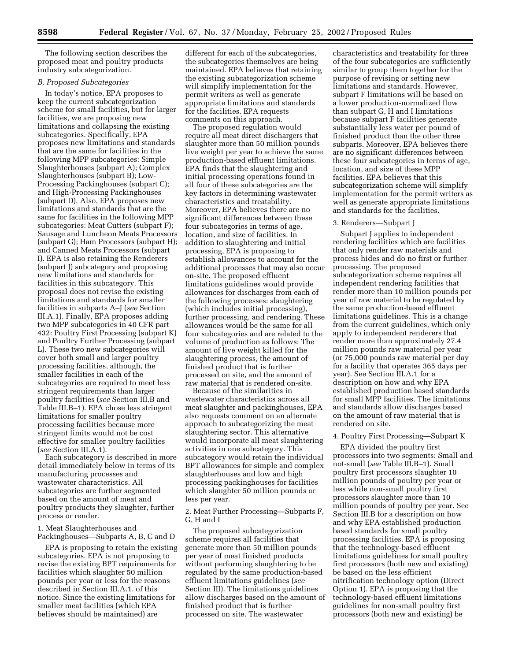The following section describes the proposed meat and poultry products industry subcategorization.

#### *B. Proposed Subcategories*

In today's notice, EPA proposes to keep the current subcategorization scheme for small facilities, but for larger facilities, we are proposing new limitations and collapsing the existing subcategories. Specifically, EPA proposes new limitations and standards that are the same for facilities in the following MPP subcategories: Simple Slaughterhouses (subpart A); Complex Slaughterhouses (subpart B); Low-Processing Packinghouses (subpart C); and High-Processing Packinghouses (subpart D). Also, EPA proposes new limitations and standards that are the same for facilities in the following MPP subcategories: Meat Cutters (subpart F); Sausage and Luncheon Meats Processors (subpart G); Ham Processors (subpart H); and Canned Meats Processors (subpart I). EPA is also retaining the Renderers (subpart J) subcategory and proposing new limitations and standards for facilities in this subcategory. This proposal does not revise the existing limitations and standards for smaller facilities in subparts A–J (*see* Section III.A.1). Finally, EPA proposes adding two MPP subcategories in 40 CFR part 432: Poultry First Processing (subpart K) and Poultry Further Processing (subpart L). These two new subcategories will cover both small and larger poultry processing facilities, although, the smaller facilities in each of the subcategories are required to meet less stringent requirements than larger poultry facilities (*see* Section III.B and Table III.B–1). EPA chose less stringent limitations for smaller poultry processing facilities because more stringent limits would not be cost effective for smaller poultry facilities (*see* Section III.A.1).

Each subcategory is described in more detail immediately below in terms of its manufacturing processes and wastewater characteristics. All subcategories are further segmented based on the amount of meat and poultry products they slaughter, further process or render.

1. Meat Slaughterhouses and Packinghouses—Subparts A, B, C and D

EPA is proposing to retain the existing subcategories. EPA is not proposing to revise the existing BPT requirements for facilities which slaughter 50 million pounds per year or less for the reasons described in Section III.A.1. of this notice. Since the existing limitations for smaller meat facilities (which EPA believes should be maintained) are

different for each of the subcategories, the subcategories themselves are being maintained. EPA believes that retaining the existing subcategorization scheme will simplify implementation for the permit writers as well as generate appropriate limitations and standards for the facilities. EPA requests comments on this approach.

The proposed regulation would require all meat direct dischargers that slaughter more than 50 million pounds live weight per year to achieve the same production-based effluent limitations. EPA finds that the slaughtering and initial processing operations found in all four of these subcategories are the key factors in determining wastewater characteristics and treatability. Moreover, EPA believes there are no significant differences between these four subcategories in terms of age, location, and size of facilities. In addition to slaughtering and initial processing, EPA is proposing to establish allowances to account for the additional processes that may also occur on-site. The proposed effluent limitations guidelines would provide allowances for discharges from each of the following processes: slaughtering (which includes initial processing), further processing, and rendering. These allowances would be the same for all four subcategories and are related to the volume of production as follows: The amount of live weight killed for the slaughtering process, the amount of finished product that is further processed on site, and the amount of raw material that is rendered on-site.

Because of the similarities in wastewater characteristics across all meat slaughter and packinghouses, EPA also requests comment on an alternate approach to subcategorizing the meat slaughtering sector. This alternative would incorporate all meat slaughtering activities in one subcategory. This subcategory would retain the individual BPT allowances for simple and complex slaughterhouses and low and high processing packinghouses for facilities which slaughter 50 million pounds or less per year.

2. Meat Further Processing—Subparts F, G, H and I

The proposed subcategorization scheme requires all facilities that generate more than 50 million pounds per year of meat finished products without performing slaughtering to be regulated by the same production-based effluent limitations guidelines (*see* Section III). The limitations guidelines allow discharges based on the amount of finished product that is further processed on site. The wastewater

characteristics and treatability for three of the four subcategories are sufficiently similar to group them together for the purpose of revising or setting new limitations and standards. However, subpart F limitations will be based on a lower production-normalized flow than subpart G, H and I limitations because subpart F facilities generate substantially less water per pound of finished product than the other three subparts. Moreover, EPA believes there are no significant differences between these four subcategories in terms of age, location, and size of these MPP facilities. EPA believes that this subcategorization scheme will simplify implementation for the permit writers as well as generate appropriate limitations and standards for the facilities.

#### 3. Renderers—Subpart J

Subpart J applies to independent rendering facilities which are facilities that only render raw materials and process hides and do no first or further processing. The proposed subcategorization scheme requires all independent rendering facilities that render more than 10 million pounds per year of raw material to be regulated by the same production-based effluent limitations guidelines. This is a change from the current guidelines, which only apply to independent renderers that render more than approximately 27.4 million pounds raw material per year (or 75,000 pounds raw material per day for a facility that operates 365 days per year). See Section III.A.1 for a description on how and why EPA established production based standards for small MPP facilities. The limitations and standards allow discharges based on the amount of raw material that is rendered on site.

#### 4. Poultry First Processing—Subpart K

EPA divided the poultry first processors into two segments: Small and not-small (*see* Table III.B–1). Small poultry first processors slaughter 10 million pounds of poultry per year or less while non-small poultry first processors slaughter more than 10 million pounds of poultry per year. See Section III.B for a description on how and why EPA established production based standards for small poultry processing facilities. EPA is proposing that the technology-based effluent limitations guidelines for small poultry first processors (both new and existing) be based on the less efficient nitrification technology option (Direct Option 1). EPA is proposing that the technology-based effluent limitations guidelines for non-small poultry first processors (both new and existing) be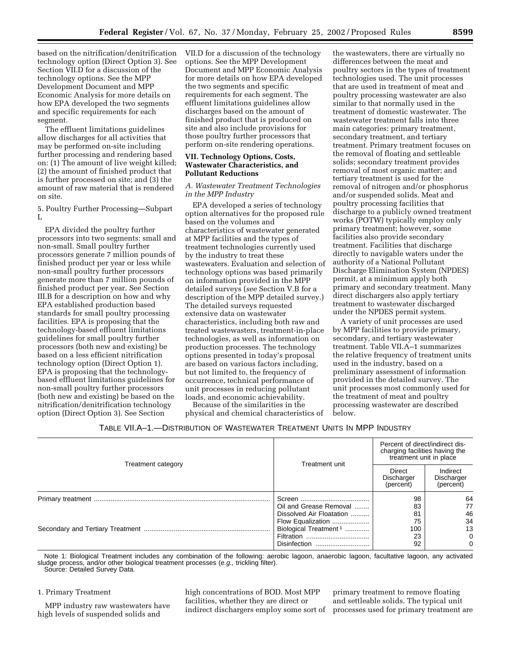based on the nitrification/denitrification technology option (Direct Option 3). See Section VII.D for a discussion of the technology options. See the MPP Development Document and MPP Economic Analysis for more details on how EPA developed the two segments and specific requirements for each segment.

The effluent limitations guidelines allow discharges for all activities that may be performed on-site including further processing and rendering based on: (1) The amount of live weight killed; (2) the amount of finished product that is further processed on site; and (3) the amount of raw material that is rendered on site.

5. Poultry Further Processing—Subpart L

EPA divided the poultry further processors into two segments: small and non-small. Small poultry further processors generate 7 million pounds of finished product per year or less while non-small poultry further processors generate more than 7 million pounds of finished product per year. See Section III.B for a description on how and why EPA established production based standards for small poultry processing facilities. EPA is proposing that the technology-based effluent limitations guidelines for small poultry further processors (both new and existing) be based on a less efficient nitrification technology option (Direct Option 1). EPA is proposing that the technologybased effluent limitations guidelines for non-small poultry further processors (both new and existing) be based on the nitrification/denitrification technology option (Direct Option 3). See Section

VII.D for a discussion of the technology options. See the MPP Development Document and MPP Economic Analysis for more details on how EPA developed the two segments and specific requirements for each segment. The effluent limitations guidelines allow discharges based on the amount of finished product that is produced on site and also include provisions for those poultry further processors that perform on-site rendering operations.

## **VII. Technology Options, Costs, Wastewater Characteristics, and Pollutant Reductions**

*A. Wastewater Treatment Technologies in the MPP Industry*

EPA developed a series of technology option alternatives for the proposed rule based on the volumes and characteristics of wastewater generated at MPP facilities and the types of treatment technologies currently used by the industry to treat these wastewaters. Evaluation and selection of technology options was based primarily on information provided in the MPP detailed surveys (*see* Section V.B for a description of the MPP detailed survey.) The detailed surveys requested extensive data on wastewater characteristics, including both raw and treated wastewasters, treatment-in-place technologies, as well as information on production processes. The technology options presented in today's proposal are based on various factors including, but not limited to, the frequency of occurrence, technical performance of unit processes in reducing pollutant loads, and economic achievability.

Because of the similarities in the physical and chemical characteristics of

the wastewaters, there are virtually no differences between the meat and poultry sectors in the types of treatment technologies used. The unit processes that are used in treatment of meat and poultry processing wastewater are also similar to that normally used in the treatment of domestic wastewater. The wastewater treatment falls into three main categories: primary treatment, secondary treatment, and tertiary treatment. Primary treatment focuses on the removal of floating and settleable solids; secondary treatment provides removal of most organic matter; and tertiary treatment is used for the removal of nitrogen and/or phosphorus and/or suspended solids. Meat and poultry processing facilities that discharge to a publicly owned treatment works (POTW) typically employ only primary treatment; however, some facilities also provide secondary treatment. Facilities that discharge directly to navigable waters under the authority of a National Pollutant Discharge Elimination System (NPDES) permit, at a minimum apply both primary and secondary treatment. Many direct dischargers also apply tertiary treatment to wastewater discharged under the NPDES permit system.

A variety of unit processes are used by MPP facilities to provide primary, secondary, and tertiary wastewater treatment. Table VII.A–1 summarizes the relative frequency of treatment units used in the industry, based on a preliminary assessment of information provided in the detailed survey. The unit processes most commonly used for the treatment of meat and poultry processing wastewater are described below.

TABLE VII.A–1.—DISTRIBUTION OF WASTEWATER TREATMENT UNITS IN MPP INDUSTRY

|                    |                                   | Percent of direct/indirect dis-<br>charging facilities having the<br>treatment unit in place |                                     |  |
|--------------------|-----------------------------------|----------------------------------------------------------------------------------------------|-------------------------------------|--|
| Treatment category | Treatment unit                    | Direct<br>Discharger<br>(percent)                                                            | Indirect<br>Discharger<br>(percent) |  |
|                    |                                   | 98                                                                                           | 64                                  |  |
|                    | Oil and Grease Removal            | 83                                                                                           | 77                                  |  |
|                    | Dissolved Air Floatation          | 81                                                                                           | 46                                  |  |
|                    | Flow Equalization                 | 75                                                                                           | 34                                  |  |
|                    | Biological Treatment <sup>1</sup> | 100                                                                                          | 13                                  |  |
|                    |                                   | 23                                                                                           | 0                                   |  |
|                    | Disinfection                      | 92                                                                                           | $\Omega$                            |  |

Note 1: Biological Treatment includes any combination of the following: aerobic lagoon, anaerobic lagoon, facultative lagoon, any activated sludge process, and/or other biological treatment processes (e.g., trickling filter).

Source: Detailed Survey Data.

## 1. Primary Treatment

MPP industry raw wastewaters have high levels of suspended solids and

high concentrations of BOD. Most MPP facilities, whether they are direct or indirect dischargers employ some sort of

primary treatment to remove floating and settleable solids. The typical unit processes used for primary treatment are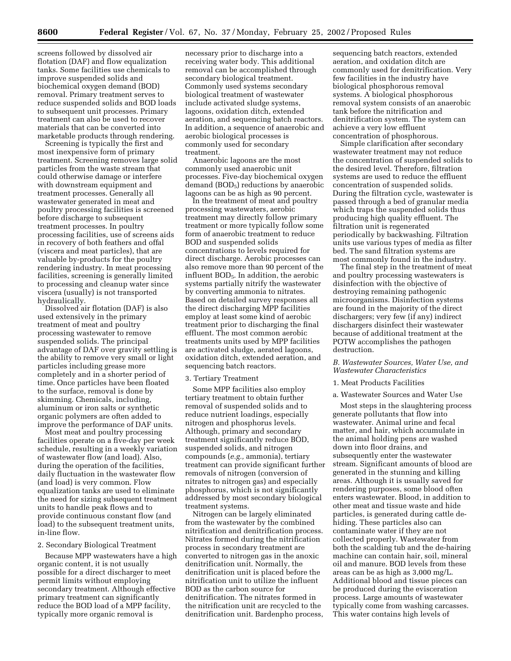screens followed by dissolved air flotation (DAF) and flow equalization tanks. Some facilities use chemicals to improve suspended solids and biochemical oxygen demand (BOD) removal. Primary treatment serves to reduce suspended solids and BOD loads to subsequent unit processes. Primary treatment can also be used to recover materials that can be converted into marketable products through rendering.

Screening is typically the first and most inexpensive form of primary treatment. Screening removes large solid particles from the waste stream that could otherwise damage or interfere with downstream equipment and treatment processes. Generally all wastewater generated in meat and poultry processing facilities is screened before discharge to subsequent treatment processes. In poultry processing facilities, use of screens aids in recovery of both feathers and offal (viscera and meat particles), that are valuable by-products for the poultry rendering industry. In meat processing facilities, screening is generally limited to processing and cleanup water since viscera (usually) is not transported hydraulically.

Dissolved air flotation (DAF) is also used extensively in the primary treatment of meat and poultry processing wastewater to remove suspended solids. The principal advantage of DAF over gravity settling is the ability to remove very small or light particles including grease more completely and in a shorter period of time. Once particles have been floated to the surface, removal is done by skimming. Chemicals, including, aluminum or iron salts or synthetic organic polymers are often added to improve the performance of DAF units.

Most meat and poultry processing facilities operate on a five-day per week schedule, resulting in a weekly variation of wastewater flow (and load). Also, during the operation of the facilities, daily fluctuation in the wastewater flow (and load) is very common. Flow equalization tanks are used to eliminate the need for sizing subsequent treatment units to handle peak flows and to provide continuous constant flow (and load) to the subsequent treatment units, in-line flow.

#### 2. Secondary Biological Treatment

Because MPP wastewaters have a high organic content, it is not usually possible for a direct discharger to meet permit limits without employing secondary treatment. Although effective primary treatment can significantly reduce the BOD load of a MPP facility, typically more organic removal is

necessary prior to discharge into a receiving water body. This additional removal can be accomplished through secondary biological treatment. Commonly used systems secondary biological treatment of wastewater include activated sludge systems, lagoons, oxidation ditch, extended aeration, and sequencing batch reactors. In addition, a sequence of anaerobic and aerobic biological processes is commonly used for secondary treatment.

Anaerobic lagoons are the most commonly used anaerobic unit processes. Five-day biochemical oxygen demand  $(BOD<sub>5</sub>)$  reductions by anaerobic lagoons can be as high as 90 percent.

In the treatment of meat and poultry processing wastewaters, aerobic treatment may directly follow primary treatment or more typically follow some form of anaerobic treatment to reduce BOD and suspended solids concentrations to levels required for direct discharge. Aerobic processes can also remove more than 90 percent of the influent BOD<sub>5</sub>. In addition, the aerobic systems partially nitrify the wastewater by converting ammonia to nitrates. Based on detailed survey responses all the direct discharging MPP facilities employ at least some kind of aerobic treatment prior to discharging the final effluent. The most common aerobic treatments units used by MPP facilities are activated sludge, aerated lagoons, oxidation ditch, extended aeration, and sequencing batch reactors.

#### 3. Tertiary Treatment

Some MPP facilities also employ tertiary treatment to obtain further removal of suspended solids and to reduce nutrient loadings, especially nitrogen and phosphorus levels. Although, primary and secondary treatment significantly reduce BOD, suspended solids, and nitrogen compounds (*e.g.,* ammonia), tertiary treatment can provide significant further removals of nitrogen (conversion of nitrates to nitrogen gas) and especially phosphorus, which is not significantly addressed by most secondary biological treatment systems.

Nitrogen can be largely eliminated from the wastewater by the combined nitrification and denitrification process. Nitrates formed during the nitrification process in secondary treatment are converted to nitrogen gas in the anoxic denitrification unit. Normally, the denitrification unit is placed before the nitrification unit to utilize the influent BOD as the carbon source for denitrification. The nitrates formed in the nitrification unit are recycled to the denitrification unit. Bardenpho process,

sequencing batch reactors, extended aeration, and oxidation ditch are commonly used for denitrification. Very few facilities in the industry have biological phosphorous removal systems. A biological phosphorous removal system consists of an anaerobic tank before the nitrification and denitrification system. The system can achieve a very low effluent concentration of phosphorous.

Simple clarification after secondary wastewater treatment may not reduce the concentration of suspended solids to the desired level. Therefore, filtration systems are used to reduce the effluent concentration of suspended solids. During the filtration cycle, wastewater is passed through a bed of granular media which traps the suspended solids thus producing high quality effluent. The filtration unit is regenerated periodically by backwashing. Filtration units use various types of media as filter bed. The sand filtration systems are most commonly found in the industry.

The final step in the treatment of meat and poultry processing wastewaters is disinfection with the objective of destroying remaining pathogenic microorganisms. Disinfection systems are found in the majority of the direct dischargers; very few (if any) indirect dischargers disinfect their wastewater because of additional treatment at the POTW accomplishes the pathogen destruction.

### *B. Wastewater Sources, Water Use, and Wastewater Characteristics*

#### 1. Meat Products Facilities

#### a. Wastewater Sources and Water Use

Most steps in the slaughtering process generate pollutants that flow into wastewater. Animal urine and fecal matter, and hair, which accumulate in the animal holding pens are washed down into floor drains, and subsequently enter the wastewater stream. Significant amounts of blood are generated in the stunning and killing areas. Although it is usually saved for rendering purposes, some blood often enters wastewater. Blood, in addition to other meat and tissue waste and hide particles, is generated during cattle dehiding. These particles also can contaminate water if they are not collected properly. Wastewater from both the scalding tub and the de-hairing machine can contain hair, soil, mineral oil and manure. BOD levels from these areas can be as high as 3,000 mg/L. Additional blood and tissue pieces can be produced during the evisceration process. Large amounts of wastewater typically come from washing carcasses. This water contains high levels of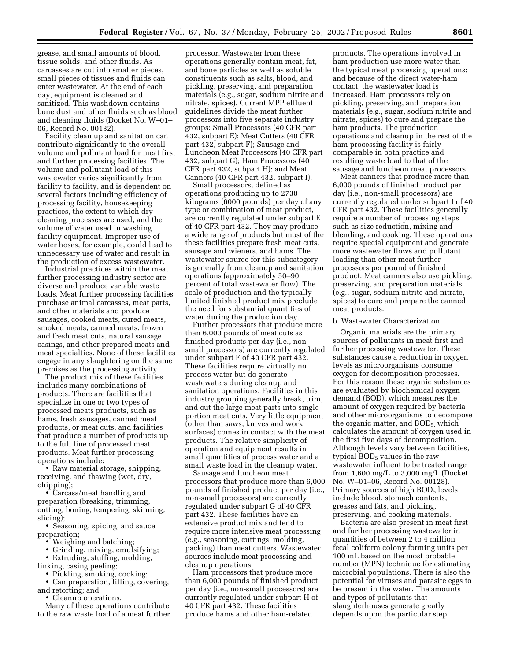grease, and small amounts of blood, tissue solids, and other fluids. As carcasses are cut into smaller pieces, small pieces of tissues and fluids can enter wastewater. At the end of each day, equipment is cleaned and sanitized. This washdown contains bone dust and other fluids such as blood and cleaning fluids (Docket No. W–01– 06, Record No. 00132).

Facility clean up and sanitation can contribute significantly to the overall volume and pollutant load for meat first and further processing facilities. The volume and pollutant load of this wastewater varies significantly from facility to facility, and is dependent on several factors including efficiency of processing facility, housekeeping practices, the extent to which dry cleaning processes are used, and the volume of water used in washing facility equipment. Improper use of water hoses, for example, could lead to unnecessary use of water and result in the production of excess wastewater.

Industrial practices within the meat further processing industry sector are diverse and produce variable waste loads. Meat further processing facilities purchase animal carcasses, meat parts, and other materials and produce sausages, cooked meats, cured meats, smoked meats, canned meats, frozen and fresh meat cuts, natural sausage casings, and other prepared meats and meat specialties. None of these facilities engage in any slaughtering on the same premises as the processing activity.

The product mix of these facilities includes many combinations of products. There are facilities that specialize in one or two types of processed meats products, such as hams, fresh sausages, canned meat products, or meat cuts, and facilities that produce a number of products up to the full line of processed meat products. Meat further processing operations include:

• Raw material storage, shipping, receiving, and thawing (wet, dry, chipping);

• Carcass/meat handling and preparation (breaking, trimming, cutting, boning, tempering, skinning, slicing);

• Seasoning, spicing, and sauce preparation;

• Weighing and batching;

• Grinding, mixing, emulsifying;

• Extruding, stuffing, molding, linking, casing peeling;

• Pickling, smoking, cooking;

• Can preparation, filling, covering,

and retorting; and

• Cleanup operations.

Many of these operations contribute to the raw waste load of a meat further

processor. Wastewater from these operations generally contain meat, fat, and bone particles as well as soluble constituents such as salts, blood, and pickling, preserving, and preparation materials (e.g., sugar, sodium nitrite and nitrate, spices). Current MPP effluent guidelines divide the meat further processors into five separate industry groups: Small Processors (40 CFR part 432, subpart E); Meat Cutters (40 CFR part 432, subpart F); Sausage and Luncheon Meat Processors (40 CFR part 432, subpart G); Ham Processors (40 CFR part 432, subpart H); and Meat Canners (40 CFR part 432, subpart I).

Small processors, defined as operations producing up to 2730 kilograms (6000 pounds) per day of any type or combination of meat product, are currently regulated under subpart E of 40 CFR part 432. They may produce a wide range of products but most of the these facilities prepare fresh meat cuts, sausage and wieners, and hams. The wastewater source for this subcategory is generally from cleanup and sanitation operations (approximately 50–90 percent of total wastewater flow). The scale of production and the typically limited finished product mix preclude the need for substantial quantities of water during the production day.

Further processors that produce more than 6,000 pounds of meat cuts as finished products per day (i.e., nonsmall processors) are currently regulated under subpart F of 40 CFR part 432. These facilities require virtually no process water but do generate wastewaters during cleanup and sanitation operations. Facilities in this industry grouping generally break, trim, and cut the large meat parts into singleportion meat cuts. Very little equipment (other than saws, knives and work surfaces) comes in contact with the meat products. The relative simplicity of operation and equipment results in small quantities of process water and a small waste load in the cleanup water.

Sausage and luncheon meat processors that produce more than 6,000 pounds of finished product per day (i.e., non-small processors) are currently regulated under subpart G of 40 CFR part 432. These facilities have an extensive product mix and tend to require more intensive meat processing (e.g., seasoning, cuttings, molding, packing) than meat cutters. Wastewater sources include meat processing and cleanup operations.

Ham processors that produce more than 6,000 pounds of finished product per day (i.e., non-small processors) are currently regulated under subpart H of 40 CFR part 432. These facilities produce hams and other ham-related

products. The operations involved in ham production use more water than the typical meat processing operations; and because of the direct water-ham contact, the wastewater load is increased. Ham processors rely on pickling, preserving, and preparation materials (e.g., sugar, sodium nitrite and nitrate, spices) to cure and prepare the ham products. The production operations and cleanup in the rest of the ham processing facility is fairly comparable in both practice and resulting waste load to that of the sausage and luncheon meat processors.

Meat canners that produce more than 6,000 pounds of finished product per day (i.e., non-small processors) are currently regulated under subpart I of 40 CFR part 432. These facilities generally require a number of processing steps such as size reduction, mixing and blending, and cooking. These operations require special equipment and generate more wastewater flows and pollutant loading than other meat further processors per pound of finished product. Meat canners also use pickling, preserving, and preparation materials (e.g., sugar, sodium nitrite and nitrate, spices) to cure and prepare the canned meat products.

#### b. Wastewater Characterization

Organic materials are the primary sources of pollutants in meat first and further processing wastewater. These substances cause a reduction in oxygen levels as microorganisms consume oxygen for decomposition processes. For this reason these organic substances are evaluated by biochemical oxygen demand (BOD), which measures the amount of oxygen required by bacteria and other microorganisms to decompose the organic matter, and  $BOD<sub>5</sub>$ , which calculates the amount of oxygen used in the first five days of decomposition. Although levels vary between facilities, typical  $BOD<sub>5</sub>$  values in the raw wastewater influent to be treated range from 1,600 mg/L to 3,000 mg/L (Docket No. W–01–06, Record No. 00128). Primary sources of high BOD<sub>5</sub> levels include blood, stomach contents, greases and fats, and pickling, preserving, and cooking materials.

Bacteria are also present in meat first and further processing wastewater in quantities of between 2 to 4 million fecal coliform colony forming units per 100 mL based on the most probable number (MPN) technique for estimating microbial populations. There is also the potential for viruses and parasite eggs to be present in the water. The amounts and types of pollutants that slaughterhouses generate greatly depends upon the particular step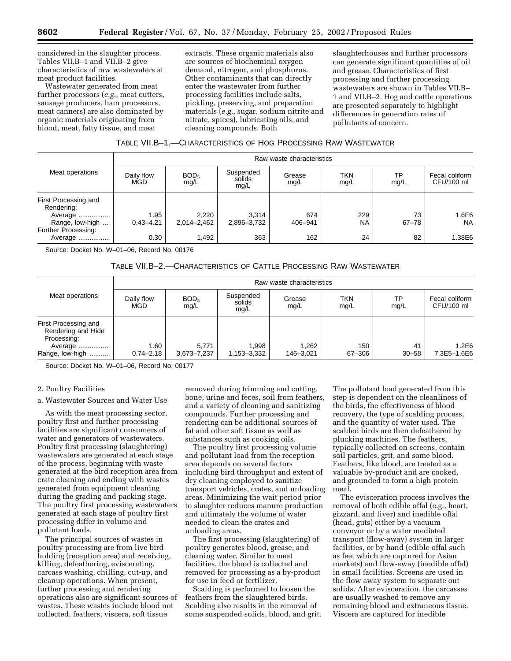considered in the slaughter process. Tables VII.B–1 and VII.B–2 give characteristics of raw wastewaters at meat product facilities.

Wastewater generated from meat further processors (*e.g.,* meat cutters, sausage producers, ham processors, meat canners) are also dominated by organic materials originating from blood, meat, fatty tissue, and meat

extracts. These organic materials also are sources of biochemical oxygen demand, nitrogen, and phosphorus. Other contaminants that can directly enter the wastewater from further processing facilities include salts, pickling, preserving, and preparation materials (*e.g.,* sugar, sodium nitrite and nitrate, spices), lubricating oils, and cleaning compounds. Both

slaughterhouses and further processors can generate significant quantities of oil and grease. Characteristics of first processing and further processing wastewaters are shown in Tables VII.B– 1 and VII.B–2. Hog and cattle operations are presented separately to highlight differences in generation rates of pollutants of concern.

| Table VII.B—1.—Characteristics of Hog Processing Raw Wastewater |
|-----------------------------------------------------------------|
|-----------------------------------------------------------------|

|                                                                                         |                       |                          |                             | Raw waste characteristics |                  |                 |                              |  |  |  |
|-----------------------------------------------------------------------------------------|-----------------------|--------------------------|-----------------------------|---------------------------|------------------|-----------------|------------------------------|--|--|--|
| Meat operations                                                                         | Daily flow<br>MGD     | BOD <sub>5</sub><br>mg/L | Suspended<br>solids<br>mq/L | Grease<br>mg/L            | TKN<br>mg/L      | TP<br>mg/L      | Fecal coliform<br>CFU/100 ml |  |  |  |
| First Processing and<br>Rendering:<br>Average<br>Range, low-high<br>Further Processing: | 1.95<br>$0.43 - 4.21$ | 2,220<br>2.014-2.462     | 3.314<br>2.896-3.732        | 674<br>406-941            | 229<br><b>NA</b> | 73<br>$67 - 78$ | 1.6E6<br><b>NA</b>           |  |  |  |
| Average                                                                                 | 0.30                  | 1,492                    | 363                         | 162                       | 24               | 82              | 1.38E6                       |  |  |  |

Source: Docket No. W–01–06, Record No. 00176

## TABLE VII.B–2.—CHARACTERISTICS OF CATTLE PROCESSING RAW WASTEWATER

|                                                                                         | Raw waste characteristics |                          |                             |                    |               |                 |                              |  |
|-----------------------------------------------------------------------------------------|---------------------------|--------------------------|-----------------------------|--------------------|---------------|-----------------|------------------------------|--|
| Meat operations                                                                         | Daily flow<br><b>MGD</b>  | BOD <sub>5</sub><br>mg/L | Suspended<br>solids<br>mq/L | Grease<br>mg/L     | TKN<br>mg/L   | ТP<br>mg/L      | Fecal coliform<br>CFU/100 ml |  |
| First Processing and<br>Rendering and Hide<br>Processing:<br>Average<br>Range, low-high | 1.60<br>$0.74 - 2.18$     | 5.771<br>3,673-7,237     | .998<br>1,153-3,332         | 1.262<br>146-3.021 | 150<br>67-306 | 41<br>$30 - 58$ | 1.2E6<br>7.3E5-1.6E6         |  |

Source: Docket No. W–01–06, Record No. 00177

#### 2. Poultry Facilities

#### a. Wastewater Sources and Water Use

As with the meat processing sector, poultry first and further processing facilities are significant consumers of water and generators of wastewaters. Poultry first processing (slaughtering) wastewaters are generated at each stage of the process, beginning with waste generated at the bird reception area from crate cleaning and ending with wastes generated from equipment cleaning during the grading and packing stage. The poultry first processing wastewaters generated at each stage of poultry first processing differ in volume and pollutant loads.

The principal sources of wastes in poultry processing are from live bird holding (reception area) and receiving, killing, defeathering, eviscerating, carcass washing, chilling, cut-up, and cleanup operations. When present, further processing and rendering operations also are significant sources of wastes. These wastes include blood not collected, feathers, viscera, soft tissue

removed during trimming and cutting, bone, urine and feces, soil from feathers, and a variety of cleaning and sanitizing compounds. Further processing and rendering can be additional sources of fat and other soft tissue as well as substances such as cooking oils.

The poultry first processing volume and pollutant load from the reception area depends on several factors including bird throughput and extent of dry cleaning employed to sanitize transport vehicles, crates, and unloading areas. Minimizing the wait period prior to slaughter reduces manure production and ultimately the volume of water needed to clean the crates and unloading areas.

The first processing (slaughtering) of poultry generates blood, grease, and cleaning water. Similar to meat facilities, the blood is collected and removed for processing as a by-product for use in feed or fertilizer.

Scalding is performed to loosen the feathers from the slaughtered birds. Scalding also results in the removal of some suspended solids, blood, and grit.

The pollutant load generated from this step is dependent on the cleanliness of the birds, the effectiveness of blood recovery, the type of scalding process, and the quantity of water used. The scalded birds are then defeathered by plucking machines. The feathers, typically collected on screens, contain soil particles, grit, and some blood. Feathers, like blood, are treated as a valuable by-product and are cooked, and grounded to form a high protein meal.

The evisceration process involves the removal of both edible offal (e.g., heart, gizzard, and liver) and inedible offal (head, guts) either by a vacuum conveyor or by a water mediated transport (flow-away) system in larger facilities, or by hand (edible offal such as feet which are captured for Asian markets) and flow-away (inedible offal) in small facilities. Screens are used in the flow away system to separate out solids. After evisceration, the carcasses are usually washed to remove any remaining blood and extraneous tissue. Viscera are captured for inedible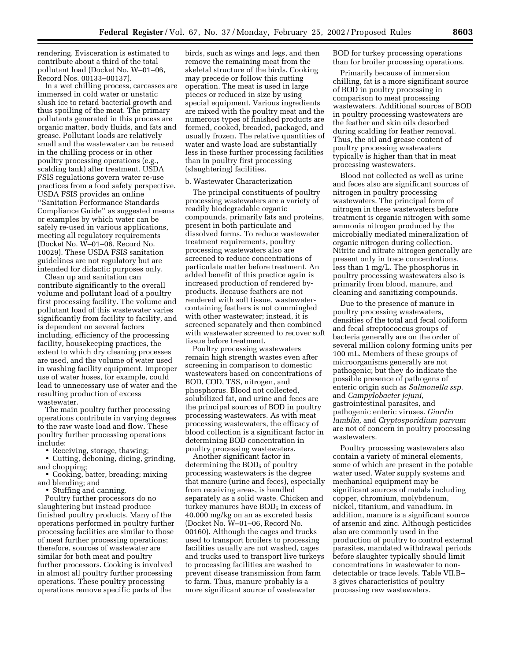rendering. Evisceration is estimated to contribute about a third of the total pollutant load (Docket No. W–01–06, Record Nos. 00133–00137).

In a wet chilling process, carcasses are immersed in cold water or unstatic slush ice to retard bacterial growth and thus spoiling of the meat. The primary pollutants generated in this process are organic matter, body fluids, and fats and grease. Pollutant loads are relatively small and the wastewater can be reused in the chilling process or in other poultry processing operations (e.g., scalding tank) after treatment. USDA FSIS regulations govern water re-use practices from a food safety perspective. USDA FSIS provides an online ''Sanitation Performance Standards Compliance Guide'' as suggested means or examples by which water can be safely re-used in various applications, meeting all regulatory requirements (Docket No. W–01–06, Record No. 10029). These USDA FSIS sanitation guidelines are not regulatory but are intended for didactic purposes only.

Clean up and sanitation can contribute significantly to the overall volume and pollutant load of a poultry first processing facility. The volume and pollutant load of this wastewater varies significantly from facility to facility, and is dependent on several factors including, efficiency of the processing facility, housekeeping practices, the extent to which dry cleaning processes are used, and the volume of water used in washing facility equipment. Improper use of water hoses, for example, could lead to unnecessary use of water and the resulting production of excess wastewater.

The main poultry further processing operations contribute in varying degrees to the raw waste load and flow. These poultry further processing operations include:

• Receiving, storage, thawing;

• Cutting, deboning, dicing, grinding, and chopping;

• Cooking, batter, breading; mixing and blending; and

• Stuffing and canning.

Poultry further processors do no slaughtering but instead produce finished poultry products. Many of the operations performed in poultry further processing facilities are similar to those of meat further processing operations; therefore, sources of wastewater are similar for both meat and poultry further processors. Cooking is involved in almost all poultry further processing operations. These poultry processing operations remove specific parts of the

birds, such as wings and legs, and then remove the remaining meat from the skeletal structure of the birds. Cooking may precede or follow this cutting operation. The meat is used in large pieces or reduced in size by using special equipment. Various ingredients are mixed with the poultry meat and the numerous types of finished products are formed, cooked, breaded, packaged, and usually frozen. The relative quantities of water and waste load are substantially less in these further processing facilities than in poultry first processing (slaughtering) facilities.

#### b. Wastewater Characterization

The principal constituents of poultry processing wastewaters are a variety of readily biodegradable organic compounds, primarily fats and proteins, present in both particulate and dissolved forms. To reduce wastewater treatment requirements, poultry processing wastewaters also are screened to reduce concentrations of particulate matter before treatment. An added benefit of this practice again is increased production of rendered byproducts. Because feathers are not rendered with soft tissue, wastewatercontaining feathers is not commingled with other wastewater; instead, it is screened separately and then combined with wastewater screened to recover soft tissue before treatment.

Poultry processing wastewaters remain high strength wastes even after screening in comparison to domestic wastewaters based on concentrations of BOD, COD, TSS, nitrogen, and phosphorus. Blood not collected, solubilized fat, and urine and feces are the principal sources of BOD in poultry processing wastewaters. As with meat processing wastewaters, the efficacy of blood collection is a significant factor in determining BOD concentration in poultry processing wastewaters.

Another significant factor in determining the  $BOD<sub>5</sub>$  of poultry processing wastewaters is the degree that manure (urine and feces), especially from receiving areas, is handled separately as a solid waste. Chicken and turkey manures have  $BOD<sub>5</sub>$  in excess of 40,000 mg/kg on an as excreted basis (Docket No. W–01–06, Record No. 00160). Although the cages and trucks used to transport broilers to processing facilities usually are not washed, cages and trucks used to transport live turkeys to processing facilities are washed to prevent disease transmission from farm to farm. Thus, manure probably is a more significant source of wastewater

BOD for turkey processing operations than for broiler processing operations.

Primarily because of immersion chilling, fat is a more significant source of BOD in poultry processing in comparison to meat processing wastewaters. Additional sources of BOD in poultry processing wastewaters are the feather and skin oils desorbed during scalding for feather removal. Thus, the oil and grease content of poultry processing wastewaters typically is higher than that in meat processing wastewaters.

Blood not collected as well as urine and feces also are significant sources of nitrogen in poultry processing wastewaters. The principal form of nitrogen in these wastewaters before treatment is organic nitrogen with some ammonia nitrogen produced by the microbially mediated mineralization of organic nitrogen during collection. Nitrite and nitrate nitrogen generally are present only in trace concentrations, less than 1 mg/L. The phosphorus in poultry processing wastewaters also is primarily from blood, manure, and cleaning and sanitizing compounds.

Due to the presence of manure in poultry processing wastewaters, densities of the total and fecal coliform and fecal streptococcus groups of bacteria generally are on the order of several million colony forming units per 100 mL. Members of these groups of microorganisms generally are not pathogenic; but they do indicate the possible presence of pathogens of enteric origin such as *Salmonella ssp.* and *Campylobacter jejuni,* gastrointestinal parasites, and pathogenic enteric viruses. *Giardia lamblia,* and *Cryptosporidium parvum* are not of concern in poultry processing wastewaters.

Poultry processing wastewaters also contain a variety of mineral elements, some of which are present in the potable water used. Water supply systems and mechanical equipment may be significant sources of metals including copper, chromium, molybdenum, nickel, titanium, and vanadium. In addition, manure is a significant source of arsenic and zinc. Although pesticides also are commonly used in the production of poultry to control external parasites, mandated withdrawal periods before slaughter typically should limit concentrations in wastewater to nondetectable or trace levels. Table VII.B– 3 gives characteristics of poultry processing raw wastewaters.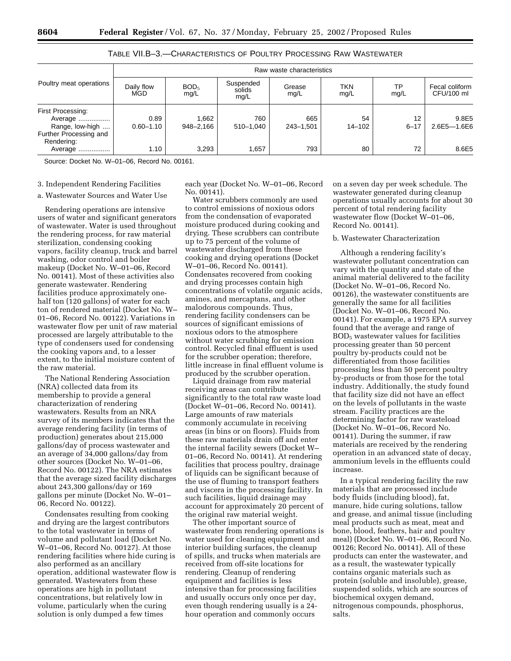|                                                                                                    |                               |                             |                             | Raw waste characteristics |                        |                      |                               |  |  |  |
|----------------------------------------------------------------------------------------------------|-------------------------------|-----------------------------|-----------------------------|---------------------------|------------------------|----------------------|-------------------------------|--|--|--|
| Poultry meat operations                                                                            | Daily flow<br>MGD             | BOD <sub>5</sub><br>mg/L    | Suspended<br>solids<br>mq/L | Grease<br>mg/L            | <b>TKN</b><br>mg/L     | ТP<br>mg/L           | Fecal coliform<br>CFU/100 ml  |  |  |  |
| First Processing:<br>Average<br>Range, low-high<br>Further Processing and<br>Rendering:<br>Average | 0.89<br>$0.60 - 1.10$<br>1.10 | 1,662<br>948-2.166<br>3,293 | 760<br>510-1,040<br>.657    | 665<br>243-1,501<br>793   | 54<br>$14 - 102$<br>80 | 12<br>$6 - 17$<br>72 | 9.8E5<br>2.6E5-1.6E6<br>8.6E5 |  |  |  |

## TABLE VII.B–3.—CHARACTERISTICS OF POULTRY PROCESSING RAW WASTEWATER

Source: Docket No. W–01–06, Record No. 00161.

#### 3. Independent Rendering Facilities

#### a. Wastewater Sources and Water Use

Rendering operations are intensive users of water and significant generators of wastewater. Water is used throughout the rendering process, for raw material sterilization, condensing cooking vapors, facility cleanup, truck and barrel washing, odor control and boiler makeup (Docket No. W–01–06, Record No. 00141). Most of these activities also generate wastewater. Rendering facilities produce approximately onehalf ton (120 gallons) of water for each ton of rendered material (Docket No. W– 01–06, Record No. 00122). Variations in wastewater flow per unit of raw material processed are largely attributable to the type of condensers used for condensing the cooking vapors and, to a lesser extent, to the initial moisture content of the raw material.

The National Rendering Association (NRA) collected data from its membership to provide a general characterization of rendering wastewaters. Results from an NRA survey of its members indicates that the average rendering facility (in terms of production) generates about 215,000 gallons/day of process wastewater and an average of 34,000 gallons/day from other sources (Docket No. W–01–06, Record No. 00122). The NRA estimates that the average sized facility discharges about 243,300 gallons/day or 169 gallons per minute (Docket No. W–01– 06, Record No. 00122).

Condensates resulting from cooking and drying are the largest contributors to the total wastewater in terms of volume and pollutant load (Docket No. W–01–06, Record No. 00127). At those rendering facilities where hide curing is also performed as an ancillary operation, additional wastewater flow is generated. Wastewaters from these operations are high in pollutant concentrations, but relatively low in volume, particularly when the curing solution is only dumped a few times

each year (Docket No. W–01–06, Record No. 00141).

Water scrubbers commonly are used to control emissions of noxious odors from the condensation of evaporated moisture produced during cooking and drying. These scrubbers can contribute up to 75 percent of the volume of wastewater discharged from these cooking and drying operations (Docket W–01–06, Record No. 00141). Condensates recovered from cooking and drying processes contain high concentrations of volatile organic acids, amines, and mercaptans, and other malodorous compounds. Thus, rendering facility condensers can be sources of significant emissions of noxious odors to the atmosphere without water scrubbing for emission control. Recycled final effluent is used for the scrubber operation; therefore, little increase in final effluent volume is produced by the scrubber operation.

Liquid drainage from raw material receiving areas can contribute significantly to the total raw waste load (Docket W–01–06, Record No. 00141). Large amounts of raw materials commonly accumulate in receiving areas (in bins or on floors). Fluids from these raw materials drain off and enter the internal facility sewers (Docket W– 01–06, Record No. 00141). At rendering facilities that process poultry, drainage of liquids can be significant because of the use of fluming to transport feathers and viscera in the processing facility. In such facilities, liquid drainage may account for approximately 20 percent of the original raw material weight.

The other important source of wastewater from rendering operations is water used for cleaning equipment and interior building surfaces, the cleanup of spills, and trucks when materials are received from off-site locations for rendering. Cleanup of rendering equipment and facilities is less intensive than for processing facilities and usually occurs only once per day, even though rendering usually is a 24 hour operation and commonly occurs

on a seven day per week schedule. The wastewater generated during cleanup operations usually accounts for about 30 percent of total rendering facility wastewater flow (Docket W–01–06, Record No. 00141).

## b. Wastewater Characterization

Although a rendering facility's wastewater pollutant concentration can vary with the quantity and state of the animal material delivered to the facility (Docket No. W–01–06, Record No. 00126), the wastewater constituents are generally the same for all facilities (Docket No. W–01–06, Record No. 00141). For example, a 1975 EPA survey found that the average and range of BOD5 wastewater values for facilities processing greater than 50 percent poultry by-products could not be differentiated from those facilities processing less than 50 percent poultry by-products or from those for the total industry. Additionally, the study found that facility size did not have an effect on the levels of pollutants in the waste stream. Facility practices are the determining factor for raw wasteload (Docket No. W–01–06, Record No. 00141). During the summer, if raw materials are received by the rendering operation in an advanced state of decay, ammonium levels in the effluents could increase.

In a typical rendering facility the raw materials that are processed include body fluids (including blood), fat, manure, hide curing solutions, tallow and grease, and animal tissue (including meal products such as meat, meat and bone, blood, feathers, hair and poultry meal) (Docket No. W–01–06, Record No. 00126; Record No. 00141). All of these products can enter the wastewater, and as a result, the wastewater typically contains organic materials such as protein (soluble and insoluble), grease, suspended solids, which are sources of biochemical oxygen demand, nitrogenous compounds, phosphorus, salts.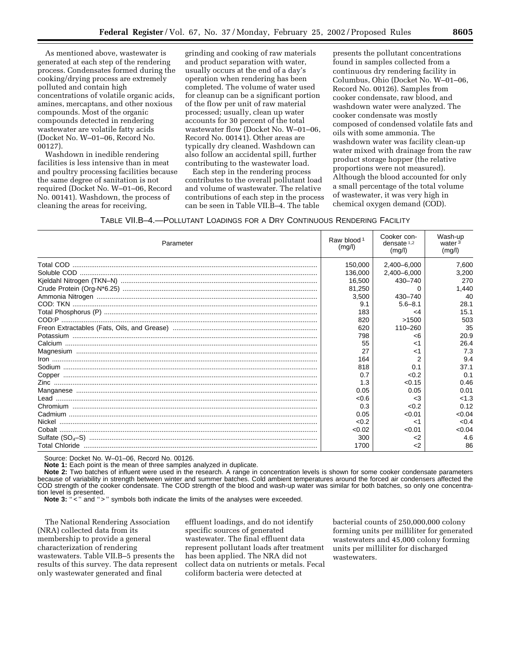As mentioned above, wastewater is generated at each step of the rendering process. Condensates formed during the cooking/drying process are extremely polluted and contain high concentrations of volatile organic acids, amines, mercaptans, and other noxious compounds. Most of the organic compounds detected in rendering wastewater are volatile fatty acids (Docket No. W–01–06, Record No. 00127).

Washdown in inedible rendering facilities is less intensive than in meat and poultry processing facilities because the same degree of sanitation is not required (Docket No. W–01–06, Record No. 00141). Washdown, the process of cleaning the areas for receiving,

grinding and cooking of raw materials and product separation with water, usually occurs at the end of a day's operation when rendering has been completed. The volume of water used for cleanup can be a significant portion of the flow per unit of raw material processed; usually, clean up water accounts for 30 percent of the total wastewater flow (Docket No. W–01–06, Record No. 00141). Other areas are typically dry cleaned. Washdown can also follow an accidental spill, further contributing to the wastewater load.

Each step in the rendering process contributes to the overall pollutant load and volume of wastewater. The relative contributions of each step in the process can be seen in Table VII.B–4. The table

presents the pollutant concentrations found in samples collected from a continuous dry rendering facility in Columbus, Ohio (Docket No. W–01–06, Record No. 00126). Samples from cooker condensate, raw blood, and washdown water were analyzed. The cooker condensate was mostly composed of condensed volatile fats and oils with some ammonia. The washdown water was facility clean-up water mixed with drainage from the raw product storage hopper (the relative proportions were not measured). Although the blood accounted for only a small percentage of the total volume of wastewater, it was very high in chemical oxygen demand (COD).

TABLE VII.B–4.—POLLUTANT LOADINGS FOR A DRY CONTINUOUS RENDERING FACILITY

| Parameter | Raw blood <sup>1</sup><br>(mg/l) | Cooker con-<br>densate $1,2$<br>(mg/l) | Wash-up<br>water <sup>3</sup><br>(mg/l) |
|-----------|----------------------------------|----------------------------------------|-----------------------------------------|
|           | 150,000                          | 2,400-6,000                            | 7,600                                   |
|           | 136.000                          | 2,400-6,000                            | 3.200                                   |
|           | 16,500                           | 430-740                                | 270                                     |
|           | 81,250                           |                                        | 1,440                                   |
|           | 3,500                            | 430-740                                | 40                                      |
|           | 9.1                              | $5.6 - 8.1$                            | 28.1                                    |
|           | 183                              | <4                                     | 15.1                                    |
|           | 820                              | >1500                                  | 503                                     |
|           | 620                              | 110-260                                | 35                                      |
|           | 798                              | <6                                     | 20.9                                    |
|           | 55                               | $<$ 1                                  | 26.4                                    |
|           | 27                               | ا>                                     | 7.3                                     |
|           | 164                              |                                        | 9.4                                     |
|           | 818                              | 0.1                                    | 37.1                                    |
|           | 0.7                              | < 0.2                                  | 0.1                                     |
|           | 1.3                              | < 0.15                                 | 0.46                                    |
|           | 0.05                             | 0.05                                   | 0.01                                    |
|           | < 0.6                            | $<$ 3                                  | < 1.3                                   |
|           | 0.3                              | < 0.2                                  | 0.12                                    |
|           | 0.05                             | < 0.01                                 | < 0.04                                  |
|           | < 0.2                            | $<$ 1                                  | < 0.4                                   |
|           | < 0.02                           | < 0.01                                 | < 0.04                                  |
|           | 300                              | <2                                     | 4.6                                     |
|           | 1700                             | <2                                     | 86                                      |

Source: Docket No. W–01–06, Record No. 00126.

**Note 1:** Each point is the mean of three samples analyzed in duplicate.

**Note 2:** Two batches of influent were used in the research. A range in concentration levels is shown for some cooker condensate parameters because of variability in strength between winter and summer batches. Cold ambient temperatures around the forced air condensers affected the COD strength of the cooker condensate. The COD strength of the blood and wash-up water was similar for both batches, so only one concentration level is presented.

Note 3: "<" and ">" symbols both indicate the limits of the analyses were exceeded.

The National Rendering Association (NRA) collected data from its membership to provide a general characterization of rendering wastewaters. Table VII.B–5 presents the results of this survey. The data represent only wastewater generated and final

effluent loadings, and do not identify specific sources of generated wastewater. The final effluent data represent pollutant loads after treatment has been applied. The NRA did not collect data on nutrients or metals. Fecal coliform bacteria were detected at

bacterial counts of 250,000,000 colony forming units per milliliter for generated wastewaters and 45,000 colony forming units per milliliter for discharged wastewaters.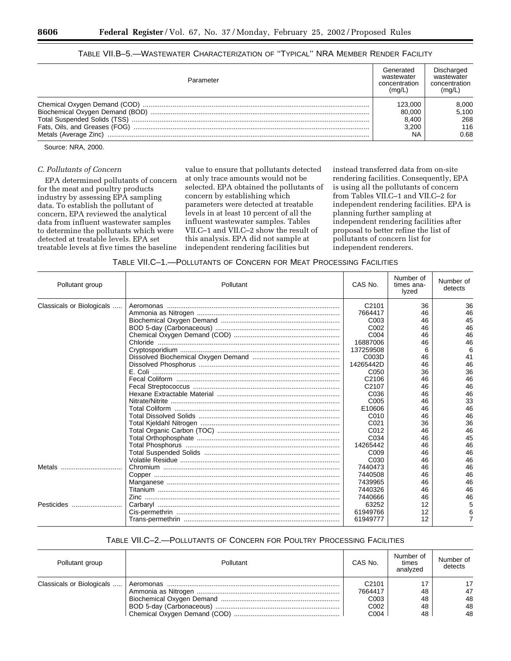| Table VII.B—5.—Wastewater Characterization of "Typical" NRA Member Render Facility |  |
|------------------------------------------------------------------------------------|--|
|------------------------------------------------------------------------------------|--|

| Parameter                       | Generated<br>wastewater<br>concentration<br>(mg/L | Discharged<br>wastewater<br>concentration<br>(mq/L) |
|---------------------------------|---------------------------------------------------|-----------------------------------------------------|
|                                 | 123.000                                           | 8,000                                               |
| Biochemical Oxygen Demand (BOD) | 80,000                                            | 5,100                                               |
|                                 | 8.400                                             | 268                                                 |
| Fats, Oils, and Greases (FOG)   | 3.200                                             | 116                                                 |
|                                 | NA                                                | 0.68                                                |

Source: NRA, 2000.

## *C. Pollutants of Concern*

EPA determined pollutants of concern for the meat and poultry products industry by assessing EPA sampling data. To establish the pollutant of concern, EPA reviewed the analytical data from influent wastewater samples to determine the pollutants which were detected at treatable levels. EPA set treatable levels at five times the baseline

value to ensure that pollutants detected at only trace amounts would not be selected. EPA obtained the pollutants of concern by establishing which parameters were detected at treatable levels in at least 10 percent of all the influent wastewater samples. Tables VII.C–1 and VII.C–2 show the result of this analysis. EPA did not sample at independent rendering facilities but

instead transferred data from on-site rendering facilities. Consequently, EPA is using all the pollutants of concern from Tables VII.C–1 and VII.C–2 for independent rendering facilities. EPA is planning further sampling at independent rendering facilities after proposal to better refine the list of pollutants of concern list for independent renderers.

| Pollutant group           | Pollutant | CAS No.           | Number of<br>times ana-<br>lyzed | Number of<br>detects |
|---------------------------|-----------|-------------------|----------------------------------|----------------------|
| Classicals or Biologicals |           | C2101             | 36                               | 36                   |
|                           |           | 7664417           | 46                               | 46                   |
|                           |           | C <sub>003</sub>  | 46                               | 45                   |
|                           |           | C <sub>0</sub> 02 | 46                               | 46                   |
|                           |           | C004              | 46                               | 46                   |
|                           |           | 16887006          | 46                               | 46                   |
|                           |           | 137259508         |                                  |                      |
|                           |           | C003D             | 46                               | 41                   |
|                           |           | 14265442D         | 46                               | 46                   |
|                           |           | C <sub>050</sub>  | 36                               | 36                   |
|                           |           | C <sub>2106</sub> | 46                               | 46                   |
|                           |           | C2107             | 46                               | 46                   |
|                           |           | C036              | 46                               | 46                   |
|                           |           | C <sub>005</sub>  | 46                               | 33                   |
|                           |           | E10606            | 46                               | 46                   |
|                           |           | C010              | 46                               | 46                   |
|                           |           | C <sub>021</sub>  | 36                               | 36                   |
|                           |           | C012              | 46                               | 46                   |
|                           |           | C034              | 46                               | 45                   |
|                           |           | 14265442          | 46                               | 46                   |
|                           |           | C <sub>009</sub>  | 46                               | 46                   |
|                           |           | C030              | 46                               | 46                   |
| Metals                    |           | 7440473           | 46                               | 46                   |
|                           |           | 7440508           | 46                               | 46                   |
|                           |           | 7439965           | 46                               | 46                   |
|                           |           | 7440326           | 46                               | 46                   |
|                           |           | 7440666           | 46                               | 46                   |
| Pesticides                |           | 63252             | 12                               |                      |
|                           |           | 61949766          | 12                               |                      |
|                           |           | 61949777          | 12                               |                      |

## TABLE VII.C–2.—POLLUTANTS OF CONCERN FOR POULTRY PROCESSING FACILITIES

| Pollutant group           | Pollutant | CAS No.                      | Number of<br>times<br>analvzed | Number of<br>detects |
|---------------------------|-----------|------------------------------|--------------------------------|----------------------|
| Classicals or Biologicals |           | C <sub>2101</sub><br>7664417 | 48                             | 17<br>47             |
|                           |           | C <sub>003</sub>             | 48                             | 48                   |
|                           |           | C <sub>0</sub> 02            | 48                             | 48                   |
|                           |           | C <sub>004</sub>             | 48                             | 48                   |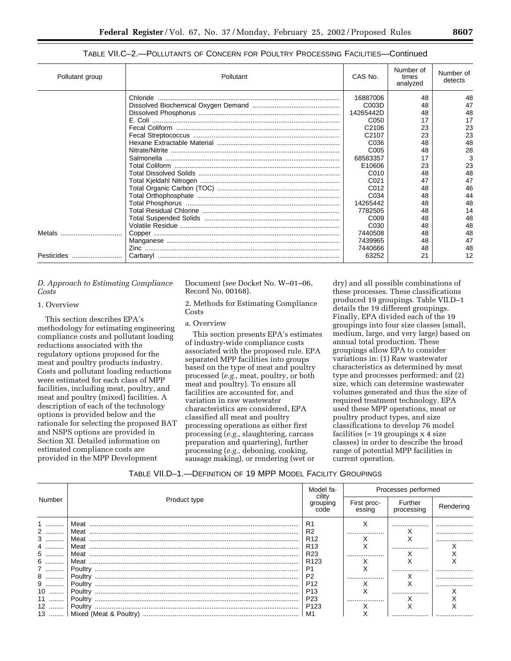| C-2.—POLLUTANTS OF CONCERN FOR POULTRY PROCESSING FACILITIES—Continued |           |                   |                                |                      |  |  |  |
|------------------------------------------------------------------------|-----------|-------------------|--------------------------------|----------------------|--|--|--|
|                                                                        | Pollutant | CAS No.           | Number of<br>times<br>analyzed | Number of<br>detects |  |  |  |
|                                                                        |           | 16887006          | 48                             | 48                   |  |  |  |
|                                                                        |           | C003D             | 48                             | 47                   |  |  |  |
|                                                                        |           | 14265442D         | 48                             | 48                   |  |  |  |
|                                                                        |           | C <sub>050</sub>  | 17                             | 17                   |  |  |  |
|                                                                        |           | C <sub>2106</sub> | 23                             | 23                   |  |  |  |
|                                                                        |           | C <sub>2107</sub> | 23                             | 23                   |  |  |  |
|                                                                        |           | C <sub>0</sub> 36 | 48                             | 48                   |  |  |  |
|                                                                        |           | C <sub>005</sub>  | 48                             | 28                   |  |  |  |
|                                                                        |           | 68583357          | 17                             | 3                    |  |  |  |
|                                                                        |           | E10606            | 23                             | 23                   |  |  |  |

Total Coliform ......................................................................................... E10606 23 23 Total Dissolved Solids ............................................................................ C010 48 48 Total Kjeldahl Nitrogen ........................................................................... C021 47 47

Total Orthophosphate ............................................................................. C034 48 44 Total Phosphorus ................................................................................... 14265442 48 48 Total Residual Chlorine .......................................................................... 7782505 48 14 Total Suspended Solids ......................................................................... C009 48 48 Volatile Residue ...................................................................................... C030 48 48

Manganese ............................................................................................. 7439965 48 47 Zinc ......................................................................................................... 7440666 48 48

## TABLE VII.O

## *D. Approach to Estimating Compliance Costs*

Pollutant group

## 1. Overview

This section describes EPA's methodology for estimating engineering compliance costs and pollutant loading reductions associated with the regulatory options proposed for the meat and poultry products industry. Costs and pollutant loading reductions were estimated for each class of MPP facilities, including meat, poultry, and meat and poultry (mixed) facilities. A description of each of the technology options is provided below and the rationale for selecting the proposed BAT and NSPS options are provided in Section XI. Detailed information on estimated compliance costs are provided in the MPP Development

Document (*see* Docket No. W–01–06, Record No. 00168).

Metals ................................. Copper .................................................................................................... 7440508 48 48

Total Organic Carbon (TOC) .................................................................. C012 48 46

2. Methods for Estimating Compliance Costs

## a. Overview

Pesticides ........................... Carbaryl .................................................................................................. 63252 21 12

This section presents EPA's estimates of industry-wide compliance costs associated with the proposed rule. EPA separated MPP facilities into groups based on the type of meat and poultry processed (*e.g.,* meat, poultry, or both meat and poultry). To ensure all facilities are accounted for, and variation in raw wastewater characteristics are considered, EPA classified all meat and poultry processing operations as either first processing (*e.g.,* slaughtering, carcass preparation and quartering), further processing (*e.g.,* deboning, cooking, sausage making), or rendering (wet or

dry) and all possible combinations of these processes. These classifications produced 19 groupings. Table VII.D–1 details the 19 different groupings. Finally, EPA divided each of the 19 groupings into four size classes (small, medium, large, and very large) based on annual total production. These groupings allow EPA to consider variations in: (1) Raw wastewater characteristics as determined by meat type and processes performed; and (2) size, which can determine wastewater volumes generated and thus the size of required treatment technology. EPA used these MPP operations, meat or poultry product types, and size classifications to develop 76 model facilities  $(= 19$  groupings  $\times$  4 size classes) in order to describe the broad range of potential MPP facilities in current operation.

## TABLE VII.D–1.—DEFINITION OF 19 MPP MODEL FACILITY GROUPINGS

|                        |      | Model fa-                                              |             | Processes performed<br>Further<br>processing<br>essing<br><br>⋏<br> |           |
|------------------------|------|--------------------------------------------------------|-------------|---------------------------------------------------------------------|-----------|
| Product type<br>Number |      | CIIItV<br>grouping<br>code                             | First proc- |                                                                     | Rendering |
| 2<br>                  |      | R <sub>2</sub><br>R <sub>12</sub>                      |             |                                                                     |           |
| 4.<br>5                | Meat | R <sub>13</sub><br>R <sub>23</sub><br>R <sub>123</sub> |             |                                                                     |           |
| <i>l</i><br>8  '       |      | P <sub>1</sub><br>P <sub>2</sub>                       |             |                                                                     |           |
| 9<br>10<br>11          |      | P <sub>12</sub><br>P <sub>13</sub><br>P <sub>23</sub>  |             |                                                                     |           |
| 12                     |      | P <sub>123</sub><br>M1                                 |             |                                                                     |           |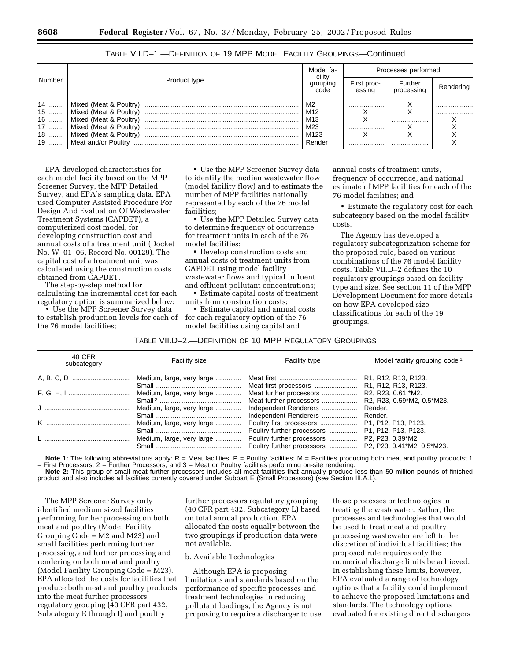|                        |  | Model fa-<br>cility                       |                       | Processes performed   |           |  |
|------------------------|--|-------------------------------------------|-----------------------|-----------------------|-----------|--|
| Number<br>Product type |  | grouping<br>code                          | First proc-<br>essina | Further<br>processing | Rendering |  |
|                        |  | M2<br>M12<br>M13<br>M23<br>M123<br>Render | <br><br>              | <br>                  | <br>      |  |

TABLE VII.D–1.—DEFINITION OF 19 MPP MODEL FACILITY GROUPINGS—Continued

EPA developed characteristics for each model facility based on the MPP Screener Survey, the MPP Detailed Survey, and EPA's sampling data. EPA used Computer Assisted Procedure For Design And Evaluation Of Wastewater Treatment Systems (CAPDET), a computerized cost model, for developing construction cost and annual costs of a treatment unit (Docket No. W–01–06, Record No. 00129). The capital cost of a treatment unit was calculated using the construction costs obtained from CAPDET.

The step-by-step method for calculating the incremental cost for each regulatory option is summarized below:

• Use the MPP Screener Survey data to establish production levels for each of the 76 model facilities;

• Use the MPP Screener Survey data to identify the median wastewater flow (model facility flow) and to estimate the number of MPP facilities nationally represented by each of the 76 model facilities;

• Use the MPP Detailed Survey data to determine frequency of occurrence for treatment units in each of the 76 model facilities;

• Develop construction costs and annual costs of treatment units from CAPDET using model facility wastewater flows and typical influent and effluent pollutant concentrations;

• Estimate capital costs of treatment units from construction costs;

• Estimate capital and annual costs for each regulatory option of the 76 model facilities using capital and

annual costs of treatment units, frequency of occurrence, and national estimate of MPP facilities for each of the 76 model facilities; and

• Estimate the regulatory cost for each subcategory based on the model facility costs.

The Agency has developed a regulatory subcategorization scheme for the proposed rule, based on various combinations of the 76 model facility costs. Table VII.D–2 defines the 10 regulatory groupings based on facility type and size. See section 11 of the MPP Development Document for more details on how EPA developed size classifications for each of the 19 groupings.

## TABLE VII.D–2.—DEFINITION OF 10 MPP REGULATORY GROUPINGS

| 40 CFR<br>subcategory | Facility size             | <b>Facility type</b>                                                        | Model facility grouping code <sup>1</sup>                                                        |
|-----------------------|---------------------------|-----------------------------------------------------------------------------|--------------------------------------------------------------------------------------------------|
|                       | Medium, large, very large |                                                                             | R <sub>1</sub> , R <sub>12</sub> , R <sub>13</sub> , R <sub>123</sub> .<br>  R1, R12, R13, R123. |
|                       | Medium, large, very large | Meat further processors<br>Meat further processors                          | R2, R23, 0.61 *M2.<br>R2, R23, 0.59*M2, 0.5*M23.                                                 |
|                       |                           | Medium, large, very large    Independent Renderers<br>Independent Renderers | Render.<br>Render.                                                                               |
|                       | Medium, large, very large | Poultry further processors                                                  | P1, P12, P13, P123.                                                                              |
|                       | Medium, large, very large | Poultry further processors    P2, P23, 0.39*M2.                             |                                                                                                  |

**Note 1:** The following abbreviations apply: R = Meat facilities; P = Poultry facilities; M = Facilities producing both meat and poultry products; 1 = First Processors; 2 = Further Processors; and 3 = Meat or Poultry facilities performing on-site rendering. **Note 2:** This group of small meat further processors includes all meat facilities that annually produce less than 50 million pounds of finished

product and also includes all facilities currently covered under Subpart E (Small Processors) (see Section III.A.1).

The MPP Screener Survey only identified medium sized facilities performing further processing on both meat and poultry (Model Facility Grouping Code = M2 and M23) and small facilities performing further processing, and further processing and rendering on both meat and poultry (Model Facility Grouping Code = M23). EPA allocated the costs for facilities that produce both meat and poultry products into the meat further processors regulatory grouping (40 CFR part 432, Subcategory E through I) and poultry

further processors regulatory grouping (40 CFR part 432, Subcategory L) based on total annual production. EPA allocated the costs equally between the two groupings if production data were not available.

## b. Available Technologies

Although EPA is proposing limitations and standards based on the performance of specific processes and treatment technologies in reducing pollutant loadings, the Agency is not proposing to require a discharger to use

those processes or technologies in treating the wastewater. Rather, the processes and technologies that would be used to treat meat and poultry processing wastewater are left to the discretion of individual facilities; the proposed rule requires only the numerical discharge limits be achieved. In establishing these limits, however, EPA evaluated a range of technology options that a facility could implement to achieve the proposed limitations and standards. The technology options evaluated for existing direct dischargers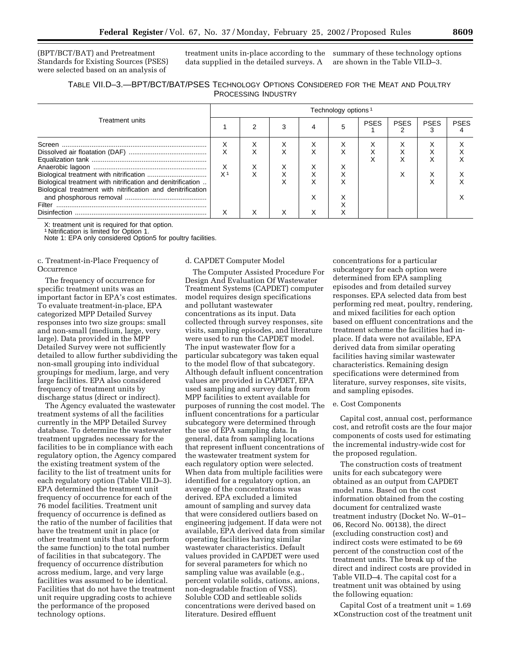(BPT/BCT/BAT) and Pretreatment Standards for Existing Sources (PSES) were selected based on an analysis of

treatment units in-place according to the summary of these technology options data supplied in the detailed surveys. A

are shown in the Table VII.D–3.

| TABLE VII.D-3.-BPT/BCT/BAT/PSES TECHNOLOGY OPTIONS CONSIDERED FOR THE MEAT AND POULTRY |                            |  |  |  |
|----------------------------------------------------------------------------------------|----------------------------|--|--|--|
|                                                                                        | <b>PROCESSING INDUSTRY</b> |  |  |  |

|                                                             |                | Technology options <sup>1</sup> |   |   |   |             |             |             |             |  |  |
|-------------------------------------------------------------|----------------|---------------------------------|---|---|---|-------------|-------------|-------------|-------------|--|--|
| <b>Treatment units</b>                                      |                |                                 |   | Δ |   | <b>PSES</b> | <b>PSES</b> | <b>PSES</b> | <b>PSES</b> |  |  |
| Screen                                                      | х              | ⋏                               |   | ⋏ | ⋏ |             |             |             |             |  |  |
|                                                             | X              |                                 | ́ | ⋏ | ́ | ∧           |             |             |             |  |  |
|                                                             |                |                                 |   |   |   | ⌒           |             | ⋏           |             |  |  |
|                                                             | X              | ⋏                               |   | ⌒ |   |             |             |             |             |  |  |
|                                                             | X <sup>1</sup> | ⋏                               |   | ∧ |   |             | ⋏           |             |             |  |  |
| Biological treatment with nitrification and denitrification |                |                                 | ∧ | ⋏ | ́ |             |             |             |             |  |  |
| Biological treatment with nitrification and denitrification |                |                                 |   |   |   |             |             |             |             |  |  |
|                                                             |                |                                 |   | ⌒ |   |             |             |             |             |  |  |
| Filter                                                      |                |                                 |   |   |   |             |             |             |             |  |  |
| <b>Disinfection</b>                                         |                |                                 |   |   |   |             |             |             |             |  |  |

X: treatment unit is required for that option. 1 Nitrification is limited for Option 1.

Note 1: EPA only considered Option5 for poultry facilities.

c. Treatment-in-Place Frequency of **Occurrence** 

The frequency of occurrence for specific treatment units was an important factor in EPA's cost estimates. To evaluate treatment-in-place, EPA categorized MPP Detailed Survey responses into two size groups: small and non-small (medium, large, very large). Data provided in the MPP Detailed Survey were not sufficiently detailed to allow further subdividing the non-small grouping into individual groupings for medium, large, and very large facilities. EPA also considered frequency of treatment units by discharge status (direct or indirect).

The Agency evaluated the wastewater treatment systems of all the facilities currently in the MPP Detailed Survey database. To determine the wastewater treatment upgrades necessary for the facilities to be in compliance with each regulatory option, the Agency compared the existing treatment system of the facility to the list of treatment units for each regulatory option (Table VII.D–3). EPA determined the treatment unit frequency of occurrence for each of the 76 model facilities. Treatment unit frequency of occurrence is defined as the ratio of the number of facilities that have the treatment unit in place (or other treatment units that can perform the same function) to the total number of facilities in that subcategory. The frequency of occurrence distribution across medium, large, and very large facilities was assumed to be identical. Facilities that do not have the treatment unit require upgrading costs to achieve the performance of the proposed technology options.

#### d. CAPDET Computer Model

The Computer Assisted Procedure For Design And Evaluation Of Wastewater Treatment Systems (CAPDET) computer model requires design specifications and pollutant wastewater concentrations as its input. Data collected through survey responses, site visits, sampling episodes, and literature were used to run the CAPDET model. The input wastewater flow for a particular subcategory was taken equal to the model flow of that subcategory. Although default influent concentration values are provided in CAPDET, EPA used sampling and survey data from MPP facilities to extent available for purposes of running the cost model. The influent concentrations for a particular subcategory were determined through the use of EPA sampling data. In general, data from sampling locations that represent influent concentrations of the wastewater treatment system for each regulatory option were selected. When data from multiple facilities were identified for a regulatory option, an average of the concentrations was derived. EPA excluded a limited amount of sampling and survey data that were considered outliers based on engineering judgement. If data were not available, EPA derived data from similar operating facilities having similar wastewater characteristics. Default values provided in CAPDET were used for several parameters for which no sampling value was available (e.g., percent volatile solids, cations, anions, non-degradable fraction of VSS). Soluble COD and settleable solids concentrations were derived based on literature. Desired effluent

concentrations for a particular subcategory for each option were determined from EPA sampling episodes and from detailed survey responses. EPA selected data from best performing red meat, poultry, rendering, and mixed facilities for each option based on effluent concentrations and the treatment scheme the facilities had inplace. If data were not available, EPA derived data from similar operating facilities having similar wastewater characteristics. Remaining design specifications were determined from literature, survey responses, site visits, and sampling episodes.

#### e. Cost Components

Capital cost, annual cost, performance cost, and retrofit costs are the four major components of costs used for estimating the incremental industry-wide cost for the proposed regulation.

The construction costs of treatment units for each subcategory were obtained as an output from CAPDET model runs. Based on the cost information obtained from the costing document for centralized waste treatment industry (Docket No. W–01– 06, Record No. 00138), the direct (excluding construction cost) and indirect costs were estimated to be 69 percent of the construction cost of the treatment units. The break up of the direct and indirect costs are provided in Table VII.D–4. The capital cost for a treatment unit was obtained by using the following equation:

Capital Cost of a treatment unit = 1.69 × Construction cost of the treatment unit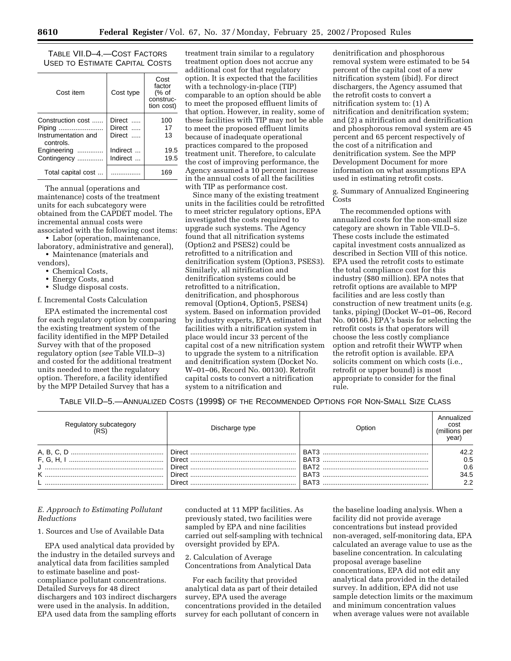TABLE VII.D–4.—COST FACTORS USED TO ESTIMATE CAPITAL COSTS

| Cost item                        | Cost type | Cost<br>factor<br>(% of<br>construc-<br>tion cost) |  |  |
|----------------------------------|-----------|----------------------------------------------------|--|--|
| Construction cost                | Direct    | 100                                                |  |  |
| Piping                           | Direct    | 17                                                 |  |  |
| Instrumentation and<br>controls. | Direct    | 13                                                 |  |  |
| Engineering                      | Indirect  | 19.5                                               |  |  |
| Contingency                      | Indirect  | 19.5                                               |  |  |
| Total capital cost               |           | 169                                                |  |  |

The annual (operations and maintenance) costs of the treatment units for each subcategory were obtained from the CAPDET model. The incremental annual costs were associated with the following cost items:

• Labor (operation, maintenance, laboratory, administrative and general),

• Maintenance (materials and vendors),

- Chemical Costs,
- Energy Costs, and
- Sludge disposal costs.

#### f. Incremental Costs Calculation

EPA estimated the incremental cost for each regulatory option by comparing the existing treatment system of the facility identified in the MPP Detailed Survey with that of the proposed regulatory option (*see* Table VII.D–3) and costed for the additional treatment units needed to meet the regulatory option. Therefore, a facility identified by the MPP Detailed Survey that has a

treatment train similar to a regulatory treatment option does not accrue any additional cost for that regulatory option. It is expected that the facilities with a technology-in-place (TIP) comparable to an option should be able to meet the proposed effluent limits of that option. However, in reality, some of these facilities with TIP may not be able to meet the proposed effluent limits because of inadequate operational practices compared to the proposed treatment unit. Therefore, to calculate the cost of improving performance, the Agency assumed a 10 percent increase in the annual costs of all the facilities with TIP as performance cost.

Since many of the existing treatment units in the facilities could be retrofitted to meet stricter regulatory options, EPA investigated the costs required to upgrade such systems. The Agency found that all nitrification systems (Option2 and PSES2) could be retrofitted to a nitrification and denitrification system (Option3, PSES3). Similarly, all nitrification and denitrification systems could be retrofitted to a nitrification, denitrification, and phosphorous removal (Option4, Option5, PSES4) system. Based on information provided by industry experts, EPA estimated that facilities with a nitrification system in place would incur 33 percent of the capital cost of a new nitrification system to upgrade the system to a nitrification and denitrification system (Docket No. W–01–06, Record No. 00130). Retrofit capital costs to convert a nitrification system to a nitrification and

denitrification and phosphorous removal system were estimated to be 54 percent of the capital cost of a new nitrification system (ibid). For direct dischargers, the Agency assumed that the retrofit costs to convert a nitrification system to: (1) A nitrification and denitrification system; and (2) a nitrification and denitrification and phosphorous removal system are 45 percent and 65 percent respectively of the cost of a nitrification and denitrification system. See the MPP Development Document for more information on what assumptions EPA used in estimating retrofit costs.

g. Summary of Annualized Engineering Costs

The recommended options with annualized costs for the non-small size category are shown in Table VII.D–5. These costs include the estimated capital investment costs annualized as described in Section VIII of this notice. EPA used the retrofit costs to estimate the total compliance cost for this industry (\$80 million). EPA notes that retrofit options are available to MPP facilities and are less costly than construction of new treatment units (e.g. tanks, piping) (Docket W–01–06, Record No. 00166.) EPA's basis for selecting the retrofit costs is that operators will choose the less costly compliance option and retrofit their WWTP when the retrofit option is available. EPA solicits comment on which costs (i.e., retrofit or upper bound) is most appropriate to consider for the final rule.

TABLE VII.D–5.—ANNUALIZED COSTS (1999\$) OF THE RECOMMENDED OPTIONS FOR NON-SMALL SIZE CLASS

| Regulatory subcategory | Discharge type | Option | Annualized<br>cost<br>(millions per<br>/earl |
|------------------------|----------------|--------|----------------------------------------------|
|                        |                | BAT3   | 42.2<br>0.5<br>0.6                           |
|                        |                |        | 34.5<br>2.2                                  |

## *E. Approach to Estimating Pollutant Reductions*

## 1. Sources and Use of Available Data

EPA used analytical data provided by the industry in the detailed surveys and analytical data from facilities sampled to estimate baseline and postcompliance pollutant concentrations. Detailed Surveys for 48 direct dischargers and 103 indirect dischargers were used in the analysis. In addition, EPA used data from the sampling efforts

conducted at 11 MPP facilities. As previously stated, two facilities were sampled by EPA and nine facilities carried out self-sampling with technical oversight provided by EPA.

2. Calculation of Average Concentrations from Analytical Data

For each facility that provided analytical data as part of their detailed survey, EPA used the average concentrations provided in the detailed survey for each pollutant of concern in

the baseline loading analysis. When a facility did not provide average concentrations but instead provided non-averaged, self-monitoring data, EPA calculated an average value to use as the baseline concentration. In calculating proposal average baseline concentrations, EPA did not edit any analytical data provided in the detailed survey. In addition, EPA did not use sample detection limits or the maximum and minimum concentration values when average values were not available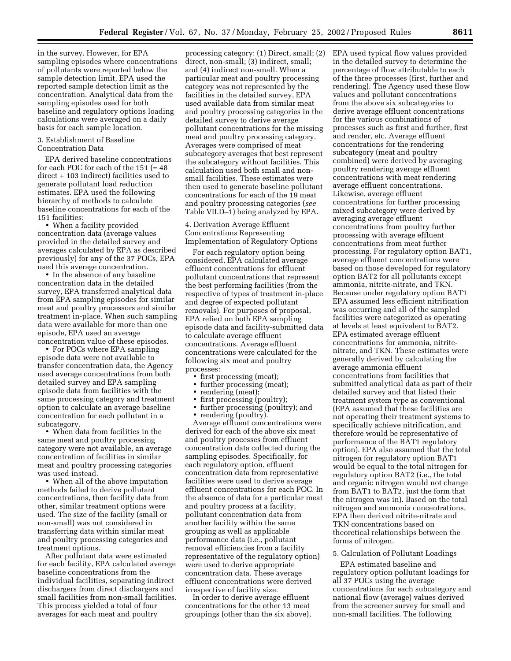in the survey. However, for EPA sampling episodes where concentrations of pollutants were reported below the sample detection limit, EPA used the reported sample detection limit as the concentration. Analytical data from the sampling episodes used for both baseline and regulatory options loading calculations were averaged on a daily basis for each sample location.

#### 3. Establishment of Baseline Concentration Data

EPA derived baseline concentrations for each POC for each of the 151 (= 48 direct + 103 indirect) facilities used to generate pollutant load reduction estimates. EPA used the following hierarchy of methods to calculate baseline concentrations for each of the 151 facilities:

• When a facility provided concentration data (average values provided in the detailed survey and averages calculated by EPA as described previously) for any of the 37 POCs, EPA used this average concentration.

• In the absence of any baseline concentration data in the detailed survey, EPA transferred analytical data from EPA sampling episodes for similar meat and poultry processors and similar treatment in-place. When such sampling data were available for more than one episode, EPA used an average concentration value of these episodes.

• For POCs where EPA sampling episode data were not available to transfer concentration data, the Agency used average concentrations from both detailed survey and EPA sampling episode data from facilities with the same processing category and treatment option to calculate an average baseline concentration for each pollutant in a subcategory.

• When data from facilities in the same meat and poultry processing category were not available, an average concentration of facilities in similar meat and poultry processing categories was used instead.

• When all of the above imputation methods failed to derive pollutant concentrations, then facility data from other, similar treatment options were used. The size of the facility (small or non-small) was not considered in transferring data within similar meat and poultry processing categories and treatment options.

After pollutant data were estimated for each facility, EPA calculated average baseline concentrations from the individual facilities, separating indirect dischargers from direct dischargers and small facilities from non-small facilities. This process yielded a total of four averages for each meat and poultry

processing category: (1) Direct, small; (2) direct, non-small; (3) indirect, small; and (4) indirect non-small. When a particular meat and poultry processing category was not represented by the facilities in the detailed survey, EPA used available data from similar meat and poultry processing categories in the detailed survey to derive average pollutant concentrations for the missing meat and poultry processing category. Averages were comprised of meat subcategory averages that best represent the subcategory without facilities. This calculation used both small and nonsmall facilities. These estimates were then used to generate baseline pollutant concentrations for each of the 19 meat and poultry processing categories (*see* Table VII.D–1) being analyzed by EPA.

4. Derivation Average Effluent Concentrations Representing Implementation of Regulatory Options

For each regulatory option being considered, EPA calculated average effluent concentrations for effluent pollutant concentrations that represent the best performing facilities (from the respective of types of treatment in-place and degree of expected pollutant removals). For purposes of proposal, EPA relied on both EPA sampling episode data and facility-submitted data to calculate average effluent concentrations. Average effluent concentrations were calculated for the following six meat and poultry processes:

- first processing (meat);
- 
- further processing (meat);<br>• rendering (meat): rendering (meat);
- 
- first processing (poultry);<br>• further processing (poultr • further processing (poultry); and
- rendering (poultry).

Average effluent concentrations were derived for each of the above six meat and poultry processes from effluent concentration data collected during the sampling episodes. Specifically, for each regulatory option, effluent concentration data from representative facilities were used to derive average effluent concentrations for each POC. In the absence of data for a particular meat and poultry process at a facility, pollutant concentration data from another facility within the same grouping as well as applicable performance data (i.e., pollutant removal efficiencies from a facility representative of the regulatory option) were used to derive appropriate concentration data. These average effluent concentrations were derived irrespective of facility size.

In order to derive average effluent concentrations for the other 13 meat groupings (other than the six above), EPA used typical flow values provided in the detailed survey to determine the percentage of flow attributable to each of the three processes (first, further and rendering). The Agency used these flow values and pollutant concentrations from the above six subcategories to derive average effluent concentrations for the various combinations of processes such as first and further, first and render, etc. Average effluent concentrations for the rendering subcategory (meat and poultry combined) were derived by averaging poultry rendering average effluent concentrations with meat rendering average effluent concentrations. Likewise, average effluent concentrations for further processing mixed subcategory were derived by averaging average effluent concentrations from poultry further processing with average effluent concentrations from meat further processing. For regulatory option BAT1, average effluent concentrations were based on those developed for regulatory option BAT2 for all pollutants except ammonia, nitrite-nitrate, and TKN. Because under regulatory option BAT1 EPA assumed less efficient nitrification was occurring and all of the sampled facilities were categorized as operating at levels at least equivalent to BAT2, EPA estimated average effluent concentrations for ammonia, nitritenitrate, and TKN. These estimates were generally derived by calculating the average ammonia effluent concentrations from facilities that submitted analytical data as part of their detailed survey and that listed their treatment system type as conventional (EPA assumed that these facilities are not operating their treatment systems to specifically achieve nitrification, and therefore would be representative of performance of the BAT1 regulatory option). EPA also assumed that the total nitrogen for regulatory option BAT1 would be equal to the total nitrogen for regulatory option BAT2 (i.e., the total and organic nitrogen would not change from BAT1 to BAT2, just the form that the nitrogen was in). Based on the total nitrogen and ammonia concentrations, EPA then derived nitrite-nitrate and TKN concentrations based on theoretical relationships between the forms of nitrogen.

## 5. Calculation of Pollutant Loadings

EPA estimated baseline and regulatory option pollutant loadings for all 37 POCs using the average concentrations for each subcategory and national flow (average) values derived from the screener survey for small and non-small facilities. The following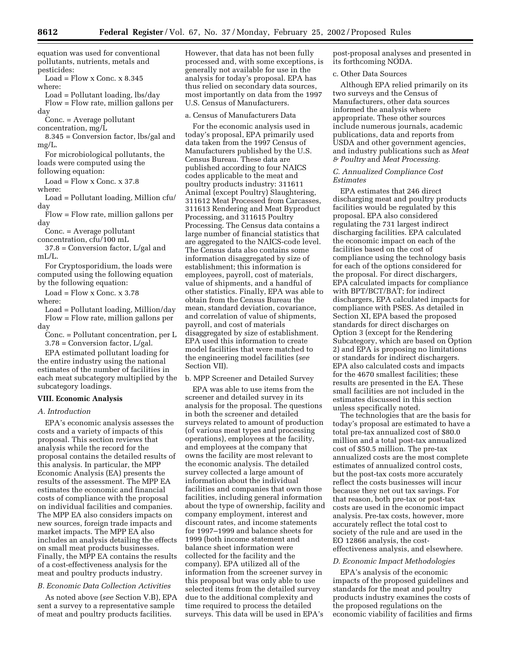equation was used for conventional pollutants, nutrients, metals and pesticides:

 $Load = Flow \times Conc. \times 8.345$ where:

Load = Pollutant loading, lbs/day

Flow = Flow rate, million gallons per day

Conc. = Average pollutant

concentration, mg/L

8.345 = Conversion factor, lbs/gal and mg/L.

For microbiological pollutants, the loads were computed using the following equation:

 $Load = Flow \times Cone. \times 37.8$ 

where: Load = Pollutant loading, Million cfu/

day

Flow = Flow rate, million gallons per day

Conc. = Average pollutant

concentration, cfu/100 mL 37.8 = Conversion factor, L/gal and

 $mL/L$ .

For Cryptosporidium, the loads were computed using the following equation by the following equation:

 $Load = Flow \times Conc. \times 3.78$ where:

Load = Pollutant loading, Million/day Flow = Flow rate, million gallons per day

Conc. = Pollutant concentration, per L 3.78 = Conversion factor, L/gal.

EPA estimated pollutant loading for the entire industry using the national estimates of the number of facilities in each meat subcategory multiplied by the subcategory loadings.

#### **VIII. Economic Analysis**

## *A. Introduction*

EPA's economic analysis assesses the costs and a variety of impacts of this proposal. This section reviews that analysis while the record for the proposal contains the detailed results of this analysis. In particular, the MPP Economic Analysis (EA) presents the results of the assessment. The MPP EA estimates the economic and financial costs of compliance with the proposal on individual facilities and companies. The MPP EA also considers impacts on new sources, foreign trade impacts and market impacts. The MPP EA also includes an analysis detailing the effects on small meat products businesses. Finally, the MPP EA contains the results of a cost-effectiveness analysis for the meat and poultry products industry.

## *B. Economic Data Collection Activities*

As noted above (*see* Section V.B), EPA sent a survey to a representative sample of meat and poultry products facilities.

However, that data has not been fully processed and, with some exceptions, is generally not available for use in the analysis for today's proposal. EPA has thus relied on secondary data sources, most importantly on data from the 1997 U.S. Census of Manufacturers.

a. Census of Manufacturers Data

For the economic analysis used in today's proposal, EPA primarily used data taken from the 1997 Census of Manufacturers published by the U.S. Census Bureau. These data are published according to four NAICS codes applicable to the meat and poultry products industry: 311611 Animal (except Poultry) Slaughtering, 311612 Meat Processed from Carcasses, 311613 Rendering and Meat Byproduct Processing, and 311615 Poultry Processing. The Census data contains a large number of financial statistics that are aggregated to the NAICS-code level. The Census data also contains some information disaggregated by size of establishment; this information is employees, payroll, cost of materials, value of shipments, and a handful of other statistics. Finally, EPA was able to obtain from the Census Bureau the mean, standard deviation, covariance, and correlation of value of shipments, payroll, and cost of materials disaggregated by size of establishment. EPA used this information to create model facilities that were matched to the engineering model facilities (*see* Section VII).

b. MPP Screener and Detailed Survey

EPA was able to use items from the screener and detailed survey in its analysis for the proposal. The questions in both the screener and detailed surveys related to amount of production (of various meat types and processing operations), employees at the facility, and employees at the company that owns the facility are most relevant to the economic analysis. The detailed survey collected a large amount of information about the individual facilities and companies that own those facilities, including general information about the type of ownership, facility and company employment, interest and discount rates, and income statements for 1997–1999 and balance sheets for 1999 (both income statement and balance sheet information were collected for the facility and the company). EPA utilized all of the information from the screener survey in this proposal but was only able to use selected items from the detailed survey due to the additional complexity and time required to process the detailed surveys. This data will be used in EPA's

post-proposal analyses and presented in its forthcoming NODA.

#### c. Other Data Sources

Although EPA relied primarily on its two surveys and the Census of Manufacturers, other data sources informed the analysis where appropriate. These other sources include numerous journals, academic publications, data and reports from USDA and other government agencies, and industry publications such as *Meat & Poultry* and *Meat Processing.*

## *C. Annualized Compliance Cost Estimates*

EPA estimates that 246 direct discharging meat and poultry products facilities would be regulated by this proposal. EPA also considered regulating the 731 largest indirect discharging facilities. EPA calculated the economic impact on each of the facilities based on the cost of compliance using the technology basis for each of the options considered for the proposal. For direct dischargers, EPA calculated impacts for compliance with BPT/BCT/BAT; for indirect dischargers, EPA calculated impacts for compliance with PSES. As detailed in Section XI, EPA based the proposed standards for direct discharges on Option 3 (except for the Rendering Subcategory, which are based on Option 2) and EPA is proposing no limitations or standards for indirect dischargers. EPA also calculated costs and impacts for the 4670 smallest facilities; these results are presented in the EA. These small facilities are not included in the estimates discussed in this section unless specifically noted.

The technologies that are the basis for today's proposal are estimated to have a total pre-tax annualized cost of \$80.0 million and a total post-tax annualized cost of \$50.5 million. The pre-tax annualized costs are the most complete estimates of annualized control costs, but the post-tax costs more accurately reflect the costs businesses will incur because they net out tax savings. For that reason, both pre-tax or post-tax costs are used in the economic impact analysis. Pre-tax costs, however, more accurately reflect the total cost to society of the rule and are used in the EO 12866 analysis, the costeffectiveness analysis, and elsewhere.

#### *D. Economic Impact Methodologies*

EPA's analysis of the economic impacts of the proposed guidelines and standards for the meat and poultry products industry examines the costs of the proposed regulations on the economic viability of facilities and firms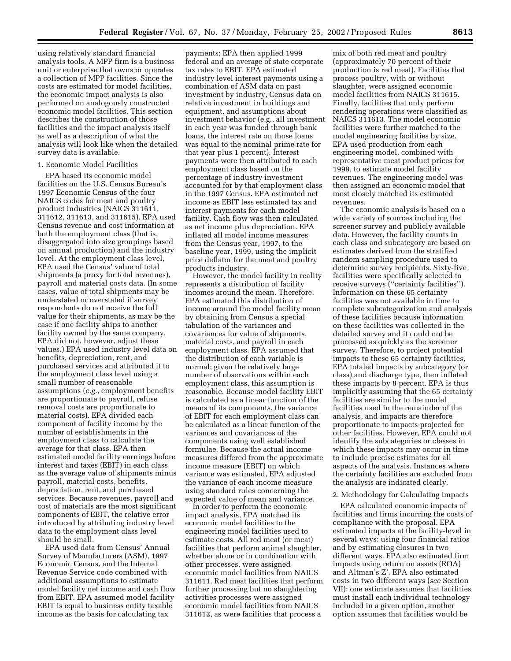using relatively standard financial analysis tools. A MPP firm is a business unit or enterprise that owns or operates a collection of MPP facilities. Since the costs are estimated for model facilities, the economic impact analysis is also performed on analogously constructed economic model facilities. This section describes the construction of those facilities and the impact analysis itself as well as a description of what the analysis will look like when the detailed survey data is available.

## 1. Economic Model Facilities

EPA based its economic model facilities on the U.S. Census Bureau's 1997 Economic Census of the four NAICS codes for meat and poultry product industries (NAICS 311611, 311612, 311613, and 311615). EPA used Census revenue and cost information at both the employment class (that is, disaggregated into size groupings based on annual production) and the industry level. At the employment class level, EPA used the Census' value of total shipments (a proxy for total revenues), payroll and material costs data. (In some cases, value of total shipments may be understated or overstated if survey respondents do not receive the full value for their shipments, as may be the case if one facility ships to another facility owned by the same company. EPA did not, however, adjust these values.) EPA used industry level data on benefits, depreciation, rent, and purchased services and attributed it to the employment class level using a small number of reasonable assumptions (*e.g.*, employment benefits are proportionate to payroll, refuse removal costs are proportionate to material costs). EPA divided each component of facility income by the number of establishments in the employment class to calculate the average for that class. EPA then estimated model facility earnings before interest and taxes (EBIT) in each class as the average value of shipments minus payroll, material costs, benefits, depreciation, rent, and purchased services. Because revenues, payroll and cost of materials are the most significant components of EBIT, the relative error introduced by attributing industry level data to the employment class level should be small.

EPA used data from Census' Annual Survey of Manufacturers (ASM), 1997 Economic Census, and the Internal Revenue Service code combined with additional assumptions to estimate model facility net income and cash flow from EBIT. EPA assumed model facility EBIT is equal to business entity taxable income as the basis for calculating tax

payments; EPA then applied 1999 federal and an average of state corporate tax rates to EBIT. EPA estimated industry level interest payments using a combination of ASM data on past investment by industry, Census data on relative investment in buildings and equipment, and assumptions about investment behavior (e.g., all investment in each year was funded through bank loans, the interest rate on those loans was equal to the nominal prime rate for that year plus 1 percent). Interest payments were then attributed to each employment class based on the percentage of industry investment accounted for by that employment class in the 1997 Census. EPA estimated net income as EBIT less estimated tax and interest payments for each model facility. Cash flow was then calculated as net income plus depreciation. EPA inflated all model income measures from the Census year, 1997, to the baseline year, 1999, using the implicit price deflator for the meat and poultry products industry.

However, the model facility in reality represents a distribution of facility incomes around the mean. Therefore, EPA estimated this distribution of income around the model facility mean by obtaining from Census a special tabulation of the variances and covariances for value of shipments, material costs, and payroll in each employment class. EPA assumed that the distribution of each variable is normal; given the relatively large number of observations within each employment class, this assumption is reasonable. Because model facility EBIT is calculated as a linear function of the means of its components, the variance of EBIT for each employment class can be calculated as a linear function of the variances and covariances of the components using well established formulae. Because the actual income measures differed from the approximate income measure (EBIT) on which variance was estimated, EPA adjusted the variance of each income measure using standard rules concerning the expected value of mean and variance.

In order to perform the economic impact analysis, EPA matched its economic model facilities to the engineering model facilities used to estimate costs. All red meat (or meat) facilities that perform animal slaughter, whether alone or in combination with other processes, were assigned economic model facilities from NAICS 311611. Red meat facilities that perform further processing but no slaughtering activities processes were assigned economic model facilities from NAICS 311612, as were facilities that process a

mix of both red meat and poultry (approximately 70 percent of their production is red meat). Facilities that process poultry, with or without slaughter, were assigned economic model facilities from NAICS 311615. Finally, facilities that only perform rendering operations were classified as NAICS 311613. The model economic facilities were further matched to the model engineering facilities by size. EPA used production from each engineering model, combined with representative meat product prices for 1999, to estimate model facility revenues. The engineering model was then assigned an economic model that most closely matched its estimated revenues.

The economic analysis is based on a wide variety of sources including the screener survey and publicly available data. However, the facility counts in each class and subcategory are based on estimates derived from the stratified random sampling procedure used to determine survey recipients. Sixty-five facilities were specifically selected to receive surveys (''certainty facilities''). Information on these 65 certainty facilities was not available in time to complete subcategorization and analysis of these facilities because information on these facilities was collected in the detailed survey and it could not be processed as quickly as the screener survey. Therefore, to project potential impacts to these 65 certainty facilities, EPA totaled impacts by subcategory (or class) and discharge type, then inflated these impacts by 8 percent. EPA is thus implicitly assuming that the 65 certainty facilities are similar to the model facilities used in the remainder of the analysis, and impacts are therefore proportionate to impacts projected for other facilities. However, EPA could not identify the subcategories or classes in which these impacts may occur in time to include precise estimates for all aspects of the analysis. Instances where the certainty facilities are excluded from the analysis are indicated clearly.

## 2. Methodology for Calculating Impacts

EPA calculated economic impacts of facilities and firms incurring the costs of compliance with the proposal. EPA estimated impacts at the facility-level in several ways: using four financial ratios and by estimating closures in two different ways. EPA also estimated firm impacts using return on assets (ROA) and Altman's Z'. EPA also estimated costs in two different ways (*see* Section VII): one estimate assumes that facilities must install each individual technology included in a given option, another option assumes that facilities would be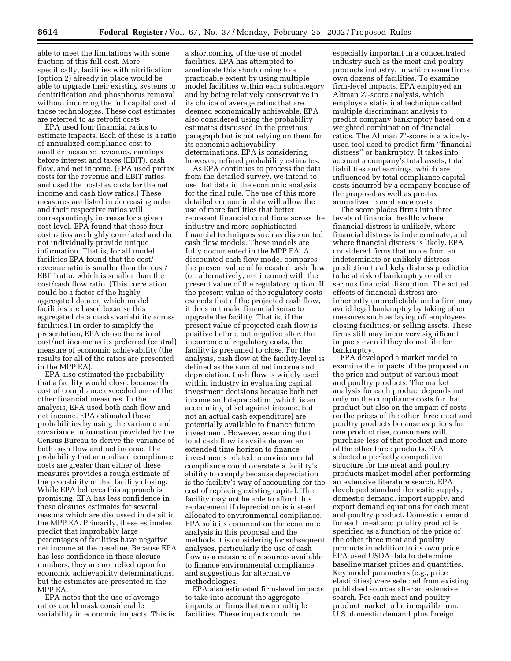able to meet the limitations with some fraction of this full cost. More specifically, facilities with nitrification (option 2) already in place would be able to upgrade their existing systems to denitrification and phosphorus removal without incurring the full capital cost of those technologies. These cost estimates are referred to as retrofit costs.

EPA used four financial ratios to estimate impacts. Each of these is a ratio of annualized compliance cost to another measure: revenues, earnings before interest and taxes (EBIT), cash flow, and net income. (EPA used pretax costs for the revenue and EBIT ratios and used the post-tax costs for the net income and cash flow ratios.) These measures are listed in decreasing order and their respective ratios will correspondingly increase for a given cost level. EPA found that these four cost ratios are highly correlated and do not individually provide unique information. That is, for all model facilities EPA found that the cost/ revenue ratio is smaller than the cost/ EBIT ratio, which is smaller than the cost/cash flow ratio. (This correlation could be a factor of the highly aggregated data on which model facilities are based because this aggregated data masks variability across facilities.) In order to simplify the presentation, EPA chose the ratio of cost/net income as its preferred (central) measure of economic achievability (the results for all of the ratios are presented in the MPP EA).

EPA also estimated the probability that a facility would close, because the cost of compliance exceeded one of the other financial measures. In the analysis, EPA used both cash flow and net income. EPA estimated these probabilities by using the variance and covariance information provided by the Census Bureau to derive the variance of both cash flow and net income. The probability that annualized compliance costs are greater than either of these measures provides a rough estimate of the probability of that facility closing. While EPA believes this approach is promising, EPA has less confidence in these closures estimates for several reasons which are discussed in detail in the MPP EA. Primarily, these estimates predict that improbably large percentages of facilities have negative net income at the baseline. Because EPA has less confidence in these closure numbers, they are not relied upon for economic achievability determinations, but the estimates are presented in the MPP EA.

EPA notes that the use of average ratios could mask considerable variability in economic impacts. This is

a shortcoming of the use of model facilities. EPA has attempted to ameliorate this shortcoming to a practicable extent by using multiple model facilities within each subcategory and by being relatively conservative in its choice of average ratios that are deemed economically achievable. EPA also considered using the probability estimates discussed in the previous paragraph but is not relying on them for its economic achievability determinations. EPA is considering, however, refined probability estimates.

As EPA continues to process the data from the detailed survey, we intend to use that data in the economic analysis for the final rule. The use of this more detailed economic data will allow the use of more facilities that better represent financial conditions across the industry and more sophisticated financial techniques such as discounted cash flow models. These models are fully documented in the MPP EA. A discounted cash flow model compares the present value of forecasted cash flow (or, alternatively, net income) with the present value of the regulatory option. If the present value of the regulatory costs exceeds that of the projected cash flow, it does not make financial sense to upgrade the facility. That is, if the present value of projected cash flow is positive before, but negative after, the incurrence of regulatory costs, the facility is presumed to close. For the analysis, cash flow at the facility-level is defined as the sum of net income and depreciation. Cash flow is widely used within industry in evaluating capital investment decisions because both net income and depreciation (which is an accounting offset against income, but not an actual cash expenditure) are potentially available to finance future investment. However, assuming that total cash flow is available over an extended time horizon to finance investments related to environmental compliance could overstate a facility's ability to comply because depreciation is the facility's way of accounting for the cost of replacing existing capital. The facility may not be able to afford this replacement if depreciation is instead allocated to environmental compliance. EPA solicits comment on the economic analysis in this proposal and the methods it is considering for subsequent analyses, particularly the use of cash flow as a measure of resources available to finance environmental compliance and suggestions for alternative methodologies.

EPA also estimated firm-level impacts to take into account the aggregate impacts on firms that own multiple facilities. These impacts could be

especially important in a concentrated industry such as the meat and poultry products industry, in which some firms own dozens of facilities. To examine firm-level impacts, EPA employed an Altman Z'-score analysis, which employs a statistical technique called multiple discriminant analysis to predict company bankruptcy based on a weighted combination of financial ratios. The Altman Z'-score is a widelyused tool used to predict firm ''financial distress'' or bankruptcy. It takes into account a company's total assets, total liabilities and earnings, which are influenced by total compliance capital costs incurred by a company because of the proposal as well as pre-tax annualized compliance costs.

The score places firms into three levels of financial health: where financial distress is unlikely, where financial distress is indeterminate, and where financial distress is likely. EPA considered firms that move from an indeterminate or unlikely distress prediction to a likely distress prediction to be at risk of bankruptcy or other serious financial disruption. The actual effects of financial distress are inherently unpredictable and a firm may avoid legal bankruptcy by taking other measures such as laying off employees, closing facilities, or selling assets. These firms still may incur very significant impacts even if they do not file for bankruptcy.

EPA developed a market model to examine the impacts of the proposal on the price and output of various meat and poultry products. The market analysis for each product depends not only on the compliance costs for that product but also on the impact of costs on the prices of the other three meat and poultry products because as prices for one product rise, consumers will purchase less of that product and more of the other three products. EPA selected a perfectly competitive structure for the meat and poultry products market model after performing an extensive literature search. EPA developed standard domestic supply, domestic demand, import supply, and export demand equations for each meat and poultry product. Domestic demand for each meat and poultry product is specified as a function of the price of the other three meat and poultry products in addition to its own price. EPA used USDA data to determine baseline market prices and quantities. Key model parameters (e.g., price elasticities) were selected from existing published sources after an extensive search. For each meat and poultry product market to be in equilibrium, U.S. domestic demand plus foreign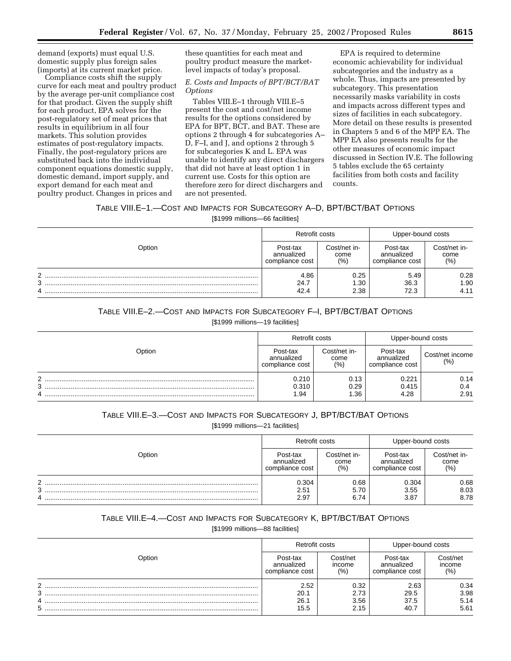demand (exports) must equal U.S. domestic supply plus foreign sales (imports) at its current market price.

Compliance costs shift the supply curve for each meat and poultry product by the average per-unit compliance cost for that product. Given the supply shift for each product, EPA solves for the post-regulatory set of meat prices that results in equilibrium in all four markets. This solution provides estimates of post-regulatory impacts. Finally, the post-regulatory prices are substituted back into the individual component equations domestic supply, domestic demand, import supply, and export demand for each meat and poultry product. Changes in prices and

these quantities for each meat and poultry product measure the marketlevel impacts of today's proposal.

## *E. Costs and Impacts of BPT/BCT/BAT Options*

Tables VIII.E–1 through VIII.E–5 present the cost and cost/net income results for the options considered by EPA for BPT, BCT, and BAT. These are options 2 through 4 for subcategories A– D, F–I, and J, and options 2 through 5 for subcategories K and L. EPA was unable to identify any direct dischargers that did not have at least option 1 in current use. Costs for this option are therefore zero for direct dischargers and are not presented.

EPA is required to determine economic achievability for individual subcategories and the industry as a whole. Thus, impacts are presented by subcategory. This presentation necessarily masks variability in costs and impacts across different types and sizes of facilities in each subcategory. More detail on these results is presented in Chapters 5 and 6 of the MPP EA. The MPP EA also presents results for the other measures of economic impact discussed in Section IV.E. The following 5 tables exclude the 65 certainty facilities from both costs and facility counts.

## TABLE VIII.E–1.—COST AND IMPACTS FOR SUBCATEGORY A–D, BPT/BCT/BAT OPTIONS

[\$1999 millions—66 facilities]

|             | Retrofit costs                            |                             | Upper-bound costs                         |                             |
|-------------|-------------------------------------------|-----------------------------|-------------------------------------------|-----------------------------|
| Option      | Post-tax<br>annualized<br>compliance cost | Cost/net in-<br>come<br>(%) | Post-tax<br>annualized<br>compliance cost | Cost/net in-<br>come<br>(%) |
| C<br>3<br>4 | 4.86<br>24.7<br>42.4                      | 0.25<br>.30<br>2.38         | 5.49<br>36.3<br>72.3                      | 0.28<br>1.90<br>4.11        |

## TABLE VIII.E–2.—COST AND IMPACTS FOR SUBCATEGORY F–I, BPT/BCT/BAT OPTIONS

[\$1999 millions—19 facilities]

|             | Retrofit costs                            |                              | Upper-bound costs                         |                         |
|-------------|-------------------------------------------|------------------------------|-------------------------------------------|-------------------------|
| Option      | Post-tax<br>annualized<br>compliance cost | Cost/net in-<br>come<br>(% ) | Post-tax<br>annualized<br>compliance cost | Cost/net income<br>(% ) |
| ົ<br>3<br>4 | 0.210<br>0.310<br>.94                     | 0.13<br>0.29<br>36. ا        | 0.221<br>0.415<br>4.28                    | 0.14<br>0.4<br>2.91     |

# TABLE VIII.E–3.—COST AND IMPACTS FOR SUBCATEGORY J, BPT/BCT/BAT OPTIONS

[\$1999 millions—21 facilities]

|                  | Retrofit costs                            |                             | Upper-bound costs                         |                             |
|------------------|-------------------------------------------|-----------------------------|-------------------------------------------|-----------------------------|
| Option           | Post-tax<br>annualized<br>compliance cost | Cost/net in-<br>come<br>(%) | Post-tax<br>annualized<br>compliance cost | Cost/net in-<br>come<br>(%) |
| $\sim$<br>3<br>4 | 0.304<br>2.51<br>2.97                     | 0.68<br>5.70<br>6.74        | 0.304<br>3.55<br>3.87                     | 0.68<br>8.03<br>8.78        |

## TABLE VIII.E–4.—COST AND IMPACTS FOR SUBCATEGORY K, BPT/BCT/BAT OPTIONS

[\$1999 millions—88 facilities]

|                  | Retrofit costs                            |                              | Upper-bound costs                         |                              |
|------------------|-------------------------------------------|------------------------------|-------------------------------------------|------------------------------|
| Option           | Post-tax<br>annualized<br>compliance cost | Cost/net<br>income<br>(%)    | Post-tax<br>annualized<br>compliance cost | Cost/net<br>income<br>(%)    |
| ◠<br>3<br>4<br>5 | 2.52<br>20.1<br>26.1<br>15.5              | 0.32<br>2.73<br>3.56<br>2.15 | 2.63<br>29.5<br>37.5<br>40.7              | 0.34<br>3.98<br>5.14<br>5.61 |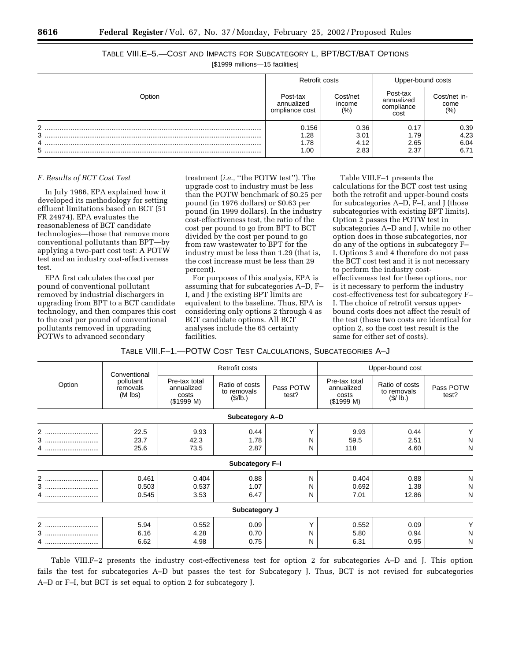TABLE VIII.E–5.—COST AND IMPACTS FOR SUBCATEGORY L, BPT/BCT/BAT OPTIONS [\$1999 millions—15 facilities]

| Option |                                          | Retrofit costs                |                                              | Upper-bound costs           |  |
|--------|------------------------------------------|-------------------------------|----------------------------------------------|-----------------------------|--|
|        | Post-tax<br>annualized<br>ompliance cost | Cost/net<br>income<br>$(\% )$ | Post-tax<br>annualized<br>compliance<br>cost | Cost/net in-<br>come<br>(%) |  |
| າ      | 0.156                                    | 0.36                          | 0.17                                         |                             |  |
| 3      | 1.28                                     | 3.01                          | 1.79                                         | 0.39<br>4.23                |  |
| 4      | 1.78                                     | 4.12                          | 2.65                                         | 6.04                        |  |
| 5      | 1.00                                     | 2.83                          | 2.37                                         | 6.71                        |  |
|        |                                          |                               |                                              |                             |  |

### *F. Results of BCT Cost Test*

In July 1986, EPA explained how it developed its methodology for setting effluent limitations based on BCT (51 FR 24974). EPA evaluates the reasonableness of BCT candidate technologies—those that remove more conventional pollutants than BPT—by applying a two-part cost test: A POTW test and an industry cost-effectiveness test.

EPA first calculates the cost per pound of conventional pollutant removed by industrial dischargers in upgrading from BPT to a BCT candidate technology, and then compares this cost to the cost per pound of conventional pollutants removed in upgrading POTWs to advanced secondary

treatment (*i.e.,* ''the POTW test''). The upgrade cost to industry must be less than the POTW benchmark of \$0.25 per pound (in 1976 dollars) or \$0.63 per pound (in 1999 dollars). In the industry cost-effectiveness test, the ratio of the cost per pound to go from BPT to BCT divided by the cost per pound to go from raw wastewater to BPT for the industry must be less than 1.29 (that is, the cost increase must be less than 29 percent).

For purposes of this analysis, EPA is assuming that for subcategories A–D, F– I, and J the existing BPT limits are equivalent to the baseline. Thus, EPA is considering only options 2 through 4 as BCT candidate options. All BCT analyses include the 65 certainty facilities.

Table VIII.F–1 presents the calculations for the BCT cost test using both the retrofit and upper-bound costs for subcategories A–D, F–I, and J (those subcategories with existing BPT limits). Option 2 passes the POTW test in subcategories A–D and J, while no other option does in those subcategories, nor do any of the options in subcategory F– I. Options 3 and 4 therefore do not pass the BCT cost test and it is not necessary to perform the industry costeffectiveness test for these options, nor is it necessary to perform the industry cost-effectiveness test for subcategory F– I. The choice of retrofit versus upperbound costs does not affect the result of the test (these two costs are identical for option 2, so the cost test result is the same for either set of costs).

TABLE VIII.F–1.—POTW COST TEST CALCULATIONS, SUBCATEGORIES A–J

|                                                              |                                                    | Retrofit costs                            |                    |                                                    | Upper-bound cost                           |                    |   |
|--------------------------------------------------------------|----------------------------------------------------|-------------------------------------------|--------------------|----------------------------------------------------|--------------------------------------------|--------------------|---|
| Conventional<br>pollutant<br>Option<br>removals<br>$(M$ lbs) | Pre-tax total<br>annualized<br>costs<br>(\$1999 M) | Ratio of costs<br>to removals<br>(\$/lb.) | Pass POTW<br>test? | Pre-tax total<br>annualized<br>costs<br>(\$1999 M) | Ratio of costs<br>to removals<br>(\$/ lb.) | Pass POTW<br>test? |   |
|                                                              |                                                    |                                           | Subcategory A-D    |                                                    |                                            |                    |   |
| 2<br>                                                        | 22.5                                               | 9.93                                      | 0.44               | Υ                                                  | 9.93                                       | 0.44               |   |
| 3                                                            | 23.7                                               | 42.3                                      | 1.78               | N                                                  | 59.5                                       | 2.51               | N |
| 4                                                            | 25.6                                               | 73.5                                      | 2.87               | N                                                  | 118                                        | 4.60               | N |
|                                                              |                                                    |                                           | Subcategory F-I    |                                                    |                                            |                    |   |
| 2                                                            | 0.461                                              | 0.404                                     | 0.88               | N                                                  | 0.404                                      | 0.88               | N |
| 3                                                            | 0.503                                              | 0.537                                     | 1.07               | N                                                  | 0.692                                      | 1.38               | N |
| 4                                                            | 0.545                                              | 3.53                                      | 6.47               | N                                                  | 7.01                                       | 12.86              | N |
|                                                              |                                                    |                                           | Subcategory J      |                                                    |                                            |                    |   |
| $\overline{2}$<br>                                           | 5.94                                               | 0.552                                     | 0.09               | Υ                                                  | 0.552                                      | 0.09               |   |
| 3                                                            | 6.16                                               | 4.28                                      | 0.70               | N                                                  | 5.80                                       | 0.94               | N |
| 4                                                            | 6.62                                               | 4.98                                      | 0.75               | N                                                  | 6.31                                       | 0.95               | N |

Table VIII.F–2 presents the industry cost-effectiveness test for option 2 for subcategories A–D and J. This option fails the test for subcategories A–D but passes the test for Subcategory J. Thus, BCT is not revised for subcategories A–D or F–I, but BCT is set equal to option 2 for subcategory J.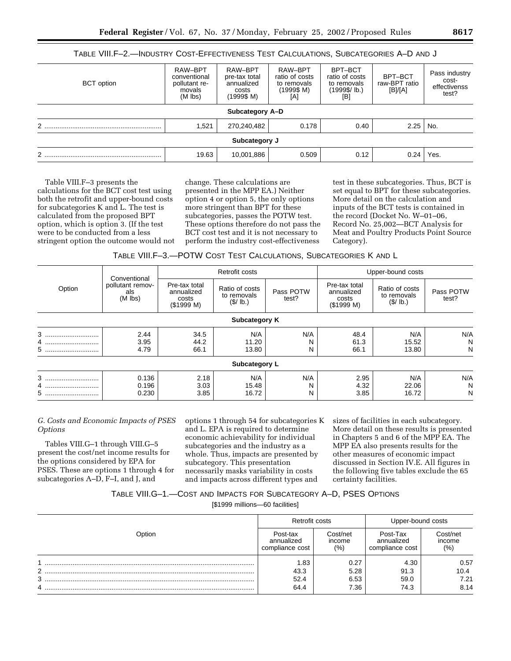| TABLE VIII.F-2.-INDUSTRY COST-EFFECTIVENESS TEST CALCULATIONS, SUBCATEGORIES A-D AND J |                                                                 |                                                               |                                                               |                                                                 |                                     |                                                 |  |  |  |  |  |
|----------------------------------------------------------------------------------------|-----------------------------------------------------------------|---------------------------------------------------------------|---------------------------------------------------------------|-----------------------------------------------------------------|-------------------------------------|-------------------------------------------------|--|--|--|--|--|
| <b>BCT</b> option                                                                      | RAW-BPT<br>conventional<br>pollutant re-<br>movals<br>$(M$ lbs) | RAW-BPT<br>pre-tax total<br>annualized<br>costs<br>(1999\$ M) | RAW-BPT<br>ratio of costs<br>to removals<br>(1999\$ M)<br>[A] | BPT-BCT<br>ratio of costs<br>to removals<br>(1999\$/lb.)<br>[B] | BPT-BCT<br>raw-BPT ratio<br>[B]/[A] | Pass industry<br>cost-<br>effectivenss<br>test? |  |  |  |  |  |
|                                                                                        |                                                                 | Subcategory A-D                                               |                                                               |                                                                 |                                     |                                                 |  |  |  |  |  |
|                                                                                        | 1.521                                                           | 270,240,482                                                   | 0.178                                                         | 0.40                                                            | 2.25                                | No.                                             |  |  |  |  |  |
| Subcategory J                                                                          |                                                                 |                                                               |                                                               |                                                                 |                                     |                                                 |  |  |  |  |  |
|                                                                                        | 19.63                                                           | 10,001,886                                                    | 0.509                                                         | 0.12                                                            | 0.24                                | Yes.                                            |  |  |  |  |  |

Table VIII.F–3 presents the calculations for the BCT cost test using both the retrofit and upper-bound costs for subcategories K and L. The test is calculated from the proposed BPT option, which is option 3. (If the test were to be conducted from a less stringent option the outcome would not

change. These calculations are presented in the MPP EA.) Neither option 4 or option 5, the only options more stringent than BPT for these subcategories, passes the POTW test. These options therefore do not pass the BCT cost test and it is not necessary to perform the industry cost-effectiveness

test in these subcategories. Thus, BCT is set equal to BPT for these subcategories. More detail on the calculation and inputs of the BCT tests is contained in the record (Docket No. W–01–06, Record No. 25,002—BCT Analysis for Meat and Poultry Products Point Source Category).

TABLE VIII.F–3.—POTW COST TEST CALCULATIONS, SUBCATEGORIES K AND L

|               |                                                      |                                                   | Retrofit costs                           |                    |                                                    | Upper-bound costs                          |                    |  |  |  |
|---------------|------------------------------------------------------|---------------------------------------------------|------------------------------------------|--------------------|----------------------------------------------------|--------------------------------------------|--------------------|--|--|--|
| Option        | Conventional<br>pollutant remov-<br>als<br>$(M$ lbs) | Pre-tax total<br>annualized<br>costs<br>(S1999 M) | Ratio of costs<br>to removals<br>(S/lb.) | Pass POTW<br>test? | Pre-tax total<br>annualized<br>costs<br>(\$1999 M) | Ratio of costs<br>to removals<br>(\$/ lb.) | Pass POTW<br>test? |  |  |  |
| Subcategory K |                                                      |                                                   |                                          |                    |                                                    |                                            |                    |  |  |  |
| 3             | 2.44                                                 | 34.5                                              | N/A                                      | N/A                | 48.4                                               | N/A                                        | N/A                |  |  |  |
| 4<br>5        | 3.95<br>4.79                                         | 44.2<br>66.1                                      | 11.20<br>13.80                           | N<br>N             | 61.3<br>66.1                                       | 15.52<br>13.80                             | N<br>N             |  |  |  |
|               |                                                      |                                                   | Subcategory L                            |                    |                                                    |                                            |                    |  |  |  |
| 3             | 0.136                                                | 2.18                                              | N/A                                      | N/A                | 2.95                                               | N/A                                        | N/A                |  |  |  |
| 4<br>5        | 0.196<br>0.230                                       | 3.03<br>3.85                                      | 15.48<br>16.72                           | N<br>N             | 4.32<br>3.85                                       | 22.06<br>16.72                             | N<br>N             |  |  |  |

## *G. Costs and Economic Impacts of PSES Options*

Tables VIII.G–1 through VIII.G–5 present the cost/net income results for the options considered by EPA for PSES. These are options 1 through 4 for subcategories A–D, F–I, and J, and

options 1 through 54 for subcategories K and L. EPA is required to determine economic achievability for individual subcategories and the industry as a whole. Thus, impacts are presented by subcategory. This presentation necessarily masks variability in costs and impacts across different types and

sizes of facilities in each subcategory. More detail on these results is presented in Chapters 5 and 6 of the MPP EA. The MPP EA also presents results for the other measures of economic impact discussed in Section IV.E. All figures in the following five tables exclude the 65 certainty facilities.

# TABLE VIII.G–1.—COST AND IMPACTS FOR SUBCATEGORY A–D, PSES OPTIONS

[\$1999 millions—60 facilities]

|        | Retrofit costs                            |                           | Upper-bound costs                         |                             |  |
|--------|-------------------------------------------|---------------------------|-------------------------------------------|-----------------------------|--|
| Dption | Post-tax<br>annualized<br>compliance cost | Cost/net<br>income<br>(%) | Post-Tax<br>annualized<br>compliance cost | Cost/net<br>income<br>(9/0) |  |
| 2      | 1.83<br>43.3                              | 0.27<br>5.28              | 4.30<br>91.3                              | 0.57<br>10.4                |  |
| 3<br>4 | 52.4<br>64.4                              | 6.53<br>7.36              | 59.0<br>74.3                              | 7.21<br>8.14                |  |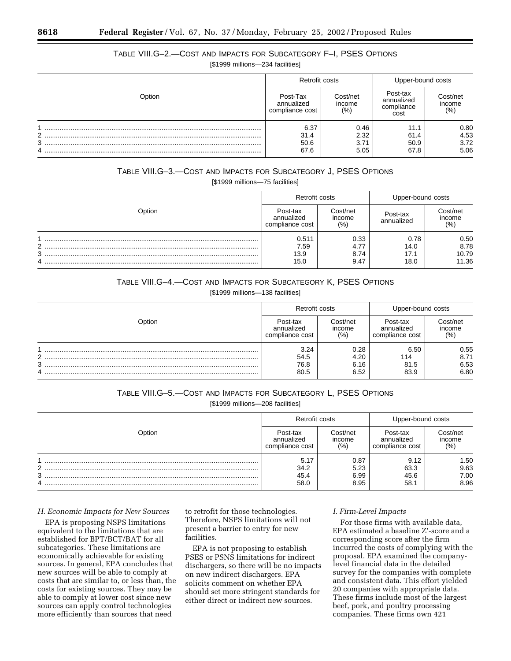# TABLE VIII.G–2.—COST AND IMPACTS FOR SUBCATEGORY F–I, PSES OPTIONS

[\$1999 millions—234 facilities]

|        | Retrofit costs                            |                           | Upper-bound costs                            |                          |  |
|--------|-------------------------------------------|---------------------------|----------------------------------------------|--------------------------|--|
| Option | Post-Tax<br>annualized<br>compliance cost | Cost/net<br>income<br>(%) | Post-tax<br>annualized<br>compliance<br>cost | Cost/net<br>income<br>(% |  |
|        | 6.37                                      | 0.46                      | 11.1                                         | 0.80                     |  |
| 2      | 31.4                                      | 2.32                      | 61.4                                         | 4.53                     |  |
| 3      | 50.6                                      | 3.71                      | 50.9                                         | 3.72                     |  |
| 4      | 67.6                                      | 5.05                      | 67.8                                         | 5.06                     |  |

# TABLE VIII.G–3.—COST AND IMPACTS FOR SUBCATEGORY J, PSES OPTIONS [\$1999 millions—75 facilities]

|             | Retrofit costs                            |                              | Upper-bound costs            |                                |  |
|-------------|-------------------------------------------|------------------------------|------------------------------|--------------------------------|--|
| Option      | Post-tax<br>annualized<br>compliance cost | Cost/net<br>income<br>(%)    | Post-tax<br>annualized       | Cost/net<br>income<br>(% )     |  |
| ົ<br>3<br>4 | 0.511<br>7.59<br>13.9<br>15.0             | 0.33<br>4.77<br>8.74<br>9.47 | 0.78<br>14.0<br>17.1<br>18.0 | 0.50<br>8.78<br>10.79<br>11.36 |  |

# TABLE VIII.G–4.—COST AND IMPACTS FOR SUBCATEGORY K, PSES OPTIONS

[\$1999 millions-138 facilities]

|                | Retrofit costs                            |                              | Upper-bound costs                         |                              |  |
|----------------|-------------------------------------------|------------------------------|-------------------------------------------|------------------------------|--|
| <b>D</b> otion | Post-tax<br>annualized<br>compliance cost | Cost/net<br>income<br>(% )   | Post-tax<br>annualized<br>compliance cost | Cost/net<br>income<br>(%)    |  |
| ົ<br>າ         | 3.24<br>54.5<br>76.8<br>80.5              | 0.28<br>4.20<br>6.16<br>6.52 | 6.50<br>114<br>81.5<br>83.9               | 0.55<br>8.71<br>6.53<br>6.80 |  |

# TABLE VIII.G–5.—COST AND IMPACTS FOR SUBCATEGORY L, PSES OPTIONS [\$1999 millions—208 facilities]

|        | Retrofit costs                            |                              | Upper-bound costs                         |                              |  |
|--------|-------------------------------------------|------------------------------|-------------------------------------------|------------------------------|--|
| Option | Post-tax<br>annualized<br>compliance cost | Cost/net<br>income<br>(%)    | Post-tax<br>annualized<br>compliance cost | Cost/net<br>income<br>(% )   |  |
| C<br>3 | 5.17<br>34.2<br>45.4<br>58.0              | 0.87<br>5.23<br>6.99<br>8.95 | 9.12<br>63.3<br>45.6<br>58.1              | 1.50<br>9.63<br>7.00<br>8.96 |  |

#### *H. Economic Impacts for New Sources*

EPA is proposing NSPS limitations equivalent to the limitations that are established for BPT/BCT/BAT for all subcategories. These limitations are economically achievable for existing sources. In general, EPA concludes that new sources will be able to comply at costs that are similar to, or less than, the costs for existing sources. They may be able to comply at lower cost since new sources can apply control technologies more efficiently than sources that need

to retrofit for those technologies. Therefore, NSPS limitations will not present a barrier to entry for new facilities.

EPA is not proposing to establish PSES or PSNS limitations for indirect dischargers, so there will be no impacts on new indirect dischargers. EPA solicits comment on whether EPA should set more stringent standards for either direct or indirect new sources.

#### *I. Firm-Level Impacts*

For those firms with available data, EPA estimated a baseline Z'-score and a corresponding score after the firm incurred the costs of complying with the proposal. EPA examined the companylevel financial data in the detailed survey for the companies with complete and consistent data. This effort yielded 20 companies with appropriate data. These firms include most of the largest beef, pork, and poultry processing companies. These firms own 421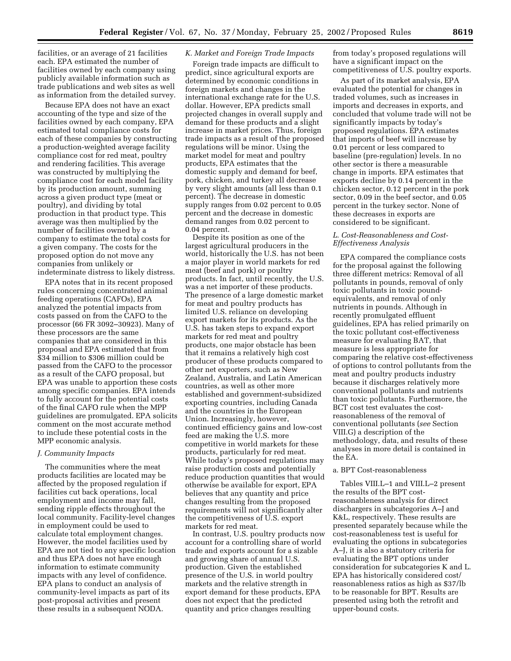facilities, or an average of 21 facilities each. EPA estimated the number of facilities owned by each company using publicly available information such as trade publications and web sites as well as information from the detailed survey.

Because EPA does not have an exact accounting of the type and size of the facilities owned by each company, EPA estimated total compliance costs for each of these companies by constructing a production-weighted average facility compliance cost for red meat, poultry and rendering facilities. This average was constructed by multiplying the compliance cost for each model facility by its production amount, summing across a given product type (meat or poultry), and dividing by total production in that product type. This average was then multiplied by the number of facilities owned by a company to estimate the total costs for a given company. The costs for the proposed option do not move any companies from unlikely or indeterminate distress to likely distress.

EPA notes that in its recent proposed rules concerning concentrated animal feeding operations (CAFOs), EPA analyzed the potential impacts from costs passed on from the CAFO to the processor (66 FR 3092–30923). Many of these processors are the same companies that are considered in this proposal and EPA estimated that from \$34 million to \$306 million could be passed from the CAFO to the processor as a result of the CAFO proposal, but EPA was unable to apportion these costs among specific companies. EPA intends to fully account for the potential costs of the final CAFO rule when the MPP guidelines are promulgated. EPA solicits comment on the most accurate method to include these potential costs in the MPP economic analysis.

### *J. Community Impacts*

The communities where the meat products facilities are located may be affected by the proposed regulation if facilities cut back operations, local employment and income may fall, sending ripple effects throughout the local community. Facility-level changes in employment could be used to calculate total employment changes. However, the model facilities used by EPA are not tied to any specific location and thus EPA does not have enough information to estimate community impacts with any level of confidence. EPA plans to conduct an analysis of community-level impacts as part of its post-proposal activities and present these results in a subsequent NODA.

## *K. Market and Foreign Trade Impacts*

Foreign trade impacts are difficult to predict, since agricultural exports are determined by economic conditions in foreign markets and changes in the international exchange rate for the U.S. dollar. However, EPA predicts small projected changes in overall supply and demand for these products and a slight increase in market prices. Thus, foreign trade impacts as a result of the proposed regulations will be minor. Using the market model for meat and poultry products, EPA estimates that the domestic supply and demand for beef, pork, chicken, and turkey all decrease by very slight amounts (all less than 0.1 percent). The decrease in domestic supply ranges from 0.02 percent to 0.05 percent and the decrease in domestic demand ranges from 0.02 percent to 0.04 percent.

Despite its position as one of the largest agricultural producers in the world, historically the U.S. has not been a major player in world markets for red meat (beef and pork) or poultry products. In fact, until recently, the U.S. was a net importer of these products. The presence of a large domestic market for meat and poultry products has limited U.S. reliance on developing export markets for its products. As the U.S. has taken steps to expand export markets for red meat and poultry products, one major obstacle has been that it remains a relatively high cost producer of these products compared to other net exporters, such as New Zealand, Australia, and Latin American countries, as well as other more established and government-subsidized exporting countries, including Canada and the countries in the European Union. Increasingly, however, continued efficiency gains and low-cost feed are making the U.S. more competitive in world markets for these products, particularly for red meat. While today's proposed regulations may raise production costs and potentially reduce production quantities that would otherwise be available for export, EPA believes that any quantity and price changes resulting from the proposed requirements will not significantly alter the competitiveness of U.S. export markets for red meat.

In contrast, U.S. poultry products now account for a controlling share of world trade and exports account for a sizable and growing share of annual U.S. production. Given the established presence of the U.S. in world poultry markets and the relative strength in export demand for these products, EPA does not expect that the predicted quantity and price changes resulting

from today's proposed regulations will have a significant impact on the competitiveness of U.S. poultry exports.

As part of its market analysis, EPA evaluated the potential for changes in traded volumes, such as increases in imports and decreases in exports, and concluded that volume trade will not be significantly impacts by today's proposed regulations. EPA estimates that imports of beef will increase by 0.01 percent or less compared to baseline (pre-regulation) levels. In no other sector is there a measurable change in imports. EPA estimates that exports decline by 0.14 percent in the chicken sector, 0.12 percent in the pork sector, 0.09 in the beef sector, and 0.05 percent in the turkey sector. None of these decreases in exports are considered to be significant.

## *L. Cost-Reasonableness and Cost-Effectiveness Analysis*

EPA compared the compliance costs for the proposal against the following three different metrics: Removal of all pollutants in pounds, removal of only toxic pollutants in toxic poundequivalents, and removal of only nutrients in pounds. Although in recently promulgated effluent guidelines, EPA has relied primarily on the toxic pollutant cost-effectiveness measure for evaluating BAT, that measure is less appropriate for comparing the relative cost-effectiveness of options to control pollutants from the meat and poultry products industry because it discharges relatively more conventional pollutants and nutrients than toxic pollutants. Furthermore, the BCT cost test evaluates the costreasonableness of the removal of conventional pollutants (*see* Section VIII.G) a description of the methodology, data, and results of these analyses in more detail is contained in the EA.

#### a. BPT Cost-reasonableness

Tables VIII.L–1 and VIII.L–2 present the results of the BPT costreasonableness analysis for direct dischargers in subcategories A–J and K&L, respectively. These results are presented separately because while the cost-reasonableness test is useful for evaluating the options in subcategories A–J, it is also a statutory criteria for evaluating the BPT options under consideration for subcategories K and L. EPA has historically considered cost/ reasonableness ratios as high as \$37/lb to be reasonable for BPT. Results are presented using both the retrofit and upper-bound costs.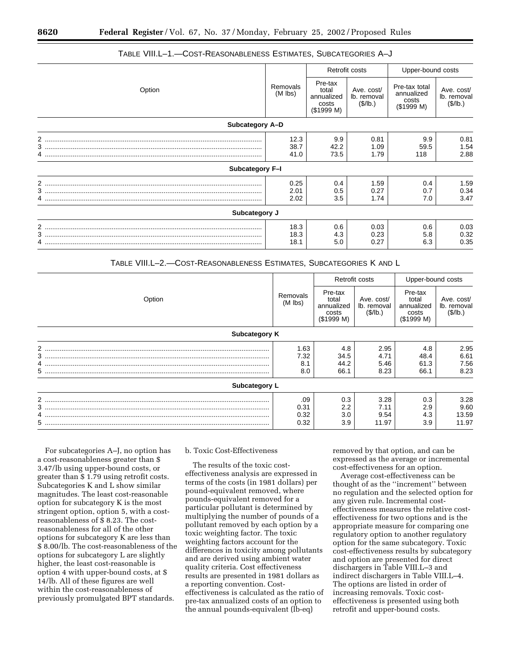|                 |                       |                                                                                                                                     | Retrofit costs       | Upper-bound costs  |                                       |  |
|-----------------|-----------------------|-------------------------------------------------------------------------------------------------------------------------------------|----------------------|--------------------|---------------------------------------|--|
| Option          | Removals<br>$(M$ lbs) | Pre-tax<br>Ave. cost/<br>total<br>annualized<br>annualized<br>lb. removal<br>costs<br>(\$/lb.)<br>costs<br>(\$1999 M)<br>(\$1999 M) |                      | Pre-tax total      | Ave. cost/<br>lb. removal<br>(\$/lb.) |  |
| Subcategory A-D |                       |                                                                                                                                     |                      |                    |                                       |  |
|                 | 12.3<br>38.7<br>41.0  | 9.9<br>42.2<br>73.5                                                                                                                 | 0.81<br>1.09<br>1.79 | 9.9<br>59.5<br>118 | 0.81<br>1.54<br>2.88                  |  |
| Subcategory F-I |                       |                                                                                                                                     |                      |                    |                                       |  |
|                 | 0.25<br>2.01<br>2.02  | 0.4<br>0.5<br>3.5                                                                                                                   | 1.59<br>0.27<br>1.74 | 0.4<br>0.7<br>7.0  | 1.59<br>0.34<br>3.47                  |  |
| Subcategory J   |                       |                                                                                                                                     |                      |                    |                                       |  |
|                 | 18.3<br>18.3<br>18.1  | 0.6<br>4.3<br>5.0                                                                                                                   | 0.03<br>0.23<br>0.27 | 0.6<br>5.8<br>6.3  | 0.03<br>0.32<br>0.35                  |  |

## TABLE VIII.L–1.—COST-REASONABLENESS ESTIMATES, SUBCATEGORIES A–J

| TABLE VIII.L-2.--COST-REASONABLENESS ESTIMATES, SUBCATEGORIES K AND L |  |  |  |
|-----------------------------------------------------------------------|--|--|--|
|-----------------------------------------------------------------------|--|--|--|

|               |                       |                                                       | Retrofit costs                       | Upper-bound costs                                     |                                       |  |
|---------------|-----------------------|-------------------------------------------------------|--------------------------------------|-------------------------------------------------------|---------------------------------------|--|
| Option        | Removals<br>$(M$ lbs) | Pre-tax<br>total<br>annualized<br>costs<br>(\$1999 M) | Ave. cost/<br>lb. removal<br>(S/lb.) | Pre-tax<br>total<br>annualized<br>costs<br>(\$1999 M) | Ave. cost/<br>lb. removal<br>(\$/lb.) |  |
| Subcategory K |                       |                                                       |                                      |                                                       |                                       |  |
| 2             | 1.63                  | 4.8                                                   | 2.95                                 | 4.8                                                   | 2.95                                  |  |
|               | 7.32                  | 34.5                                                  | 4.71                                 | 48.4                                                  | 6.61                                  |  |
|               | 8.1                   | 44.2                                                  | 5.46                                 | 61.3                                                  | 7.56                                  |  |
|               | 8.0                   | 66.1                                                  | 8.23                                 | 66.1                                                  | 8.23                                  |  |
| Subcategory L |                       |                                                       |                                      |                                                       |                                       |  |
|               | .09                   | 0.3                                                   | 3.28                                 | 0.3                                                   | 3.28                                  |  |
|               | 0.31                  | $2.2\phantom{0}$                                      | 7.11                                 | 2.9                                                   | 9.60                                  |  |
|               | 0.32                  | 3.0                                                   | 9.54                                 | 4.3                                                   | 13.59                                 |  |
|               | 0.32                  | 3.9                                                   | 11.97                                | 3.9                                                   | 11.97                                 |  |

For subcategories A–J, no option has a cost-reasonableness greater than \$ 3.47/lb using upper-bound costs, or greater than \$ 1.79 using retrofit costs. Subcategories K and L show similar magnitudes. The least cost-reasonable option for subcategory K is the most stringent option, option 5, with a costreasonableness of \$ 8.23. The costreasonableness for all of the other options for subcategory K are less than \$ 8.00/lb. The cost-reasonableness of the options for subcategory L are slightly higher, the least cost-reasonable is option 4 with upper-bound costs, at \$ 14/lb. All of these figures are well within the cost-reasonableness of previously promulgated BPT standards.

## b. Toxic Cost-Effectiveness

The results of the toxic costeffectiveness analysis are expressed in terms of the costs (in 1981 dollars) per pound-equivalent removed, where pounds-equivalent removed for a particular pollutant is determined by multiplying the number of pounds of a pollutant removed by each option by a toxic weighting factor. The toxic weighting factors account for the differences in toxicity among pollutants and are derived using ambient water quality criteria. Cost effectiveness results are presented in 1981 dollars as a reporting convention. Costeffectiveness is calculated as the ratio of pre-tax annualized costs of an option to the annual pounds-equivalent (lb-eq)

removed by that option, and can be expressed as the average or incremental cost-effectiveness for an option.

Average cost-effectiveness can be thought of as the ''increment'' between no regulation and the selected option for any given rule. Incremental costeffectiveness measures the relative costeffectiveness for two options and is the appropriate measure for comparing one regulatory option to another regulatory option for the same subcategory. Toxic cost-effectiveness results by subcategory and option are presented for direct dischargers in Table VIII.L–3 and indirect dischargers in Table VIII.L–4. The options are listed in order of increasing removals. Toxic costeffectiveness is presented using both retrofit and upper-bound costs.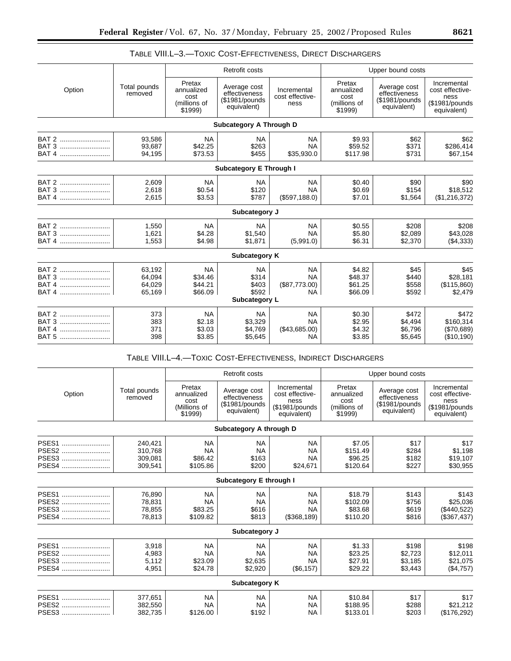|                                             |                                      |                                                         | <b>Retrofit costs</b>                                           |                                                      |                                                         | Upper bound costs                                               |                                                                         |
|---------------------------------------------|--------------------------------------|---------------------------------------------------------|-----------------------------------------------------------------|------------------------------------------------------|---------------------------------------------------------|-----------------------------------------------------------------|-------------------------------------------------------------------------|
| Option                                      | Total pounds<br>removed              | Pretax<br>annualized<br>cost<br>(millions of<br>\$1999) | Average cost<br>effectiveness<br>(\$1981/pounds)<br>equivalent) | Incremental<br>cost effective-<br>ness               | Pretax<br>annualized<br>cost<br>(millions of<br>\$1999) | Average cost<br>effectiveness<br>(\$1981/pounds)<br>equivalent) | Incremental<br>cost effective-<br>ness<br>(\$1981/pounds<br>equivalent) |
|                                             |                                      |                                                         | Subcategory A Through D                                         |                                                      |                                                         |                                                                 |                                                                         |
| BAT 2<br>BAT 3<br>BAT 4                     | 93,586<br>93,687<br>94,195           | <b>NA</b><br>\$42.25<br>\$73.53                         | <b>NA</b><br>\$263<br>\$455                                     | <b>NA</b><br><b>NA</b><br>\$35,930.0                 | \$9.93<br>\$59.52<br>\$117.98                           | \$62<br>\$371<br>\$731                                          | \$62<br>\$286,414<br>\$67,154                                           |
|                                             |                                      |                                                         | <b>Subcategory E Through I</b>                                  |                                                      |                                                         |                                                                 |                                                                         |
| BAT 2<br>BAT 3<br>BAT 4                     | 2,609<br>2,618<br>2,615              | <b>NA</b><br>\$0.54<br>\$3.53                           | <b>NA</b><br>\$120<br>\$787                                     | <b>NA</b><br><b>NA</b><br>(\$597,188.0)              | \$0.40<br>\$0.69<br>\$7.01                              | \$90<br>\$154<br>\$1,564                                        | \$90<br>\$18,512<br>(\$1,216,372)                                       |
|                                             |                                      |                                                         | Subcategory J                                                   |                                                      |                                                         |                                                                 |                                                                         |
| BAT 2<br>BAT 3<br>BAT 4                     | 1.550<br>1,621<br>1,553              | <b>NA</b><br>\$4.28<br>\$4.98                           | <b>NA</b><br>\$1.540<br>\$1,871                                 | <b>NA</b><br><b>NA</b><br>(5,991.0)                  | \$0.55<br>\$5.80<br>\$6.31                              | \$208<br>\$2,089<br>\$2,370                                     | \$208<br>\$43.028<br>( \$4,333)                                         |
|                                             |                                      |                                                         | Subcategory K                                                   |                                                      |                                                         |                                                                 |                                                                         |
| BAT 2<br>BAT 3<br><b>BAT 4</b><br>BAT 4     | 63,192<br>64,094<br>64,029<br>65,169 | <b>NA</b><br>\$34.46<br>\$44.21<br>\$66.09              | <b>NA</b><br>\$314<br>\$403<br>\$592<br>Subcategory L           | <b>NA</b><br><b>NA</b><br>(\$87,773.00)<br><b>NA</b> | \$4.82<br>\$48.37<br>\$61.25<br>\$66.09                 | \$45<br>\$440<br>\$558<br>\$592                                 | \$45<br>\$28,181<br>(\$115,860)<br>\$2,479                              |
| BAT 2<br>BAT 3<br>BAT <sub>4</sub><br>BAT 5 | 373<br>383<br>371<br>398             | <b>NA</b><br>\$2.18<br>\$3.03<br>\$3.85                 | <b>NA</b><br>\$3,329<br>\$4.769<br>\$5,645                      | <b>NA</b><br><b>NA</b><br>(\$43,685.00)<br><b>NA</b> | \$0.30<br>\$2.95<br>\$4.32<br>\$3.85                    | \$472<br>\$4,494<br>\$6.796<br>\$5,645                          | \$472<br>\$160,314<br>(\$70,689)<br>(\$10,190)                          |

# TABLE VIII.L–3.—TOXIC COST-EFFECTIVENESS, DIRECT DISCHARGERS

# TABLE VIII.L–4.—TOXIC COST-EFFECTIVENESS, INDIRECT DISCHARGERS

|        |                         |                                                         | Retrofit costs                                                  |                                                                          |                                                         | Upper bound costs                                               |                                                                         |
|--------|-------------------------|---------------------------------------------------------|-----------------------------------------------------------------|--------------------------------------------------------------------------|---------------------------------------------------------|-----------------------------------------------------------------|-------------------------------------------------------------------------|
| Option | Total pounds<br>removed | Pretax<br>annualized<br>cost<br>(Millions of<br>\$1999) | Average cost<br>effectiveness<br>(\$1981/pounds)<br>equivalent) | Incremental<br>cost effective-<br>ness<br>(\$1981/pounds)<br>equivalent) | Pretax<br>annualized<br>cost<br>(millions of<br>\$1999) | Average cost<br>effectiveness<br>(\$1981/pounds)<br>equivalent) | Incremental<br>cost effective-<br>ness<br>(\$1981/pounds<br>equivalent) |
|        |                         |                                                         | Subcategory A through D                                         |                                                                          |                                                         |                                                                 |                                                                         |
| PSES1  | 240,421                 | <b>NA</b>                                               | <b>NA</b>                                                       | <b>NA</b>                                                                | \$7.05                                                  | \$17                                                            | \$17                                                                    |
| PSES2  | 310,768                 | <b>NA</b>                                               | <b>NA</b>                                                       | <b>NA</b>                                                                | \$151.49                                                | \$284                                                           | \$1,198                                                                 |
| PSES3  | 309,081                 | \$86.42                                                 | \$163                                                           | <b>NA</b>                                                                | \$96.25                                                 | \$182                                                           | \$19,107                                                                |
| PSES4  | 309,541                 | \$105.86                                                | \$200                                                           | \$24,671                                                                 | \$120.64                                                | \$227                                                           | \$30.955                                                                |
|        |                         |                                                         | Subcategory E through I                                         |                                                                          |                                                         |                                                                 |                                                                         |
| PSES1  | 76,890                  | <b>NA</b>                                               | <b>NA</b>                                                       | <b>NA</b>                                                                | \$18.79                                                 | \$143                                                           | \$143                                                                   |
| PSES2  | 78,831                  | <b>NA</b>                                               | <b>NA</b>                                                       | <b>NA</b>                                                                | \$102.09                                                | \$756                                                           | \$25,036                                                                |
| PSES3  | 78,855                  | \$83.25                                                 | \$616                                                           | <b>NA</b>                                                                | \$83.68                                                 | \$619                                                           | (\$440,522)                                                             |
| PSES4  | 78,813                  | \$109.82                                                | \$813                                                           | (\$368,189)                                                              | \$110.20                                                | \$816                                                           | (\$367,437)                                                             |
|        |                         |                                                         | Subcategory J                                                   |                                                                          |                                                         |                                                                 |                                                                         |
| PSES1  | 3,918                   | <b>NA</b>                                               | <b>NA</b>                                                       | <b>NA</b>                                                                | \$1.33                                                  | \$198                                                           | \$198                                                                   |
| PSES2  | 4,983                   | <b>NA</b>                                               | <b>NA</b>                                                       | <b>NA</b>                                                                | \$23.25                                                 | \$2,723                                                         | \$12,011                                                                |
| PSES3  | 5,112                   | \$23.09                                                 | \$2,635                                                         | <b>NA</b>                                                                | \$27.91                                                 | \$3,185                                                         | \$21,075                                                                |
| PSES4  | 4,951                   | \$24.78                                                 | \$2,920                                                         | (\$6,157)                                                                | \$29.22                                                 | \$3,443                                                         | (\$4,757)                                                               |
|        |                         |                                                         | <b>Subcategory K</b>                                            |                                                                          |                                                         |                                                                 |                                                                         |
| PSES1  | 377,651                 | <b>NA</b>                                               | <b>NA</b>                                                       | <b>NA</b>                                                                | \$10.84                                                 | \$17                                                            | \$17                                                                    |
| PSES2  | 382,550                 | <b>NA</b>                                               | <b>NA</b>                                                       | <b>NA</b>                                                                | \$188.95                                                | \$288                                                           | \$21,212                                                                |
| PSES3  | 382,735                 | \$126.00                                                | \$192                                                           | NA.                                                                      | \$133.01                                                | \$203                                                           | (\$176,292)                                                             |

۰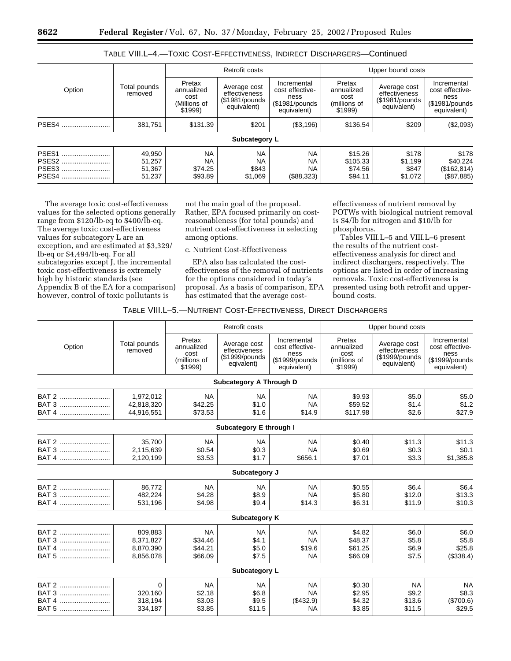|                                              |                                      | Retrofit costs                                          |                                                                |                                                                         | Upper bound costs                                       |                                                                |                                                                         |
|----------------------------------------------|--------------------------------------|---------------------------------------------------------|----------------------------------------------------------------|-------------------------------------------------------------------------|---------------------------------------------------------|----------------------------------------------------------------|-------------------------------------------------------------------------|
| Option                                       | Total pounds<br>removed              | Pretax<br>annualized<br>cost<br>(Millions of<br>\$1999) | Average cost<br>effectiveness<br>(\$1981/pounds<br>equivalent) | Incremental<br>cost effective-<br>ness<br>(\$1981/pounds<br>equivalent) | Pretax<br>annualized<br>cost<br>(millions of<br>\$1999) | Average cost<br>effectiveness<br>(\$1981/pounds<br>equivalent) | Incremental<br>cost effective-<br>ness<br>(\$1981/pounds<br>equivalent) |
| PSES4                                        | 381,751                              | \$131.39                                                | \$201                                                          | (\$3,196)                                                               | \$136.54                                                | \$209                                                          | (\$2,093)                                                               |
|                                              |                                      |                                                         | Subcategory L                                                  |                                                                         |                                                         |                                                                |                                                                         |
| PSES <sub>1</sub><br>PSES2<br>PSES3<br>PSES4 | 49,950<br>51,257<br>51.367<br>51,237 | <b>NA</b><br><b>NA</b><br>\$74.25<br>\$93.89            | <b>NA</b><br><b>NA</b><br>\$843<br>\$1,069                     | <b>NA</b><br><b>NA</b><br><b>NA</b><br>(\$88,323)                       | \$15.26<br>\$105.33<br>\$74.56<br>\$94.11               | \$178<br>\$1,199<br>\$847<br>\$1,072                           | \$178<br>\$40.224<br>(\$162, 814)<br>(\$87,885)                         |

## TABLE VIII.L–4.—TOXIC COST-EFFECTIVENESS, INDIRECT DISCHARGERS—Continued

The average toxic cost-effectiveness values for the selected options generally range from \$120/lb-eq to \$400/lb-eq. The average toxic cost-effectiveness values for subcategory L are an exception, and are estimated at \$3,329/ lb-eq or \$4,494/lb-eq. For all subcategories except J, the incremental toxic cost-effectiveness is extremely high by historic standards (see Appendix B of the EA for a comparison) however, control of toxic pollutants is

not the main goal of the proposal. Rather, EPA focused primarily on costreasonableness (for total pounds) and nutrient cost-effectiveness in selecting among options.

c. Nutrient Cost-Effectiveness

EPA also has calculated the costeffectiveness of the removal of nutrients for the options considered in today's proposal. As a basis of comparison, EPA has estimated that the average cost-

effectiveness of nutrient removal by POTWs with biological nutrient removal is \$4/lb for nitrogen and \$10/lb for phosphorus.

Tables VIII.L–5 and VIII.L–6 present the results of the nutrient costeffectiveness analysis for direct and indirect dischargers, respectively. The options are listed in order of increasing removals. Toxic cost-effectiveness is presented using both retrofit and upperbound costs.

#### TABLE VIII.L–5.—NUTRIENT COST-EFFECTIVENESS, DIRECT DISCHARGERS

|                                             |                                                |                                                         | Retrofit costs                                                 |                                                                         |                                                         | Upper bound costs                                              |                                                                         |
|---------------------------------------------|------------------------------------------------|---------------------------------------------------------|----------------------------------------------------------------|-------------------------------------------------------------------------|---------------------------------------------------------|----------------------------------------------------------------|-------------------------------------------------------------------------|
| Option                                      | Total pounds<br>removed                        | Pretax<br>annualized<br>cost<br>(millions of<br>\$1999) | Average cost<br>effectiveness<br>(\$1999/pounds)<br>eqivalent) | Incremental<br>cost effective-<br>ness<br>(\$1999/pounds<br>equivalent) | Pretax<br>annualized<br>cost<br>(millions of<br>\$1999) | Average cost<br>effectiveness<br>(\$1999/pounds<br>equivalent) | Incremental<br>cost effective-<br>ness<br>(\$1999/pounds<br>equivalent) |
|                                             |                                                |                                                         | <b>Subcategory A Through D</b>                                 |                                                                         |                                                         |                                                                |                                                                         |
| BAT 2<br>BAT 3<br>BAT 4                     | 1,972,012<br>42,818,320<br>44,916,551          | <b>NA</b><br>\$42.25<br>\$73.53                         | <b>NA</b><br>\$1.0<br>\$1.6                                    | <b>NA</b><br><b>NA</b><br>\$14.9                                        | \$9.93<br>\$59.52<br>\$117.98                           | \$5.0<br>\$1.4<br>\$2.6                                        | \$5.0<br>\$1.2<br>\$27.9                                                |
|                                             |                                                |                                                         | Subcategory E through I                                        |                                                                         |                                                         |                                                                |                                                                         |
| BAT 2<br>BAT 3<br>BAT 4                     | 35.700<br>2,115,639<br>2,120,199               | <b>NA</b><br>\$0.54<br>\$3.53                           | <b>NA</b><br>\$0.3<br>\$1.7                                    | <b>NA</b><br><b>NA</b><br>\$656.1                                       | \$0.40<br>\$0.69<br>\$7.01                              | \$11.3<br>\$0.3<br>\$3.3                                       | \$11.3<br>\$0.1<br>\$1,385.8                                            |
|                                             |                                                |                                                         | Subcategory J                                                  |                                                                         |                                                         |                                                                |                                                                         |
| BAT 2<br>BAT 3<br>BAT 4                     | 86,772<br>482,224<br>531,196                   | <b>NA</b><br>\$4.28<br>\$4.98                           | <b>NA</b><br>\$8.9<br>\$9.4                                    | <b>NA</b><br><b>NA</b><br>\$14.3                                        | \$0.55<br>\$5.80<br>\$6.31                              | \$6.4<br>\$12.0<br>\$11.9                                      | \$6.4<br>\$13.3<br>\$10.3                                               |
|                                             |                                                |                                                         | Subcategory K                                                  |                                                                         |                                                         |                                                                |                                                                         |
| BAT 2<br>BAT 3<br>BAT 4<br>BAT 5            | 809,883<br>8,371,827<br>8,870,390<br>8,856,078 | <b>NA</b><br>\$34.46<br>\$44.21<br>\$66.09              | <b>NA</b><br>\$4.1<br>\$5.0<br>\$7.5                           | <b>NA</b><br><b>NA</b><br>\$19.6<br><b>NA</b>                           | \$4.82<br>\$48.37<br>\$61.25<br>\$66.09                 | \$6.0<br>\$5.8<br>\$6.9<br>\$7.5                               | \$6.0<br>\$5.8<br>\$25.8<br>(\$338.4)                                   |
|                                             |                                                |                                                         | Subcategory L                                                  |                                                                         |                                                         |                                                                |                                                                         |
| BAT 2<br>BAT 3<br>BAT <sub>4</sub><br>BAT 5 | 0<br>320,160<br>318,194<br>334,187             | <b>NA</b><br>\$2.18<br>\$3.03<br>\$3.85                 | <b>NA</b><br>\$6.8<br>\$9.5<br>\$11.5                          | <b>NA</b><br><b>NA</b><br>(\$432.9)<br><b>NA</b>                        | \$0.30<br>\$2.95<br>\$4.32<br>\$3.85                    | <b>NA</b><br>\$9.2<br>\$13.6<br>\$11.5                         | <b>NA</b><br>\$8.3<br>(\$700.6)<br>\$29.5                               |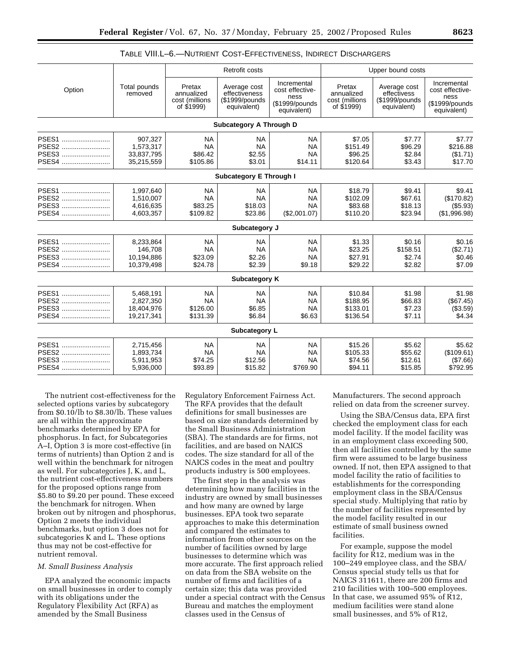|                                  |                                                    |                                                      | Retrofit costs                                                  |                                                                          |                                                      | Upper bound costs                                             |                                                                         |
|----------------------------------|----------------------------------------------------|------------------------------------------------------|-----------------------------------------------------------------|--------------------------------------------------------------------------|------------------------------------------------------|---------------------------------------------------------------|-------------------------------------------------------------------------|
| Option                           | Total pounds<br>removed                            | Pretax<br>annualized<br>cost (millions<br>of \$1999) | Average cost<br>effectiveness<br>(\$1999/pounds)<br>equivalent) | Incremental<br>cost effective-<br>ness<br>(\$1999/pounds)<br>equivalent) | Pretax<br>annualized<br>cost (millions<br>of \$1999) | Average cost<br>effectivess<br>(\$1999/pounds)<br>equivalent) | Incremental<br>cost effective-<br>ness<br>(\$1999/pounds<br>equivalent) |
|                                  |                                                    |                                                      | <b>Subcategory A Through D</b>                                  |                                                                          |                                                      |                                                               |                                                                         |
| PSES1<br>PSES2<br>PSES3<br>PSES4 | 907,327<br>1,573,317<br>33,837,795<br>35,215,559   | <b>NA</b><br><b>NA</b><br>\$86.42<br>\$105.86        | <b>NA</b><br><b>NA</b><br>\$2.55<br>\$3.01                      | <b>NA</b><br><b>NA</b><br><b>NA</b><br>\$14.11                           | \$7.05<br>\$151.49<br>\$96.25<br>\$120.64            | \$7.77<br>\$96.29<br>\$2.84<br>\$3.43                         | \$7.77<br>\$216.88<br>(\$1.71)<br>\$17.70                               |
|                                  |                                                    |                                                      | <b>Subcategory E Through I</b>                                  |                                                                          |                                                      |                                                               |                                                                         |
| PSES1<br>PSES2<br>PSES3<br>PSES4 | 1,997,640<br>1.510.007<br>4,616,635<br>4,603,357   | <b>NA</b><br><b>NA</b><br>\$83.25<br>\$109.82        | <b>NA</b><br><b>NA</b><br>\$18.03<br>\$23.86                    | <b>NA</b><br><b>NA</b><br><b>NA</b><br>(\$2,001.07)                      | \$18.79<br>\$102.09<br>\$83.68<br>\$110.20           | \$9.41<br>\$67.61<br>\$18.13<br>\$23.94                       | \$9.41<br>(\$170.82)<br>(\$5.93)<br>(\$1,996.98)                        |
|                                  |                                                    |                                                      | Subcategory J                                                   |                                                                          |                                                      |                                                               |                                                                         |
| PSES1<br>PSES2<br>PSES3<br>PSES4 | 8,233,864<br>146.708<br>10,194,886<br>10,379,498   | <b>NA</b><br><b>NA</b><br>\$23.09<br>\$24.78         | <b>NA</b><br><b>NA</b><br>\$2.26<br>\$2.39                      | <b>NA</b><br><b>NA</b><br><b>NA</b><br>\$9.18                            | \$1.33<br>\$23.25<br>\$27.91<br>\$29.22              | \$0.16<br>\$158.51<br>\$2.74<br>\$2.82                        | \$0.16<br>(\$2.71)<br>\$0.46<br>\$7.09                                  |
|                                  |                                                    |                                                      | Subcategory K                                                   |                                                                          |                                                      |                                                               |                                                                         |
| PSES1<br>PSES2<br>PSES3<br>PSES4 | 5,468,191<br>2,827,350<br>18,404,976<br>19,217,341 | <b>NA</b><br><b>NA</b><br>\$126.00<br>\$131.39       | <b>NA</b><br><b>NA</b><br>\$6.85<br>\$6.84                      | <b>NA</b><br><b>NA</b><br><b>NA</b><br>\$6.63                            | \$10.84<br>\$188.95<br>\$133.01<br>\$136.54          | \$1.98<br>\$66.83<br>\$7.23<br>\$7.11                         | \$1.98<br>(\$67.45)<br>(\$3.59)<br>\$4.34                               |
|                                  |                                                    |                                                      | Subcategory L                                                   |                                                                          |                                                      |                                                               |                                                                         |
| PSES1<br>PSES2<br>PSES3<br>PSES4 | 2,715,456<br>1,893,734<br>5,911,953<br>5,936,000   | <b>NA</b><br><b>NA</b><br>\$74.25<br>\$93.89         | <b>NA</b><br><b>NA</b><br>\$12.56<br>\$15.82                    | <b>NA</b><br><b>NA</b><br><b>NA</b><br>\$769.90                          | \$15.26<br>\$105.33<br>\$74.56<br>\$94.11            | \$5.62<br>\$55.62<br>\$12.61<br>\$15.85                       | \$5.62<br>(\$109.61)<br>(\$7.66)<br>\$792.95                            |

TABLE VIII.L–6.—NUTRIENT COST-EFFECTIVENESS, INDIRECT DISCHARGERS

The nutrient cost-effectiveness for the selected options varies by subcategory from \$0.10/lb to \$8.30/lb. These values are all within the approximate benchmarks determined by EPA for phosphorus. In fact, for Subcategories A–I, Option 3 is more cost-effective (in terms of nutrients) than Option 2 and is well within the benchmark for nitrogen as well. For subcategories J, K, and L, the nutrient cost-effectiveness numbers for the proposed options range from \$5.80 to \$9.20 per pound. These exceed the benchmark for nitrogen. When broken out by nitrogen and phosphorus, Option 2 meets the individual benchmarks, but option 3 does not for subcategories K and L. These options thus may not be cost-effective for nutrient removal.

## *M. Small Business Analysis*

EPA analyzed the economic impacts on small businesses in order to comply with its obligations under the Regulatory Flexibility Act (RFA) as amended by the Small Business

Regulatory Enforcement Fairness Act. The RFA provides that the default definitions for small businesses are based on size standards determined by the Small Business Administration (SBA). The standards are for firms, not facilities, and are based on NAICS codes. The size standard for all of the NAICS codes in the meat and poultry products industry is 500 employees.

The first step in the analysis was determining how many facilities in the industry are owned by small businesses and how many are owned by large businesses. EPA took two separate approaches to make this determination and compared the estimates to information from other sources on the number of facilities owned by large businesses to determine which was more accurate. The first approach relied on data from the SBA website on the number of firms and facilities of a certain size; this data was provided under a special contract with the Census Bureau and matches the employment classes used in the Census of

Manufacturers. The second approach relied on data from the screener survey.

Using the SBA/Census data, EPA first checked the employment class for each model facility. If the model facility was in an employment class exceeding 500, then all facilities controlled by the same firm were assumed to be large business owned. If not, then EPA assigned to that model facility the ratio of facilities to establishments for the corresponding employment class in the SBA/Census special study. Multiplying that ratio by the number of facilities represented by the model facility resulted in our estimate of small business owned facilities.

For example, suppose the model facility for R12, medium was in the 100–249 employee class, and the SBA/ Census special study tells us that for NAICS 311611, there are 200 firms and 210 facilities with 100–500 employees. In that case, we assumed 95% of R12, medium facilities were stand alone small businesses, and 5% of R12,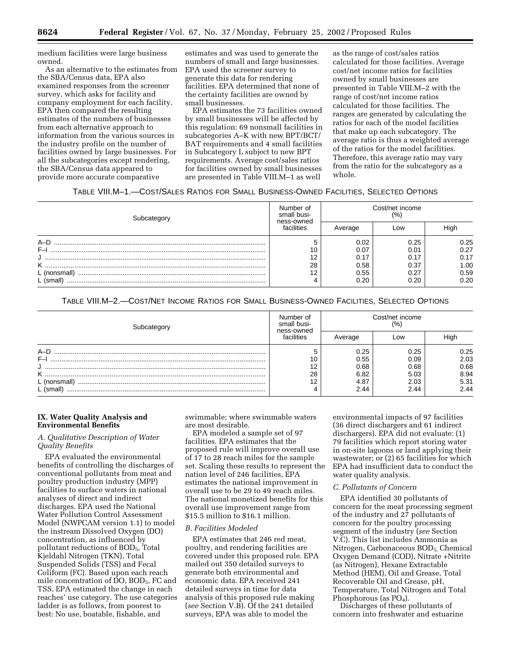medium facilities were large business owned.

As an alternative to the estimates from the SBA/Census data, EPA also examined responses from the screener survey, which asks for facility and company employment for each facility. EPA then compared the resulting estimates of the numbers of businesses from each alternative approach to information from the various sources in the industry profile on the number of facilities owned by large businesses. For all the subcategories except rendering, the SBA/Census data appeared to provide more accurate comparative

estimates and was used to generate the numbers of small and large businesses. EPA used the screener survey to generate this data for rendering facilities. EPA determined that none of the certainty facilities are owned by small businesses.

EPA estimates the 73 facilities owned by small businesses will be affected by this regulation: 69 nonsmall facilities in subcategories A–K with new BPT/BCT/ BAT requirements and 4 small facilities in Subcategory L subject to new BPT requirements. Average cost/sales ratios for facilities owned by small businesses are presented in Table VIII.M–1 as well

as the range of cost/sales ratios calculated for those facilities. Average cost/net income ratios for facilities owned by small businesses are presented in Table VIII.M–2 with the range of cost/net income ratios calculated for those facilities. The ranges are generated by calculating the ratios for each of the model facilities that make up each subcategory. The average ratio is thus a weighted average of the ratios for the model facilities. Therefore, this average ratio may vary from the ratio for the subcategory as a whole.

TABLE VIII.M–1.—COST/SALES RATIOS FOR SMALL BUSINESS-OWNED FACILITIES, SELECTED OPTIONS

| Subcategory  | Number of<br>small busi- | Cost/net income<br>(%) |      |      |  |
|--------------|--------------------------|------------------------|------|------|--|
|              | ness-owned<br>facilities | Average                | Low  | High |  |
| $A-D$        |                          | 0.02                   | 0.25 | 0.25 |  |
| $F-I$        | 10                       | 0.07                   | 0.01 | 0.27 |  |
|              | 12                       | 0.17                   | 0.17 | 0.17 |  |
| κ            | 28                       | 0.58                   | 0.37 | 1.00 |  |
| L (nonsmall) | 12                       | 0.55                   | 0.27 | 0.59 |  |
| $L$ (small)  |                          | 0.20                   | 0.20 | 0.20 |  |

TABLE VIII.M–2.—COST/NET INCOME RATIOS FOR SMALL BUSINESS-OWNED FACILITIES, SELECTED OPTIONS

| Subcategory  | Number of<br>small busi-<br>ness-owned | Cost/net income<br>(%` |      |      |  |
|--------------|----------------------------------------|------------------------|------|------|--|
|              | facilities                             | Average                | LOW  | High |  |
| $A-D$        |                                        | 0.25                   | 0.25 | 0.25 |  |
| $F-I$        | 10                                     | 0.55                   | 0.09 | 2.03 |  |
|              | 12                                     | 0.68                   | 0.68 | 0.68 |  |
| κ            | 28                                     | 6.82                   | 5.03 | 8.94 |  |
| L (nonsmall) | 12                                     | 4.87                   | 2.03 | 5.31 |  |
| (small)      |                                        | 2.44                   | 2.44 | 2.44 |  |

## **IX. Water Quality Analysis and Environmental Benefits**

## *A. Qualitative Description of Water Quality Benefits*

EPA evaluated the environmental benefits of controlling the discharges of conventional pollutants from meat and poultry production industry (MPP) facilities to surface waters in national analyses of direct and indirect discharges. EPA used the National Water Pollution Control Assessment Model (NWPCAM version 1.1) to model the instream Dissolved Oxygen (DO) concentration, as influenced by pollutant reductions of BOD<sub>5</sub>, Total Kjeldahl Nitrogen (TKN), Total Suspended Solids (TSS) and Fecal Coliform (FC). Based upon each reach mile concentration of DO, BOD<sub>5</sub>, FC and TSS, EPA estimated the change in each reaches' use category. The use categories ladder is as follows, from poorest to best: No use, boatable, fishable, and

swimmable; where swimmable waters are most desirable.

EPA modeled a sample set of 97 facilities. EPA estimates that the proposed rule will improve overall use of 17 to 28 reach miles for the sample set. Scaling these results to represent the nation level of 246 facilities, EPA estimates the national improvement in overall use to be 29 to 49 reach miles. The national monetized benefits for this overall use improvement range from \$15.5 million to \$16.1 million.

## *B. Facilities Modeled*

EPA estimates that 246 red meat, poultry, and rendering facilities are covered under this proposed rule. EPA mailed out 350 detailed surveys to generate both environmental and economic data. EPA received 241 detailed surveys in time for data analysis of this proposed rule making (*see* Section V.B). Of the 241 detailed surveys, EPA was able to model the

environmental impacts of 97 facilities (36 direct dischargers and 61 indirect dischargers). EPA did not evaluate: (1) 79 facilities which report storing water in on-site lagoons or land applying their wastewater; or (2) 65 facilities for which EPA had insufficient data to conduct the water quality analysis.

## *C. Pollutants of Concern*

EPA identified 30 pollutants of concern for the meat processing segment of the industry and 27 pollutants of concern for the poultry processing segment of the industry (*see* Section V.C). This list includes Ammonia as Nitrogen, Carbonaceous  $BOD<sub>5</sub>$ , Chemical Oxygen Demand (COD), Nitrate +Nitrite (as Nitrogen), Hexane Extractable Method (HEM), Oil and Grease, Total Recoverable Oil and Grease, pH, Temperature, Total Nitrogen and Total Phosphorous (as  $PO<sub>4</sub>$ ).

Discharges of these pollutants of concern into freshwater and estuarine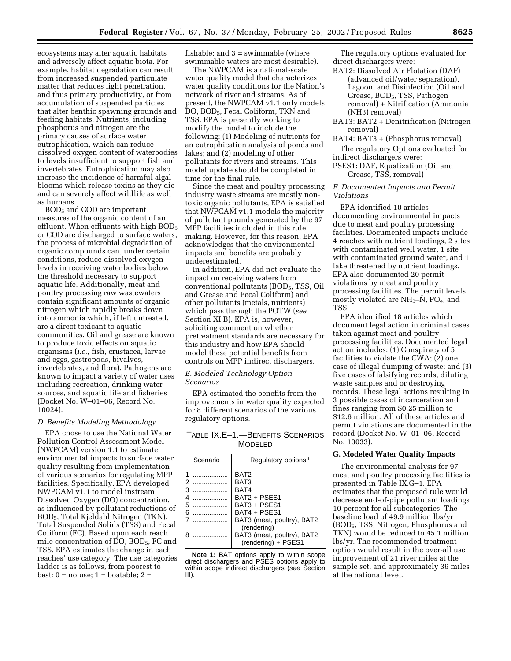ecosystems may alter aquatic habitats and adversely affect aquatic biota. For example, habitat degradation can result from increased suspended particulate matter that reduces light penetration, and thus primary productivity, or from accumulation of suspended particles that alter benthic spawning grounds and feeding habitats. Nutrients, including phosphorus and nitrogen are the primary causes of surface water eutrophication, which can reduce dissolved oxygen content of waterbodies to levels insufficient to support fish and invertebrates. Eutrophication may also increase the incidence of harmful algal blooms which release toxins as they die and can severely affect wildlife as well as humans.

BOD5 and COD are important measures of the organic content of an effluent. When effluents with high  $BOD<sub>5</sub>$ or COD are discharged to surface waters, the process of microbial degradation of organic compounds can, under certain conditions, reduce dissolved oxygen levels in receiving water bodies below the threshold necessary to support aquatic life. Additionally, meat and poultry processing raw wastewaters contain significant amounts of organic nitrogen which rapidly breaks down into ammonia which, if left untreated, are a direct toxicant to aquatic communities. Oil and grease are known to produce toxic effects on aquatic organisms (*i.e.,* fish, crustacea, larvae and eggs, gastropods, bivalves, invertebrates, and flora). Pathogens are known to impact a variety of water uses including recreation, drinking water sources, and aquatic life and fisheries (Docket No. W–01–06, Record No. 10024).

#### *D. Benefits Modeling Methodology*

EPA chose to use the National Water Pollution Control Assessment Model (NWPCAM) version 1.1 to estimate environmental impacts to surface water quality resulting from implementation of various scenarios for regulating MPP facilities. Specifically, EPA developed NWPCAM v1.1 to model instream Dissolved Oxygen (DO) concentration, as influenced by pollutant reductions of BOD5, Total Kjeldahl Nitrogen (TKN), Total Suspended Solids (TSS) and Fecal Coliform (FC). Based upon each reach mile concentration of DO, BOD5, FC and TSS, EPA estimates the change in each reaches' use category. The use categories ladder is as follows, from poorest to best: 0 = no use; 1 = boatable; 2 =

fishable; and  $3 =$  swimmable (where swimmable waters are most desirable).

The NWPCAM is a national-scale water quality model that characterizes water quality conditions for the Nation's network of river and streams. As of present, the NWPCAM v1.1 only models DO, BOD<sub>5</sub>, Fecal Coliform, TKN and TSS. EPA is presently working to modify the model to include the following: (1) Modeling of nutrients for an eutrophication analysis of ponds and lakes; and (2) modeling of other pollutants for rivers and streams. This model update should be completed in time for the final rule.

Since the meat and poultry processing industry waste streams are mostly nontoxic organic pollutants, EPA is satisfied that NWPCAM v1.1 models the majority of pollutant pounds generated by the 97 MPP facilities included in this rule making. However, for this reason, EPA acknowledges that the environmental impacts and benefits are probably underestimated.

In addition, EPA did not evaluate the impact on receiving waters from conventional pollutants (BOD<sub>5</sub>, TSS, Oil and Grease and Fecal Coliform) and other pollutants (metals, nutrients) which pass through the POTW (*see* Section XI.B). EPA is, however, soliciting comment on whether pretreatment standards are necessary for this industry and how EPA should model these potential benefits from controls on MPP indirect dischargers.

#### *E. Modeled Technology Option Scenarios*

EPA estimated the benefits from the improvements in water quality expected for 8 different scenarios of the various regulatory options.

TABLE IX.E–1.—BENEFITS SCENARIOS MODELED

|                                        | Scenario                   | Regulatory options <sup>1</sup>                                                                                                                             |
|----------------------------------------|----------------------------|-------------------------------------------------------------------------------------------------------------------------------------------------------------|
| 1<br>$\mathcal{P}$<br>3<br>4<br>5<br>6 | .<br>.<br>.<br>.<br>.<br>. | BAT <sub>2</sub><br>BAT3<br>BAT4<br>BAT2 + PSES1<br>BAT3 + PSES1<br>BAT4 + PSES1<br>BAT3 (meat, poultry), BAT2<br>(rendering)<br>BAT3 (meat, poultry), BAT2 |
|                                        |                            | (rendering) + PSES1                                                                                                                                         |

**Note 1:** BAT options apply to within scope direct dischargers and PSES options apply to within scope indirect dischargers (see Section III).

The regulatory options evaluated for direct dischargers were:

- BAT2: Dissolved Air Flotation (DAF) (advanced oil/water separation), Lagoon, and Disinfection (Oil and Grease, BOD5, TSS, Pathogen removal) + Nitrification (Ammonia (NH3) removal)
- BAT3: BAT2 + Denitrification (Nitrogen removal)
- BAT4: BAT3 + (Phosphorus removal)

The regulatory Options evaluated for indirect dischargers were:

PSES1: DAF, Equalization (Oil and Grease, TSS, removal)

#### *F. Documented Impacts and Permit Violations*

EPA identified 10 articles documenting environmental impacts due to meat and poultry processing facilities. Documented impacts include 4 reaches with nutrient loadings, 2 sites with contaminated well water, 1 site with contaminated ground water, and 1 lake threatened by nutrient loadings. EPA also documented 20 permit violations by meat and poultry processing facilities. The permit levels mostly violated are  $NH<sub>3</sub>-N$ , PO<sub>4</sub>, and TSS.

EPA identified 18 articles which document legal action in criminal cases taken against meat and poultry processing facilities. Documented legal action includes: (1) Conspiracy of 5 facilities to violate the CWA; (2) one case of illegal dumping of waste; and (3) five cases of falsifying records, diluting waste samples and or destroying records. These legal actions resulting in 3 possible cases of incarceration and fines ranging from \$0.25 million to \$12.6 million. All of these articles and permit violations are documented in the record (Docket No. W–01–06, Record No. 10033).

## **G. Modeled Water Quality Impacts**

The environmental analysis for 97 meat and poultry processing facilities is presented in Table IX.G–1. EPA estimates that the proposed rule would decrease end-of-pipe pollutant loadings 10 percent for all subcategories. The baseline load of 49.9 million lbs/yr (BOD5, TSS, Nitrogen, Phosphorus and TKN) would be reduced to 45.1 million lbs/yr. The recommended treatment option would result in the over-all use improvement of 21 river miles at the sample set, and approximately 36 miles at the national level.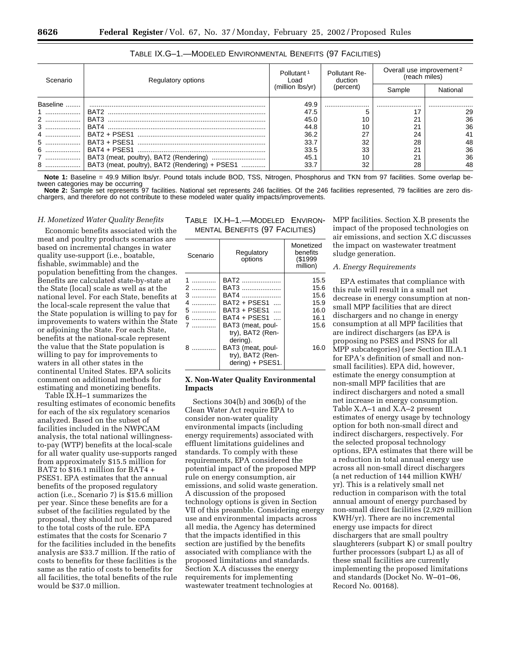| Scenario | Regulatory options                             | Pollutant <sup>1</sup><br>Load | Pollutant Re-<br>duction | Overall use improvement <sup>2</sup><br>(reach miles) |          |
|----------|------------------------------------------------|--------------------------------|--------------------------|-------------------------------------------------------|----------|
|          |                                                | (million lbs/vr)               | (percent)                | Sample                                                | National |
| Baseline |                                                | 49.9                           |                          |                                                       |          |
|          |                                                | 47.5                           |                          |                                                       | 29       |
| 2        |                                                | 45.0                           | 10                       |                                                       | 36       |
|          |                                                | 44.8                           | 10                       | 21                                                    | 36       |
|          |                                                | 36.2                           | 27                       | 24                                                    |          |
|          |                                                | 33.7                           | 32                       | 28                                                    | 48       |
|          |                                                | 33.5                           | 33                       | 21                                                    | 36       |
| 7        |                                                | 45.1                           | 10                       | $\Omega$                                              | 36       |
| 8  1     | BAT3 (meat, poultry), BAT2 (Rendering) + PSES1 | 33.7                           | 32                       | 28                                                    | 48       |

TABLE IX.G–1.—MODELED ENVIRONMENTAL BENEFITS (97 FACILITIES)

**Note 1:** Baseline = 49.9 Million lbs/yr. Pound totals include BOD, TSS, Nitrogen, Phosphorus and TKN from 97 facilities. Some overlap between categories may be occurring

**Note 2:** Sample set represents 97 facilities. National set represents 246 facilities. Of the 246 facilities represented, 79 facilities are zero dischargers, and therefore do not contribute to these modeled water quality impacts/improvements.

> TABLE IX.H–1.—MODELED ENVIRON-MENTAL BENEFITS (97 FACILITIES)

#### *H. Monetized Water Quality Benefits*

Economic benefits associated with the meat and poultry products scenarios are based on incremental changes in water quality use-support (i.e., boatable, fishable, swimmable) and the population benefitting from the changes. Benefits are calculated state-by-state at the State (local) scale as well as at the national level. For each State, benefits at the local-scale represent the value that the State population is willing to pay for improvements to waters within the State or adjoining the State. For each State, benefits at the national-scale represent the value that the State population is willing to pay for improvements to waters in all other states in the continental United States. EPA solicits comment on additional methods for estimating and monetizing benefits.

Table IX.H–1 summarizes the resulting estimates of economic benefits for each of the six regulatory scenarios analyzed. Based on the subset of facilities included in the NWPCAM analysis, the total national willingnessto-pay (WTP) benefits at the local-scale for all water quality use-supports ranged from approximately \$15.5 million for BAT2 to \$16.1 million for BAT4 + PSES1. EPA estimates that the annual benefits of the proposed regulatory action (i.e., Scenario 7) is \$15.6 million per year. Since these benefits are for a subset of the facilities regulated by the proposal, they should not be compared to the total costs of the rule. EPA estimates that the costs for Scenario 7 for the facilities included in the benefits analysis are \$33.7 million. If the ratio of costs to benefits for these facilities is the same as the ratio of costs to benefits for all facilities, the total benefits of the rule would be \$37.0 million.

| Scenario                                  | Regulatory<br>options                                                                                                                                                                           | Monetized<br>benefits<br>(\$1999<br>million)                 |
|-------------------------------------------|-------------------------------------------------------------------------------------------------------------------------------------------------------------------------------------------------|--------------------------------------------------------------|
| 3<br>.<br>4<br>.<br>5<br>.<br>6<br>.<br>8 | BAT2<br>BAT3<br><b>BAT4</b><br>BAT2 + PSFS1<br>$\cdots$<br>BAT3 + PSES1<br>$\sim$<br>BAT4 + PSES1<br>BAT3 (meat, poul-<br>try), BAT2 (Ren-<br>dering).<br>BAT3 (meat, poul-<br>try), BAT2 (Ren- | 15.5<br>15.6<br>15.6<br>15.9<br>16.0<br>16.1<br>15.6<br>16.0 |
|                                           | dering) + PSES1.                                                                                                                                                                                |                                                              |

## **X. Non-Water Quality Environmental Impacts**

Sections 304(b) and 306(b) of the Clean Water Act require EPA to consider non-water quality environmental impacts (including energy requirements) associated with effluent limitations guidelines and standards. To comply with these requirements, EPA considered the potential impact of the proposed MPP rule on energy consumption, air emissions, and solid waste generation. A discussion of the proposed technology options is given in Section VII of this preamble. Considering energy use and environmental impacts across all media, the Agency has determined that the impacts identified in this section are justified by the benefits associated with compliance with the proposed limitations and standards. Section X.A discusses the energy requirements for implementing wastewater treatment technologies at

MPP facilities. Section X.B presents the impact of the proposed technologies on air emissions, and section X.C discusses the impact on wastewater treatment sludge generation.

#### *A. Energy Requirements*

EPA estimates that compliance with this rule will result in a small net decrease in energy consumption at nonsmall MPP facilities that are direct dischargers and no change in energy consumption at all MPP facilities that are indirect dischargers (as EPA is proposing no PSES and PSNS for all MPP subcategories) (*see* Section III.A.1 for EPA's definition of small and nonsmall facilities). EPA did, however, estimate the energy consumption at non-small MPP facilities that are indirect dischargers and noted a small net increase in energy consumption. Table X.A–1 and X.A–2 present estimates of energy usage by technology option for both non-small direct and indirect dischargers, respectively. For the selected proposal technology options, EPA estimates that there will be a reduction in total annual energy use across all non-small direct dischargers (a net reduction of 144 million KWH/ yr). This is a relatively small net reduction in comparison with the total annual amount of energy purchased by non-small direct facilities (2,929 million KWH/yr). There are no incremental energy use impacts for direct dischargers that are small poultry slaughterers (subpart K) or small poultry further processors (subpart L) as all of these small facilities are currently implementing the proposed limitations and standards (Docket No. W–01–06, Record No. 00168).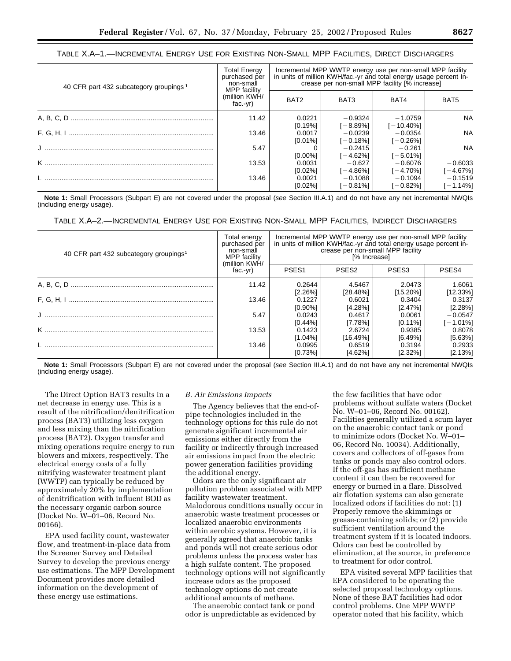|  | Table X.A—1.—Incremental Energy Use for Existing Non-Small MPP Facilities, Direct Dischargers |  |
|--|-----------------------------------------------------------------------------------------------|--|
|--|-----------------------------------------------------------------------------------------------|--|

| 40 CFR part 432 subcategory groupings <sup>1</sup> | <b>Total Energy</b><br>purchased per<br>non-small<br>MPP facility | Incremental MPP WWTP energy use per non-small MPP facility<br>in units of million KWH/fac.-yr and total energy usage percent In-<br>crease per non-small MPP facility [% increase] |                          |                           |                          |
|----------------------------------------------------|-------------------------------------------------------------------|------------------------------------------------------------------------------------------------------------------------------------------------------------------------------------|--------------------------|---------------------------|--------------------------|
|                                                    | (million KWH/<br>$fac-vr$                                         | BAT <sub>2</sub>                                                                                                                                                                   | BAT3                     | BAT4                      | BAT5                     |
|                                                    | 11.42                                                             | 0.0221<br>[0.19%]                                                                                                                                                                  | $-0.9324$<br>$[-8.89\%]$ | $-1.0759$<br>$[-10.40\%]$ | <b>NA</b>                |
|                                                    | 13.46                                                             | 0.0017<br>[0.01%]                                                                                                                                                                  | $-0.0239$<br>$[-0.18\%]$ | $-0.0354$<br>[-0.26%]     | <b>NA</b>                |
|                                                    | 5.47                                                              | $[0.00\%]$                                                                                                                                                                         | $-0.2415$<br>$[-4.62\%]$ | $-0.261$<br>$[-5.01\%]$   | <b>NA</b>                |
|                                                    | 13.53                                                             | 0.0031<br>[0.02%]                                                                                                                                                                  | $-0.627$<br>[-4.86%]     | $-0.6076$<br>$[-4.70\%]$  | $-0.6033$<br>$[-4.67\%]$ |
|                                                    | 13.46                                                             | 0.0021<br>[0.02%]                                                                                                                                                                  | $-0.1088$<br>I – 0.81%]  | $-0.1094$<br>$[-0.82\%]$  | $-0.1519$<br>$[-1.14\%]$ |

**Note 1:** Small Processors (Subpart E) are not covered under the proposal (see Section III.A.1) and do not have any net incremental NWQIs (including energy usage).

TABLE X.A–2.—INCREMENTAL ENERGY USE FOR EXISTING NON-SMALL MPP FACILITIES, INDIRECT DISCHARGERS

| 40 CFR part 432 subcategory groupings <sup>1</sup> | Total energy<br>purchased per<br>non-small<br>MPP facility | Incremental MPP WWTP energy use per non-small MPP facility<br>in units of million KWH/fac.-yr and total energy usage percent in-<br>crease per non-small MPP facility<br>[% Increase] |                               |                                  |                                     |
|----------------------------------------------------|------------------------------------------------------------|---------------------------------------------------------------------------------------------------------------------------------------------------------------------------------------|-------------------------------|----------------------------------|-------------------------------------|
|                                                    | (million KWH/<br>$fac-vr$ )                                | PSES <sub>1</sub>                                                                                                                                                                     | PSES <sub>2</sub>             | PSES3                            | PSES4                               |
|                                                    | 11.42                                                      | 0.2644                                                                                                                                                                                | 4.5467                        | 2.0473                           | 1.6061                              |
|                                                    | 13.46                                                      | $[2.26\%]$<br>0.1227<br>$[0.90\%]$                                                                                                                                                    | [28.48%]<br>0.6021<br>[4.28%] | $[15.20\%]$<br>0.3404<br>[2.47%] | $[12.33\%]$<br>0.3137               |
|                                                    | 5.47                                                       | 0.0243<br>[0.44%]                                                                                                                                                                     | 0.4617<br>$[7.78\%]$          | 0.0061<br>[0.11%]                | [2.28%]<br>$-0.0547$<br>$[-1.01\%]$ |
|                                                    | 13.53                                                      | 0.1423<br>[1.04%]                                                                                                                                                                     | 2.6724<br>[16.49%]            | 0.9385<br>[6.49%]                | 0.8078<br>[5.63%]                   |
|                                                    | 13.46                                                      | 0.0995<br>[0.73%]                                                                                                                                                                     | 0.6519<br>[4.62%]             | 0.3194<br>[2.32%]                | 0.2933<br>$[2.13\%]$                |

**Note 1:** Small Processors (Subpart E) are not covered under the proposal (see Section III.A.1) and do not have any net incremental NWQIs (including energy usage).

The Direct Option BAT3 results in a net decrease in energy use. This is a result of the nitrification/denitrification process (BAT3) utilizing less oxygen and less mixing than the nitrification process (BAT2). Oxygen transfer and mixing operations require energy to run blowers and mixers, respectively. The electrical energy costs of a fully nitrifying wastewater treatment plant (WWTP) can typically be reduced by approximately 20% by implementation of denitrification with influent BOD as the necessary organic carbon source (Docket No. W–01–06, Record No. 00166).

EPA used facility count, wastewater flow, and treatment-in-place data from the Screener Survey and Detailed Survey to develop the previous energy use estimations. The MPP Development Document provides more detailed information on the development of these energy use estimations.

#### *B. Air Emissions Impacts*

The Agency believes that the end-ofpipe technologies included in the technology options for this rule do not generate significant incremental air emissions either directly from the facility or indirectly through increased air emissions impact from the electric power generation facilities providing the additional energy.

Odors are the only significant air pollution problem associated with MPP facility wastewater treatment. Malodorous conditions usually occur in anaerobic waste treatment processes or localized anaerobic environments within aerobic systems. However, it is generally agreed that anaerobic tanks and ponds will not create serious odor problems unless the process water has a high sulfate content. The proposed technology options will not significantly increase odors as the proposed technology options do not create additional amounts of methane.

The anaerobic contact tank or pond odor is unpredictable as evidenced by

the few facilities that have odor problems without sulfate waters (Docket No. W–01–06, Record No. 00162). Facilities generally utilized a scum layer on the anaerobic contact tank or pond to minimize odors (Docket No. W–01– 06, Record No. 10034). Additionally, covers and collectors of off-gases from tanks or ponds may also control odors. If the off-gas has sufficient methane content it can then be recovered for energy or burned in a flare. Dissolved air flotation systems can also generate localized odors if facilities do not: (1) Properly remove the skimmings or grease-containing solids; or (2) provide sufficient ventilation around the treatment system if it is located indoors. Odors can best be controlled by elimination, at the source, in preference to treatment for odor control.

EPA visited several MPP facilities that EPA considered to be operating the selected proposal technology options. None of these BAT facilities had odor control problems. One MPP WWTP operator noted that his facility, which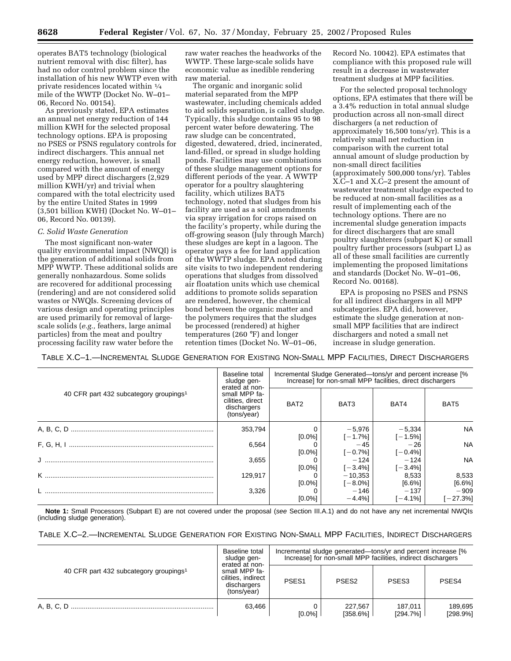operates BAT5 technology (biological nutrient removal with disc filter), has had no odor control problem since the installation of his new WWTP even with private residences located within 1⁄4 mile of the WWTP (Docket No. W–01– 06, Record No. 00154).

As previously stated, EPA estimates an annual net energy reduction of 144 million KWH for the selected proposal technology options. EPA is proposing no PSES or PSNS regulatory controls for indirect dischargers. This annual net energy reduction, however, is small compared with the amount of energy used by MPP direct dischargers (2,929 million KWH/yr) and trivial when compared with the total electricity used by the entire United States in 1999 (3,501 billion KWH) (Docket No. W–01– 06, Record No. 00139).

### *C. Solid Waste Generation*

The most significant non-water quality environmental impact (NWQI) is the generation of additional solids from MPP WWTP. These additional solids are generally nonhazardous. Some solids are recovered for additional processing (rendering) and are not considered solid wastes or NWQIs. Screening devices of various design and operating principles are used primarily for removal of largescale solids (*e.g.,* feathers, large animal particles) from the meat and poultry processing facility raw water before the

raw water reaches the headworks of the WWTP. These large-scale solids have economic value as inedible rendering raw material.

The organic and inorganic solid material separated from the MPP wastewater, including chemicals added to aid solids separation, is called sludge. Typically, this sludge contains 95 to 98 percent water before dewatering. The raw sludge can be concentrated, digested, dewatered, dried, incinerated, land-filled, or spread in sludge holding ponds. Facilities may use combinations of these sludge management options for different periods of the year. A WWTP operator for a poultry slaughtering facility, which utilizes BAT5 technology, noted that sludges from his facility are used as a soil amendments via spray irrigation for crops raised on the facility's property, while during the off-growing season (July through March) these sludges are kept in a lagoon. The operator pays a fee for land application of the WWTP sludge. EPA noted during site visits to two independent rendering operations that sludges from dissolved air floatation units which use chemical additions to promote solids separation are rendered, however, the chemical bond between the organic matter and the polymers requires that the sludges be processed (rendered) at higher temperatures (260 °F) and longer retention times (Docket No. W–01–06,

Record No. 10042). EPA estimates that compliance with this proposed rule will result in a decrease in wastewater treatment sludges at MPP facilities.

For the selected proposal technology options, EPA estimates that there will be a 3.4% reduction in total annual sludge production across all non-small direct dischargers (a net reduction of approximately 16,500 tons/yr). This is a relatively small net reduction in comparison with the current total annual amount of sludge production by non-small direct facilities (approximately 500,000 tons/yr). Tables X.C–1 and X.C–2 present the amount of wastewater treatment sludge expected to be reduced at non-small facilities as a result of implementing each of the technology options. There are no incremental sludge generation impacts for direct dischargers that are small poultry slaughterers (subpart K) or small poultry further processors (subpart L) as all of these small facilities are currently implementing the proposed limitations and standards (Docket No. W–01–06, Record No. 00168).

EPA is proposing no PSES and PSNS for all indirect dischargers in all MPP subcategories. EPA did, however, estimate the sludge generation at nonsmall MPP facilities that are indirect dischargers and noted a small net increase in sludge generation.

TABLE X.C–1.—INCREMENTAL SLUDGE GENERATION FOR EXISTING NON-SMALL MPP FACILITIES, DIRECT DISCHARGERS

| 40 CFR part 432 subcategory groupings <sup>1</sup> | Baseline total<br>sludge gen-<br>erated at non-<br>small MPP fa-<br>cilities, direct<br>dischargers<br>(tons/year) | Incremental Sludge Generated—tons/yr and percent increase [%]<br>Increase] for non-small MPP facilities, direct dischargers |                         |                        |                  |  |
|----------------------------------------------------|--------------------------------------------------------------------------------------------------------------------|-----------------------------------------------------------------------------------------------------------------------------|-------------------------|------------------------|------------------|--|
|                                                    |                                                                                                                    | BAT <sub>2</sub>                                                                                                            | BAT3                    | BAT4                   | BAT <sub>5</sub> |  |
|                                                    | 353,794                                                                                                            | $[0.0\%]$                                                                                                                   | $-5,976$<br>$[-1.7\%]$  | $-5,334$<br>$[-1.5\%]$ | <b>NA</b>        |  |
|                                                    | 6,564                                                                                                              | $[0.0\%]$                                                                                                                   | $-45$<br>$[-0.7\%]$     | $-26$<br>$[-0.4\%]$    | <b>NA</b>        |  |
|                                                    | 3,655                                                                                                              | $[0.0\%]$                                                                                                                   | $-124$<br>$[-3.4\%]$    | $-124$<br>[-3.4%]      | <b>NA</b>        |  |
|                                                    | 129.917                                                                                                            | $[0.0\%]$                                                                                                                   | $-10.353$<br>$[-8.0\%]$ | 8.533<br>$[6.6\%]$     | 8,533<br>[6.6%]  |  |
|                                                    | 3,326                                                                                                              | $[0.0\%]$                                                                                                                   | $-146$<br>$-4.4%$ ]     | $-137$<br>$-4.1%$      | $-909$<br>27.3%] |  |

**Note 1:** Small Processors (Subpart E) are not covered under the proposal (see Section III.A.1) and do not have any net incremental NWQIs (including sludge generation).

| TABLE X.C-2.—INCREMENTAL SLUDGE GENERATION FOR EXISTING NON-SMALL MPP FACILITIES, INDIRECT DISCHARGERS |  |
|--------------------------------------------------------------------------------------------------------|--|
|--------------------------------------------------------------------------------------------------------|--|

| 40 CFR part 432 subcategory groupings <sup>1</sup> | Baseline total<br>sludge gen-<br>erated at non-<br>small MPP fa-<br>cilities, indirect<br>dischargers<br>(tons/year) | Incremental sludge generated—tons/yr and percent increase [%]<br>Increase] for non-small MPP facilities, indirect dischargers |                     |                        |                     |
|----------------------------------------------------|----------------------------------------------------------------------------------------------------------------------|-------------------------------------------------------------------------------------------------------------------------------|---------------------|------------------------|---------------------|
|                                                    |                                                                                                                      | PSES <sub>1</sub>                                                                                                             | PSES <sub>2</sub>   | PSES <sub>3</sub>      | PSES <sub>4</sub>   |
|                                                    | 63.466                                                                                                               | $[0.0\%]$                                                                                                                     | 227.567<br>[358.6%] | 187.011<br>$[294.7\%]$ | 189.695<br>[298.9%] |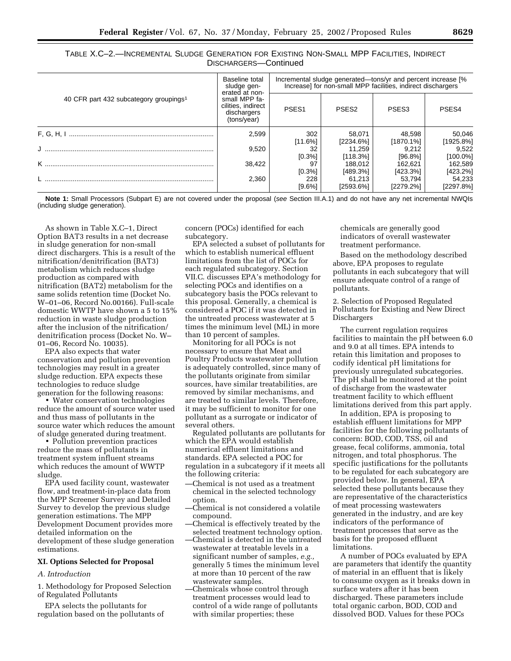| TABLE X.C—2.—INCREMENTAL SLUDGE GENERATION FOR EXISTING NON-SMALL MPP FACILITIES, INDIRECT |                       |  |  |
|--------------------------------------------------------------------------------------------|-----------------------|--|--|
|                                                                                            | DISCHARGERS-Continued |  |  |

|                                                    | Baseline total<br>sludge gen-<br>erated at non-<br>small MPP fa-<br>cilities, indirect<br>dischargers<br>(tons/year) | Incremental sludge generated—tons/yr and percent increase [% Increase] for non-small MPP facilities, indirect dischargers |                        |                        |                      |
|----------------------------------------------------|----------------------------------------------------------------------------------------------------------------------|---------------------------------------------------------------------------------------------------------------------------|------------------------|------------------------|----------------------|
| 40 CFR part 432 subcategory groupings <sup>1</sup> |                                                                                                                      | PSES <sub>1</sub>                                                                                                         | PSES <sub>2</sub>      | PSES <sub>3</sub>      | PSES4                |
|                                                    | 2.599                                                                                                                | 302<br>[11.6%]                                                                                                            | 58.071<br>$[2234.6\%]$ | 48.598<br>$[1870.1\%]$ | 50,046<br>[1925.8%]  |
|                                                    | 9,520                                                                                                                | 32<br>$[0.3\%]$                                                                                                           | 11.259<br>[118.3%]     | 9.212<br>[96.8%]       | 9,522<br>$[100.0\%]$ |
|                                                    | 38.422                                                                                                               | 97<br>[0.3%]                                                                                                              | 188.012<br>[489.3%]    | 162.621<br>[423.3%]    | 162,589<br>[423.2%]  |
|                                                    | 2.360                                                                                                                | 228<br>$[9.6\%]$                                                                                                          | 61.213<br>[2593.6%]    | 53.794<br>[2279.2%]    | 54,233<br>[2297.8%]  |
|                                                    |                                                                                                                      |                                                                                                                           |                        |                        |                      |

**Note 1:** Small Processors (Subpart E) are not covered under the proposal (see Section III.A.1) and do not have any net incremental NWQIs (including sludge generation).

As shown in Table X.C–1, Direct Option BAT3 results in a net decrease in sludge generation for non-small direct dischargers. This is a result of the nitrification/denitrification (BAT3) metabolism which reduces sludge production as compared with nitrification (BAT2) metabolism for the same solids retention time (Docket No. W–01–06, Record No.00166). Full-scale domestic WWTP have shown a 5 to 15% reduction in waste sludge production after the inclusion of the nitrification/ denitrification process (Docket No. W– 01–06, Record No. 10035).

EPA also expects that water conservation and pollution prevention technologies may result in a greater sludge reduction. EPA expects these technologies to reduce sludge generation for the following reasons:

• Water conservation technologies reduce the amount of source water used and thus mass of pollutants in the source water which reduces the amount of sludge generated during treatment.

• Pollution prevention practices reduce the mass of pollutants in treatment system influent streams which reduces the amount of WWTP sludge.

EPA used facility count, wastewater flow, and treatment-in-place data from the MPP Screener Survey and Detailed Survey to develop the previous sludge generation estimations. The MPP Development Document provides more detailed information on the development of these sludge generation estimations.

#### **XI. Options Selected for Proposal**

#### *A. Introduction*

1. Methodology for Proposed Selection of Regulated Pollutants

EPA selects the pollutants for regulation based on the pollutants of concern (POCs) identified for each subcategory.

EPA selected a subset of pollutants for which to establish numerical effluent limitations from the list of POCs for each regulated subcategory. Section VII.C. discusses EPA's methodology for selecting POCs and identifies on a subcategory basis the POCs relevant to this proposal. Generally, a chemical is considered a POC if it was detected in the untreated process wastewater at 5 times the minimum level (ML) in more than 10 percent of samples.

Monitoring for all POCs is not necessary to ensure that Meat and Poultry Products wastewater pollution is adequately controlled, since many of the pollutants originate from similar sources, have similar treatabilities, are removed by similar mechanisms, and are treated to similar levels. Therefore, it may be sufficient to monitor for one pollutant as a surrogate or indicator of several others.

Regulated pollutants are pollutants for which the EPA would establish numerical effluent limitations and standards. EPA selected a POC for regulation in a subcategory if it meets all the following criteria:

- —Chemical is not used as a treatment chemical in the selected technology option.
- —Chemical is not considered a volatile compound.
- —Chemical is effectively treated by the selected treatment technology option.
- —Chemical is detected in the untreated wastewater at treatable levels in a significant number of samples, *e.g.,* generally 5 times the minimum level at more than 10 percent of the raw wastewater samples.
- —Chemicals whose control through treatment processes would lead to control of a wide range of pollutants with similar properties; these

chemicals are generally good indicators of overall wastewater treatment performance.

Based on the methodology described above, EPA proposes to regulate pollutants in each subcategory that will ensure adequate control of a range of pollutants.

2. Selection of Proposed Regulated Pollutants for Existing and New Direct Dischargers

The current regulation requires facilities to maintain the pH between 6.0 and 9.0 at all times. EPA intends to retain this limitation and proposes to codify identical pH limitations for previously unregulated subcategories. The pH shall be monitored at the point of discharge from the wastewater treatment facility to which effluent limitations derived from this part apply.

In addition, EPA is proposing to establish effluent limitations for MPP facilities for the following pollutants of concern: BOD, COD, TSS, oil and grease, fecal coliforms, ammonia, total nitrogen, and total phosphorus. The specific justifications for the pollutants to be regulated for each subcategory are provided below. In general, EPA selected these pollutants because they are representative of the characteristics of meat processing wastewaters generated in the industry, and are key indicators of the performance of treatment processes that serve as the basis for the proposed effluent limitations.

A number of POCs evaluated by EPA are parameters that identify the quantity of material in an effluent that is likely to consume oxygen as it breaks down in surface waters after it has been discharged. These parameters include total organic carbon, BOD, COD and dissolved BOD. Values for these POCs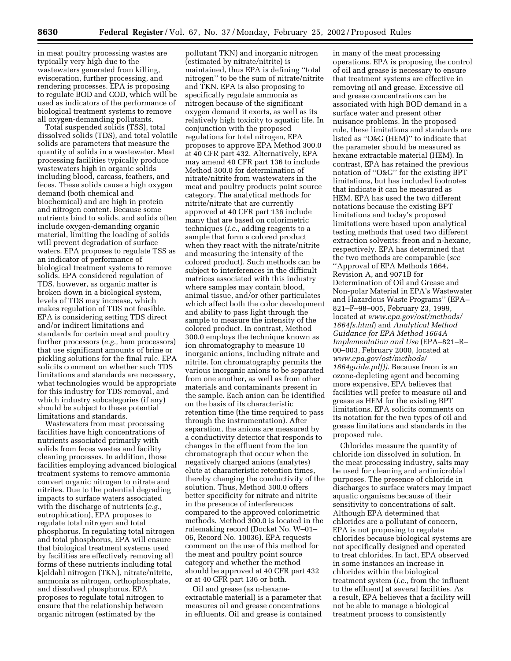in meat poultry processing wastes are typically very high due to the wastewaters generated from killing, evisceration, further processing, and rendering processes. EPA is proposing to regulate BOD and COD, which will be used as indicators of the performance of biological treatment systems to remove all oxygen-demanding pollutants.

Total suspended solids (TSS), total dissolved solids (TDS), and total volatile solids are parameters that measure the quantity of solids in a wastewater. Meat processing facilities typically produce wastewaters high in organic solids including blood, carcass, feathers, and feces. These solids cause a high oxygen demand (both chemical and biochemical) and are high in protein and nitrogen content. Because some nutrients bind to solids, and solids often include oxygen-demanding organic material, limiting the loading of solids will prevent degradation of surface waters. EPA proposes to regulate TSS as an indicator of performance of biological treatment systems to remove solids. EPA considered regulation of TDS, however, as organic matter is broken down in a biological system, levels of TDS may increase, which makes regulation of TDS not feasible. EPA is considering setting TDS direct and/or indirect limitations and standards for certain meat and poultry further processors (*e.g.,* ham processors) that use significant amounts of brine or pickling solutions for the final rule. EPA solicits comment on whether such TDS limitations and standards are necessary, what technologies would be appropriate for this industry for TDS removal, and which industry subcategories (if any) should be subject to these potential limitations and standards.

Wastewaters from meat processing facilities have high concentrations of nutrients associated primarily with solids from feces wastes and facility cleaning processes. In addition, those facilities employing advanced biological treatment systems to remove ammonia convert organic nitrogen to nitrate and nitrites. Due to the potential degrading impacts to surface waters associated with the discharge of nutrients (*e.g.,* eutrophication), EPA proposes to regulate total nitrogen and total phosphorus. In regulating total nitrogen and total phosphorus, EPA will ensure that biological treatment systems used by facilities are effectively removing all forms of these nutrients including total kjeldahl nitrogen (TKN), nitrate/nitrite, ammonia as nitrogen, orthophosphate, and dissolved phosphorus. EPA proposes to regulate total nitrogen to ensure that the relationship between organic nitrogen (estimated by the

pollutant TKN) and inorganic nitrogen (estimated by nitrate/nitrite) is maintained, thus EPA is defining ''total nitrogen'' to be the sum of nitrate/nitrite and TKN. EPA is also proposing to specifically regulate ammonia as nitrogen because of the significant oxygen demand it exerts, as well as its relatively high toxicity to aquatic life. In conjunction with the proposed regulations for total nitrogen, EPA proposes to approve EPA Method 300.0 at 40 CFR part 432. Alternatively, EPA may amend 40 CFR part 136 to include Method 300.0 for determination of nitrate/nitrite from wastewaters in the meat and poultry products point source category. The analytical methods for nitrite/nitrate that are currently approved at 40 CFR part 136 include many that are based on colorimetric techniques (*i.e.,* adding reagents to a sample that form a colored product when they react with the nitrate/nitrite and measuring the intensity of the colored product). Such methods can be subject to interferences in the difficult matrices associated with this industry where samples may contain blood, animal tissue, and/or other particulates which affect both the color development and ability to pass light through the sample to measure the intensity of the colored product. In contrast, Method 300.0 employs the technique known as ion chromatography to measure 10 inorganic anions, including nitrate and nitrite. Ion chromatography permits the various inorganic anions to be separated from one another, as well as from other materials and contaminants present in the sample. Each anion can be identified on the basis of its characteristic retention time (the time required to pass through the instrumentation). After separation, the anions are measured by a conductivity detector that responds to changes in the effluent from the ion chromatograph that occur when the negatively charged anions (analytes) elute at characteristic retention times, thereby changing the conductivity of the solution. Thus, Method 300.0 offers better specificity for nitrate and nitrite in the presence of interferences compared to the approved colorimetric methods. Method 300.0 is located in the rulemaking record (Docket No. W–01– 06, Record No. 10036). EPA requests comment on the use of this method for the meat and poultry point source category and whether the method should be approved at 40 CFR part 432 or at 40 CFR part 136 or both.

Oil and grease (as n-hexaneextractable material) is a parameter that measures oil and grease concentrations in effluents. Oil and grease is contained

in many of the meat processing operations. EPA is proposing the control of oil and grease is necessary to ensure that treatment systems are effective in removing oil and grease. Excessive oil and grease concentrations can be associated with high BOD demand in a surface water and present other nuisance problems. In the proposed rule, these limitations and standards are listed as ''O&G (HEM)'' to indicate that the parameter should be measured as hexane extractable material (HEM). In contrast, EPA has retained the previous notation of ''O&G'' for the existing BPT limitations, but has included footnotes that indicate it can be measured as HEM. EPA has used the two different notations because the existing BPT limitations and today's proposed limitations were based upon analytical testing methods that used two different extraction solvents: freon and n-hexane, respectively. EPA has determined that the two methods are comparable (*see* ''Approval of EPA Methods 1664, Revision A, and 9071B for Determination of Oil and Grease and Non-polar Material in EPA's Wastewater and Hazardous Waste Programs'' (EPA– 821–F–98–005, February 23, 1999, located at *www.epa.gov/ost/methods/ 1664fs.html*) and *Analytical Method Guidance for EPA Method 1664A Implementation and Use* (EPA–821–R– 00–003, February 2000, located at *www.epa.gov/ost/methods/ 1664guide.pdf)).* Because freon is an ozone-depleting agent and becoming more expensive, EPA believes that facilities will prefer to measure oil and grease as HEM for the existing BPT limitations. EPA solicits comments on its notation for the two types of oil and grease limitations and standards in the proposed rule.

Chlorides measure the quantity of chloride ion dissolved in solution. In the meat processing industry, salts may be used for cleaning and antimicrobial purposes. The presence of chloride in discharges to surface waters may impact aquatic organisms because of their sensitivity to concentrations of salt. Although EPA determined that chlorides are a pollutant of concern, EPA is not proposing to regulate chlorides because biological systems are not specifically designed and operated to treat chlorides. In fact, EPA observed in some instances an increase in chlorides within the biological treatment system (*i.e.,* from the influent to the effluent) at several facilities. As a result, EPA believes that a facility will not be able to manage a biological treatment process to consistently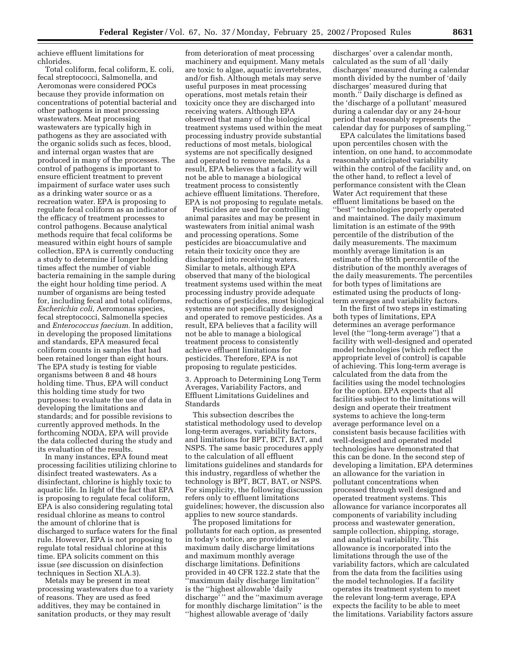achieve effluent limitations for chlorides.

Total coliform, fecal coliform, E. coli, fecal streptococci, Salmonella, and Aeromonas were considered POCs because they provide information on concentrations of potential bacterial and other pathogens in meat processing wastewaters. Meat processing wastewaters are typically high in pathogens as they are associated with the organic solids such as feces, blood, and internal organ wastes that are produced in many of the processes. The control of pathogens is important to ensure efficient treatment to prevent impairment of surface water uses such as a drinking water source or as a recreation water. EPA is proposing to regulate fecal coliform as an indicator of the efficacy of treatment processes to control pathogens. Because analytical methods require that fecal coliforms be measured within eight hours of sample collection, EPA is currently conducting a study to determine if longer holding times affect the number of viable bacteria remaining in the sample during the eight hour holding time period. A number of organisms are being tested for, including fecal and total coliforms, *Escherichia coli,* Aeromonas species, fecal streptococci, Salmonella species and *Enterococcus faecium.* In addition, in developing the proposed limitations and standards, EPA measured fecal coliform counts in samples that had been retained longer than eight hours. The EPA study is testing for viable organisms between 8 and 48 hours holding time. Thus, EPA will conduct this holding time study for two purposes: to evaluate the use of data in developing the limitations and standards; and for possible revisions to currently approved methods. In the forthcoming NODA, EPA will provide the data collected during the study and its evaluation of the results.

In many instances, EPA found meat processing facilities utilizing chlorine to disinfect treated wastewaters. As a disinfectant, chlorine is highly toxic to aquatic life. In light of the fact that EPA is proposing to regulate fecal coliform, EPA is also considering regulating total residual chlorine as means to control the amount of chlorine that is discharged to surface waters for the final rule. However, EPA is not proposing to regulate total residual chlorine at this time. EPA solicits comment on this issue (*see* discussion on disinfection techniques in Section XI.A.3).

Metals may be present in meat processing wastewaters due to a variety of reasons. They are used as feed additives, they may be contained in sanitation products, or they may result

from deterioration of meat processing machinery and equipment. Many metals are toxic to algae, aquatic invertebrates, and/or fish. Although metals may serve useful purposes in meat processing operations, most metals retain their toxicity once they are discharged into receiving waters. Although EPA observed that many of the biological treatment systems used within the meat processing industry provide substantial reductions of most metals, biological systems are not specifically designed and operated to remove metals. As a result, EPA believes that a facility will not be able to manage a biological treatment process to consistently achieve effluent limitations. Therefore, EPA is not proposing to regulate metals.

Pesticides are used for controlling animal parasites and may be present in wastewaters from initial animal wash and processing operations. Some pesticides are bioaccumulative and retain their toxicity once they are discharged into receiving waters. Similar to metals, although EPA observed that many of the biological treatment systems used within the meat processing industry provide adequate reductions of pesticides, most biological systems are not specifically designed and operated to remove pesticides. As a result, EPA believes that a facility will not be able to manage a biological treatment process to consistently achieve effluent limitations for pesticides. Therefore, EPA is not proposing to regulate pesticides.

3. Approach to Determining Long Term Averages, Variability Factors, and Effluent Limitations Guidelines and Standards

This subsection describes the statistical methodology used to develop long-term averages, variability factors, and limitations for BPT, BCT, BAT, and NSPS. The same basic procedures apply to the calculation of all effluent limitations guidelines and standards for this industry, regardless of whether the technology is BPT, BCT, BAT, or NSPS. For simplicity, the following discussion refers only to effluent limitations guidelines; however, the discussion also applies to new source standards.

The proposed limitations for pollutants for each option, as presented in today's notice, are provided as maximum daily discharge limitations and maximum monthly average discharge limitations. Definitions provided in 40 CFR 122.2 state that the ''maximum daily discharge limitation'' is the ''highest allowable 'daily discharge' '' and the ''maximum average for monthly discharge limitation'' is the ''highest allowable average of 'daily

discharges' over a calendar month, calculated as the sum of all 'daily discharges' measured during a calendar month divided by the number of 'daily discharges' measured during that month.'' Daily discharge is defined as the 'discharge of a pollutant' measured during a calendar day or any 24-hour period that reasonably represents the calendar day for purposes of sampling.''

EPA calculates the limitations based upon percentiles chosen with the intention, on one hand, to accommodate reasonably anticipated variability within the control of the facility and, on the other hand, to reflect a level of performance consistent with the Clean Water Act requirement that these effluent limitations be based on the ''best'' technologies properly operated and maintained. The daily maximum limitation is an estimate of the 99th percentile of the distribution of the daily measurements. The maximum monthly average limitation is an estimate of the 95th percentile of the distribution of the monthly averages of the daily measurements. The percentiles for both types of limitations are estimated using the products of longterm averages and variability factors.

In the first of two steps in estimating both types of limitations, EPA determines an average performance level (the ''long-term average'') that a facility with well-designed and operated model technologies (which reflect the appropriate level of control) is capable of achieving. This long-term average is calculated from the data from the facilities using the model technologies for the option. EPA expects that all facilities subject to the limitations will design and operate their treatment systems to achieve the long-term average performance level on a consistent basis because facilities with well-designed and operated model technologies have demonstrated that this can be done. In the second step of developing a limitation, EPA determines an allowance for the variation in pollutant concentrations when processed through well designed and operated treatment systems. This allowance for variance incorporates all components of variability including process and wastewater generation, sample collection, shipping, storage, and analytical variability. This allowance is incorporated into the limitations through the use of the variability factors, which are calculated from the data from the facilities using the model technologies. If a facility operates its treatment system to meet the relevant long-term average, EPA expects the facility to be able to meet the limitations. Variability factors assure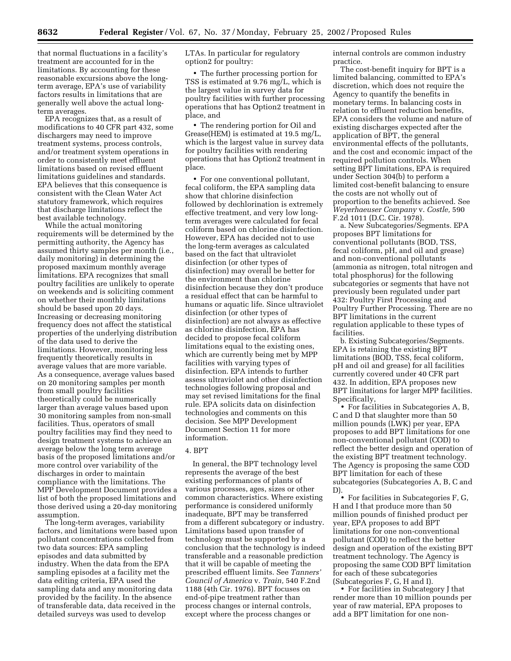that normal fluctuations in a facility's treatment are accounted for in the limitations. By accounting for these reasonable excursions above the longterm average, EPA's use of variability factors results in limitations that are generally well above the actual longterm averages.

EPA recognizes that, as a result of modifications to 40 CFR part 432, some dischargers may need to improve treatment systems, process controls, and/or treatment system operations in order to consistently meet effluent limitations based on revised effluent limitations guidelines and standards. EPA believes that this consequence is consistent with the Clean Water Act statutory framework, which requires that discharge limitations reflect the best available technology.

While the actual monitoring requirements will be determined by the permitting authority, the Agency has assumed thirty samples per month (i.e., daily monitoring) in determining the proposed maximum monthly average limitations. EPA recognizes that small poultry facilities are unlikely to operate on weekends and is soliciting comment on whether their monthly limitations should be based upon 20 days. Increasing or decreasing monitoring frequency does not affect the statistical properties of the underlying distribution of the data used to derive the limitations. However, monitoring less frequently theoretically results in average values that are more variable. As a consequence, average values based on 20 monitoring samples per month from small poultry facilities theoretically could be numerically larger than average values based upon 30 monitoring samples from non-small facilities. Thus, operators of small poultry facilities may find they need to design treatment systems to achieve an average below the long term average basis of the proposed limitations and/or more control over variability of the discharges in order to maintain compliance with the limitations. The MPP Development Document provides a list of both the proposed limitations and those derived using a 20-day monitoring assumption.

The long-term averages, variability factors, and limitations were based upon pollutant concentrations collected from two data sources: EPA sampling episodes and data submitted by industry. When the data from the EPA sampling episodes at a facility met the data editing criteria, EPA used the sampling data and any monitoring data provided by the facility. In the absence of transferable data, data received in the detailed surveys was used to develop

LTAs. In particular for regulatory option2 for poultry:

• The further processing portion for TSS is estimated at 9.76 mg/L, which is the largest value in survey data for poultry facilities with further processing operations that has Option2 treatment in place, and

• The rendering portion for Oil and Grease(HEM) is estimated at 19.5 mg/L, which is the largest value in survey data for poultry facilities with rendering operations that has Option2 treatment in place.

• For one conventional pollutant, fecal coliform, the EPA sampling data show that chlorine disinfection followed by dechlorination is extremely effective treatment, and very low longterm averages were calculated for fecal coliform based on chlorine disinfection. However, EPA has decided not to use the long-term averages as calculated based on the fact that ultraviolet disinfection (or other types of disinfection) may overall be better for the environment than chlorine disinfection because they don't produce a residual effect that can be harmful to humans or aquatic life. Since ultraviolet disinfection (or other types of disinfection) are not always as effective as chlorine disinfection, EPA has decided to propose fecal coliform limitations equal to the existing ones, which are currently being met by MPP facilities with varying types of disinfection. EPA intends to further assess ultraviolet and other disinfection technologies following proposal and may set revised limitations for the final rule. EPA solicits data on disinfection technologies and comments on this decision. See MPP Development Document Section 11 for more information.

#### 4. BPT

In general, the BPT technology level represents the average of the best existing performances of plants of various processes, ages, sizes or other common characteristics. Where existing performance is considered uniformly inadequate, BPT may be transferred from a different subcategory or industry. Limitations based upon transfer of technology must be supported by a conclusion that the technology is indeed transferable and a reasonable prediction that it will be capable of meeting the prescribed effluent limits. See *Tanners' Council of America* v. *Train,* 540 F.2nd 1188 (4th Cir. 1976). BPT focuses on end-of-pipe treatment rather than process changes or internal controls, except where the process changes or

internal controls are common industry practice.

The cost-benefit inquiry for BPT is a limited balancing, committed to EPA's discretion, which does not require the Agency to quantify the benefits in monetary terms. In balancing costs in relation to effluent reduction benefits, EPA considers the volume and nature of existing discharges expected after the application of BPT, the general environmental effects of the pollutants, and the cost and economic impact of the required pollution controls. When setting BPT limitations, EPA is required under Section 304(b) to perform a limited cost-benefit balancing to ensure the costs are not wholly out of proportion to the benefits achieved. See *Weyerhaeuser Company* v. *Costle,* 590 F.2d 1011 (D.C. Cir. 1978).

a. New Subcategories/Segments. EPA proposes BPT limitations for conventional pollutants (BOD, TSS, fecal coliform, pH, and oil and grease) and non-conventional pollutants (ammonia as nitrogen, total nitrogen and total phosphorus) for the following subcategories or segments that have not previously been regulated under part 432: Poultry First Processing and Poultry Further Processing. There are no BPT limitations in the current regulation applicable to these types of facilities.

b. Existing Subcategories/Segments. EPA is retaining the existing BPT limitations (BOD, TSS, fecal coliform, pH and oil and grease) for all facilities currently covered under 40 CFR part 432. In addition, EPA proposes new BPT limitations for larger MPP facilities. Specifically,

• For facilities in Subcategories A, B, C and D that slaughter more than 50 million pounds (LWK) per year, EPA proposes to add BPT limitations for one non-conventional pollutant (COD) to reflect the better design and operation of the existing BPT treatment technology. The Agency is proposing the same COD BPT limitation for each of these subcategories (Subcategories A, B, C and D).

• For facilities in Subcategories F, G, H and I that produce more than 50 million pounds of finished product per year, EPA proposes to add BPT limitations for one non-conventional pollutant (COD) to reflect the better design and operation of the existing BPT treatment technology. The Agency is proposing the same COD BPT limitation for each of these subcategories (Subcategories F, G, H and I).

• For facilities in Subcategory J that render more than 10 million pounds per year of raw material, EPA proposes to add a BPT limitation for one non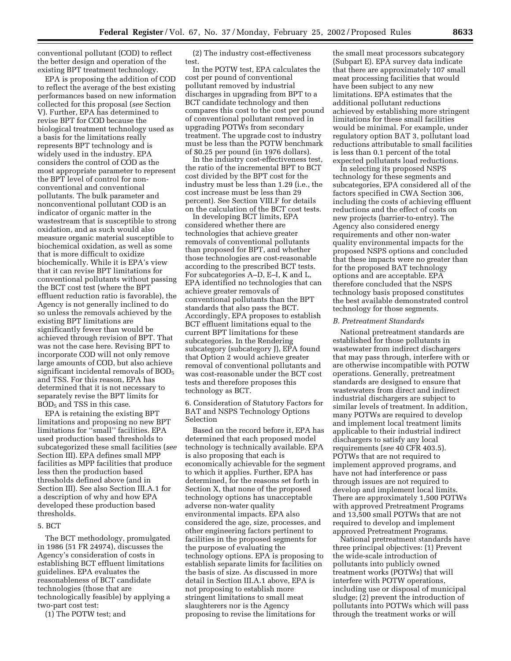conventional pollutant (COD) to reflect the better design and operation of the existing BPT treatment technology.

EPA is proposing the addition of COD to reflect the average of the best existing performances based on new information collected for this proposal (*see* Section V). Further, EPA has determined to revise BPT for COD because the biological treatment technology used as a basis for the limitations really represents BPT technology and is widely used in the industry. EPA considers the control of COD as the most appropriate parameter to represent the BPT level of control for nonconventional and conventional pollutants. The bulk parameter and nonconventional pollutant COD is an indicator of organic matter in the wastestream that is susceptible to strong oxidation, and as such would also measure organic material susceptible to biochemical oxidation, as well as some that is more difficult to oxidize biochemically. While it is EPA's view that it can revise BPT limitations for conventional pollutants without passing the BCT cost test (where the BPT effluent reduction ratio is favorable), the Agency is not generally inclined to do so unless the removals achieved by the existing BPT limitations are significantly fewer than would be achieved through revision of BPT. That was not the case here. Revising BPT to incorporate COD will not only remove large amounts of COD, but also achieve significant incidental removals of  $BOD<sub>5</sub>$ and TSS. For this reason, EPA has determined that it is not necessary to separately revise the BPT limits for  $BOD<sub>5</sub>$  and TSS in this case.

EPA is retaining the existing BPT limitations and proposing no new BPT limitations for ''small'' facilities. EPA used production based thresholds to subcategorized these small facilities (*see* Section III). EPA defines small MPP facilities as MPP facilities that produce less then the production based thresholds defined above (and in Section III). See also Section III.A.1 for a description of why and how EPA developed these production based thresholds.

### 5. BCT

The BCT methodology, promulgated in 1986 (51 FR 24974), discusses the Agency's consideration of costs in establishing BCT effluent limitations guidelines. EPA evaluates the reasonableness of BCT candidate technologies (those that are technologically feasible) by applying a two-part cost test:

(1) The POTW test; and

(2) The industry cost-effectiveness test.

In the POTW test, EPA calculates the cost per pound of conventional pollutant removed by industrial discharges in upgrading from BPT to a BCT candidate technology and then compares this cost to the cost per pound of conventional pollutant removed in upgrading POTWs from secondary treatment. The upgrade cost to industry must be less than the POTW benchmark of \$0.25 per pound (in 1976 dollars).

In the industry cost-effectiveness test, the ratio of the incremental BPT to BCT cost divided by the BPT cost for the industry must be less than 1.29 (i.e., the cost increase must be less than 29 percent). See Section VIII.F for details on the calculation of the BCT cost tests.

In developing BCT limits, EPA considered whether there are technologies that achieve greater removals of conventional pollutants than proposed for BPT, and whether those technologies are cost-reasonable according to the prescribed BCT tests. For subcategories A–D, E–I, K and L, EPA identified no technologies that can achieve greater removals of conventional pollutants than the BPT standards that also pass the BCT. Accordingly, EPA proposes to establish BCT effluent limitations equal to the current BPT limitations for these subcategories. In the Rendering subcategory (subcategory J), EPA found that Option 2 would achieve greater removal of conventional pollutants and was cost-reasonable under the BCT cost tests and therefore proposes this technology as BCT.

6. Consideration of Statutory Factors for BAT and NSPS Technology Options Selection

Based on the record before it, EPA has determined that each proposed model technology is technically available. EPA is also proposing that each is economically achievable for the segment to which it applies. Further, EPA has determined, for the reasons set forth in Section X, that none of the proposed technology options has unacceptable adverse non-water quality environmental impacts. EPA also considered the age, size, processes, and other engineering factors pertinent to facilities in the proposed segments for the purpose of evaluating the technology options. EPA is proposing to establish separate limits for facilities on the basis of size. As discussed in more detail in Section III.A.1 above, EPA is not proposing to establish more stringent limitations to small meat slaughterers nor is the Agency proposing to revise the limitations for

the small meat processors subcategory (Subpart E). EPA survey data indicate that there are approximately 107 small meat processing facilities that would have been subject to any new limitations. EPA estimates that the additional pollutant reductions achieved by establishing more stringent limitations for these small facilities would be minimal. For example, under regulatory option BAT 3, pollutant load reductions attributable to small facilities is less than 0.1 percent of the total expected pollutants load reductions.

In selecting its proposed NSPS technology for these segments and subcategories, EPA considered all of the factors specified in CWA Section 306, including the costs of achieving effluent reductions and the effect of costs on new projects (barrier-to-entry). The Agency also considered energy requirements and other non-water quality environmental impacts for the proposed NSPS options and concluded that these impacts were no greater than for the proposed BAT technology options and are acceptable. EPA therefore concluded that the NSPS technology basis proposed constitutes the best available demonstrated control technology for those segments.

#### *B. Pretreatment Standards*

National pretreatment standards are established for those pollutants in wastewater from indirect dischargers that may pass through, interfere with or are otherwise incompatible with POTW operations. Generally, pretreatment standards are designed to ensure that wastewaters from direct and indirect industrial dischargers are subject to similar levels of treatment. In addition, many POTWs are required to develop and implement local treatment limits applicable to their industrial indirect dischargers to satisfy any local requirements (*see* 40 CFR 403.5). POTWs that are not required to implement approved programs, and have not had interference or pass through issues are not required to develop and implement local limits. There are approximately 1,500 POTWs with approved Pretreatment Programs and 13,500 small POTWs that are not required to develop and implement approved Pretreatment Programs.

National pretreatment standards have three principal objectives: (1) Prevent the wide-scale introduction of pollutants into publicly owned treatment works (POTWs) that will interfere with POTW operations, including use or disposal of municipal sludge; (2) prevent the introduction of pollutants into POTWs which will pass through the treatment works or will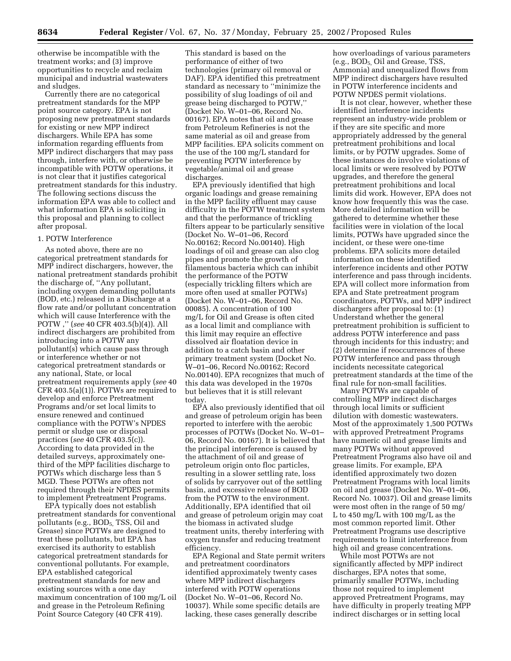otherwise be incompatible with the treatment works; and (3) improve opportunities to recycle and reclaim municipal and industrial wastewaters and sludges.

Currently there are no categorical pretreatment standards for the MPP point source category. EPA is not proposing new pretreatment standards for existing or new MPP indirect dischargers. While EPA has some information regarding effluents from MPP indirect dischargers that may pass through, interfere with, or otherwise be incompatible with POTW operations, it is not clear that it justifies categorical pretreatment standards for this industry. The following sections discuss the information EPA was able to collect and what information EPA is soliciting in this proposal and planning to collect after proposal.

## 1. POTW Interference

As noted above, there are no categorical pretreatment standards for MPP indirect dischargers, however, the national pretreatment standards prohibit the discharge of, ''Any pollutant, including oxygen demanding pollutants (BOD, etc.) released in a Discharge at a flow rate and/or pollutant concentration which will cause Interference with the POTW ,'' (*see* 40 CFR 403.5(b)(4)). All indirect dischargers are prohibited from introducing into a POTW any pollutant(s) which cause pass through or interference whether or not categorical pretreatment standards or any national, State, or local pretreatment requirements apply (*see* 40 CFR 403.5(a)(1)). POTWs are required to develop and enforce Pretreatment Programs and/or set local limits to ensure renewed and continued compliance with the POTW's NPDES permit or sludge use or disposal practices (*see* 40 CFR 403.5(c)). According to data provided in the detailed surveys, approximately onethird of the MPP facilities discharge to POTWs which discharge less than 5 MGD. These POTWs are often not required through their NPDES permits to implement Pretreatment Programs.

EPA typically does not establish pretreatment standards for conventional pollutants (e.g., BOD<sub>5,</sub> TSS, Oil and Grease) since POTWs are designed to treat these pollutants, but EPA has exercised its authority to establish categorical pretreatment standards for conventional pollutants. For example, EPA established categorical pretreatment standards for new and existing sources with a one day maximum concentration of 100 mg/L oil and grease in the Petroleum Refining Point Source Category (40 CFR 419).

This standard is based on the performance of either of two technologies (primary oil removal or DAF). EPA identified this pretreatment standard as necessary to ''minimize the possibility of slug loadings of oil and grease being discharged to POTW,'' (Docket No. W–01–06, Record No. 00167). EPA notes that oil and grease from Petroleum Refineries is not the same material as oil and grease from MPP facilities. EPA solicits comment on the use of the 100 mg/L standard for preventing POTW interference by vegetable/animal oil and grease discharges.

EPA previously identified that high organic loadings and grease remaining in the MPP facility effluent may cause difficulty in the POTW treatment system and that the performance of trickling filters appear to be particularly sensitive (Docket No. W–01–06, Record No.00162; Record No.00140). High loadings of oil and grease can also clog pipes and promote the growth of filamentous bacteria which can inhibit the performance of the POTW (especially trickling filters which are more often used at smaller POTWs) (Docket No. W–01–06, Record No. 00085). A concentration of 100 mg/L for Oil and Grease is often cited as a local limit and compliance with this limit may require an effective dissolved air floatation device in addition to a catch basin and other primary treatment system (Docket No. W–01–06, Record No.00162; Record No.00140). EPA recognizes that much of this data was developed in the 1970s but believes that it is still relevant today.

EPA also previously identified that oil and grease of petroleum origin has been reported to interfere with the aerobic processes of POTWs (Docket No. W–01– 06, Record No. 00167). It is believed that the principal interference is caused by the attachment of oil and grease of petroleum origin onto floc particles, resulting in a slower settling rate, loss of solids by carryover out of the settling basin, and excessive release of BOD from the POTW to the environment. Additionally, EPA identified that oil and grease of petroleum origin may coat the biomass in activated sludge treatment units, thereby interfering with oxygen transfer and reducing treatment efficiency.

EPA Regional and State permit writers and pretreatment coordinators identified approximately twenty cases where MPP indirect dischargers interfered with POTW operations (Docket No. W–01–06, Record No. 10037). While some specific details are lacking, these cases generally describe

how overloadings of various parameters (e.g., BOD<sub>5</sub>, Oil and Grease, TSS, Ammonia) and unequalized flows from MPP indirect dischargers have resulted in POTW interference incidents and POTW NPDES permit violations.

It is not clear, however, whether these identified interference incidents represent an industry-wide problem or if they are site specific and more appropriately addressed by the general pretreatment prohibitions and local limits, or by POTW upgrades. Some of these instances do involve violations of local limits or were resolved by POTW upgrades, and therefore the general pretreatment prohibitions and local limits did work. However, EPA does not know how frequently this was the case. More detailed information will be gathered to determine whether these facilities were in violation of the local limits, POTWs have upgraded since the incident, or these were one-time problems. EPA solicits more detailed information on these identified interference incidents and other POTW interference and pass through incidents. EPA will collect more information from EPA and State pretreatment program coordinators, POTWs, and MPP indirect dischargers after proposal to: (1) Understand whether the general pretreatment prohibition is sufficient to address POTW interference and pass through incidents for this industry; and (2) determine if reoccurrences of these POTW interference and pass through incidents necessitate categorical pretreatment standards at the time of the final rule for non-small facilities.

Many POTWs are capable of controlling MPP indirect discharges through local limits or sufficient dilution with domestic wastewaters. Most of the approximately 1,500 POTWs with approved Pretreatment Programs have numeric oil and grease limits and many POTWs without approved Pretreatment Programs also have oil and grease limits. For example, EPA identified approximately two dozen Pretreatment Programs with local limits on oil and grease (Docket No. W–01–06, Record No. 10037). Oil and grease limits were most often in the range of 50 mg/ L to 450 mg/L with 100 mg/L as the most common reported limit. Other Pretreatment Programs use descriptive requirements to limit interference from high oil and grease concentrations.

While most POTWs are not significantly affected by MPP indirect discharges, EPA notes that some, primarily smaller POTWs, including those not required to implement approved Pretreatment Programs, may have difficulty in properly treating MPP indirect discharges or in setting local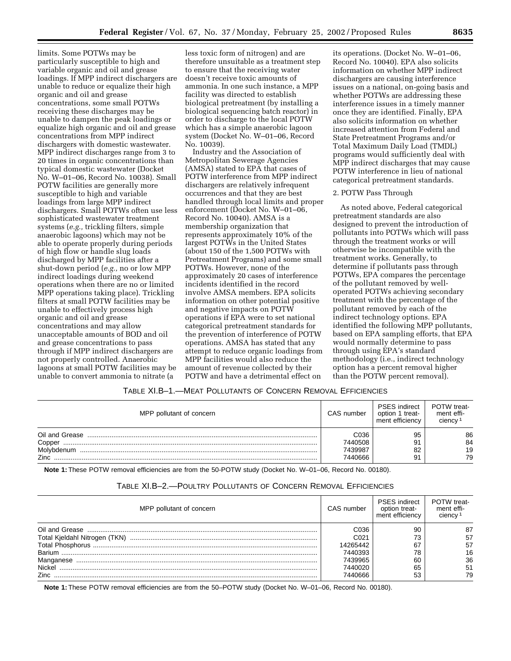limits. Some POTWs may be particularly susceptible to high and variable organic and oil and grease loadings. If MPP indirect dischargers are unable to reduce or equalize their high organic and oil and grease concentrations, some small POTWs receiving these discharges may be unable to dampen the peak loadings or equalize high organic and oil and grease concentrations from MPP indirect dischargers with domestic wastewater. MPP indirect discharges range from 3 to 20 times in organic concentrations than typical domestic wastewater (Docket No. W–01–06, Record No. 10038). Small POTW facilities are generally more susceptible to high and variable loadings from large MPP indirect dischargers. Small POTWs often use less sophisticated wastewater treatment systems (*e.g.,* trickling filters, simple anaerobic lagoons) which may not be able to operate properly during periods of high flow or handle slug loads discharged by MPP facilities after a shut-down period (*e.g.,* no or low MPP indirect loadings during weekend operations when there are no or limited MPP operations taking place). Trickling filters at small POTW facilities may be unable to effectively process high organic and oil and grease concentrations and may allow unacceptable amounts of BOD and oil and grease concentrations to pass through if MPP indirect dischargers are not properly controlled. Anaerobic lagoons at small POTW facilities may be unable to convert ammonia to nitrate (a

less toxic form of nitrogen) and are therefore unsuitable as a treatment step to ensure that the receiving water doesn't receive toxic amounts of ammonia. In one such instance, a MPP facility was directed to establish biological pretreatment (by installing a biological sequencing batch reactor) in order to discharge to the local POTW which has a simple anaerobic lagoon system (Docket No. W–01–06, Record No. 10039).

Industry and the Association of Metropolitan Sewerage Agencies (AMSA) stated to EPA that cases of POTW interference from MPP indirect dischargers are relatively infrequent occurrences and that they are best handled through local limits and proper enforcement (Docket No. W–01–06, Record No. 10040). AMSA is a membership organization that represents approximately 10% of the largest POTWs in the United States (about 150 of the 1,500 POTWs with Pretreatment Programs) and some small POTWs. However, none of the approximately 20 cases of interference incidents identified in the record involve AMSA members. EPA solicits information on other potential positive and negative impacts on POTW operations if EPA were to set national categorical pretreatment standards for the prevention of interference of POTW operations. AMSA has stated that any attempt to reduce organic loadings from MPP facilities would also reduce the amount of revenue collected by their POTW and have a detrimental effect on

its operations. (Docket No. W–01–06, Record No. 10040). EPA also solicits information on whether MPP indirect dischargers are causing interference issues on a national, on-going basis and whether POTWs are addressing these interference issues in a timely manner once they are identified. Finally, EPA also solicits information on whether increased attention from Federal and State Pretreatment Programs and/or Total Maximum Daily Load (TMDL) programs would sufficiently deal with MPP indirect discharges that may cause POTW interference in lieu of national categorical pretreatment standards.

#### 2. POTW Pass Through

As noted above, Federal categorical pretreatment standards are also designed to prevent the introduction of pollutants into POTWs which will pass through the treatment works or will otherwise be incompatible with the treatment works. Generally, to determine if pollutants pass through POTWs, EPA compares the percentage of the pollutant removed by welloperated POTWs achieving secondary treatment with the percentage of the pollutant removed by each of the indirect technology options. EPA identified the following MPP pollutants, based on EPA sampling efforts, that EPA would normally determine to pass through using EPA's standard methodology (i.e., indirect technology option has a percent removal higher than the POTW percent removal).

## TABLE XI.B–1.—MEAT POLLUTANTS OF CONCERN REMOVAL EFFICIENCIES

| MPP pollutant of concern | CAS number | <b>PSES</b> indirect<br>option 1 treat-<br>ment efficiency | <b>POTW</b> treat-<br>ment effi-<br>ciency <sup>1</sup> |
|--------------------------|------------|------------------------------------------------------------|---------------------------------------------------------|
| Oil and Grease           | C036       | 95                                                         | 86                                                      |
| Copper                   | 7440508    | 91                                                         | 84                                                      |
| Molybdenum               | 7439987    | 82                                                         | 19                                                      |
| Zinc.                    | 7440666    | 91                                                         | 79                                                      |

**Note 1:** These POTW removal efficiencies are from the 50-POTW study (Docket No. W–01–06, Record No. 00180).

| MPP pollutant of concern | CAS number | <b>PSES</b> indirect<br>option treat-<br>ment efficiency | <b>POTW</b> treat-<br>ment effi-<br>ciency <sup>1</sup> |
|--------------------------|------------|----------------------------------------------------------|---------------------------------------------------------|
|                          | C036       | 90                                                       | 87                                                      |
|                          | C021       | ᢇ                                                        | 57                                                      |
|                          | 4265442    | 67                                                       | 57                                                      |
|                          | 7440393    | 78                                                       | 16                                                      |
| Manganese                | 7439965    | 60                                                       | 36                                                      |
| Nickel                   | 7440020    | 65                                                       | 51                                                      |
| Zinc                     | 7440666    | 53                                                       | 79                                                      |
|                          |            |                                                          |                                                         |

# TABLE XI.B–2.—POULTRY POLLUTANTS OF CONCERN REMOVAL EFFICIENCIES

**Note 1:** These POTW removal efficiencies are from the 50–POTW study (Docket No. W–01–06, Record No. 00180).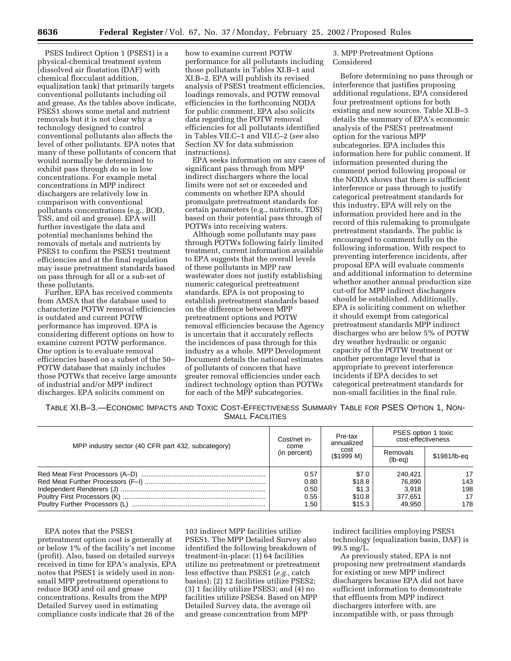PSES Indirect Option 1 (PSES1) is a physical-chemical treatment system [dissolved air floatation (DAF) with chemical flocculant addition, equalization tank] that primarily targets conventional pollutants including oil and grease. As the tables above indicate, PSES1 shows some metal and nutrient removals but it is not clear why a technology designed to control conventional pollutants also affects the level of other pollutants. EPA notes that many of these pollutants of concern that would normally be determined to exhibit pass through do so in low concentrations. For example metal concentrations in MPP indirect dischargers are relatively low in comparison with conventional pollutants concentrations (e.g., BOD, TSS, and oil and grease). EPA will further investigate the data and potential mechanisms behind the removals of metals and nutrients by PSES1 to confirm the PSES1 treatment efficiencies and at the final regulation may issue pretreatment standards based on pass through for all or a sub-set of these pollutants.

Further, EPA has received comments from AMSA that the database used to characterize POTW removal efficiencies is outdated and current POTW performance has improved. EPA is considering different options on how to examine current POTW performance. One option is to evaluate removal efficiencies based on a subset of the 50– POTW database that mainly includes those POTWs that receive large amounts of industrial and/or MPP indirect discharges. EPA solicits comment on

how to examine current POTW performance for all pollutants including those pollutants in Tables XI.B–1 and XI.B–2. EPA will publish its revised analysis of PSES1 treatment efficiencies, loadings removals, and POTW removal efficiencies in the forthcoming NODA for public comment. EPA also solicits data regarding the POTW removal efficiencies for all pollutants identified in Tables VII.C–1 and VII.C–2 (*see* also Section XV for data submission instructions).

EPA seeks information on any cases of significant pass through from MPP indirect dischargers where the local limits were not set or exceeded and comments on whether EPA should promulgate pretreatment standards for certain parameters (e.g., nutrients, TDS) based on their potential pass through of POTWs into receiving waters.

Although some pollutants may pass through POTWs following fairly limited treatment, current information available to EPA suggests that the overall levels of these pollutants in MPP raw wastewater does not justify establishing numeric categorical pretreatment standards. EPA is not proposing to establish pretreatment standards based on the difference between MPP pretreatment options and POTW removal efficiencies because the Agency is uncertain that it accurately reflects the incidences of pass through for this industry as a whole. MPP Development Document details the national estimates of pollutants of concern that have greater removal efficiencies under each indirect technology option than POTWs for each of the MPP subcategories.

3. MPP Pretreatment Options Considered

Before determining no pass through or interference that justifies proposing additional regulations, EPA considered four pretreatment options for both existing and new sources. Table XI.B–3 details the summary of EPA's economic analysis of the PSES1 pretreatment option for the various MPP subcategories. EPA includes this information here for public comment. If information presented during the comment period following proposal or the NODA shows that there is sufficient interference or pass through to justify categorical pretreatment standards for this industry, EPA will rely on the information provided here and in the record of this rulemaking to promulgate pretreatment standards. The public is encouraged to comment fully on the following information. With respect to preventing interference incidents, after proposal EPA will evaluate comments and additional information to determine whether another annual production size cut-off for MPP indirect dischargers should be established. Additionally, EPA is soliciting comment on whether it should exempt from categorical pretreatment standards MPP indirect discharges who are below 5% of POTW dry weather hydraulic or organic capacity of the POTW treatment or another percentage level that is appropriate to prevent interference incidents if EPA decides to set categorical pretreatment standards for non-small facilities in the final rule.

TABLE XI.B–3.—ECONOMIC IMPACTS AND TOXIC COST-EFFECTIVENESS SUMMARY TABLE FOR PSES OPTION 1, NON-SMALL FACILITIES

| MPP industry sector (40 CFR part 432, subcategory) | Cost/net in-<br>come<br>(in percent) | Pre-tax<br>annualized<br>cost<br>(S1999 M)   | PSES option 1 toxic<br>cost-effectiveness       |                               |
|----------------------------------------------------|--------------------------------------|----------------------------------------------|-------------------------------------------------|-------------------------------|
|                                                    |                                      |                                              | Removals<br>$(lb-eq)$                           | \$1981/lb-eq                  |
|                                                    | 0.57<br>0.80<br>0.50<br>0.55<br>1.50 | \$7.0<br>\$18.8<br>\$1.3<br>\$10.8<br>\$15.3 | 240.421<br>76,890<br>3.918<br>377.651<br>49.950 | 17<br>143<br>198<br>17<br>178 |

EPA notes that the PSES1 pretreatment option cost is generally at or below 1% of the facility's net income (profit). Also, based on detailed surveys received in time for EPA's analysis, EPA notes that PSES1 is widely used in nonsmall MPP pretreatment operations to reduce BOD and oil and grease concentrations. Results from the MPP Detailed Survey used in estimating compliance costs indicate that 26 of the

103 indirect MPP facilities utilize PSES1. The MPP Detailed Survey also identified the following breakdown of treatment-in-place: (1) 64 facilities utilize no pretreatment or pretreatment less effective than PSES1 (*e.g.,* catch basins); (2) 12 facilities utilize PSES2; (3) 1 facility utilize PSES3; and (4) no facilities utilize PSES4. Based on MPP Detailed Survey data, the average oil and grease concentration from MPP

indirect facilities employing PSES1 technology (equalization basin, DAF) is 99.5 mg/L.

As previously stated, EPA is not proposing new pretreatment standards for existing or new MPP indirect dischargers because EPA did not have sufficient information to demonstrate that effluents from MPP indirect dischargers interfere with, are incompatible with, or pass through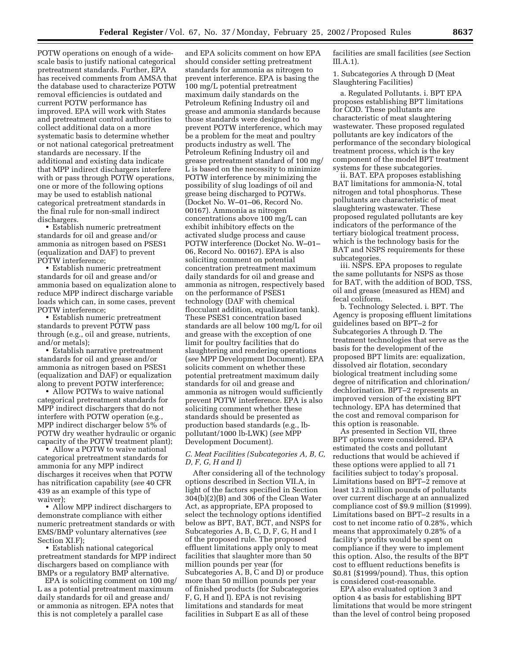POTW operations on enough of a widescale basis to justify national categorical pretreatment standards. Further, EPA has received comments from AMSA that the database used to characterize POTW removal efficiencies is outdated and current POTW performance has improved. EPA will work with States and pretreatment control authorities to collect additional data on a more systematic basis to determine whether or not national categorical pretreatment standards are necessary. If the additional and existing data indicate that MPP indirect dischargers interfere with or pass through POTW operations, one or more of the following options may be used to establish national categorical pretreatment standards in the final rule for non-small indirect dischargers.

• Establish numeric pretreatment standards for oil and grease and/or ammonia as nitrogen based on PSES1 (equalization and DAF) to prevent POTW interference;

• Establish numeric pretreatment standards for oil and grease and/or ammonia based on equalization alone to reduce MPP indirect discharge variable loads which can, in some cases, prevent POTW interference;

• Establish numeric pretreatment standards to prevent POTW pass through (e.g., oil and grease, nutrients, and/or metals);

• Establish narrative pretreatment standards for oil and grease and/or ammonia as nitrogen based on PSES1 (equalization and DAF) or equalization along to prevent POTW interference;

• Allow POTWs to waive national categorical pretreatment standards for MPP indirect dischargers that do not interfere with POTW operation (e.g., MPP indirect discharger below 5% of POTW dry weather hydraulic or organic capacity of the POTW treatment plant);

• Allow a POTW to waive national categorical pretreatment standards for ammonia for any MPP indirect discharges it receives when that POTW has nitrification capability (*see* 40 CFR 439 as an example of this type of waiver);

• Allow MPP indirect dischargers to demonstrate compliance with either numeric pretreatment standards or with EMS/BMP voluntary alternatives (*see* Section XI<sub>F</sub>).

• Establish national categorical pretreatment standards for MPP indirect dischargers based on compliance with BMPs or a regulatory BMP alternative.

EPA is soliciting comment on 100 mg/ L as a potential pretreatment maximum daily standards for oil and grease and/ or ammonia as nitrogen. EPA notes that this is not completely a parallel case

and EPA solicits comment on how EPA should consider setting pretreatment standards for ammonia as nitrogen to prevent interference. EPA is basing the 100 mg/L potential pretreatment maximum daily standards on the Petroleum Refining Industry oil and grease and ammonia standards because those standards were designed to prevent POTW interference, which may be a problem for the meat and poultry products industry as well. The Petroleum Refining Industry oil and grease pretreatment standard of 100 mg/ L is based on the necessity to minimize POTW interference by minimizing the possibility of slug loadings of oil and grease being discharged to POTWs. (Docket No. W–01–06, Record No. 00167). Ammonia as nitrogen concentrations above 100 mg/L can exhibit inhibitory effects on the activated sludge process and cause POTW interference (Docket No. W–01– 06, Record No. 00167). EPA is also soliciting comment on potential concentration pretreatment maximum daily standards for oil and grease and ammonia as nitrogen, respectively based on the performance of PSES1 technology (DAF with chemical flocculant addition, equalization tank). These PSES1 concentration based standards are all below 100 mg/L for oil and grease with the exception of one limit for poultry facilities that do slaughtering and rendering operations (*see* MPP Development Document). EPA solicits comment on whether these potential pretreatment maximum daily standards for oil and grease and ammonia as nitrogen would sufficiently prevent POTW interference. EPA is also soliciting comment whether these standards should be presented as production based standards (e.g., lbpollutant/1000 lb-LWK) (*see* MPP Development Document).

## *C. Meat Facilities (Subcategories A, B, C, D, F, G, H and I)*

After considering all of the technology options described in Section VII.A, in light of the factors specified in Section 304(b)(2)(B) and 306 of the Clean Water Act, as appropriate, EPA proposed to select the technology options identified below as BPT, BAT, BCT, and NSPS for Subcategories A, B, C, D, F, G, H and I of the proposed rule. The proposed effluent limitations apply only to meat facilities that slaughter more than 50 million pounds per year (for Subcategories A, B, C and D) or produce more than 50 million pounds per year of finished products (for Subcategories F, G, H and I). EPA is not revising limitations and standards for meat facilities in Subpart E as all of these

facilities are small facilities (*see* Section III.A.1).

1. Subcategories A through D (Meat Slaughtering Facilities)

a. Regulated Pollutants. i. BPT EPA proposes establishing BPT limitations for COD. These pollutants are characteristic of meat slaughtering wastewater. These proposed regulated pollutants are key indicators of the performance of the secondary biological treatment process, which is the key component of the model BPT treatment systems for these subcategories.

ii. BAT. EPA proposes establishing BAT limitations for ammonia-N, total nitrogen and total phosphorus. These pollutants are characteristic of meat slaughtering wastewater. These proposed regulated pollutants are key indicators of the performance of the tertiary biological treatment process, which is the technology basis for the BAT and NSPS requirements for these subcategories.

iii. NSPS. EPA proposes to regulate the same pollutants for NSPS as those for BAT, with the addition of BOD, TSS, oil and grease (measured as HEM) and fecal coliform.

b. Technology Selected. i. BPT. The Agency is proposing effluent limitations guidelines based on BPT–2 for Subcategories A through D. The treatment technologies that serve as the basis for the development of the proposed BPT limits are: equalization, dissolved air flotation, secondary biological treatment including some degree of nitrification and chlorination/ dechlorination. BPT–2 represents an improved version of the existing BPT technology. EPA has determined that the cost and removal comparison for this option is reasonable.

As presented in Section VII, three BPT options were considered. EPA estimated the costs and pollutant reductions that would be achieved if these options were applied to all 71 facilities subject to today's proposal. Limitations based on BPT–2 remove at least 12.3 million pounds of pollutants over current discharge at an annualized compliance cost of \$9.9 million (\$1999). Limitations based on BPT–2 results in a cost to net income ratio of 0.28%, which means that approximately 0.28% of a facility's profits would be spent on compliance if they were to implement this option. Also, the results of the BPT cost to effluent reductions benefits is \$0.81 (\$1999/pound). Thus, this option is considered cost-reasonable.

EPA also evaluated option 3 and option 4 as basis for establishing BPT limitations that would be more stringent than the level of control being proposed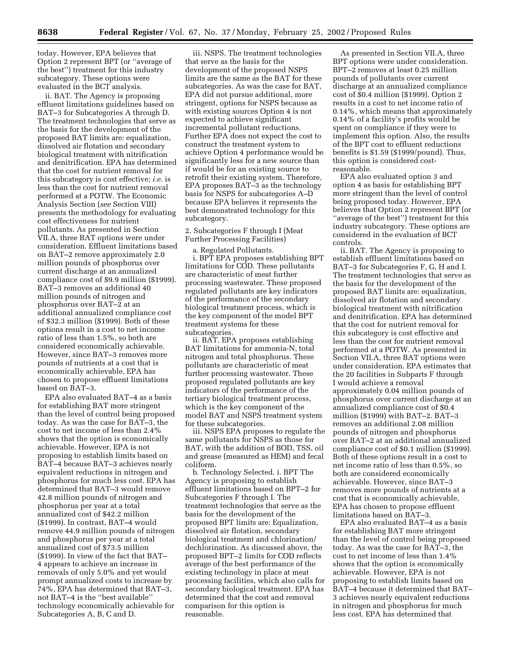today. However, EPA believes that Option 2 represent BPT (or ''average of the best'') treatment for this industry subcategory. These options were evaluated in the BCT analysis.

ii. BAT. The Agency is proposing effluent limitations guidelines based on BAT–3 for Subcategories A through D. The treatment technologies that serve as the basis for the development of the proposed BAT limits are: equalization, dissolved air flotation and secondary biological treatment with nitrification and denitrification. EPA has determined that the cost for nutrient removal for this subcategory is cost effective; *i.e.* is less than the cost for nutrient removal performed at a POTW. The Economic Analysis Section (*see* Section VIII) presents the methodology for evaluating cost effectiveness for nutrient pollutants. As presented in Section VII.A, three BAT options were under consideration. Effluent limitations based on BAT–2 remove approximately 2.0 million pounds of phosphorus over current discharge at an annualized compliance cost of \$9.9 million (\$1999). BAT–3 removes an additional 40 million pounds of nitrogen and phosphorus over BAT–2 at an additional annualized compliance cost of \$32.3 million (\$1999). Both of these options result in a cost to net income ratio of less than 1.5%, so both are considered economically achievable. However, since BAT–3 removes more pounds of nutrients at a cost that is economically achievable, EPA has chosen to propose effluent limitations based on BAT–3.

EPA also evaluated BAT–4 as a basis for establishing BAT more stringent than the level of control being proposed today. As was the case for BAT–3, the cost to net income of less than 2.4% shows that the option is economically achievable. However, EPA is not proposing to establish limits based on BAT–4 because BAT–3 achieves nearly equivalent reductions in nitrogen and phosphorus for much less cost. EPA has determined that BAT–3 would remove 42.8 million pounds of nitrogen and phosphorus per year at a total annualized cost of \$42.2 million (\$1999). In contrast, BAT–4 would remove 44.9 million pounds of nitrogen and phosphorus per year at a total annualized cost of \$73.5 million (\$1999). In view of the fact that BAT– 4 appears to achieve an increase in removals of only 5.0% and yet would prompt annualized costs to increase by 74%, EPA has determined that BAT–3, not BAT–4 is the ''best available'' technology economically achievable for Subcategories A, B, C and D.

iii. NSPS. The treatment technologies that serve as the basis for the development of the proposed NSPS limits are the same as the BAT for these subcategories. As was the case for BAT, EPA did not pursue additional, more stringent, options for NSPS because as with existing sources Option 4 is not expected to achieve significant incremental pollutant reductions. Further EPA does not expect the cost to construct the treatment system to achieve Option 4 performance would be significantly less for a new source than if would be for an existing source to retrofit their existing system. Therefore, EPA proposes BAT–3 as the technology basis for NSPS for subcategories A–D because EPA believes it represents the best demonstrated technology for this subcategory.

2. Subcategories F through I (Meat Further Processing Facilities)

a. Regulated Pollutants.

i. BPT EPA proposes establishing BPT limitations for COD. These pollutants are characteristic of meat further processing wastewater. These proposed regulated pollutants are key indicators of the performance of the secondary biological treatment process, which is the key component of the model BPT treatment systems for these subcategories.

ii. BAT. EPA proposes establishing BAT limitations for ammonia-N, total nitrogen and total phosphorus. These pollutants are characteristic of meat further processing wastewater. These proposed regulated pollutants are key indicators of the performance of the tertiary biological treatment process, which is the key component of the model BAT and NSPS treatment system for these subcategories.

iii. NSPS EPA proposes to regulate the same pollutants for NSPS as those for BAT, with the addition of BOD, TSS, oil and grease (measured as HEM) and fecal coliform.

b. Technology Selected. i. BPT The Agency is proposing to establish effluent limitations based on BPT–2 for Subcategories F through I. The treatment technologies that serve as the basis for the development of the proposed BPT limits are: Equalization, dissolved air flotation, secondary biological treatment and chlorination/ dechlorination. As discussed above, the proposed BPT–2 limits for COD reflects average of the best performance of the existing technology in place at meat processing facilities, which also calls for secondary biological treatment. EPA has determined that the cost and removal comparison for this option is reasonable.

As presented in Section VII.A, three BPT options were under consideration. BPT–2 removes at least 0.25 million pounds of pollutants over current discharge at an annualized compliance cost of \$0.4 million (\$1999). Option 2 results in a cost to net income ratio of 0.14%, which means that approximately 0.14% of a facility's profits would be spent on compliance if they were to implement this option. Also, the results of the BPT cost to effluent reductions benefits is \$1.59 (\$1999/pound). Thus, this option is considered costreasonable.

EPA also evaluated option 3 and option 4 as basis for establishing BPT more stringent than the level of control being proposed today. However, EPA believes that Option 2 represent BPT (or ''average of the best'') treatment for this industry subcategory. These options are considered in the evaluation of BCT controls.

ii. BAT. The Agency is proposing to establish effluent limitations based on BAT–3 for Subcategories F, G, H and I. The treatment technologies that serve as the basis for the development of the proposed BAT limits are: equalization, dissolved air flotation and secondary biological treatment with nitrification and denitrification. EPA has determined that the cost for nutrient removal for this subcategory is cost effective and less than the cost for nutrient removal performed at a POTW. As presented in Section VII.A, three BAT options were under consideration. EPA estimates that the 20 facilities in Subparts F through I would achieve a removal approximately 0.04 million pounds of phosphorus over current discharge at an annualized compliance cost of \$0.4 million (\$1999) with BAT–2. BAT–3 removes an additional 2.08 million pounds of nitrogen and phosphorus over BAT–2 at an additional annualized compliance cost of \$0.1 million (\$1999). Both of these options result in a cost to net income ratio of less than 0.5%, so both are considered economically achievable. However, since BAT–3 removes more pounds of nutrients at a cost that is economically achievable, EPA has chosen to propose effluent limitations based on BAT–3.

EPA also evaluated BAT–4 as a basis for establishing BAT more stringent than the level of control being proposed today. As was the case for BAT–3, the cost to net income of less than 1.4% shows that the option is economically achievable. However, EPA is not proposing to establish limits based on BAT–4 because it determined that BAT– 3 achieves nearly equivalent reductions in nitrogen and phosphorus for much less cost. EPA has determined that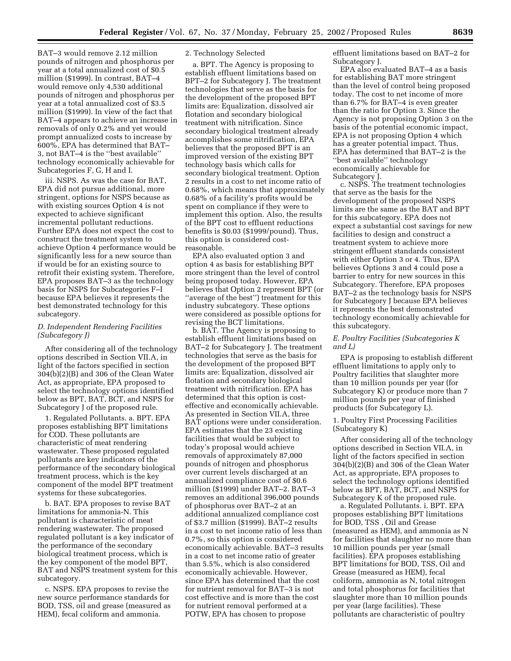BAT–3 would remove 2.12 million pounds of nitrogen and phosphorus per year at a total annualized cost of \$0.5 million (\$1999). In contrast, BAT–4 would remove only 4,530 additional pounds of nitrogen and phosphorus per year at a total annualized cost of \$3.5 million (\$1999). In view of the fact that BAT–4 appears to achieve an increase in removals of only 0.2% and yet would prompt annualized costs to increase by 600%, EPA has determined that BAT– 3, not BAT–4 is the ''best available'' technology economically achievable for Subcategories F, G, H and I.

iii. NSPS. As was the case for BAT, EPA did not pursue additional, more stringent, options for NSPS because as with existing sources Option 4 is not expected to achieve significant incremental pollutant reductions. Further EPA does not expect the cost to construct the treatment system to achieve Option 4 performance would be significantly less for a new source than if would be for an existing source to retrofit their existing system. Therefore, EPA proposes BAT–3 as the technology basis for NSPS for Subcategories F–I because EPA believes it represents the best demonstrated technology for this subcategory.

#### *D. Independent Rendering Facilities (Subcategory J)*

After considering all of the technology options described in Section VII.A, in light of the factors specified in section 304(b)(2)(B) and 306 of the Clean Water Act, as appropriate, EPA proposed to select the technology options identified below as BPT, BAT, BCT, and NSPS for Subcategory J of the proposed rule.

1. Regulated Pollutants. a. BPT. EPA proposes establishing BPT limitations for COD. These pollutants are characteristic of meat rendering wastewater. These proposed regulated pollutants are key indicators of the performance of the secondary biological treatment process, which is the key component of the model BPT treatment systems for these subcategories.

b. BAT. EPA proposes to revise BAT limitations for ammonia-N. This pollutant is characteristic of meat rendering wastewater. The proposed regulated pollutant is a key indicator of the performance of the secondary biological treatment process, which is the key component of the model BPT, BAT and NSPS treatment system for this subcategory.

c. NSPS. EPA proposes to revise the new source performance standards for BOD, TSS, oil and grease (measured as HEM), fecal coliform and ammonia.

#### 2. Technology Selected

a. BPT. The Agency is proposing to establish effluent limitations based on BPT–2 for Subcategory J. The treatment technologies that serve as the basis for the development of the proposed BPT limits are: Equalization, dissolved air flotation and secondary biological treatment with nitrification. Since secondary biological treatment already accomplishes some nitrification, EPA believes that the proposed BPT is an improved version of the existing BPT technology basis which calls for secondary biological treatment. Option 2 results in a cost to net income ratio of 0.68%, which means that approximately 0.68% of a facility's profits would be spent on compliance if they were to implement this option. Also, the results of the BPT cost to effluent reductions benefits is \$0.03 (\$1999/pound). Thus, this option is considered costreasonable.

EPA also evaluated option 3 and option 4 as basis for establishing BPT more stringent than the level of control being proposed today. However, EPA believes that Option 2 represent BPT (or ''average of the best'') treatment for this industry subcategory. These options were considered as possible options for revising the BCT limitations.

b. BAT. The Agency is proposing to establish effluent limitations based on BAT–2 for Subcategory J. The treatment technologies that serve as the basis for the development of the proposed BPT limits are: Equalization, dissolved air flotation and secondary biological treatment with nitrification. EPA has determined that this option is costeffective and economically achievable. As presented in Section VII.A, three BAT options were under consideration. EPA estimates that the 23 existing facilities that would be subject to today's proposal would achieve removals of approximately 87,000 pounds of nitrogen and phosphorus over current levels discharged at an annualized compliance cost of \$0.6 million (\$1999) under BAT–2. BAT–3 removes an additional 396,000 pounds of phosphorus over BAT–2 at an additional annualized compliance cost of \$3.7 million (\$1999). BAT–2 results in a cost to net income ratio of less than 0.7%, so this option is considered economically achievable. BAT–3 results in a cost to net income ratio of greater than 5.5%, which is also considered economically achievable. However, since EPA has determined that the cost for nutrient removal for BAT–3 is not cost effective and is more than the cost for nutrient removal performed at a POTW, EPA has chosen to propose

effluent limitations based on BAT–2 for Subcategory J.

EPA also evaluated BAT–4 as a basis for establishing BAT more stringent than the level of control being proposed today. The cost to net income of more than 6.7% for BAT–4 is even greater than the ratio for Option 3. Since the Agency is not proposing Option 3 on the basis of the potential economic impact, EPA is not proposing Option 4 which has a greater potential impact. Thus, EPA has determined that BAT–2 is the ''best available'' technology economically achievable for Subcategory J.

c. NSPS. The treatment technologies that serve as the basis for the development of the proposed NSPS limits are the same as the BAT and BPT for this subcategory. EPA does not expect a substantial cost savings for new facilities to design and construct a treatment system to achieve more stringent effluent standards consistent with either Option 3 or 4. Thus, EPA believes Options 3 and 4 could pose a barrier to entry for new sources in this Subcategory. Therefore, EPA proposes BAT–2 as the technology basis for NSPS for Subcategory J because EPA believes it represents the best demonstrated technology economically achievable for this subcategory.

## *E. Poultry Facilities (Subcategories K and L)*

EPA is proposing to establish different effluent limitations to apply only to Poultry facilities that slaughter more than 10 million pounds per year (for Subcategory K) or produce more than 7 million pounds per year of finished products (for Subcategory L).

## 1. Poultry First Processing Facilities (Subcategory K)

After considering all of the technology options described in Section VII.A, in light of the factors specified in section 304(b)(2)(B) and 306 of the Clean Water Act, as appropriate, EPA proposes to select the technology options identified below as BPT, BAT, BCT, and NSPS for Subcategory K of the proposed rule.

a. Regulated Pollutants. i. BPT. EPA proposes establishing BPT limitations for BOD, TSS , Oil and Grease (measured as HEM), and ammonia as N for facilities that slaughter no more than 10 million pounds per year (small facilities). EPA proposes establishing BPT limitations for BOD, TSS, Oil and Grease (measured as HEM), fecal coliform, ammonia as N, total nitrogen and total phosphorus for facilities that slaughter more than 10 million pounds per year (large facilities). These pollutants are characteristic of poultry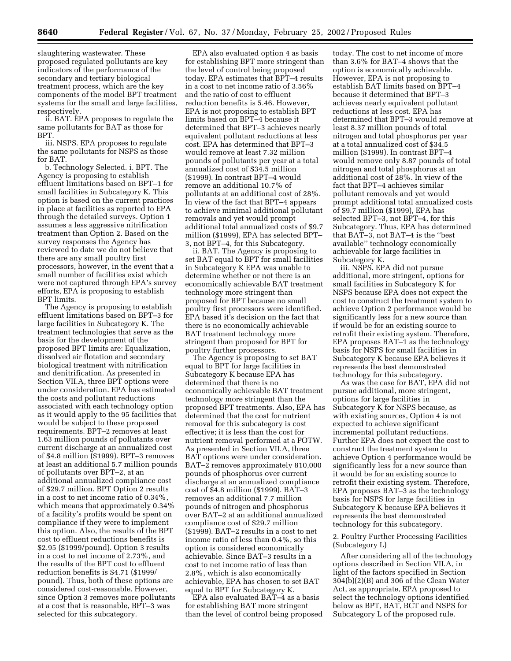slaughtering wastewater. These proposed regulated pollutants are key indicators of the performance of the secondary and tertiary biological treatment process, which are the key components of the model BPT treatment systems for the small and large facilities, respectively.

ii. BAT. EPA proposes to regulate the same pollutants for BAT as those for BPT.

iii. NSPS. EPA proposes to regulate the same pollutants for NSPS as those for BAT.

b. Technology Selected. i. BPT. The Agency is proposing to establish effluent limitations based on BPT–1 for small facilities in Subcategory K. This option is based on the current practices in place at facilities as reported to EPA through the detailed surveys. Option 1 assumes a less aggressive nitrification treatment than Option 2. Based on the survey responses the Agency has reviewed to date we do not believe that there are any small poultry first processors, however, in the event that a small number of facilities exist which were not captured through EPA's survey efforts, EPA is proposing to establish BPT limits.

The Agency is proposing to establish effluent limitations based on BPT–3 for large facilities in Subcategory K. The treatment technologies that serve as the basis for the development of the proposed BPT limits are: Equalization, dissolved air flotation and secondary biological treatment with nitrification and denitrification. As presented in Section VII.A, three BPT options were under consideration. EPA has estimated the costs and pollutant reductions associated with each technology option as it would apply to the 95 facilities that would be subject to these proposed requirements. BPT–2 removes at least 1.63 million pounds of pollutants over current discharge at an annualized cost of \$4.8 million (\$1999). BPT–3 removes at least an additional 5.7 million pounds of pollutants over BPT–2, at an additional annualized compliance cost of \$29.7 million. BPT Option 2 results in a cost to net income ratio of 0.34%, which means that approximately 0.34% of a facility's profits would be spent on compliance if they were to implement this option. Also, the results of the BPT cost to effluent reductions benefits is \$2.95 (\$1999/pound). Option 3 results in a cost to net income of 2.73%, and the results of the BPT cost to effluent reduction benefits is \$4.71 (\$1999/ pound). Thus, both of these options are considered cost-reasonable. However, since Option 3 removes more pollutants at a cost that is reasonable, BPT–3 was selected for this subcategory.

EPA also evaluated option 4 as basis for establishing BPT more stringent than the level of control being proposed today. EPA estimates that BPT–4 results in a cost to net income ratio of 3.56% and the ratio of cost to effluent reduction benefits is 5.46. However, EPA is not proposing to establish BPT limits based on BPT–4 because it determined that BPT–3 achieves nearly equivalent pollutant reductions at less cost. EPA has determined that BPT–3 would remove at least 7.32 million pounds of pollutants per year at a total annualized cost of \$34.5 million (\$1999). In contrast BPT–4 would remove an additional 10.7% of pollutants at an additional cost of 28%. In view of the fact that BPT–4 appears to achieve minimal additional pollutant removals and yet would prompt additional total annualized costs of \$9.7 million (\$1999), EPA has selected BPT– 3, not BPT–4, for this Subcategory.

ii. BAT. The Agency is proposing to set BAT equal to BPT for small facilities in Subcategory K EPA was unable to determine whether or not there is an economically achievable BAT treatment technology more stringent than proposed for BPT because no small poultry first processors were identified. EPA based it's decision on the fact that there is no economically achievable BAT treatment technology more stringent than proposed for BPT for poultry further processors.

The Agency is proposing to set BAT equal to BPT for large facilities in Subcategory K because EPA has determined that there is no economically achievable BAT treatment technology more stringent than the proposed BPT treatments. Also, EPA has determined that the cost for nutrient removal for this subcategory is cost effective; it is less than the cost for nutrient removal performed at a POTW. As presented in Section VII.A, three BAT options were under consideration. BAT–2 removes approximately 810,000 pounds of phosphorus over current discharge at an annualized compliance cost of \$4.8 million (\$1999). BAT–3 removes an additional 7.7 million pounds of nitrogen and phosphorus over BAT–2 at an additional annualized compliance cost of \$29.7 million (\$1999). BAT–2 results in a cost to net income ratio of less than 0.4%, so this option is considered economically achievable. Since BAT–3 results in a cost to net income ratio of less than 2.8%, which is also economically achievable, EPA has chosen to set BAT equal to BPT for Subcategory K.

EPA also evaluated BAT–4 as a basis for establishing BAT more stringent than the level of control being proposed

today. The cost to net income of more than 3.6% for BAT–4 shows that the option is economically achievable. However, EPA is not proposing to establish BAT limits based on BPT–4 because it determined that BPT–3 achieves nearly equivalent pollutant reductions at less cost. EPA has determined that BPT–3 would remove at least 8.37 million pounds of total nitrogen and total phosphorus per year at a total annualized cost of \$34.5 million (\$1999). In contrast BPT–4 would remove only 8.87 pounds of total nitrogen and total phosphorus at an additional cost of 28%. In view of the fact that BPT–4 achieves similar pollutant removals and yet would prompt additional total annualized costs of \$9.7 million (\$1999), EPA has selected BPT–3, not BPT–4, for this Subcategory. Thus, EPA has determined that BAT–3, not BAT–4 is the ''best available'' technology economically achievable for large facilities in Subcategory K.

iii. NSPS. EPA did not pursue additional, more stringent, options for small facilities in Subcategory K for NSPS because EPA does not expect the cost to construct the treatment system to achieve Option 2 performance would be significantly less for a new source than if would be for an existing source to retrofit their existing system. Therefore, EPA proposes BAT–1 as the technology basis for NSPS for small facilities in Subcategory K because EPA believes it represents the best demonstrated technology for this subcategory.

As was the case for BAT, EPA did not pursue additional, more stringent, options for large facilities in Subcategory K for NSPS because, as with existing sources, Option 4 is not expected to achieve significant incremental pollutant reductions. Further EPA does not expect the cost to construct the treatment system to achieve Option 4 performance would be significantly less for a new source than it would be for an existing source to retrofit their existing system. Therefore, EPA proposes BAT–3 as the technology basis for NSPS for large facilities in Subcategory K because EPA believes it represents the best demonstrated technology for this subcategory.

## 2. Poultry Further Processing Facilities (Subcategory L)

After considering all of the technology options described in Section VII.A, in light of the factors specified in Section 304(b)(2)(B) and 306 of the Clean Water Act, as appropriate, EPA proposed to select the technology options identified below as BPT, BAT, BCT and NSPS for Subcategory L of the proposed rule.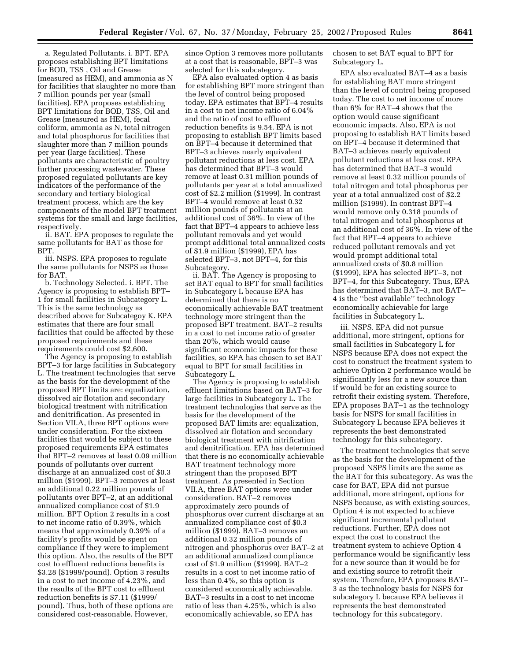a. Regulated Pollutants. i. BPT. EPA proposes establishing BPT limitations for BOD, TSS , Oil and Grease (measured as HEM), and ammonia as N for facilities that slaughter no more than 7 million pounds per year (small facilities). EPA proposes establishing BPT limitations for BOD, TSS, Oil and Grease (measured as HEM), fecal coliform, ammonia as N, total nitrogen and total phosphorus for facilities that slaughter more than 7 million pounds per year (large facilities). These pollutants are characteristic of poultry further processing wastewater. These proposed regulated pollutants are key indicators of the performance of the secondary and tertiary biological treatment process, which are the key components of the model BPT treatment systems for the small and large facilities, respectively.

ii. BAT. EPA proposes to regulate the same pollutants for BAT as those for BPT.

iii. NSPS. EPA proposes to regulate the same pollutants for NSPS as those for BAT.

b. Technology Selected. i. BPT. The Agency is proposing to establish BPT– 1 for small facilities in Subcategory L. This is the same technology as described above for Subcategoy K. EPA estimates that there are four small facilities that could be affected by these proposed requirements and these requirements could cost \$2,600.

The Agency is proposing to establish BPT–3 for large facilities in Subcategory L. The treatment technologies that serve as the basis for the development of the proposed BPT limits are: equalization, dissolved air flotation and secondary biological treatment with nitrification and denitrification. As presented in Section VII.A, three BPT options were under consideration. For the sixteen facilities that would be subject to these proposed requirements EPA estimates that BPT–2 removes at least 0.09 million pounds of pollutants over current discharge at an annualized cost of \$0.3 million (\$1999). BPT–3 removes at least an additional 0.22 million pounds of pollutants over BPT–2, at an additional annualized compliance cost of \$1.9 million. BPT Option 2 results in a cost to net income ratio of 0.39%, which means that approximately 0.39% of a facility's profits would be spent on compliance if they were to implement this option. Also, the results of the BPT cost to effluent reductions benefits is \$3.28 (\$1999/pound). Option 3 results in a cost to net income of 4.23%, and the results of the BPT cost to effluent reduction benefits is \$7.11 (\$1999/ pound). Thus, both of these options are considered cost-reasonable. However,

since Option 3 removes more pollutants at a cost that is reasonable, BPT–3 was selected for this subcategory.

EPA also evaluated option 4 as basis for establishing BPT more stringent than the level of control being proposed today. EPA estimates that BPT–4 results in a cost to net income ratio of 6.04% and the ratio of cost to effluent reduction benefits is 9.54. EPA is not proposing to establish BPT limits based on BPT–4 because it determined that BPT–3 achieves nearly equivalent pollutant reductions at less cost. EPA has determined that BPT–3 would remove at least 0.31 million pounds of pollutants per year at a total annualized cost of \$2.2 million (\$1999). In contrast BPT–4 would remove at least 0.32 million pounds of pollutants at an additional cost of 36%. In view of the fact that BPT–4 appears to achieve less pollutant removals and yet would prompt additional total annualized costs of \$1.9 million (\$1999), EPA has selected BPT–3, not BPT–4, for this Subcategory.

ii. BAT. The Agency is proposing to set BAT equal to BPT for small facilities in Subcategory L because EPA has determined that there is no economically achievable BAT treatment technology more stringent than the proposed BPT treatment. BAT–2 results in a cost to net income ratio of greater than 20%, which would cause significant economic impacts for these facilities, so EPA has chosen to set BAT equal to BPT for small facilities in Subcategory L.

The Agency is proposing to establish effluent limitations based on BAT–3 for large facilities in Subcategory L. The treatment technologies that serve as the basis for the development of the proposed BAT limits are: equalization, dissolved air flotation and secondary biological treatment with nitrification and denitrification. EPA has determined that there is no economically achievable BAT treatment technology more stringent than the proposed BPT treatment. As presented in Section VII.A, three BAT options were under consideration. BAT–2 removes approximately zero pounds of phosphorus over current discharge at an annualized compliance cost of \$0.3 million (\$1999). BAT–3 removes an additional 0.32 million pounds of nitrogen and phosphorus over BAT–2 at an additional annualized compliance cost of \$1.9 million (\$1999). BAT–2 results in a cost to net income ratio of less than 0.4%, so this option is considered economically achievable. BAT–3 results in a cost to net income ratio of less than 4.25%, which is also economically achievable, so EPA has

chosen to set BAT equal to BPT for Subcategory L.

EPA also evaluated BAT–4 as a basis for establishing BAT more stringent than the level of control being proposed today. The cost to net income of more than 6% for BAT–4 shows that the option would cause significant economic impacts. Also, EPA is not proposing to establish BAT limits based on BPT–4 because it determined that BAT–3 achieves nearly equivalent pollutant reductions at less cost. EPA has determined that BAT–3 would remove at least 0.32 million pounds of total nitrogen and total phosphorus per year at a total annualized cost of \$2.2 million (\$1999). In contrast BPT–4 would remove only 0.318 pounds of total nitrogen and total phosphorus at an additional cost of 36%. In view of the fact that BPT–4 appears to achieve reduced pollutant removals and yet would prompt additional total annualized costs of \$0.8 million (\$1999), EPA has selected BPT–3, not BPT–4, for this Subcategory. Thus, EPA has determined that BAT–3, not BAT– 4 is the ''best available'' technology economically achievable for large facilities in Subcategory L.

iii. NSPS. EPA did not pursue additional, more stringent, options for small facilities in Subcategory L for NSPS because EPA does not expect the cost to construct the treatment system to achieve Option 2 performance would be significantly less for a new source than if would be for an existing source to retrofit their existing system. Therefore, EPA proposes BAT–1 as the technology basis for NSPS for small facilities in Subcategory L because EPA believes it represents the best demonstrated technology for this subcategory.

The treatment technologies that serve as the basis for the development of the proposed NSPS limits are the same as the BAT for this subcategory. As was the case for BAT, EPA did not pursue additional, more stringent, options for NSPS because, as with existing sources, Option 4 is not expected to achieve significant incremental pollutant reductions. Further, EPA does not expect the cost to construct the treatment system to achieve Option 4 performance would be significantly less for a new source than it would be for and existing source to retrofit their system. Therefore, EPA proposes BAT– 3 as the technology basis for NSPS for subcategory L because EPA believes it represents the best demonstrated technology for this subcategory.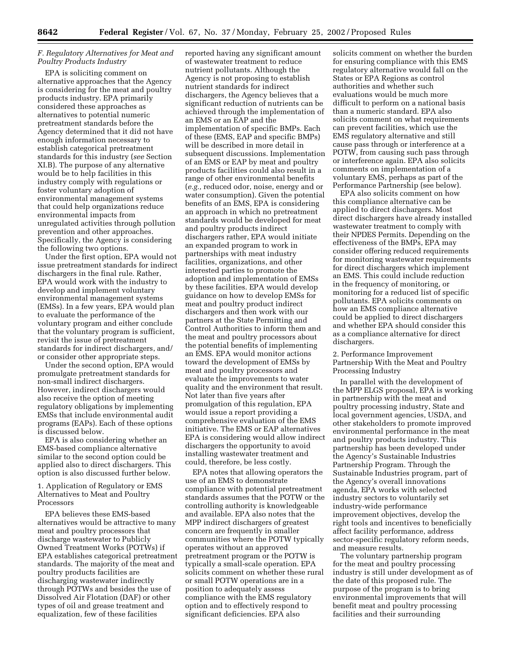## *F. Regulatory Alternatives for Meat and Poultry Products Industry*

EPA is soliciting comment on alternative approaches that the Agency is considering for the meat and poultry products industry. EPA primarily considered these approaches as alternatives to potential numeric pretreatment standards before the Agency determined that it did not have enough information necessary to establish categorical pretreatment standards for this industry (*see* Section XI.B). The purpose of any alternative would be to help facilities in this industry comply with regulations or foster voluntary adoption of environmental management systems that could help organizations reduce environmental impacts from unregulated activities through pollution prevention and other approaches. Specifically, the Agency is considering the following two options.

Under the first option, EPA would not issue pretreatment standards for indirect dischargers in the final rule. Rather, EPA would work with the industry to develop and implement voluntary environmental management systems (EMSs). In a few years, EPA would plan to evaluate the performance of the voluntary program and either conclude that the voluntary program is sufficient, revisit the issue of pretreatment standards for indirect dischargers, and/ or consider other appropriate steps.

Under the second option, EPA would promulgate pretreatment standards for non-small indirect dischargers. However, indirect dischargers would also receive the option of meeting regulatory obligations by implementing EMSs that include environmental audit programs (EAPs). Each of these options is discussed below.

EPA is also considering whether an EMS-based compliance alternative similar to the second option could be applied also to direct dischargers. This option is also discussed further below.

1. Application of Regulatory or EMS Alternatives to Meat and Poultry Processors

EPA believes these EMS-based alternatives would be attractive to many meat and poultry processors that discharge wastewater to Publicly Owned Treatment Works (POTWs) if EPA establishes categorical pretreatment standards. The majority of the meat and poultry products facilities are discharging wastewater indirectly through POTWs and besides the use of Dissolved Air Flotation (DAF) or other types of oil and grease treatment and equalization, few of these facilities

reported having any significant amount of wastewater treatment to reduce nutrient pollutants. Although the Agency is not proposing to establish nutrient standards for indirect dischargers, the Agency believes that a significant reduction of nutrients can be achieved through the implementation of an EMS or an EAP and the implementation of specific BMPs. Each of these (EMS, EAP and specific BMPs) will be described in more detail in subsequent discussions. Implementation of an EMS or EAP by meat and poultry products facilities could also result in a range of other environmental benefits (*e.g.,* reduced odor, noise, energy and or water consumption). Given the potential benefits of an EMS, EPA is considering an approach in which no pretreatment standards would be developed for meat and poultry products indirect dischargers rather, EPA would initiate an expanded program to work in partnerships with meat industry facilities, organizations, and other interested parties to promote the adoption and implementation of EMSs by these facilities. EPA would develop guidance on how to develop EMSs for meat and poultry product indirect dischargers and then work with our partners at the State Permitting and Control Authorities to inform them and the meat and poultry processors about the potential benefits of implementing an EMS. EPA would monitor actions toward the development of EMSs by meat and poultry processors and evaluate the improvements to water quality and the environment that result. Not later than five years after promulgation of this regulation, EPA would issue a report providing a comprehensive evaluation of the EMS initiative. The EMS or EAP alternatives EPA is considering would allow indirect dischargers the opportunity to avoid installing wastewater treatment and could, therefore, be less costly.

EPA notes that allowing operators the use of an EMS to demonstrate compliance with potential pretreatment standards assumes that the POTW or the controlling authority is knowledgeable and available. EPA also notes that the MPP indirect dischargers of greatest concern are frequently in smaller communities where the POTW typically operates without an approved pretreatment program or the POTW is typically a small-scale operation. EPA solicits comment on whether these rural or small POTW operations are in a position to adequately assess compliance with the EMS regulatory option and to effectively respond to significant deficiencies. EPA also

solicits comment on whether the burden for ensuring compliance with this EMS regulatory alternative would fall on the States or EPA Regions as control authorities and whether such evaluations would be much more difficult to perform on a national basis than a numeric standard. EPA also solicits comment on what requirements can prevent facilities, which use the EMS regulatory alternative and still cause pass through or interference at a POTW, from causing such pass through or interference again. EPA also solicits comments on implementation of a voluntary EMS, perhaps as part of the Performance Partnership (see below).

EPA also solicits comment on how this compliance alternative can be applied to direct dischargers. Most direct dischargers have already installed wastewater treatment to comply with their NPDES Permits. Depending on the effectiveness of the BMPs, EPA may consider offering reduced requirements for monitoring wastewater requirements for direct dischargers which implement an EMS. This could include reduction in the frequency of monitoring, or monitoring for a reduced list of specific pollutants. EPA solicits comments on how an EMS compliance alternative could be applied to direct dischargers and whether EPA should consider this as a compliance alternative for direct dischargers.

2. Performance Improvement Partnership With the Meat and Poultry Processing Industry

In parallel with the development of the MPP ELGS proposal, EPA is working in partnership with the meat and poultry processing industry, State and local government agencies, USDA, and other stakeholders to promote improved environmental performance in the meat and poultry products industry. This partnership has been developed under the Agency's Sustainable Industries Partnership Program. Through the Sustainable Industries program, part of the Agency's overall innovations agenda, EPA works with selected industry sectors to voluntarily set industry-wide performance improvement objectives, develop the right tools and incentives to beneficially affect facility performance, address sector-specific regulatory reform needs, and measure results.

The voluntary partnership program for the meat and poultry processing industry is still under development as of the date of this proposed rule. The purpose of the program is to bring environmental improvements that will benefit meat and poultry processing facilities and their surrounding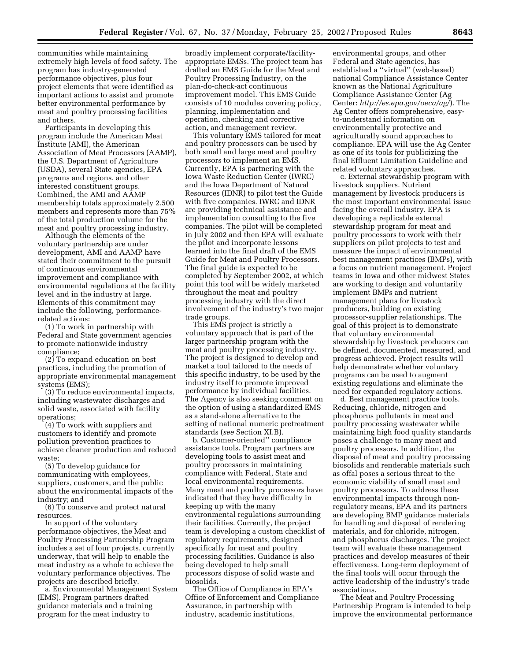communities while maintaining extremely high levels of food safety. The program has industry-generated performance objectives, plus four project elements that were identified as important actions to assist and promote better environmental performance by meat and poultry processing facilities and others.

Participants in developing this program include the American Meat Institute (AMI), the American Association of Meat Processors (AAMP), the U.S. Department of Agriculture (USDA), several State agencies, EPA programs and regions, and other interested constituent groups. Combined, the AMI and AAMP membership totals approximately 2,500 members and represents more than 75% of the total production volume for the meat and poultry processing industry.

Although the elements of the voluntary partnership are under development, AMI and AAMP have stated their commitment to the pursuit of continuous environmental improvement and compliance with environmental regulations at the facility level and in the industry at large. Elements of this commitment may include the following, performancerelated actions:

(1) To work in partnership with Federal and State government agencies to promote nationwide industry compliance;

(2) To expand education on best practices, including the promotion of appropriate environmental management systems (EMS);

(3) To reduce environmental impacts, including wastewater discharges and solid waste, associated with facility operations;

(4) To work with suppliers and customers to identify and promote pollution prevention practices to achieve cleaner production and reduced waste;

(5) To develop guidance for communicating with employees, suppliers, customers, and the public about the environmental impacts of the industry; and

(6) To conserve and protect natural resources.

In support of the voluntary performance objectives, the Meat and Poultry Processing Partnership Program includes a set of four projects, currently underway, that will help to enable the meat industry as a whole to achieve the voluntary performance objectives. The projects are described briefly.

a. Environmental Management System (EMS). Program partners drafted guidance materials and a training program for the meat industry to

broadly implement corporate/facilityappropriate EMSs. The project team has drafted an EMS Guide for the Meat and Poultry Processing Industry, on the plan-do-check-act continuous improvement model. This EMS Guide consists of 10 modules covering policy, planning, implementation and operation, checking and corrective action, and management review.

This voluntary EMS tailored for meat and poultry processors can be used by both small and large meat and poultry processors to implement an EMS. Currently, EPA is partnering with the Iowa Waste Reduction Center (IWRC) and the Iowa Department of Natural Resources (IDNR) to pilot test the Guide with five companies. IWRC and IDNR are providing technical assistance and implementation consulting to the five companies. The pilot will be completed in July 2002 and then EPA will evaluate the pilot and incorporate lessons learned into the final draft of the EMS Guide for Meat and Poultry Processors. The final guide is expected to be completed by September 2002, at which point this tool will be widely marketed throughout the meat and poultry processing industry with the direct involvement of the industry's two major trade groups.

This EMS project is strictly a voluntary approach that is part of the larger partnership program with the meat and poultry processing industry. The project is designed to develop and market a tool tailored to the needs of this specific industry, to be used by the industry itself to promote improved performance by individual facilities. The Agency is also seeking comment on the option of using a standardized EMS as a stand-alone alternative to the setting of national numeric pretreatment standards (*see* Section XI.B).

b. Customer-oriented'' compliance assistance tools. Program partners are developing tools to assist meat and poultry processors in maintaining compliance with Federal, State and local environmental requirements. Many meat and poultry processors have indicated that they have difficulty in keeping up with the many environmental regulations surrounding their facilities. Currently, the project team is developing a custom checklist of regulatory requirements, designed specifically for meat and poultry processing facilities. Guidance is also being developed to help small processors dispose of solid waste and biosolids.

The Office of Compliance in EPA's Office of Enforcement and Compliance Assurance, in partnership with industry, academic institutions,

environmental groups, and other Federal and State agencies, has established a ''virtual'' (web-based) national Compliance Assistance Center known as the National Agriculture Compliance Assistance Center (Ag Center: *http://es.epa.gov/oeca/ag/*). The Ag Center offers comprehensive, easyto-understand information on environmentally protective and agriculturally sound approaches to compliance. EPA will use the Ag Center as one of its tools for publicizing the final Effluent Limitation Guideline and related voluntary approaches.

c. External stewardship program with livestock suppliers. Nutrient management by livestock producers is the most important environmental issue facing the overall industry. EPA is developing a replicable external stewardship program for meat and poultry processors to work with their suppliers on pilot projects to test and measure the impact of environmental best management practices (BMPs), with a focus on nutrient management. Project teams in Iowa and other midwest States are working to design and voluntarily implement BMPs and nutrient management plans for livestock producers, building on existing processor-supplier relationships. The goal of this project is to demonstrate that voluntary environmental stewardship by livestock producers can be defined, documented, measured, and progress achieved. Project results will help demonstrate whether voluntary programs can be used to augment existing regulations and eliminate the need for expanded regulatory actions.

d. Best management practice tools. Reducing, chloride, nitrogen and phosphorus pollutants in meat and poultry processing wastewater while maintaining high food quality standards poses a challenge to many meat and poultry processors. In addition, the disposal of meat and poultry processing biosolids and renderable materials such as offal poses a serious threat to the economic viability of small meat and poultry processors. To address these environmental impacts through nonregulatory means, EPA and its partners are developing BMP guidance materials for handling and disposal of rendering materials, and for chloride, nitrogen, and phosphorus discharges. The project team will evaluate these management practices and develop measures of their effectiveness. Long-term deployment of the final tools will occur through the active leadership of the industry's trade associations.

The Meat and Poultry Processing Partnership Program is intended to help improve the environmental performance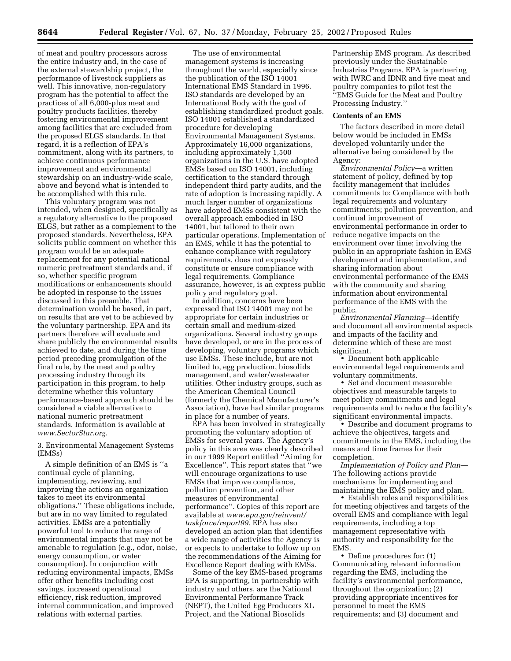of meat and poultry processors across the entire industry and, in the case of the external stewardship project, the performance of livestock suppliers as well. This innovative, non-regulatory program has the potential to affect the practices of all 6,000-plus meat and poultry products facilities, thereby fostering environmental improvement among facilities that are excluded from the proposed ELGS standards. In that regard, it is a reflection of EPA's commitment, along with its partners, to achieve continuous performance improvement and environmental stewardship on an industry-wide scale, above and beyond what is intended to be accomplished with this rule.

This voluntary program was not intended, when designed, specifically as a regulatory alternative to the proposed ELGS, but rather as a complement to the proposed standards. Nevertheless, EPA solicits public comment on whether this program would be an adequate replacement for any potential national numeric pretreatment standards and, if so, whether specific program modifications or enhancements should be adopted in response to the issues discussed in this preamble. That determination would be based, in part, on results that are yet to be achieved by the voluntary partnership. EPA and its partners therefore will evaluate and share publicly the environmental results achieved to date, and during the time period preceding promulgation of the final rule, by the meat and poultry processing industry through its participation in this program, to help determine whether this voluntary performance-based approach should be considered a viable alternative to national numeric pretreatment standards. Information is available at *www.SectorStar.org.* 

3. Environmental Management Systems (EMSs)

A simple definition of an EMS is ''a continual cycle of planning, implementing, reviewing, and improving the actions an organization takes to meet its environmental obligations.'' These obligations include, but are in no way limited to regulated activities. EMSs are a potentially powerful tool to reduce the range of environmental impacts that may not be amenable to regulation (e.g., odor, noise, energy consumption, or water consumption). In conjunction with reducing environmental impacts, EMSs offer other benefits including cost savings, increased operational efficiency, risk reduction, improved internal communication, and improved relations with external parties.

The use of environmental management systems is increasing throughout the world, especially since the publication of the ISO 14001 International EMS Standard in 1996. ISO standards are developed by an International Body with the goal of establishing standardized product goals. ISO 14001 established a standardized procedure for developing Environmental Management Systems. Approximately 16,000 organizations, including approximately 1,500 organizations in the U.S. have adopted EMSs based on ISO 14001, including certification to the standard through independent third party audits, and the rate of adoption is increasing rapidly. A much larger number of organizations have adopted EMSs consistent with the overall approach embodied in ISO 14001, but tailored to their own particular operations. Implementation of an EMS, while it has the potential to enhance compliance with regulatory requirements, does not expressly constitute or ensure compliance with legal requirements. Compliance assurance, however, is an express public policy and regulatory goal.

In addition, concerns have been expressed that ISO 14001 may not be appropriate for certain industries or certain small and medium-sized organizations. Several industry groups have developed, or are in the process of developing, voluntary programs which use EMSs. These include, but are not limited to, egg production, biosolids management, and water/wastewater utilities. Other industry groups, such as the American Chemical Council (formerly the Chemical Manufacturer's Association), have had similar programs in place for a number of years.

EPA has been involved in strategically promoting the voluntary adoption of EMSs for several years. The Agency's policy in this area was clearly described in our 1999 Report entitled ''Aiming for Excellence''. This report states that ''we will encourage organizations to use EMSs that improve compliance, pollution prevention, and other measures of environmental performance''. Copies of this report are available at *www.epa.gov/reinvent/ taskforce/report99.* EPA has also developed an action plan that identifies a wide range of activities the Agency is or expects to undertake to follow up on the recommendations of the Aiming for Excellence Report dealing with EMSs.

Some of the key EMS-based programs EPA is supporting, in partnership with industry and others, are the National Environmental Performance Track (NEPT), the United Egg Producers XL Project, and the National Biosolids

Partnership EMS program. As described previously under the Sustainable Industries Programs, EPA is partnering with IWRC and IDNR and five meat and poultry companies to pilot test the ''EMS Guide for the Meat and Poultry Processing Industry.''

#### **Contents of an EMS**

The factors described in more detail below would be included in EMSs developed voluntarily under the alternative being considered by the Agency:

*Environmental Policy*—a written statement of policy, defined by top facility management that includes commitments to: Compliance with both legal requirements and voluntary commitments; pollution prevention, and continual improvement of environmental performance in order to reduce negative impacts on the environment over time; involving the public in an appropriate fashion in EMS development and implementation, and sharing information about environmental performance of the EMS with the community and sharing information about environmental performance of the EMS with the public.

*Environmental Planning*—identify and document all environmental aspects and impacts of the facility and determine which of these are most significant.

• Document both applicable environmental legal requirements and voluntary commitments.

• Set and document measurable objectives and measurable targets to meet policy commitments and legal requirements and to reduce the facility's significant environmental impacts.

• Describe and document programs to achieve the objectives, targets and commitments in the EMS, including the means and time frames for their completion.

*Implementation of Policy and Plan*— The following actions provide mechanisms for implementing and maintaining the EMS policy and plan.

• Establish roles and responsibilities for meeting objectives and targets of the overall EMS and compliance with legal requirements, including a top management representative with authority and responsibility for the EMS.

• Define procedures for: (1) Communicating relevant information regarding the EMS, including the facility's environmental performance, throughout the organization; (2) providing appropriate incentives for personnel to meet the EMS requirements; and (3) document and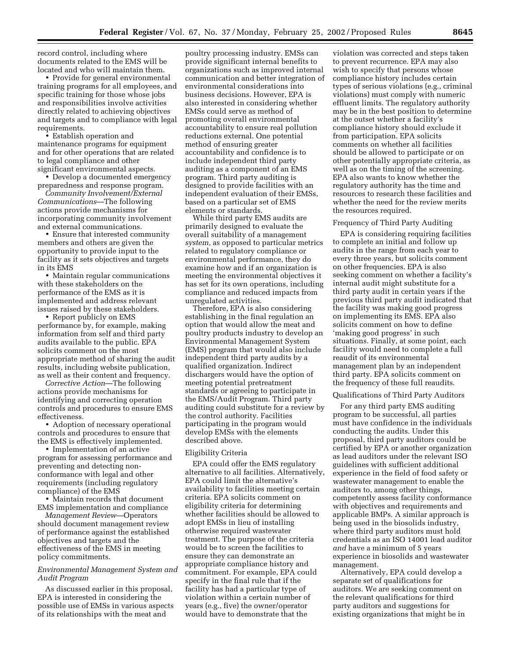record control, including where documents related to the EMS will be located and who will maintain them.

• Provide for general environmental training programs for all employees, and specific training for those whose jobs and responsibilities involve activities directly related to achieving objectives and targets and to compliance with legal requirements.

• Establish operation and maintenance programs for equipment and for other operations that are related to legal compliance and other significant environmental aspects.

• Develop a documented emergency preparedness and response program.

*Community Involvement/External Communications*—The following actions provide mechanisms for incorporating community involvement and external communications.

• Ensure that interested community members and others are given the opportunity to provide input to the facility as it sets objectives and targets in its EMS

• Maintain regular communications with these stakeholders on the performance of the EMS as it is implemented and address relevant issues raised by these stakeholders.

• Report publicly on EMS performance by, for example, making information from self and third party audits available to the public. EPA solicits comment on the most appropriate method of sharing the audit results, including website publication, as well as their content and frequency.

*Corrective Action*—The following actions provide mechanisms for identifying and correcting operation controls and procedures to ensure EMS effectiveness.

• Adoption of necessary operational controls and procedures to ensure that the EMS is effectively implemented.

• Implementation of an active program for assessing performance and preventing and detecting nonconformance with legal and other requirements (including regulatory compliance) of the EMS

• Maintain records that document EMS implementation and compliance

*Management Review*—Operators should document management review of performance against the established objectives and targets and the effectiveness of the EMS in meeting policy commitments.

#### *Environmental Management System and Audit Program*

As discussed earlier in this proposal, EPA is interested in considering the possible use of EMSs in various aspects of its relationships with the meat and

poultry processing industry. EMSs can provide significant internal benefits to organizations such as improved internal communication and better integration of environmental considerations into business decisions. However, EPA is also interested in considering whether EMSs could serve as method of promoting overall environmental accountability to ensure real pollution reductions external. One potential method of ensuring greater accountability and confidence is to include independent third party auditing as a component of an EMS program. Third party auditing is designed to provide facilities with an independent evaluation of their EMSs, based on a particular set of EMS elements or standards.

While third party EMS audits are primarily designed to evaluate the overall suitability of a management *system,* as opposed to particular metrics related to regulatory compliance or environmental performance, they do examine how and if an organization is meeting the environmental objectives it has set for its own operations, including compliance and reduced impacts from unregulated activities.

Therefore, EPA is also considering establishing in the final regulation an option that would allow the meat and poultry products industry to develop an Environmental Management System (EMS) program that would also include independent third party audits by a qualified organization. Indirect dischargers would have the option of meeting potential pretreatment standards or agreeing to participate in the EMS/Audit Program. Third party auditing could substitute for a review by the control authority. Facilities participating in the program would develop EMSs with the elements described above.

## Eligibility Criteria

EPA could offer the EMS regulatory alternative to all facilities. Alternatively, EPA could limit the alternative's availability to facilities meeting certain criteria. EPA solicits comment on eligibility criteria for determining whether facilities should be allowed to adopt EMSs in lieu of installing otherwise required wastewater treatment. The purpose of the criteria would be to screen the facilities to ensure they can demonstrate an appropriate compliance history and commitment. For example, EPA could specify in the final rule that if the facility has had a particular type of violation within a certain number of years (e.g., five) the owner/operator would have to demonstrate that the

violation was corrected and steps taken to prevent recurrence. EPA may also wish to specify that persons whose compliance history includes certain types of serious violations (e.g., criminal violations) must comply with numeric effluent limits. The regulatory authority may be in the best position to determine at the outset whether a facility's compliance history should exclude it from participation. EPA solicits comments on whether all facilities should be allowed to participate or on other potentially appropriate criteria, as well as on the timing of the screening. EPA also wants to know whether the regulatory authority has the time and resources to research these facilities and whether the need for the review merits the resources required.

## Frequency of Third Party Auditing

EPA is considering requiring facilities to complete an initial and follow up audits in the range from each year to every three years, but solicits comment on other frequencies. EPA is also seeking comment on whether a facility's internal audit might substitute for a third party audit in certain years if the previous third party audit indicated that the facility was making good progress on implementing its EMS. EPA also solicits comment on how to define 'making good progress' in such situations. Finally, at some point, each facility would need to complete a full reaudit of its environmental management plan by an independent third party. EPA solicits comment on the frequency of these full reaudits.

## Qualifications of Third Party Auditors

For any third party EMS auditing program to be successful, all parties must have confidence in the individuals conducting the audits. Under this proposal, third party auditors could be certified by EPA or another organization as lead auditors under the relevant ISO guidelines with sufficient additional experience in the field of food safety or wastewater management to enable the auditors to, among other things, competently assess facility conformance with objectives and requirements and applicable BMPs. A similar approach is being used in the biosolids industry, where third party auditors must hold credentials as an ISO 14001 lead auditor *and* have a minimum of 5 years experience in biosolids and wastewater management.

Alternatively, EPA could develop a separate set of qualifications for auditors. We are seeking comment on the relevant qualifications for third party auditors and suggestions for existing organizations that might be in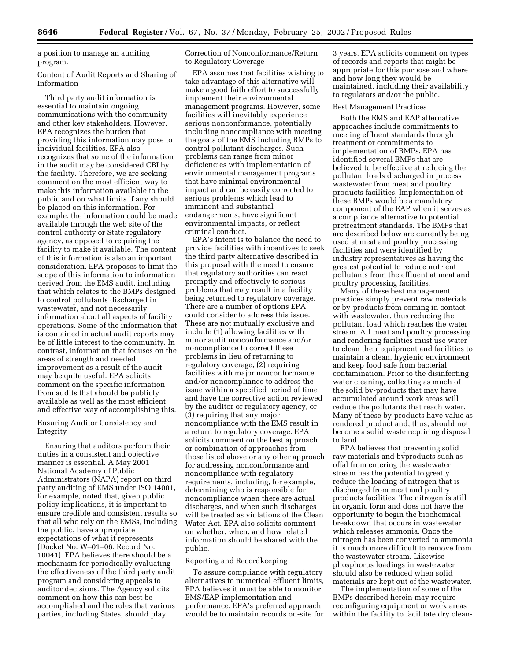a position to manage an auditing program.

Content of Audit Reports and Sharing of Information

Third party audit information is essential to maintain ongoing communications with the community and other key stakeholders. However, EPA recognizes the burden that providing this information may pose to individual facilities. EPA also recognizes that some of the information in the audit may be considered CBI by the facility. Therefore, we are seeking comment on the most efficient way to make this information available to the public and on what limits if any should be placed on this information. For example, the information could be made available through the web site of the control authority or State regulatory agency, as opposed to requiring the facility to make it available. The content of this information is also an important consideration. EPA proposes to limit the scope of this information to information derived from the EMS audit, including that which relates to the BMPs designed to control pollutants discharged in wastewater, and not necessarily information about all aspects of facility operations. Some of the information that is contained in actual audit reports may be of little interest to the community. In contrast, information that focuses on the areas of strength and needed improvement as a result of the audit may be quite useful. EPA solicits comment on the specific information from audits that should be publicly available as well as the most efficient and effective way of accomplishing this.

## Ensuring Auditor Consistency and Integrity

Ensuring that auditors perform their duties in a consistent and objective manner is essential. A May 2001 National Academy of Public Administrators (NAPA) report on third party auditing of EMS under ISO 14001, for example, noted that, given public policy implications, it is important to ensure credible and consistent results so that all who rely on the EMSs, including the public, have appropriate expectations of what it represents (Docket No. W–01–06, Record No. 10041). EPA believes there should be a mechanism for periodically evaluating the effectiveness of the third party audit program and considering appeals to auditor decisions. The Agency solicits comment on how this can best be accomplished and the roles that various parties, including States, should play.

Correction of Nonconformance/Return to Regulatory Coverage

EPA assumes that facilities wishing to take advantage of this alternative will make a good faith effort to successfully implement their environmental management programs. However, some facilities will inevitably experience serious nonconformance, potentially including noncompliance with meeting the goals of the EMS including BMPs to control pollutant discharges. Such problems can range from minor deficiencies with implementation of environmental management programs that have minimal environmental impact and can be easily corrected to serious problems which lead to imminent and substantial endangerments, have significant environmental impacts, or reflect criminal conduct.

EPA's intent is to balance the need to provide facilities with incentives to seek the third party alternative described in this proposal with the need to ensure that regulatory authorities can react promptly and effectively to serious problems that may result in a facility being returned to regulatory coverage. There are a number of options EPA could consider to address this issue. These are not mutually exclusive and include (1) allowing facilities with minor audit nonconformance and/or noncompliance to correct these problems in lieu of returning to regulatory coverage, (2) requiring facilities with major nonconformance and/or noncompliance to address the issue within a specified period of time and have the corrective action reviewed by the auditor or regulatory agency, or (3) requiring that any major noncompliance with the EMS result in a return to regulatory coverage. EPA solicits comment on the best approach or combination of approaches from those listed above or any other approach for addressing nonconformance and noncompliance with regulatory requirements, including, for example, determining who is responsible for noncompliance when there are actual discharges, and when such discharges will be treated as violations of the Clean Water Act. EPA also solicits comment on whether, when, and how related information should be shared with the public.

#### Reporting and Recordkeeping

To assure compliance with regulatory alternatives to numerical effluent limits, EPA believes it must be able to monitor EMS/EAP implementation and performance. EPA's preferred approach would be to maintain records on-site for

3 years. EPA solicits comment on types of records and reports that might be appropriate for this purpose and where and how long they would be maintained, including their availability to regulators and/or the public.

#### Best Management Practices

Both the EMS and EAP alternative approaches include commitments to meeting effluent standards through treatment or commitments to implementation of BMPs. EPA has identified several BMPs that are believed to be effective at reducing the pollutant loads discharged in process wastewater from meat and poultry products facilities. Implementation of these BMPs would be a mandatory component of the EAP when it serves as a compliance alternative to potential pretreatment standards. The BMPs that are described below are currently being used at meat and poultry processing facilities and were identified by industry representatives as having the greatest potential to reduce nutrient pollutants from the effluent at meat and poultry processing facilities.

Many of these best management practices simply prevent raw materials or by-products from coming in contact with wastewater, thus reducing the pollutant load which reaches the water stream. All meat and poultry processing and rendering facilities must use water to clean their equipment and facilities to maintain a clean, hygienic environment and keep food safe from bacterial contamination. Prior to the disinfecting water cleaning, collecting as much of the solid by-products that may have accumulated around work areas will reduce the pollutants that reach water. Many of these by-products have value as rendered product and, thus, should not become a solid waste requiring disposal to land.

EPA believes that preventing solid raw materials and byproducts such as offal from entering the wastewater stream has the potential to greatly reduce the loading of nitrogen that is discharged from meat and poultry products facilities. The nitrogen is still in organic form and does not have the opportunity to begin the biochemical breakdown that occurs in wastewater which releases ammonia. Once the nitrogen has been converted to ammonia it is much more difficult to remove from the wastewater stream. Likewise phosphorus loadings in wastewater should also be reduced when solid materials are kept out of the wastewater.

The implementation of some of the BMPs described herein may require reconfiguring equipment or work areas within the facility to facilitate dry clean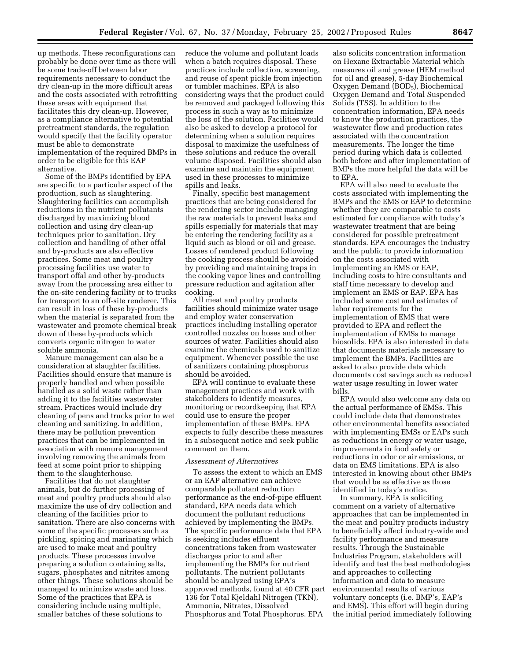up methods. These reconfigurations can probably be done over time as there will be some trade-off between labor requirements necessary to conduct the dry clean-up in the more difficult areas and the costs associated with retrofitting these areas with equipment that facilitates this dry clean-up. However, as a compliance alternative to potential pretreatment standards, the regulation would specify that the facility operator must be able to demonstrate implementation of the required BMPs in order to be eligible for this EAP alternative.

Some of the BMPs identified by EPA are specific to a particular aspect of the production, such as slaughtering. Slaughtering facilities can accomplish reductions in the nutrient pollutants discharged by maximizing blood collection and using dry clean-up techniques prior to sanitation. Dry collection and handling of other offal and by-products are also effective practices. Some meat and poultry processing facilities use water to transport offal and other by-products away from the processing area either to the on-site rendering facility or to trucks for transport to an off-site renderer. This can result in loss of these by-products when the material is separated from the wastewater and promote chemical break down of these by-products which converts organic nitrogen to water soluble ammonia.

Manure management can also be a consideration at slaughter facilities. Facilities should ensure that manure is properly handled and when possible handled as a solid waste rather than adding it to the facilities wastewater stream. Practices would include dry cleaning of pens and trucks prior to wet cleaning and sanitizing. In addition, there may be pollution prevention practices that can be implemented in association with manure management involving removing the animals from feed at some point prior to shipping them to the slaughterhouse.

Facilities that do not slaughter animals, but do further processing of meat and poultry products should also maximize the use of dry collection and cleaning of the facilities prior to sanitation. There are also concerns with some of the specific processes such as pickling, spicing and marinating which are used to make meat and poultry products. These processes involve preparing a solution containing salts, sugars, phosphates and nitrites among other things. These solutions should be managed to minimize waste and loss. Some of the practices that EPA is considering include using multiple, smaller batches of these solutions to

reduce the volume and pollutant loads when a batch requires disposal. These practices include collection, screening, and reuse of spent pickle from injection or tumbler machines. EPA is also considering ways that the product could be removed and packaged following this process in such a way as to minimize the loss of the solution. Facilities would also be asked to develop a protocol for determining when a solution requires disposal to maximize the usefulness of these solutions and reduce the overall volume disposed. Facilities should also examine and maintain the equipment used in these processes to minimize spills and leaks.

Finally, specific best management practices that are being considered for the rendering sector include managing the raw materials to prevent leaks and spills especially for materials that may be entering the rendering facility as a liquid such as blood or oil and grease. Losses of rendered product following the cooking process should be avoided by providing and maintaining traps in the cooking vapor lines and controlling pressure reduction and agitation after cooking.

All meat and poultry products facilities should minimize water usage and employ water conservation practices including installing operator controlled nozzles on hoses and other sources of water. Facilities should also examine the chemicals used to sanitize equipment. Whenever possible the use of sanitizers containing phosphorus should be avoided.

EPA will continue to evaluate these management practices and work with stakeholders to identify measures, monitoring or recordkeeping that EPA could use to ensure the proper implementation of these BMPs. EPA expects to fully describe these measures in a subsequent notice and seek public comment on them.

#### *Assessment of Alternatives*

To assess the extent to which an EMS or an EAP alternative can achieve comparable pollutant reduction performance as the end-of-pipe effluent standard, EPA needs data which document the pollutant reductions achieved by implementing the BMPs. The specific performance data that EPA is seeking includes effluent concentrations taken from wastewater discharges prior to and after implementing the BMPs for nutrient pollutants. The nutrient pollutants should be analyzed using EPA's approved methods, found at 40 CFR part 136 for Total Kjeldahl Nitrogen (TKN), Ammonia, Nitrates, Dissolved Phosphorus and Total Phosphorus. EPA

also solicits concentration information on Hexane Extractable Material which measures oil and grease (HEM method for oil and grease), 5-day Biochemical Oxygen Demand (BOD<sub>5</sub>), Biochemical Oxygen Demand and Total Suspended Solids (TSS). In addition to the concentration information, EPA needs to know the production practices, the wastewater flow and production rates associated with the concentration measurements. The longer the time period during which data is collected both before and after implementation of BMPs the more helpful the data will be to EPA.

EPA will also need to evaluate the costs associated with implementing the BMPs and the EMS or EAP to determine whether they are comparable to costs estimated for compliance with today's wastewater treatment that are being considered for possible pretreatment standards. EPA encourages the industry and the public to provide information on the costs associated with implementing an EMS or EAP, including costs to hire consultants and staff time necessary to develop and implement an EMS or EAP. EPA has included some cost and estimates of labor requirements for the implementation of EMS that were provided to EPA and reflect the implementation of EMSs to manage biosolids. EPA is also interested in data that documents materials necessary to implement the BMPs. Facilities are asked to also provide data which documents cost savings such as reduced water usage resulting in lower water bills.

EPA would also welcome any data on the actual performance of EMSs. This could include data that demonstrates other environmental benefits associated with implementing EMSs or EAPs such as reductions in energy or water usage, improvements in food safety or reductions in odor or air emissions, or data on EMS limitations. EPA is also interested in knowing about other BMPs that would be as effective as those identified in today's notice.

In summary, EPA is soliciting comment on a variety of alternative approaches that can be implemented in the meat and poultry products industry to beneficially affect industry-wide and facility performance and measure results. Through the Sustainable Industries Program, stakeholders will identify and test the best methodologies and approaches to collecting information and data to measure environmental results of various voluntary concepts (i.e. BMP's, EAP's and EMS). This effort will begin during the initial period immediately following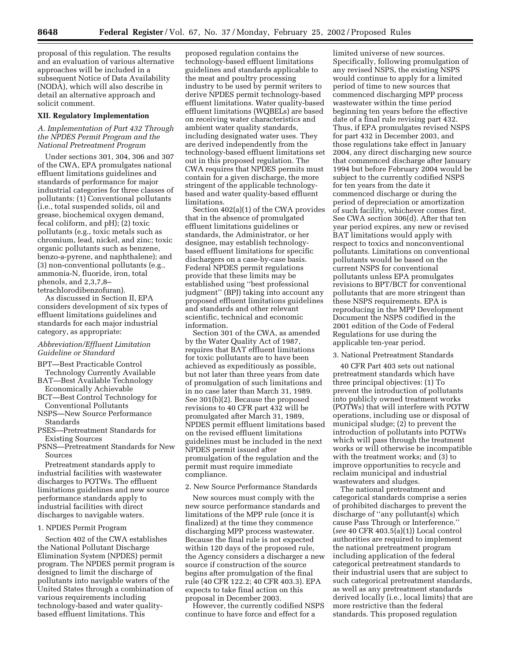proposal of this regulation. The results and an evaluation of various alternative approaches will be included in a subsequent Notice of Data Availability (NODA), which will also describe in detail an alternative approach and solicit comment.

#### **XII. Regulatory Implementation**

*A. Implementation of Part 432 Through the NPDES Permit Program and the National Pretreatment Program*

Under sections 301, 304, 306 and 307 of the CWA, EPA promulgates national effluent limitations guidelines and standards of performance for major industrial categories for three classes of pollutants: (1) Conventional pollutants (i.e., total suspended solids, oil and grease, biochemical oxygen demand, fecal coliform, and pH); (2) toxic pollutants (e.g., toxic metals such as chromium, lead, nickel, and zinc; toxic organic pollutants such as benzene, benzo-a-pyrene, and naphthalene); and (3) non-conventional pollutants (e.g., ammonia-N, fluoride, iron, total phenols, and 2,3,7,8– tetrachlorodibenzofuran).

As discussed in Section II, EPA considers development of six types of effluent limitations guidelines and standards for each major industrial category, as appropriate:

# *Abbreviation/Effluent Limitation Guideline or Standard*

- BPT—Best Practicable Control Technology Currently Available
- BAT—Best Available Technology Economically Achievable
- BCT—Best Control Technology for Conventional Pollutants
- NSPS—New Source Performance Standards
- PSES—Pretreatment Standards for Existing Sources
- PSNS—Pretreatment Standards for New Sources

Pretreatment standards apply to industrial facilities with wastewater discharges to POTWs. The effluent limitations guidelines and new source performance standards apply to industrial facilities with direct discharges to navigable waters.

#### 1. NPDES Permit Program

Section 402 of the CWA establishes the National Pollutant Discharge Elimination System (NPDES) permit program. The NPDES permit program is designed to limit the discharge of pollutants into navigable waters of the United States through a combination of various requirements including technology-based and water qualitybased effluent limitations. This

proposed regulation contains the technology-based effluent limitations guidelines and standards applicable to the meat and poultry processing industry to be used by permit writers to derive NPDES permit technology-based effluent limitations. Water quality-based effluent limitations (WQBELs) are based on receiving water characteristics and ambient water quality standards, including designated water uses. They are derived independently from the technology-based effluent limitations set out in this proposed regulation. The CWA requires that NPDES permits must contain for a given discharge, the more stringent of the applicable technologybased and water quality-based effluent limitations.

Section 402(a)(1) of the CWA provides that in the absence of promulgated effluent limitations guidelines or standards, the Administrator, or her designee, may establish technologybased effluent limitations for specific dischargers on a case-by-case basis. Federal NPDES permit regulations provide that these limits may be established using ''best professional judgment'' (BPJ) taking into account any proposed effluent limitations guidelines and standards and other relevant scientific, technical and economic information.

Section 301 of the CWA, as amended by the Water Quality Act of 1987, requires that BAT effluent limitations for toxic pollutants are to have been achieved as expeditiously as possible, but not later than three years from date of promulgation of such limitations and in no case later than March 31, 1989. See 301(b)(2). Because the proposed revisions to 40 CFR part 432 will be promulgated after March 31, 1989, NPDES permit effluent limitations based on the revised effluent limitations guidelines must be included in the next NPDES permit issued after promulgation of the regulation and the permit must require immediate compliance.

#### 2. New Source Performance Standards

New sources must comply with the new source performance standards and limitations of the MPP rule (once it is finalized) at the time they commence discharging MPP process wastewater. Because the final rule is not expected within 120 days of the proposed rule, the Agency considers a discharger a new source if construction of the source begins after promulgation of the final rule (40 CFR 122.2; 40 CFR 403.3). EPA expects to take final action on this proposal in December 2003.

However, the currently codified NSPS continue to have force and effect for a

limited universe of new sources. Specifically, following promulgation of any revised NSPS, the existing NSPS would continue to apply for a limited period of time to new sources that commenced discharging MPP process wastewater within the time period beginning ten years before the effective date of a final rule revising part 432. Thus, if EPA promulgates revised NSPS for part 432 in December 2003, and those regulations take effect in January 2004, any direct discharging new source that commenced discharge after January 1994 but before February 2004 would be subject to the currently codified NSPS for ten years from the date it commenced discharge or during the period of depreciation or amortization of such facility, whichever comes first. See CWA section 306(d). After that ten year period expires, any new or revised BAT limitations would apply with respect to toxics and nonconventional pollutants. Limitations on conventional pollutants would be based on the current NSPS for conventional pollutants unless EPA promulgates revisions to BPT/BCT for conventional pollutants that are more stringent than these NSPS requirements. EPA is reproducing in the MPP Development Document the NSPS codified in the 2001 edition of the Code of Federal Regulations for use during the applicable ten-year period.

## 3. National Pretreatment Standards

40 CFR Part 403 sets out national pretreatment standards which have three principal objectives: (1) To prevent the introduction of pollutants into publicly owned treatment works (POTWs) that will interfere with POTW operations, including use or disposal of municipal sludge; (2) to prevent the introduction of pollutants into POTWs which will pass through the treatment works or will otherwise be incompatible with the treatment works; and (3) to improve opportunities to recycle and reclaim municipal and industrial wastewaters and sludges.

The national pretreatment and categorical standards comprise a series of prohibited discharges to prevent the discharge of ''any pollutant(s) which cause Pass Through or Interference.'' (*see* 40 CFR 403.5(a)(1)) Local control authorities are required to implement the national pretreatment program including application of the federal categorical pretreatment standards to their industrial users that are subject to such categorical pretreatment standards, as well as any pretreatment standards derived locally (i.e., local limits) that are more restrictive than the federal standards. This proposed regulation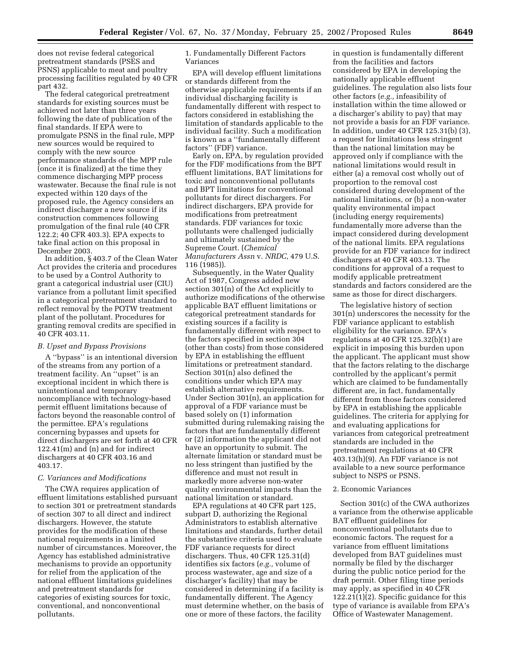does not revise federal categorical pretreatment standards (PSES and PSNS) applicable to meat and poultry processing facilities regulated by 40 CFR part 432.

The federal categorical pretreatment standards for existing sources must be achieved not later than three years following the date of publication of the final standards. If EPA were to promulgate PSNS in the final rule, MPP new sources would be required to comply with the new source performance standards of the MPP rule (once it is finalized) at the time they commence discharging MPP process wastewater. Because the final rule is not expected within 120 days of the proposed rule, the Agency considers an indirect discharger a new source if its construction commences following promulgation of the final rule (40 CFR 122.2; 40 CFR 403.3). EPA expects to take final action on this proposal in December 2003.

In addition, § 403.7 of the Clean Water Act provides the criteria and procedures to be used by a Control Authority to grant a categorical industrial user (CIU) variance from a pollutant limit specified in a categorical pretreatment standard to reflect removal by the POTW treatment plant of the pollutant. Procedures for granting removal credits are specified in 40 CFR 403.11.

#### *B. Upset and Bypass Provisions*

A ''bypass'' is an intentional diversion of the streams from any portion of a treatment facility. An ''upset'' is an exceptional incident in which there is unintentional and temporary noncompliance with technology-based permit effluent limitations because of factors beyond the reasonable control of the permittee. EPA's regulations concerning bypasses and upsets for direct dischargers are set forth at 40 CFR 122.41(m) and (n) and for indirect dischargers at 40 CFR 403.16 and 403.17.

#### *C. Variances and Modifications*

The CWA requires application of effluent limitations established pursuant to section 301 or pretreatment standards of section 307 to all direct and indirect dischargers. However, the statute provides for the modification of these national requirements in a limited number of circumstances. Moreover, the Agency has established administrative mechanisms to provide an opportunity for relief from the application of the national effluent limitations guidelines and pretreatment standards for categories of existing sources for toxic, conventional, and nonconventional pollutants.

1. Fundamentally Different Factors Variances

EPA will develop effluent limitations or standards different from the otherwise applicable requirements if an individual discharging facility is fundamentally different with respect to factors considered in establishing the limitation of standards applicable to the individual facility. Such a modification is known as a ''fundamentally different factors'' (FDF) variance.

Early on, EPA, by regulation provided for the FDF modifications from the BPT effluent limitations, BAT limitations for toxic and nonconventional pollutants and BPT limitations for conventional pollutants for direct dischargers. For indirect dischargers, EPA provide for modifications from pretreatment standards. FDF variances for toxic pollutants were challenged judicially and ultimately sustained by the Supreme Court. (*Chemical Manufacturers Assn* v. *NRDC,* 479 U.S. 116 (1985)).

Subsequently, in the Water Quality Act of 1987, Congress added new section 301(n) of the Act explicitly to authorize modifications of the otherwise applicable BAT effluent limitations or categorical pretreatment standards for existing sources if a facility is fundamentally different with respect to the factors specified in section 304 (other than costs) from those considered by EPA in establishing the effluent limitations or pretreatment standard. Section 301(n) also defined the conditions under which EPA may establish alternative requirements. Under Section 301(n), an application for approval of a FDF variance must be based solely on (1) information submitted during rulemaking raising the factors that are fundamentally different or (2) information the applicant did not have an opportunity to submit. The alternate limitation or standard must be no less stringent than justified by the difference and must not result in markedly more adverse non-water quality environmental impacts than the national limitation or standard.

EPA regulations at 40 CFR part 125, subpart D, authorizing the Regional Administrators to establish alternative limitations and standards, further detail the substantive criteria used to evaluate FDF variance requests for direct dischargers. Thus, 40 CFR 125.31(d) identifies six factors (*e.g.,* volume of process wastewater, age and size of a discharger's facility) that may be considered in determining if a facility is fundamentally different. The Agency must determine whether, on the basis of one or more of these factors, the facility

in question is fundamentally different from the facilities and factors considered by EPA in developing the nationally applicable effluent guidelines. The regulation also lists four other factors (*e.g.,* infeasibility of installation within the time allowed or a discharger's ability to pay) that may not provide a basis for an FDF variance. In addition, under 40 CFR 125.31(b) (3), a request for limitations less stringent than the national limitation may be approved only if compliance with the national limitations would result in either (a) a removal cost wholly out of proportion to the removal cost considered during development of the national limitations, or (b) a non-water quality environmental impact (including energy requirements) fundamentally more adverse than the impact considered during development of the national limits. EPA regulations provide for an FDF variance for indirect dischargers at 40 CFR 403.13. The conditions for approval of a request to modify applicable pretreatment standards and factors considered are the same as those for direct dischargers.

The legislative history of section 301(n) underscores the necessity for the FDF variance applicant to establish eligibility for the variance. EPA's regulations at 40 CFR 125.32(b)(1) are explicit in imposing this burden upon the applicant. The applicant must show that the factors relating to the discharge controlled by the applicant's permit which are claimed to be fundamentally different are, in fact, fundamentally different from those factors considered by EPA in establishing the applicable guidelines. The criteria for applying for and evaluating applications for variances from categorical pretreatment standards are included in the pretreatment regulations at 40 CFR 403.13(h)(9). An FDF variance is not available to a new source performance subject to NSPS or PSNS.

#### 2. Economic Variances

Section 301(c) of the CWA authorizes a variance from the otherwise applicable BAT effluent guidelines for nonconventional pollutants due to economic factors. The request for a variance from effluent limitations developed from BAT guidelines must normally be filed by the discharger during the public notice period for the draft permit. Other filing time periods may apply, as specified in 40 CFR 122.21(1)(2). Specific guidance for this type of variance is available from EPA's Office of Wastewater Management.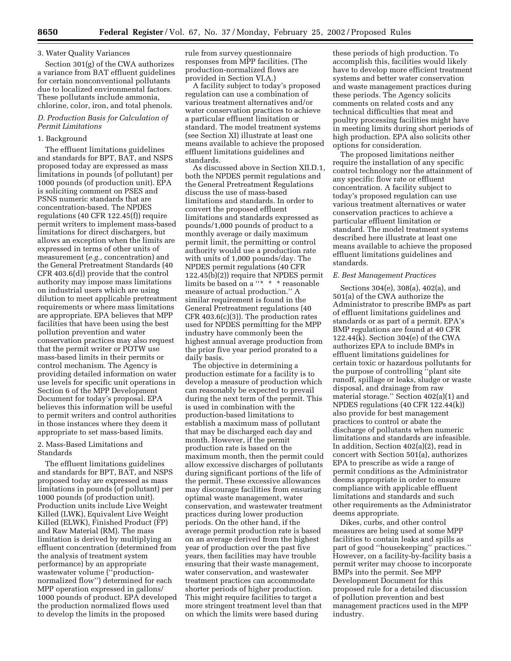## 3. Water Quality Variances

Section 301(g) of the CWA authorizes a variance from BAT effluent guidelines for certain nonconventional pollutants due to localized environmental factors. These pollutants include ammonia, chlorine, color, iron, and total phenols.

## *D. Production Basis for Calculation of Permit Limitations*

## 1. Background

The effluent limitations guidelines and standards for BPT, BAT, and NSPS proposed today are expressed as mass limitations in pounds (of pollutant) per 1000 pounds (of production unit). EPA is soliciting comment on PSES and PSNS numeric standards that are concentration-based. The NPDES regulations (40 CFR 122.45(f)) require permit writers to implement mass-based limitations for direct dischargers, but allows an exception when the limits are expressed in terms of other units of measurement (*e.g.,* concentration) and the General Pretreatment Standards (40 CFR 403.6(d)) provide that the control authority may impose mass limitations on industrial users which are using dilution to meet applicable pretreatment requirements or where mass limitations are appropriate. EPA believes that MPP facilities that have been using the best pollution prevention and water conservation practices may also request that the permit writer or POTW use mass-based limits in their permits or control mechanism. The Agency is providing detailed information on water use levels for specific unit operations in Section 6 of the MPP Development Document for today's proposal. EPA believes this information will be useful to permit writers and control authorities in those instances where they deem it appropriate to set mass-based limits.

## 2. Mass-Based Limitations and Standards

The effluent limitations guidelines and standards for BPT, BAT, and NSPS proposed today are expressed as mass limitations in pounds (of pollutant) per 1000 pounds (of production unit). Production units include Live Weight Killed (LWK), Equivalent Live Weight Killed (ELWK), Finished Product (FP) and Raw Material (RM). The mass limitation is derived by multiplying an effluent concentration (determined from the analysis of treatment system performance) by an appropriate wastewater volume (''productionnormalized flow'') determined for each MPP operation expressed in gallons/ 1000 pounds of product. EPA developed the production normalized flows used to develop the limits in the proposed

rule from survey questionnaire responses from MPP facilities. (The production-normalized flows are provided in Section VI.A.)

A facility subject to today's proposed regulation can use a combination of various treatment alternatives and/or water conservation practices to achieve a particular effluent limitation or standard. The model treatment systems (see Section XI) illustrate at least one means available to achieve the proposed effluent limitations guidelines and standards.

As discussed above in Section XII.D.1, both the NPDES permit regulations and the General Pretreatment Regulations discuss the use of mass-based limitations and standards. In order to convert the proposed effluent limitations and standards expressed as pounds/1,000 pounds of product to a monthly average or daily maximum permit limit, the permitting or control authority would use a production rate with units of 1,000 pounds/day. The NPDES permit regulations (40 CFR 122.45(b)(2)) require that NPDES permit limits be based on a ''\* \* \* reasonable measure of actual production.'' A similar requirement is found in the General Pretreatment regulations (40  $CFR 403.6(c)(3)$ . The production rates used for NPDES permitting for the MPP industry have commonly been the highest annual average production from the prior five year period prorated to a daily basis.

The objective in determining a production estimate for a facility is to develop a measure of production which can reasonably be expected to prevail during the next term of the permit. This is used in combination with the production-based limitations to establish a maximum mass of pollutant that may be discharged each day and month. However, if the permit production rate is based on the maximum month, then the permit could allow excessive discharges of pollutants during significant portions of the life of the permit. These excessive allowances may discourage facilities from ensuring optimal waste management, water conservation, and wastewater treatment practices during lower production periods. On the other hand, if the average permit production rate is based on an average derived from the highest year of production over the past five years, then facilities may have trouble ensuring that their waste management, water conservation, and wastewater treatment practices can accommodate shorter periods of higher production. This might require facilities to target a more stringent treatment level than that on which the limits were based during

these periods of high production. To accomplish this, facilities would likely have to develop more efficient treatment systems and better water conservation and waste management practices during these periods. The Agency solicits comments on related costs and any technical difficulties that meat and poultry processing facilities might have in meeting limits during short periods of high production. EPA also solicits other options for consideration.

The proposed limitations neither require the installation of any specific control technology nor the attainment of any specific flow rate or effluent concentration. A facility subject to today's proposed regulation can use various treatment alternatives or water conservation practices to achieve a particular effluent limitation or standard. The model treatment systems described here illustrate at least one means available to achieve the proposed effluent limitations guidelines and standards.

## *E. Best Management Practices*

Sections 304(e), 308(a), 402(a), and 501(a) of the CWA authorize the Administrator to prescribe BMPs as part of effluent limitations guidelines and standards or as part of a permit. EPA's BMP regulations are found at 40 CFR 122.44(k). Section 304(e) of the CWA authorizes EPA to include BMPs in effluent limitations guidelines for certain toxic or hazardous pollutants for the purpose of controlling ''plant site runoff, spillage or leaks, sludge or waste disposal, and drainage from raw material storage.'' Section 402(a)(1) and NPDES regulations (40 CFR 122.44(k)) also provide for best management practices to control or abate the discharge of pollutants when numeric limitations and standards are infeasible. In addition, Section 402(a)(2), read in concert with Section 501(a), authorizes EPA to prescribe as wide a range of permit conditions as the Administrator deems appropriate in order to ensure compliance with applicable effluent limitations and standards and such other requirements as the Administrator deems appropriate.

Dikes, curbs, and other control measures are being used at some MPP facilities to contain leaks and spills as part of good ''housekeeping'' practices.'' However, on a facility-by-facility basis a permit writer may choose to incorporate BMPs into the permit. See MPP Development Document for this proposed rule for a detailed discussion of pollution prevention and best management practices used in the MPP industry.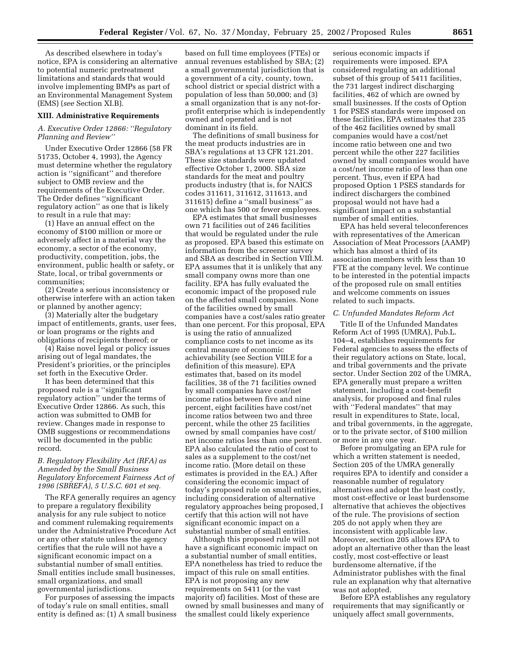As described elsewhere in today's notice, EPA is considering an alternative to potential numeric pretreatment limitations and standards that would involve implementing BMPs as part of an Environmental Management System (EMS) (*see* Section XI.B).

#### **XIII. Administrative Requirements**

## *A. Executive Order 12866: ''Regulatory Planning and Review''*

Under Executive Order 12866 (58 FR 51735, October 4, 1993), the Agency must determine whether the regulatory action is ''significant'' and therefore subject to OMB review and the requirements of the Executive Order. The Order defines ''significant regulatory action'' as one that is likely to result in a rule that may:

(1) Have an annual effect on the economy of \$100 million or more or adversely affect in a material way the economy, a sector of the economy, productivity, competition, jobs, the environment, public health or safety, or State, local, or tribal governments or communities;

(2) Create a serious inconsistency or otherwise interfere with an action taken or planned by another agency;

(3) Materially alter the budgetary impact of entitlements, grants, user fees, or loan programs or the rights and obligations of recipients thereof; or

(4) Raise novel legal or policy issues arising out of legal mandates, the President's priorities, or the principles set forth in the Executive Order.

It has been determined that this proposed rule is a ''significant regulatory action'' under the terms of Executive Order 12866. As such, this action was submitted to OMB for review. Changes made in response to OMB suggestions or recommendations will be documented in the public record.

## *B. Regulatory Flexibility Act (RFA) as Amended by the Small Business Regulatory Enforcement Fairness Act of 1996 (SBREFA), 5 U.S.C. 601 et seq.*

The RFA generally requires an agency to prepare a regulatory flexibility analysis for any rule subject to notice and comment rulemaking requirements under the Administrative Procedure Act or any other statute unless the agency certifies that the rule will not have a significant economic impact on a substantial number of small entities. Small entities include small businesses, small organizations, and small governmental jurisdictions.

For purposes of assessing the impacts of today's rule on small entities, small entity is defined as: (1) A small business

based on full time employees (FTEs) or annual revenues established by SBA; (2) a small governmental jurisdiction that is a government of a city, county, town, school district or special district with a population of less than 50,000; and (3) a small organization that is any not-forprofit enterprise which is independently owned and operated and is not dominant in its field.

The definitions of small business for the meat products industries are in SBA's regulations at 13 CFR 121.201. These size standards were updated effective October 1, 2000. SBA size standards for the meat and poultry products industry (that is, for NAICS codes 311611, 311612, 311613, and 311615) define a ''small business'' as one which has 500 or fewer employees.

EPA estimates that small businesses own 71 facilities out of 246 facilities that would be regulated under the rule as proposed. EPA based this estimate on information from the screener survey and SBA as described in Section VIII.M. EPA assumes that it is unlikely that any small company owns more than one facility. EPA has fully evaluated the economic impact of the proposed rule on the affected small companies. None of the facilities owned by small companies have a cost/sales ratio greater than one percent. For this proposal, EPA is using the ratio of annualized compliance costs to net income as its central measure of economic achievability (see Section VIII.E for a definition of this measure). EPA estimates that, based on its model facilities, 38 of the 71 facilities owned by small companies have cost/net income ratios between five and nine percent, eight facilities have cost/net income ratios between two and three percent, while the other 25 facilities owned by small companies have cost/ net income ratios less than one percent. EPA also calculated the ratio of cost to sales as a supplement to the cost/net income ratio. (More detail on these estimates is provided in the EA.) After considering the economic impact of today's proposed rule on small entities, including consideration of alternative regulatory approaches being proposed, I certify that this action will not have significant economic impact on a substantial number of small entities.

Although this proposed rule will not have a significant economic impact on a substantial number of small entities, EPA nonetheless has tried to reduce the impact of this rule on small entities. EPA is not proposing any new requirements on 5411 (or the vast majority of) facilities. Most of these are owned by small businesses and many of the smallest could likely experience

serious economic impacts if requirements were imposed. EPA considered regulating an additional subset of this group of 5411 facilities, the 731 largest indirect discharging facilities, 462 of which are owned by small businesses. If the costs of Option 1 for PSES standards were imposed on these facilities, EPA estimates that 235 of the 462 facilities owned by small companies would have a cost/net income ratio between one and two percent while the other 227 facilities owned by small companies would have a cost/net income ratio of less than one percent. Thus, even if EPA had proposed Option 1 PSES standards for indirect dischargers the combined proposal would not have had a significant impact on a substantial number of small entities.

EPA has held several teleconferences with representatives of the American Association of Meat Processors (AAMP) which has almost a third of its association members with less than 10 FTE at the company level. We continue to be interested in the potential impacts of the proposed rule on small entities and welcome comments on issues related to such impacts.

#### *C. Unfunded Mandates Reform Act*

Title II of the Unfunded Mandates Reform Act of 1995 (UMRA), Pub.L. 104–4, establishes requirements for Federal agencies to assess the effects of their regulatory actions on State, local, and tribal governments and the private sector. Under Section 202 of the UMRA, EPA generally must prepare a written statement, including a cost-benefit analysis, for proposed and final rules with ''Federal mandates'' that may result in expenditures to State, local, and tribal governments, in the aggregate, or to the private sector, of \$100 million or more in any one year.

Before promulgating an EPA rule for which a written statement is needed, Section 205 of the UMRA generally requires EPA to identify and consider a reasonable number of regulatory alternatives and adopt the least costly, most cost-effective or least burdensome alternative that achieves the objectives of the rule. The provisions of section 205 do not apply when they are inconsistent with applicable law. Moreover, section 205 allows EPA to adopt an alternative other than the least costly, most cost-effective or least burdensome alternative, if the Administrator publishes with the final rule an explanation why that alternative was not adopted.

Before EPA establishes any regulatory requirements that may significantly or uniquely affect small governments,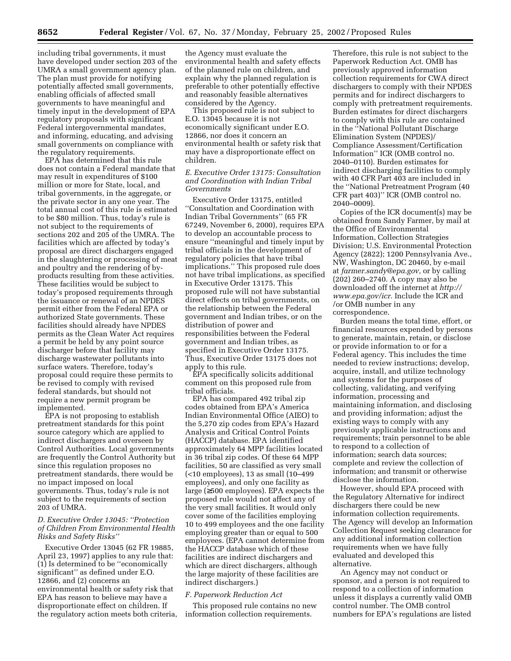including tribal governments, it must have developed under section 203 of the UMRA a small government agency plan. The plan must provide for notifying potentially affected small governments, enabling officials of affected small governments to have meaningful and timely input in the development of EPA regulatory proposals with significant Federal intergovernmental mandates, and informing, educating, and advising small governments on compliance with the regulatory requirements.

EPA has determined that this rule does not contain a Federal mandate that may result in expenditures of \$100 million or more for State, local, and tribal governments, in the aggregate, or the private sector in any one year. The total annual cost of this rule is estimated to be \$80 million. Thus, today's rule is not subject to the requirements of sections 202 and 205 of the UMRA. The facilities which are affected by today's proposal are direct dischargers engaged in the slaughtering or processing of meat and poultry and the rendering of byproducts resulting from these activities. These facilities would be subject to today's proposed requirements through the issuance or renewal of an NPDES permit either from the Federal EPA or authorized State governments. These facilities should already have NPDES permits as the Clean Water Act requires a permit be held by any point source discharger before that facility may discharge wastewater pollutants into surface waters. Therefore, today's proposal could require these permits to be revised to comply with revised federal standards, but should not require a new permit program be implemented.

EPA is not proposing to establish pretreatment standards for this point source category which are applied to indirect dischargers and overseen by Control Authorities. Local governments are frequently the Control Authority but since this regulation proposes no pretreatment standards, there would be no impact imposed on local governments. Thus, today's rule is not subject to the requirements of section 203 of UMRA.

## *D. Executive Order 13045: ''Protection of Children From Environmental Health Risks and Safety Risks''*

Executive Order 13045 (62 FR 19885, April 23, 1997) applies to any rule that: (1) Is determined to be ''economically significant'' as defined under E.O. 12866, and (2) concerns an environmental health or safety risk that EPA has reason to believe may have a disproportionate effect on children. If the regulatory action meets both criteria, the Agency must evaluate the environmental health and safety effects of the planned rule on children, and explain why the planned regulation is preferable to other potentially effective and reasonably feasible alternatives considered by the Agency.

This proposed rule is not subject to E.O. 13045 because it is not economically significant under E.O. 12866, nor does it concern an environmental health or safety risk that may have a disproportionate effect on children.

## *E. Executive Order 13175: Consultation and Coordination with Indian Tribal Governments*

Executive Order 13175, entitled ''Consultation and Coordination with Indian Tribal Governments'' (65 FR 67249, November 6, 2000), requires EPA to develop an accountable process to ensure ''meaningful and timely input by tribal officials in the development of regulatory policies that have tribal implications.'' This proposed rule does not have tribal implications, as specified in Executive Order 13175. This proposed rule will not have substantial direct effects on tribal governments, on the relationship between the Federal government and Indian tribes, or on the distribution of power and responsibilities between the Federal government and Indian tribes, as specified in Executive Order 13175. Thus, Executive Order 13175 does not apply to this rule.

EPA specifically solicits additional comment on this proposed rule from tribal officials.

EPA has compared 492 tribal zip codes obtained from EPA's America Indian Environmental Office (AIEO) to the 5,270 zip codes from EPA's Hazard Analysis and Critical Control Points (HACCP) database. EPA identified approximately 64 MPP facilities located in 36 tribal zip codes. Of these 64 MPP facilities, 50 are classified as very small (<10 employees), 13 as small (10–499 employees), and only one facility as large (≥500 employees). EPA expects the proposed rule would not affect any of the very small facilities. It would only cover some of the facilities employing 10 to 499 employees and the one facility employing greater than or equal to 500 employees. (EPA cannot determine from the HACCP database which of these facilities are indirect dischargers and which are direct dischargers, although the large majority of these facilities are indirect dischargers.)

## *F. Paperwork Reduction Act*

This proposed rule contains no new information collection requirements.

Therefore, this rule is not subject to the Paperwork Reduction Act. OMB has previously approved information collection requirements for CWA direct dischargers to comply with their NPDES permits and for indirect dischargers to comply with pretreatment requirements. Burden estimates for direct dischargers to comply with this rule are contained in the ''National Pollutant Discharge Elimination System (NPDES)/ Compliance Assessment/Certification Information'' ICR (OMB control no. 2040–0110). Burden estimates for indirect discharging facilities to comply with 40 CFR Part 403 are included in the ''National Pretreatment Program (40 CFR part 403)'' ICR (OMB control no. 2040–0009).

Copies of the ICR document(s) may be obtained from Sandy Farmer, by mail at the Office of Environmental Information, Collection Strategies Division; U.S. Environmental Protection Agency (2822); 1200 Pennsylvania Ave., NW, Washington, DC 20460, by e-mail at *farmer.sandy@epa.gov,* or by calling (202) 260–2740. A copy may also be downloaded off the internet at *http:// www.epa.gov/icr.* Include the ICR and /or OMB number in any correspondence.

Burden means the total time, effort, or financial resources expended by persons to generate, maintain, retain, or disclose or provide information to or for a Federal agency. This includes the time needed to review instructions; develop, acquire, install, and utilize technology and systems for the purposes of collecting, validating, and verifying information, processing and maintaining information, and disclosing and providing information; adjust the existing ways to comply with any previously applicable instructions and requirements; train personnel to be able to respond to a collection of information; search data sources; complete and review the collection of information; and transmit or otherwise disclose the information.

However, should EPA proceed with the Regulatory Alternative for indirect dischargers there could be new information collection requirements. The Agency will develop an Information Collection Request seeking clearance for any additional information collection requirements when we have fully evaluated and developed this alternative.

An Agency may not conduct or sponsor, and a person is not required to respond to a collection of information unless it displays a currently valid OMB control number. The OMB control numbers for EPA's regulations are listed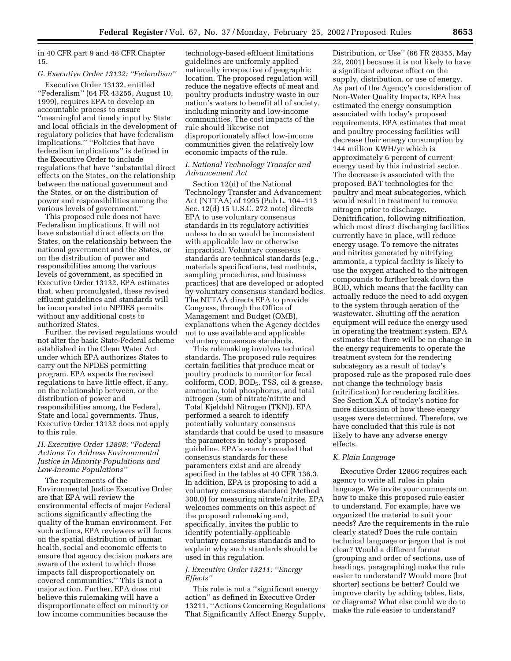in 40 CFR part 9 and 48 CFR Chapter 15.

# *G. Executive Order 13132: ''Federalism''*

Executive Order 13132, entitled ''Federalism'' (64 FR 43255, August 10, 1999), requires EPA to develop an accountable process to ensure ''meaningful and timely input by State and local officials in the development of regulatory policies that have federalism implications.'' ''Policies that have federalism implications'' is defined in the Executive Order to include regulations that have ''substantial direct effects on the States, on the relationship between the national government and the States, or on the distribution of power and responsibilities among the various levels of government.''

This proposed rule does not have Federalism implications. It will not have substantial direct effects on the States, on the relationship between the national government and the States, or on the distribution of power and responsibilities among the various levels of government, as specified in Executive Order 13132. EPA estimates that, when promulgated, these revised effluent guidelines and standards will be incorporated into NPDES permits without any additional costs to authorized States.

Further, the revised regulations would not alter the basic State-Federal scheme established in the Clean Water Act under which EPA authorizes States to carry out the NPDES permitting program. EPA expects the revised regulations to have little effect, if any, on the relationship between, or the distribution of power and responsibilities among, the Federal, State and local governments. Thus, Executive Order 13132 does not apply to this rule.

## *H. Executive Order 12898: ''Federal Actions To Address Environmental Justice in Minority Populations and Low-Income Populations''*

The requirements of the Environmental Justice Executive Order are that EPA will review the environmental effects of major Federal actions significantly affecting the quality of the human environment. For such actions, EPA reviewers will focus on the spatial distribution of human health, social and economic effects to ensure that agency decision makers are aware of the extent to which those impacts fall disproportionately on covered communities.'' This is not a major action. Further, EPA does not believe this rulemaking will have a disproportionate effect on minority or low income communities because the

technology-based effluent limitations guidelines are uniformly applied nationally irrespective of geographic location. The proposed regulation will reduce the negative effects of meat and poultry products industry waste in our nation's waters to benefit all of society, including minority and low-income communities. The cost impacts of the rule should likewise not disproportionately affect low-income communities given the relatively low economic impacts of the rule.

## *I. National Technology Transfer and Advancement Act*

Section 12(d) of the National Technology Transfer and Advancement Act (NTTAA) of 1995 (Pub L. 104–113 Sec. 12(d) 15 U.S.C. 272 note) directs EPA to use voluntary consensus standards in its regulatory activities unless to do so would be inconsistent with applicable law or otherwise impractical. Voluntary consensus standards are technical standards (e.g., materials specifications, test methods, sampling procedures, and business practices) that are developed or adopted by voluntary consensus standard bodies. The NTTAA directs EPA to provide Congress, through the Office of Management and Budget (OMB), explanations when the Agency decides not to use available and applicable voluntary consensus standards.

This rulemaking involves technical standards. The proposed rule requires certain facilities that produce meat or poultry products to monitor for fecal coliform, COD, BOD<sub>5</sub>, TSS, oil & grease, ammonia, total phosphorus, and total nitrogen (sum of nitrate/nitrite and Total Kjeldahl Nitrogen (TKN)). EPA performed a search to identify potentially voluntary consensus standards that could be used to measure the parameters in today's proposed guideline. EPA's search revealed that consensus standards for these paramenters exist and are already specified in the tables at 40 CFR 136.3. In addition, EPA is proposing to add a voluntary consensus standard (Method 300.0) for measuring nitrate/nitrite. EPA welcomes comments on this aspect of the proposed rulemaking and, specifically, invites the public to identify potentially-applicable voluntary consensus standards and to explain why such standards should be used in this regulation.

## *J. Executive Order 13211: ''Energy Effects''*

This rule is not a ''significant energy action'' as defined in Executive Order 13211, ''Actions Concerning Regulations That Significantly Affect Energy Supply, Distribution, or Use'' (66 FR 28355, May 22, 2001) because it is not likely to have a significant adverse effect on the supply, distribution, or use of energy. As part of the Agency's consideration of Non-Water Quality Impacts, EPA has estimated the energy consumption associated with today's proposed requirements. EPA estimates that meat and poultry processing facilities will decrease their energy consumption by 144 million KWH/yr which is approximately 6 percent of current energy used by this industrial sector. The decrease is associated with the proposed BAT technologies for the poultry and meat subcategories, which would result in treatment to remove nitrogen prior to discharge. Denitrification, following nitrification, which most direct discharging facilities currently have in place, will reduce energy usage. To remove the nitrates and nitrites generated by nitrifying ammonia, a typical facility is likely to use the oxygen attached to the nitrogen compounds to further break down the BOD, which means that the facility can actually reduce the need to add oxygen to the system through aeration of the wastewater. Shutting off the aeration equipment will reduce the energy used in operating the treatment system. EPA estimates that there will be no change in the energy requirements to operate the treatment system for the rendering subcategory as a result of today's proposed rule as the proposed rule does not change the technology basis (nitrification) for rendering facilities. See Section X.A of today's notice for more discussion of how these energy usages were determined. Therefore, we have concluded that this rule is not likely to have any adverse energy effects.

### *K. Plain Language*

Executive Order 12866 requires each agency to write all rules in plain language. We invite your comments on how to make this proposed rule easier to understand. For example, have we organized the material to suit your needs? Are the requirements in the rule clearly stated? Does the rule contain technical language or jargon that is not clear? Would a different format (grouping and order of sections, use of headings, paragraphing) make the rule easier to understand? Would more (but shorter) sections be better? Could we improve clarity by adding tables, lists, or diagrams? What else could we do to make the rule easier to understand?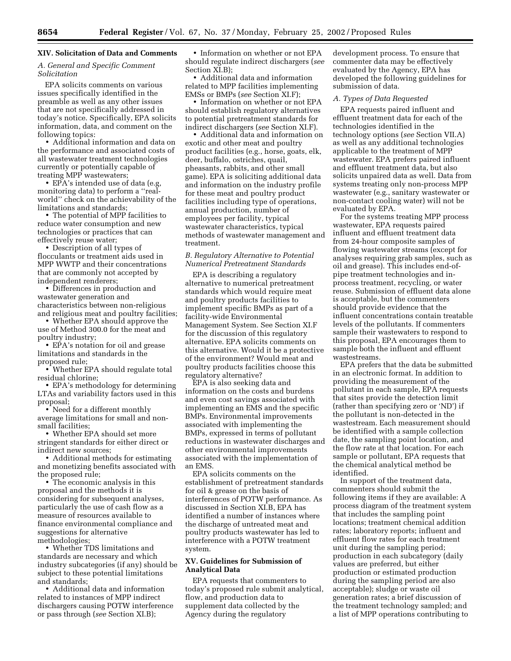### **XIV. Solicitation of Data and Comments**

### *A. General and Specific Comment Solicitation*

EPA solicits comments on various issues specifically identified in the preamble as well as any other issues that are not specifically addressed in today's notice. Specifically, EPA solicits information, data, and comment on the following topics:

• Additional information and data on the performance and associated costs of all wastewater treatment technologies currently or potentially capable of treating MPP wastewaters;

• EPA's intended use of data (e.g. monitoring data) to perform a ''realworld'' check on the achievability of the limitations and standards;

• The potential of MPP facilities to reduce water consumption and new technologies or practices that can effectively reuse water;

• Description of all types of flocculants or treatment aids used in MPP WWTP and their concentrations that are commonly not accepted by independent renderers;

• Differences in production and wastewater generation and characteristics between non-religious and religious meat and poultry facilities;

• Whether EPA should approve the use of Method 300.0 for the meat and poultry industry;

• EPA's notation for oil and grease limitations and standards in the proposed rule;

• Whether EPA should regulate total residual chlorine;

• EPA's methodology for determining LTAs and variability factors used in this proposal;

• Need for a different monthly average limitations for small and nonsmall facilities;

• Whether EPA should set more stringent standards for either direct or indirect new sources;

• Additional methods for estimating and monetizing benefits associated with the proposed rule;

• The economic analysis in this proposal and the methods it is considering for subsequent analyses, particularly the use of cash flow as a measure of resources available to finance environmental compliance and suggestions for alternative methodologies;

• Whether TDS limitations and standards are necessary and which industry subcategories (if any) should be subject to these potential limitations and standards;

• Additional data and information related to instances of MPP indirect dischargers causing POTW interference or pass through (*see* Section XI.B);

• Information on whether or not EPA should regulate indirect dischargers (*see* Section XI.B);

• Additional data and information related to MPP facilities implementing EMSs or BMPs (*see* Section XI.F);

• Information on whether or not EPA should establish regulatory alternatives to potential pretreatment standards for indirect dischargers (*see* Section XI.F).

• Additional data and information on exotic and other meat and poultry product facilities (e.g., horse, goats, elk, deer, buffalo, ostriches, quail, pheasants, rabbits, and other small game). EPA is soliciting additional data and information on the industry profile for these meat and poultry product facilities including type of operations, annual production, number of employees per facility, typical wastewater characteristics, typical methods of wastewater management and treatment.

## *B. Regulatory Alternative to Potential Numerical Pretreatment Standards*

EPA is describing a regulatory alternative to numerical pretreatment standards which would require meat and poultry products facilities to implement specific BMPs as part of a facility-wide Environmental Management System. See Section XI.F for the discussion of this regulatory alternative. EPA solicits comments on this alternative. Would it be a protective of the environment? Would meat and poultry products facilities choose this regulatory alternative?

EPA is also seeking data and information on the costs and burdens and even cost savings associated with implementing an EMS and the specific BMPs. Environmental improvements associated with implementing the BMPs, expressed in terms of pollutant reductions in wastewater discharges and other environmental improvements associated with the implementation of an EMS.

EPA solicits comments on the establishment of pretreatment standards for oil & grease on the basis of interferences of POTW performance. As discussed in Section XI.B, EPA has identified a number of instances where the discharge of untreated meat and poultry products wastewater has led to interference with a POTW treatment system.

## **XV. Guidelines for Submission of Analytical Data**

EPA requests that commenters to today's proposed rule submit analytical, flow, and production data to supplement data collected by the Agency during the regulatory

development process. To ensure that commenter data may be effectively evaluated by the Agency, EPA has developed the following guidelines for submission of data.

#### *A. Types of Data Requested*

EPA requests paired influent and effluent treatment data for each of the technologies identified in the technology options (*see* Section VII.A) as well as any additional technologies applicable to the treatment of MPP wastewater. EPA prefers paired influent and effluent treatment data, but also solicits unpaired data as well. Data from systems treating only non-process MPP wastewater (e.g., sanitary wastewater or non-contact cooling water) will not be evaluated by EPA.

For the systems treating MPP process wastewater, EPA requests paired influent and effluent treatment data from 24-hour composite samples of flowing wastewater streams (except for analyses requiring grab samples, such as oil and grease). This includes end-ofpipe treatment technologies and inprocess treatment, recycling, or water reuse. Submission of effluent data alone is acceptable, but the commenters should provide evidence that the influent concentrations contain treatable levels of the pollutants. If commenters sample their wastewaters to respond to this proposal, EPA encourages them to sample both the influent and effluent wastestreams.

EPA prefers that the data be submitted in an electronic format. In addition to providing the measurement of the pollutant in each sample, EPA requests that sites provide the detection limit (rather than specifying zero or 'ND') if the pollutant is non-detected in the wastestream. Each measurement should be identified with a sample collection date, the sampling point location, and the flow rate at that location. For each sample or pollutant, EPA requests that the chemical analytical method be identified.

In support of the treatment data, commenters should submit the following items if they are available: A process diagram of the treatment system that includes the sampling point locations; treatment chemical addition rates; laboratory reports; influent and effluent flow rates for each treatment unit during the sampling period; production in each subcategory (daily values are preferred, but either production or estimated production during the sampling period are also acceptable); sludge or waste oil generation rates; a brief discussion of the treatment technology sampled; and a list of MPP operations contributing to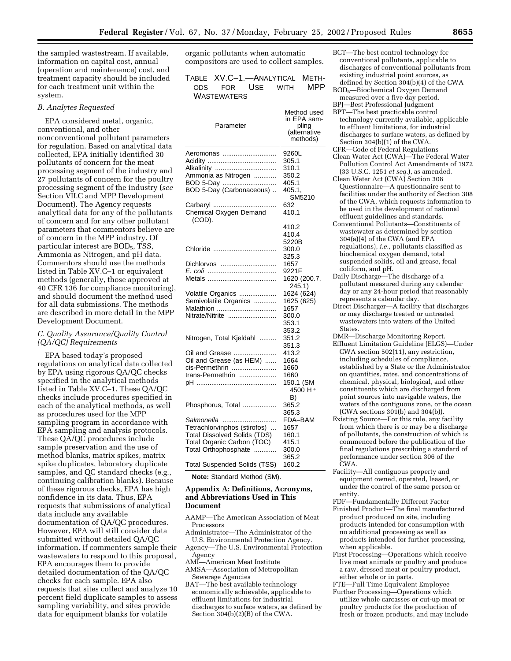the sampled wastestream. If available, information on capital cost, annual (operation and maintenance) cost, and treatment capacity should be included for each treatment unit within the system.

### *B. Analytes Requested*

EPA considered metal, organic, conventional, and other nonconventional pollutant parameters for regulation. Based on analytical data collected, EPA initially identified 30 pollutants of concern for the meat processing segment of the industry and 27 pollutants of concern for the poultry processing segment of the industry (*see* Section VII.C and MPP Development Document). The Agency requests analytical data for any of the pollutants of concern and for any other pollutant parameters that commentors believe are of concern in the MPP industry. Of particular interest are BOD<sub>5</sub>, TSS, Ammonia as Nitrogen, and pH data. Commentors should use the methods listed in Table XV.C–1 or equivalent methods (generally, those approved at 40 CFR 136 for compliance monitoring), and should document the method used for all data submissions. The methods are described in more detail in the MPP Development Document.

# *C. Quality Assurance/Quality Control (QA/QC) Requirements*

EPA based today's proposed regulations on analytical data collected by EPA using rigorous QA/QC checks specified in the analytical methods listed in Table XV.C–1. These QA/QC checks include procedures specified in each of the analytical methods, as well as procedures used for the MPP sampling program in accordance with EPA sampling and analysis protocols. These QA/QC procedures include sample preservation and the use of method blanks, matrix spikes, matrix spike duplicates, laboratory duplicate samples, and QC standard checks (e.g., continuing calibration blanks). Because of these rigorous checks, EPA has high confidence in its data. Thus, EPA requests that submissions of analytical data include any available documentation of QA/QC procedures. However, EPA will still consider data submitted without detailed QA/QC information. If commenters sample their wastewaters to respond to this proposal, EPA encourages them to provide detailed documentation of the QA/QC checks for each sample. EPA also requests that sites collect and analyze 10 percent field duplicate samples to assess sampling variability, and sites provide data for equipment blanks for volatile

organic pollutants when automatic compositors are used to collect samples.

# TABLE XV.C–1.—ANALYTICAL METH-ODS FOR USE WITH MPP **WASTEWATERS**

| Parameter                                                                                                                                                                      | Method used<br>in EPA sam-<br>pling<br>(alternative<br>methods)               |
|--------------------------------------------------------------------------------------------------------------------------------------------------------------------------------|-------------------------------------------------------------------------------|
| Aeromonas<br>Alkalinity<br>Ammonia as Nitrogen<br>BOD 5-Day<br>BOD 5-Day (Carbonaceous)<br>Carbaryl<br>Chemical Oxygen Demand<br>(COD).                                        | 9260L<br>305.1<br>310.1<br>350.2<br>405.1<br>405.1.<br>SM5210<br>632<br>410.1 |
| Chloride<br>Dichlorvos                                                                                                                                                         | 410.2<br>410.4<br>5220B<br>300.0<br>325.3<br>1657                             |
|                                                                                                                                                                                | 9221F<br>1620 (200.7,<br>245.1)                                               |
| Volatile Organics<br>Semivolatile Organics<br>Malathion<br>Nitrate/Nitrite                                                                                                     | 1624 (624)<br>1625 (625)<br>1657<br>300.0<br>353.1<br>353.2                   |
| Nitrogen, Total Kjeldahl                                                                                                                                                       | 351.2<br>351.3                                                                |
| Oil and Grease<br>Oil and Grease (as HEM)<br>cis-Permethrin<br>trans-Permethrin                                                                                                | 413.2<br>1664<br>1660<br>1660<br>150.1 (SM<br>4500 H <sup>+</sup><br>B)       |
| Phosphorus, Total                                                                                                                                                              | 365.2<br>365.3                                                                |
| Salmonella<br>Tetrachlorvinphos (stirofos)<br><b>Total Dissolved Solids (TDS)</b><br>Total Organic Carbon (TOC)<br>Total Orthophosphate<br><b>Total Suspended Solids (TSS)</b> | FDA-BAM<br>1657<br>160.1<br>415.1<br>300.0<br>365.2<br>160.2                  |

**Note:** Standard Method (SM).

### **Appendix A: Definitions, Acronyms, and Abbreviations Used in This Document**

- AAMP—The American Association of Meat Processors
- Administrator—The Administrator of the U.S. Environmental Protection Agency.
- Agency—The U.S. Environmental Protection Agency
- AMI—American Meat Institute
- AMSA—Association of Metropolitan Sewerage Agencies
- BAT—The best available technology economically achievable, applicable to effluent limitations for industrial discharges to surface waters, as defined by Section 304(b)(2)(B) of the CWA.
- BCT—The best control technology for conventional pollutants, applicable to discharges of conventional pollutants from existing industrial point sources, as defined by Section 304(b)(4) of the CWA
- BOD5—Biochemical Oxygen Demand measured over a five day period.
- BPJ—Best Professional Judgment BPT—The best practicable control
- technology currently available, applicable to effluent limitations, for industrial discharges to surface waters, as defined by Section 304(b)(1) of the CWA.
- CFR—Code of Federal Regulations Clean Water Act (CWA)—The Federal Water Pollution Control Act Amendments of 1972 (33 U.S.C. 1251 *et seq.*), as amended.
- Clean Water Act (CWA) Section 308 Questionnaire—A questionnaire sent to facilities under the authority of Section 308 of the CWA, which requests information to be used in the development of national effluent guidelines and standards.
- Conventional Pollutants—Constituents of wastewater as determined by section 304(a)(4) of the CWA (and EPA regulations), *i.e.,* pollutants classified as biochemical oxygen demand, total suspended solids, oil and grease, fecal coliform, and pH.
- Daily Discharge—The discharge of a pollutant measured during any calendar day or any 24-hour period that reasonably represents a calendar day.
	- Direct Discharger—A facility that discharges or may discharge treated or untreated wastewaters into waters of the United States.
	- DMR—Discharge Monitoring Report. Effluent Limitation Guideline (ELGS)—Under CWA section 502(11), any restriction, including schedules of compliance, established by a State or the Administrator on quantities, rates, and concentrations of chemical, physical, biological, and other constituents which are discharged from point sources into navigable waters, the waters of the contiguous zone, or the ocean (CWA sections 301(b) and 304(b)).
	- Existing Source—For this rule, any facility from which there is or may be a discharge of pollutants, the construction of which is commenced before the publication of the final regulations prescribing a standard of performance under section 306 of the CWA.
	- Facility—All contiguous property and equipment owned, operated, leased, or under the control of the same person or entity.
- FDF—Fundamentally Different Factor Finished Product—The final manufactured product produced on site, including products intended for consumption with no additional processing as well as products intended for further processing, when applicable.
- First Processing—Operations which receive live meat animals or poultry and produce a raw, dressed meat or poultry product, either whole or in parts.

FTE—Full Time Equivalent Employee

Further Processing—Operations which utilize whole carcasses or cut-up meat or poultry products for the production of fresh or frozen products, and may include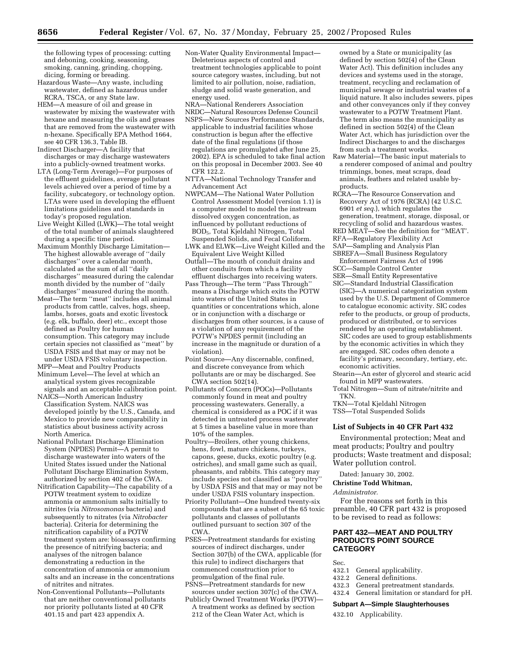the following types of processing: cutting and deboning, cooking, seasoning, smoking, canning, grinding, chopping, dicing, forming or breading.

- Hazardous Waste—Any waste, including wastewater, defined as hazardous under RCRA, TSCA, or any State law.
- HEM—A measure of oil and grease in wastewater by mixing the wastewater with hexane and measuring the oils and greases that are removed from the wastewater with n-hexane. Specifically EPA Method 1664, see 40 CFR 136.3, Table IB.
- Indirect Discharger—A facility that discharges or may discharge wastewaters into a publicly-owned treatment works.
- LTA (Long-Term Average)—For purposes of the effluent guidelines, average pollutant levels achieved over a period of time by a facility, subcategory, or technology option. LTAs were used in developing the effluent limitations guidelines and standards in today's proposed regulation.
- Live Weight Killed (LWK)—The total weight of the total number of animals slaughtered during a specific time period.
- Maximum Monthly Discharge Limitation— The highest allowable average of ''daily discharges'' over a calendar month, calculated as the sum of all ''daily discharges'' measured during the calendar month divided by the number of ''daily discharges'' measured during the month.
- Meat—The term ''meat'' includes all animal products from cattle, calves, hogs, sheep, lambs, horses, goats and exotic livestock (e.g. elk, buffalo, deer) etc., except those defined as Poultry for human consumption. This category may include certain species not classified as ''meat'' by USDA FSIS and that may or may not be under USDA FSIS voluntary inspection.
- MPP—Meat and Poultry Products Minimum Level—The level at which an
- analytical system gives recognizable signals and an acceptable calibration point.
- NAICS—North American Industry Classification System. NAICS was developed jointly by the U.S., Canada, and Mexico to provide new comparability in statistics about business activity across North America.
- National Pollutant Discharge Elimination System (NPDES) Permit—A permit to discharge wastewater into waters of the United States issued under the National Pollutant Discharge Elimination System, authorized by section 402 of the CWA.
- Nitrification Capability—The capability of a POTW treatment system to oxidize ammonia or ammonium salts initially to nitrites (via *Nitrosomonas* bacteria) and subsequently to nitrates (via *Nitrobacter* bacteria). Criteria for determining the nitrification capability of a POTW treatment system are: bioassays confirming the presence of nitrifying bacteria; and analyses of the nitrogen balance demonstrating a reduction in the concentration of ammonia or ammonium salts and an increase in the concentrations of nitrites and nitrates.
- Non-Conventional Pollutants—Pollutants that are neither conventional pollutants nor priority pollutants listed at 40 CFR  $401.15$  and part 423 appendix A.
- Non-Water Quality Environmental Impact— Deleterious aspects of control and treatment technologies applicable to point source category wastes, including, but not limited to air pollution, noise, radiation, sludge and solid waste generation, and energy used.
- NRA—National Renderers Association
- NRDC—Natural Resources Defense Council NSPS—New Sources Performance Standards, applicable to industrial facilities whose construction is begun after the effective date of the final regulations (if those regulations are promulgated after June 25, 2002). EPA is scheduled to take final action on this proposal in December 2003. See 40 CFR 122.2.
- NTTA—National Technology Transfer and Advancement Act
- NWPCAM—The National Water Pollution Control Assessment Model (version 1.1) is a computer model to model the instream dissolved oxygen concentration, as influenced by pollutant reductions of BOD5, Total Kjeldahl Nitrogen, Total Suspended Solids, and Fecal Coliform.
- LWK and ELWK—Live Weight Killed and the Equivalent Live Weight Killed
- Outfall—The mouth of conduit drains and other conduits from which a facility effluent discharges into receiving waters.
- Pass Through—The term ''Pass Through'' means a Discharge which exits the POTW into waters of the United States in quantities or concentrations which, alone or in conjunction with a discharge or discharges from other sources, is a cause of a violation of any requirement of the POTW's NPDES permit (including an increase in the magnitude or duration of a violation).
- Point Source—Any discernable, confined, and discrete conveyance from which pollutants are or may be discharged. See  $\text{CWA}$  section 502(14).
- Pollutants of Concern (POCs)—Pollutants commonly found in meat and poultry processing wastewaters. Generally, a chemical is considered as a POC if it was detected in untreated process wastewater at 5 times a baseline value in more than 10% of the samples.
- Poultry—Broilers, other young chickens, hens, fowl, mature chickens, turkeys, capons, geese, ducks, exotic poultry (e.g. ostriches), and small game such as quail, pheasants, and rabbits. This category may include species not classified as ''poultry'' by USDA FSIS and that may or may not be under USDA FSIS voluntary inspection.
- Priority Pollutant—One hundred twenty-six compounds that are a subset of the 65 toxic pollutants and classes of pollutants outlined pursuant to section 307 of the CWA.
- PSES—Pretreatment standards for existing sources of indirect discharges, under Section 307(b) of the CWA, applicable (for this rule) to indirect dischargers that commenced construction prior to promulgation of the final rule.
- PSNS—Pretreatment standards for new sources under section 307(c) of the CWA.
- Publicly Owned Treatment Works (POTW)— A treatment works as defined by section 212 of the Clean Water Act, which is

owned by a State or municipality (as defined by section 502(4) of the Clean Water Act). This definition includes any devices and systems used in the storage, treatment, recycling and reclamation of municipal sewage or industrial wastes of a liquid nature. It also includes sewers, pipes and other conveyances only if they convey wastewater to a POTW Treatment Plant. The term also means the municipality as defined in section 502(4) of the Clean Water Act, which has jurisdiction over the Indirect Discharges to and the discharges from such a treatment works.

- Raw Material—The basic input materials to a renderer composed of animal and poultry trimmings, bones, meat scraps, dead animals, feathers and related usable byproducts.
- RCRA—The Resource Conservation and Recovery Act of 1976 (RCRA) (42 U.S.C. 6901 *et seq.*), which regulates the generation, treatment, storage, disposal, or recycling of solid and hazardous wastes. RED MEAT—See the definition for ''MEAT'.
- RFA—Regulatory Flexibility Act
- SAP—Sampling and Analysis Plan
- SBREFA—Small Business Regulatory Enforcement Fairness Act of 1996
- SCC—Sample Control Center SER—Small Entity Representative
- SIC—Standard Industrial Classification (SIC)—A numerical categorization system used by the U.S. Department of Commerce to catalogue economic activity. SIC codes refer to the products, or group of products, produced or distributed, or to services rendered by an operating establishment. SIC codes are used to group establishments by the economic activities in which they are engaged. SIC codes often denote a facility's primary, secondary, tertiary, etc. economic activities.
- Stearin—An ester of glycerol and stearic acid found in MPP wastewaters.
- Total Nitrogen—Sum of nitrate/nitrite and TKN.
- TKN—Total Kjeldahl Nitrogen
- TSS—Total Suspended Solids

## **List of Subjects in 40 CFR Part 432**

Environmental protection; Meat and meat products; Poultry and poultry products; Waste treatment and disposal; Water pollution control.

Dated: January 30, 2002.

### **Christine Todd Whitman,**

*Administrator.*

For the reasons set forth in this preamble, 40 CFR part 432 is proposed to be revised to read as follows:

## **PART 432—MEAT AND POULTRY PRODUCTS POINT SOURCE CATEGORY**

- Sec.
- 432.1 General applicability.<br>432.2 General definitions.
- General definitions.
- 432.3 General pretreatment standards. 432.4 General limitation or standard for pH.
- **Subpart A—Simple Slaughterhouses**
- 432.10 Applicability.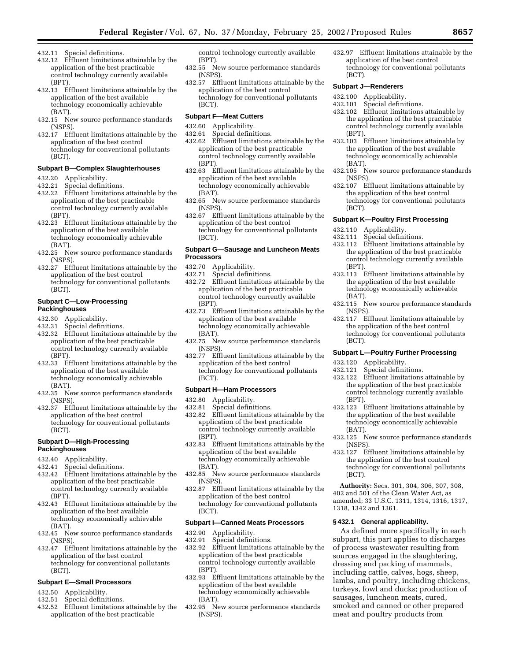- 432.11 Special definitions.
- 432.12 Effluent limitations attainable by the application of the best practicable control technology currently available (BPT).
- 432.13 Effluent limitations attainable by the application of the best available technology economically achievable (BAT).
- 432.15 New source performance standards (NSPS).
- 432.17 Effluent limitations attainable by the application of the best control technology for conventional pollutants (BCT).

#### **Subpart B—Complex Slaughterhouses**

- 432.20 Applicability.
- 432.21 Special definitions.
- 432.22 Effluent limitations attainable by the application of the best practicable control technology currently available (BPT).
- 432.23 Effluent limitations attainable by the application of the best available technology economically achievable (BAT).
- 432.25 New source performance standards (NSPS).
- 432.27 Effluent limitations attainable by the application of the best control technology for conventional pollutants (BCT).

### **Subpart C—Low-Processing Packinghouses**

- 432.30 Applicability.
- 432.31 Special definitions.
- 432.32 Effluent limitations attainable by the application of the best practicable control technology currently available (BPT).
- 432.33 Effluent limitations attainable by the application of the best available technology economically achievable (BAT).
- 432.35 New source performance standards (NSPS).
- 432.37 Effluent limitations attainable by the application of the best control technology for conventional pollutants (BCT).

### **Subpart D—High-Processing Packinghouses**

- 432.40 Applicability.
- Special definitions.
- 432.42 Effluent limitations attainable by the application of the best practicable control technology currently available (BPT).
- 432.43 Effluent limitations attainable by the application of the best available technology economically achievable (BAT).
- 432.45 New source performance standards (NSPS).
- 432.47 Effluent limitations attainable by the application of the best control technology for conventional pollutants (BCT).

# **Subpart E—Small Processors**

- 432.50 Applicability.<br>432.51 Special defini
- Special definitions.
- 432.52 Effluent limitations attainable by the application of the best practicable

control technology currently available (BPT).

- 432.55 New source performance standards (NSPS).
- 432.57 Effluent limitations attainable by the application of the best control technology for conventional pollutants (BCT).

#### **Subpart F—Meat Cutters**

- 432.60 Applicability.
- 
- 432.61 Special definitions. Effluent limitations attainable by the application of the best practicable control technology currently available (BPT).
- 432.63 Effluent limitations attainable by the application of the best available technology economically achievable (BAT).
- 432.65 New source performance standards (NSPS).
- 432.67 Effluent limitations attainable by the application of the best control technology for conventional pollutants (BCT).

### **Subpart G—Sausage and Luncheon Meats Processors**

- 432.70 Applicability.
- 432.71 Special definitions.
- 432.72 Effluent limitations attainable by the application of the best practicable control technology currently available (BPT).
- 432.73 Effluent limitations attainable by the application of the best available technology economically achievable (BAT).
- 432.75 New source performance standards (NSPS).
- 432.77 Effluent limitations attainable by the application of the best control technology for conventional pollutants (BCT).

#### **Subpart H—Ham Processors**

- 432.80 Applicability.
- 432.81 Special definitions. 432.82 Effluent limitations attainable by the application of the best practicable control technology currently available (BPT).
- 432.83 Effluent limitations attainable by the application of the best available technology economically achievable (BAT).
- 432.85 New source performance standards (NSPS).
- 432.87 Effluent limitations attainable by the application of the best control technology for conventional pollutants (BCT).

### **Subpart I—Canned Meats Processors**

- 432.90 Applicability.
- 432.91 Special definitions.
- 432.92 Effluent limitations attainable by the application of the best practicable control technology currently available (BPT).
- 432.93 Effluent limitations attainable by the application of the best available technology economically achievable (BAT).
- 432.95 New source performance standards (NSPS).

432.97 Effluent limitations attainable by the application of the best control technology for conventional pollutants (BCT).

### **Subpart J—Renderers**

- 432.100 Applicability.
- 432.101 Special definitions.
- 432.102 Effluent limitations attainable by the application of the best practicable control technology currently available (BPT).
- 432.103 Effluent limitations attainable by the application of the best available technology economically achievable (BAT).
- 432.105 New source performance standards (NSPS).
- 432.107 Effluent limitations attainable by the application of the best control technology for conventional pollutants (BCT).

#### **Subpart K—Poultry First Processing**

- 432.110 Applicability.<br>432.111 Special defini
- Special definitions.
- 432.112 Effluent limitations attainable by the application of the best practicable control technology currently available (BPT).
- 432.113 Effluent limitations attainable by the application of the best available technology economically achievable (BAT).
- 432.115 New source performance standards (NSPS).
- 432.117 Effluent limitations attainable by the application of the best control technology for conventional pollutants (BCT).

### **Subpart L—Poultry Further Processing**

- 432.120 Applicability.
- Special definitions.
- 432.122 Effluent limitations attainable by the application of the best practicable control technology currently available (BPT).
- 432.123 Effluent limitations attainable by the application of the best available technology economically achievable (BAT).
- 432.125 New source performance standards (NSPS).
- 432.127 Effluent limitations attainable by the application of the best control technology for conventional pollutants (BCT).

**Authority:** Secs. 301, 304, 306, 307, 308, 402 and 501 of the Clean Water Act, as amended; 33 U.S.C. 1311, 1314, 1316, 1317, 1318, 1342 and 1361.

## **§ 432.1 General applicability.**

As defined more specifically in each subpart, this part applies to discharges of process wastewater resulting from sources engaged in the slaughtering, dressing and packing of mammals, including cattle, calves, hogs, sheep, lambs, and poultry, including chickens, turkeys, fowl and ducks; production of sausages, luncheon meats, cured, smoked and canned or other prepared meat and poultry products from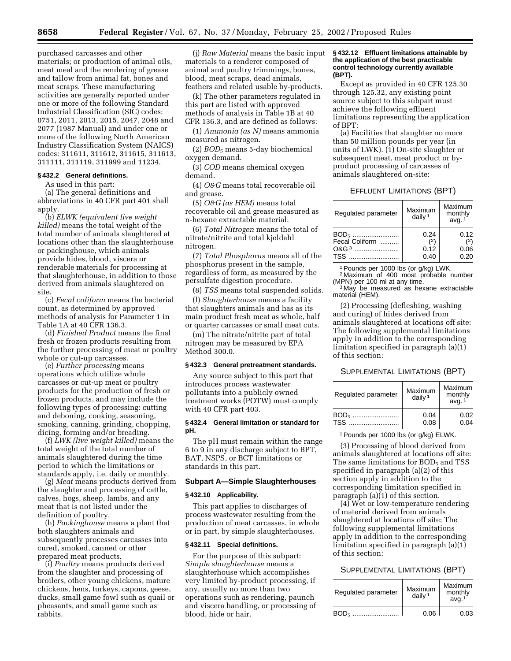purchased carcasses and other materials; or production of animal oils, meat meal and the rendering of grease and tallow from animal fat, bones and meat scraps. These manufacturing activities are generally reported under one or more of the following Standard Industrial Classification (SIC) codes: 0751, 2011, 2013, 2015, 2047, 2048 and 2077 (1987 Manual) and under one or more of the following North American Industry Classification System (NAICS) codes: 311611, 311612, 311615, 311613, 311111, 311119, 311999 and 11234.

#### **§ 432.2 General definitions.**

As used in this part:

(a) The general definitions and abbreviations in 40 CFR part 401 shall apply.

(b) *ELWK (equivalent live weight killed)* means the total weight of the total number of animals slaughtered at locations other than the slaughterhouse or packinghouse, which animals provide hides, blood, viscera or renderable materials for processing at that slaughterhouse, in addition to those derived from animals slaughtered on site.

(c) *Fecal coliform* means the bacterial count, as determined by approved methods of analysis for Parameter 1 in Table 1A at 40 CFR 136.3.

(d) *Finished Product* means the final fresh or frozen products resulting from the further processing of meat or poultry whole or cut-up carcasses.

(e) *Further processing* means operations which utilize whole carcasses or cut-up meat or poultry products for the production of fresh or frozen products, and may include the following types of processing: cutting and deboning, cooking, seasoning, smoking, canning, grinding, chopping, dicing, forming and/or breading.

(f) *LWK (live weight killed)* means the total weight of the total number of animals slaughtered during the time period to which the limitations or standards apply, i.e. daily or monthly.

(g) *Meat* means products derived from the slaughter and processing of cattle, calves, hogs, sheep, lambs, and any meat that is not listed under the definition of poultry.

(h) *Packinghouse* means a plant that both slaughters animals and subsequently processes carcasses into cured, smoked, canned or other prepared meat products.

(i) *Poultry* means products derived from the slaughter and processing of broilers, other young chickens, mature chickens, hens, turkeys, capons, geese, ducks, small game fowl such as quail or pheasants, and small game such as rabbits.

(j) *Raw Material* means the basic input materials to a renderer composed of animal and poultry trimmings, bones, blood, meat scraps, dead animals, feathers and related usable by-products.

(k) The other parameters regulated in this part are listed with approved methods of analysis in Table 1B at 40 CFR 136.3, and are defined as follows:

(1) *Ammonia (as N)* means ammonia measured as nitrogen.

(2) *BOD5* means 5-day biochemical oxygen demand.

(3) *COD* means chemical oxygen demand.

(4) *O&G* means total recoverable oil and grease.

(5) *O&G (as HEM)* means total recoverable oil and grease measured as n-hexane extractable material.

(6) *Total Nitrogen* means the total of nitrate/nitrite and total kjeldahl nitrogen.

(7) *Total Phosphorus* means all of the phosphorus present in the sample, regardless of form, as measured by the persulfate digestion procedure.

(8) *TSS* means total suspended solids. (l) *Slaughterhouse* means a facility that slaughters animals and has as its main product fresh meat as whole, half or quarter carcasses or small meat cuts.

(m) The nitrate/nitrite part of total nitrogen may be measured by EPA Method 300.0.

#### **§ 432.3 General pretreatment standards.**

Any source subject to this part that introduces process wastewater pollutants into a publicly owned treatment works (POTW) must comply with 40 CFR part 403.

### **§ 432.4 General limitation or standard for pH.**

The pH must remain within the range 6 to 9 in any discharge subject to BPT, BAT, NSPS, or BCT limitations or standards in this part.

#### **Subpart A—Simple Slaughterhouses**

#### **§ 432.10 Applicability.**

This part applies to discharges of process wastewater resulting from the production of meat carcasses, in whole or in part, by simple slaughterhouses.

### **§ 432.11 Special definitions.**

For the purpose of this subpart: *Simple slaughterhouse* means a slaughterhouse which accomplishes very limited by-product processing, if any, usually no more than two operations such as rendering, paunch and viscera handling, or processing of blood, hide or hair.

#### **§ 432.12 Effluent limitations attainable by the application of the best practicable control technology currently available (BPT).**

Except as provided in 40 CFR 125.30 through 125.32, any existing point source subject to this subpart must achieve the following effluent limitations representing the application of BPT:

(a) Facilities that slaughter no more than 50 million pounds per year (in units of LWK). (1) On-site slaughter or subsequent meat, meat product or byproduct processing of carcasses of animals slaughtered on-site:

### EFFLUENT LIMITATIONS (BPT)

| Regulated parameter | Maximum<br>daily $1$ | Maximum<br>monthly<br>avg. $1$ |
|---------------------|----------------------|--------------------------------|
| BOD <sub>5</sub>    | 0.24                 | 0.12                           |
| Fecal Coliform      | (2)                  | 2)                             |
| $OAG3$              | 0.12                 | 0.06                           |
|                     | 0.40                 | 0.20                           |

1Pounds per 1000 lbs (or g/kg) LWK.

 $2$  Maximum of 400 most probable number (MPN) per 100 ml at any time.

<sup>3</sup> May be measured as hexane extractable material (HEM).

(2) Processing (defleshing, washing and curing) of hides derived from animals slaughtered at locations off site: The following supplemental limitations apply in addition to the corresponding limitation specified in paragraph (a)(1) of this section:

#### SUPPLEMENTAL LIMITATIONS (BPT)

| Regulated parameter | Maximum<br>daily $1$ | Maximum<br>monthly<br>avg. $1$ |
|---------------------|----------------------|--------------------------------|
| BOD <sub>5</sub>    | 0.04                 | 0.02                           |
| TSS                 | 0.08                 | 0.04                           |

1Pounds per 1000 lbs (or g/kg) ELWK.

(3) Processing of blood derived from animals slaughtered at locations off site: The same limitations for  $BOD<sub>5</sub>$  and TSS specified in paragraph (a)(2) of this section apply in addition to the corresponding limitation specified in paragraph (a)(1) of this section.

(4) Wet or low-temperature rendering of material derived from animals slaughtered at locations off site: The following supplemental limitations apply in addition to the corresponding limitation specified in paragraph (a)(1) of this section:

### SUPPLEMENTAL LIMITATIONS (BPT)

| Regulated parameter | Maximum<br>daily $1$ | Maximum<br>monthly<br>$ava$ <sup>1</sup> |
|---------------------|----------------------|------------------------------------------|
| BOD <sub>5</sub>    | 0.06                 | 0.03                                     |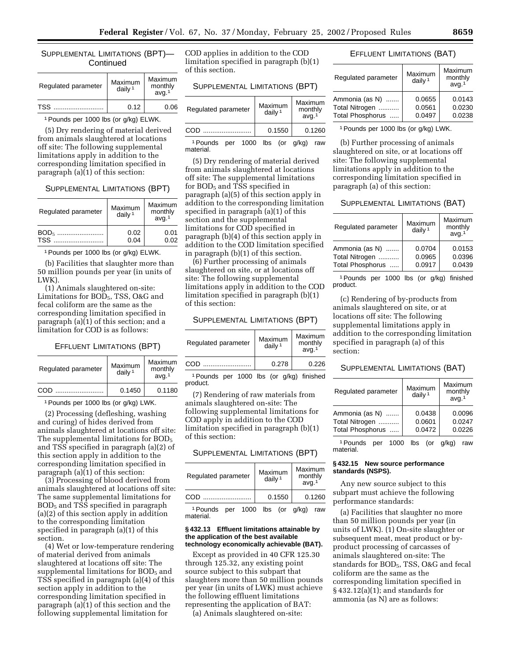### SUPPLEMENTAL LIMITATIONS (BPT)— **Continued**

| Regulated parameter | Maximum<br>daily $1$ | Maximum<br>monthly<br>avg. <sup>1</sup> |
|---------------------|----------------------|-----------------------------------------|
| TSS.                | 0.12                 | 0.06                                    |

1Pounds per 1000 lbs (or g/kg) ELWK.

(5) Dry rendering of material derived from animals slaughtered at locations off site: The following supplemental limitations apply in addition to the corresponding limitation specified in paragraph (a)(1) of this section:

### SUPPLEMENTAL LIMITATIONS (BPT)

| Regulated parameter      | Maximum<br>daily $1$ | Maximum<br>monthly<br>avq <sup>1</sup> |
|--------------------------|----------------------|----------------------------------------|
| BOD <sub>5</sub><br>TSS. | 0.02<br>0.04         | 0.01<br>0.02                           |

1Pounds per 1000 lbs (or g/kg) ELWK.

(b) Facilities that slaughter more than 50 million pounds per year (in units of LWK).

(1) Animals slaughtered on-site: Limitations for BOD<sub>5</sub>, TSS, O&G and fecal coliform are the same as the corresponding limitation specified in paragraph (a)(1) of this section; and a limitation for COD is as follows:

### EFFLUENT LIMITATIONS (BPT)

| Regulated parameter | Maximum<br>daily $1$ | Maximum<br>monthly<br>avq <sup>1</sup> |
|---------------------|----------------------|----------------------------------------|
| COD                 | 0.1450               | 0.1180                                 |

1Pounds per 1000 lbs (or g/kg) LWK.

(2) Processing (defleshing, washing and curing) of hides derived from animals slaughtered at locations off site: The supplemental limitations for BOD<sub>5</sub> and TSS specified in paragraph (a)(2) of this section apply in addition to the corresponding limitation specified in paragraph (a)(1) of this section:

(3) Processing of blood derived from animals slaughtered at locations off site: The same supplemental limitations for BOD5 and TSS specified in paragraph (a)(2) of this section apply in addition to the corresponding limitation specified in paragraph (a)(1) of this section.

(4) Wet or low-temperature rendering of material derived from animals slaughtered at locations off site: The supplemental limitations for  $BOD<sub>5</sub>$  and TSS specified in paragraph (a)(4) of this section apply in addition to the corresponding limitation specified in paragraph (a)(1) of this section and the following supplemental limitation for

COD applies in addition to the COD limitation specified in paragraph (b)(1) of this section.

### SUPPLEMENTAL LIMITATIONS (BPT)

| Regulated parameter | Maximum<br>daily <sup>1</sup> | Maximum<br>monthly<br>avq <sup>1</sup> |
|---------------------|-------------------------------|----------------------------------------|
| COD                 | 0.1550                        | 0.1260                                 |

1Pounds per 1000 lbs (or g/kg) raw material.

(5) Dry rendering of material derived from animals slaughtered at locations off site: The supplemental limitations for BOD<sub>5</sub> and TSS specified in paragraph (a)(5) of this section apply in addition to the corresponding limitation specified in paragraph (a)(1) of this section and the supplemental limitations for COD specified in paragraph (b)(4) of this section apply in addition to the COD limitation specified in paragraph (b)(1) of this section.

(6) Further processing of animals slaughtered on site, or at locations off site: The following supplemental limitations apply in addition to the COD limitation specified in paragraph (b)(1) of this section:

### SUPPLEMENTAL LIMITATIONS (BPT)

| Regulated parameter                      | Maximum<br>daily $1$ | Maximum<br>monthly<br>avg <sup>1</sup> |
|------------------------------------------|----------------------|----------------------------------------|
| COD                                      | 0.278                | 0.226                                  |
| 1 Pounds ner 1000 lbs (or a/ka) finished |                      |                                        |

1Pounds per 1000 lbs (or g/kg) finished product.

(7) Rendering of raw materials from animals slaughtered on-site: The following supplemental limitations for COD apply in addition to the COD limitation specified in paragraph (b)(1) of this section:

SUPPLEMENTAL LIMITATIONS (BPT)

| Regulated parameter         | Maximum<br>daily $1$ | Maximum<br>monthly<br>avq <sup>1</sup> |
|-----------------------------|----------------------|----------------------------------------|
| COD<br>.                    | 0.1550               | 0.1260                                 |
| - - - - - - - - - -<br>1000 | المطالب ممارية       | $\cdots$                               |

1Pounds per 1000 lbs (or g/kg) raw material.

### **§ 432.13 Effluent limitations attainable by the application of the best available technology economically achievable (BAT).**

Except as provided in 40 CFR 125.30 through 125.32, any existing point source subject to this subpart that slaughters more than 50 million pounds per year (in units of LWK) must achieve the following effluent limitations representing the application of BAT:

(a) Animals slaughtered on-site:

## EFFLUENT LIMITATIONS (BAT)

| Maximum<br>daily $1$ | Maximum<br>monthly<br>avq <sup>1</sup> |
|----------------------|----------------------------------------|
| 0.0655<br>0.0561     | 0.0143<br>0.0230                       |
| 0.0497               | 0.0238                                 |
|                      |                                        |

1Pounds per 1000 lbs (or g/kg) LWK.

(b) Further processing of animals slaughtered on site, or at locations off site: The following supplemental limitations apply in addition to the corresponding limitation specified in paragraph (a) of this section:

#### SUPPLEMENTAL LIMITATIONS (BAT)

| Regulated parameter | Maximum<br>daily $1$ | Maximum<br>monthly<br>avq <sup>1</sup> |
|---------------------|----------------------|----------------------------------------|
| Ammonia (as N)      | 0.0704               | 0.0153                                 |
| Total Nitrogen      | 0.0965               | 0.0396                                 |
| Total Phosphorus    | 0.0917               | 0.0439                                 |

1Pounds per 1000 lbs (or g/kg) finished product.

(c) Rendering of by-products from animals slaughtered on site, or at locations off site: The following supplemental limitations apply in addition to the corresponding limitation specified in paragraph (a) of this section:

## SUPPLEMENTAL LIMITATIONS (BAT)

| Regulated parameter | Maximum<br>daily <sup>1</sup> | Maximum<br>monthly<br>avg. <sup>1</sup> |
|---------------------|-------------------------------|-----------------------------------------|
| Ammonia (as N)      | 0.0438                        | 0.0096                                  |
| Total Nitrogen      | 0.0601                        | 0.0247                                  |
| Total Phosphorus    | 0.0472                        | 0.0226                                  |
|                     |                               |                                         |

1Pounds per 1000 lbs (or g/kg) raw material.

## **§ 432.15 New source performance standards (NSPS).**

Any new source subject to this subpart must achieve the following performance standards:

(a) Facilities that slaughter no more than 50 million pounds per year (in units of LWK). (1) On-site slaughter or subsequent meat, meat product or byproduct processing of carcasses of animals slaughtered on-site: The standards for BOD<sub>5</sub>, TSS, O&G and fecal coliform are the same as the corresponding limitation specified in § 432.12(a)(1); and standards for ammonia (as N) are as follows: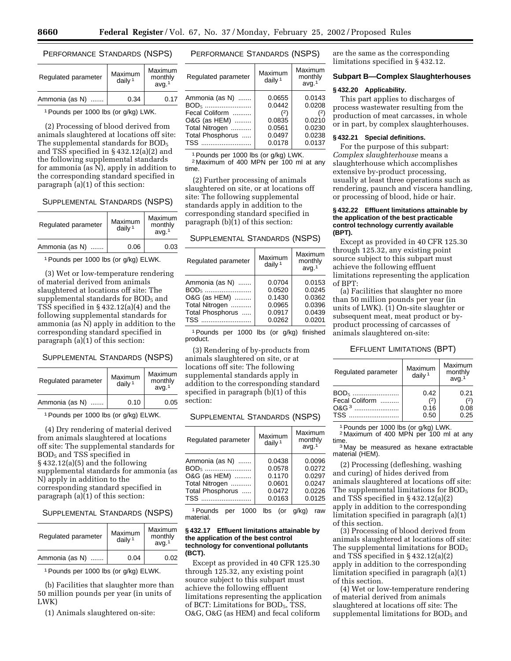# PERFORMANCE STANDARDS (NSPS)

| Regulated parameter | Maximum<br>daily <sup>1</sup> | Maximum<br>monthly<br>avq <sup>1</sup> |
|---------------------|-------------------------------|----------------------------------------|
| Ammonia (as N)      | 0.34                          | 0.17                                   |

1Pounds per 1000 lbs (or g/kg) LWK.

(2) Processing of blood derived from animals slaughtered at locations off site: The supplemental standards for  $BOD<sub>5</sub>$ and TSS specified in § 432.12(a)(2) and the following supplemental standards for ammonia (as  $\bar{N}$ ), apply in addition to the corresponding standard specified in paragraph (a)(1) of this section:

## SUPPLEMENTAL STANDARDS (NSPS)

| Regulated parameter | Maximum<br>daily $1$ | Maximum<br>monthly<br>avq <sup>1</sup> |
|---------------------|----------------------|----------------------------------------|
| Ammonia (as N)<br>. | 0.06                 | 0.03                                   |

1Pounds per 1000 lbs (or g/kg) ELWK.

(3) Wet or low-temperature rendering of material derived from animals slaughtered at locations off site: The supplemental standards for BOD<sub>5</sub> and TSS specified in § 432.12(a)(4) and the following supplemental standards for ammonia (as N) apply in addition to the corresponding standard specified in paragraph (a)(1) of this section:

# SUPPLEMENTAL STANDARDS (NSPS)

| Regulated parameter | Maximum<br>daily $1$ | Maximum<br>monthly<br>avq <sub>1</sub> |
|---------------------|----------------------|----------------------------------------|
| Ammonia (as N)<br>. | 0.10                 | 0.05                                   |

1Pounds per 1000 lbs (or g/kg) ELWK.

(4) Dry rendering of material derived from animals slaughtered at locations off site: The supplemental standards for BOD5 and TSS specified in § 432.12(a)(5) and the following supplemental standards for ammonia (as N) apply in addition to the corresponding standard specified in paragraph (a)(1) of this section:

# SUPPLEMENTAL STANDARDS (NSPS)

| Regulated parameter | Maximum<br>daily $1$ | Maximum<br>monthly<br>avq <sup>1</sup> |
|---------------------|----------------------|----------------------------------------|
| Ammonia (as N)      | 0.04                 | 0.02                                   |

1Pounds per 1000 lbs (or g/kg) ELWK.

(b) Facilities that slaughter more than 50 million pounds per year (in units of LWK)

(1) Animals slaughtered on-site:

# PERFORMANCE STANDARDS (NSPS)

| Regulated parameter | Maximum<br>daily <sup>1</sup> | Maximum<br>monthly<br>avq <sup>1</sup> |
|---------------------|-------------------------------|----------------------------------------|
| Ammonia (as N)      | 0.0655                        | 0.0143                                 |
| BOD <sub>5</sub>    | 0.0442                        | 0.0208                                 |
| Fecal Coliform      | (2)                           | (2)                                    |
| O&G (as HEM)        | 0.0835                        | 0.0210                                 |
| Total Nitrogen      | 0.0561                        | 0.0230                                 |
| Total Phosphorus    | 0.0497                        | 0.0238                                 |
| TSS                 | 0.0178                        | 0.0137                                 |

1Pounds per 1000 lbs (or g/kg) LWK. <sup>2</sup> Maximum of 400 MPN per 100 ml at any time.

(2) Further processing of animals slaughtered on site, or at locations off site: The following supplemental standards apply in addition to the corresponding standard specified in paragraph (b)(1) of this section:

## SUPPLEMENTAL STANDARDS (NSPS)

| Regulated parameter                                                                             | Maximum<br>daily $1$                                     | Maximum<br>monthly<br>avq <sup>1</sup>                   |
|-------------------------------------------------------------------------------------------------|----------------------------------------------------------|----------------------------------------------------------|
| Ammonia (as N)<br>BOD <sub>5</sub><br>O&G (as HEM)<br>Total Nitrogen<br>Total Phosphorus<br>TSS | 0.0704<br>0.0520<br>0.1430<br>0.0965<br>0.0917<br>0.0262 | 0.0153<br>0.0245<br>0.0362<br>0.0396<br>0.0439<br>0.0201 |

1Pounds per 1000 lbs (or g/kg) finished product.

(3) Rendering of by-products from animals slaughtered on site, or at locations off site: The following supplemental standards apply in addition to the corresponding standard specified in paragraph (b)(1) of this section:

## SUPPLEMENTAL STANDARDS (NSPS)

| Regulated parameter                                                                                    | Maximum<br>daily $1$                                     | Maximum<br>monthly<br>avq <sup>1</sup>                   |
|--------------------------------------------------------------------------------------------------------|----------------------------------------------------------|----------------------------------------------------------|
| Ammonia (as N)<br>BOD <sub>5</sub><br>O&G (as HEM)<br>Total Nitrogen<br>Total Phosphorus<br><b>TSS</b> | 0.0438<br>0.0578<br>0.1170<br>0.0601<br>0.0472<br>0.0163 | 0.0096<br>0.0272<br>0.0297<br>0.0247<br>0.0226<br>0.0125 |

1Pounds per 1000 lbs (or g/kg) raw material.

#### **§ 432.17 Effluent limitations attainable by the application of the best control technology for conventional pollutants (BCT).**

Except as provided in 40 CFR 125.30 through 125.32, any existing point source subject to this subpart must achieve the following effluent limitations representing the application of BCT: Limitations for  $BOD<sub>5</sub>$ , TSS, O&G, O&G (as HEM) and fecal coliform

are the same as the corresponding limitations specified in § 432.12.

### **Subpart B—Complex Slaughterhouses**

#### **§ 432.20 Applicability.**

This part applies to discharges of process wastewater resulting from the production of meat carcasses, in whole or in part, by complex slaughterhouses.

### **§ 432.21 Special definitions.**

For the purpose of this subpart: *Complex slaughterhouse* means a slaughterhouse which accomplishes extensive by-product processing, usually at least three operations such as rendering, paunch and viscera handling, or processing of blood, hide or hair.

### **§ 432.22 Effluent limitations attainable by the application of the best practicable control technology currently available (BPT).**

Except as provided in 40 CFR 125.30 through 125.32, any existing point source subject to this subpart must achieve the following effluent limitations representing the application of BPT:

(a) Facilities that slaughter no more than 50 million pounds per year (in units of LWK). (1) On-site slaughter or subsequent meat, meat product or byproduct processing of carcasses of animals slaughtered on-site:

## EFFLUENT LIMITATIONS (BPT)

| Regulated parameter                        | Maximum<br>daily $1$        | Maximum<br>monthly<br>avg. <sup>1</sup> |
|--------------------------------------------|-----------------------------|-----------------------------------------|
| Fecal Coliform<br>$\Omega$ &G <sup>3</sup> | 0.42<br>(2)<br>0.16<br>0.50 | 0.21<br>0.08<br>0.25                    |

1Pounds per 1000 lbs (or g/kg) LWK. 2 Maximum of 400 MPN per 100 ml at any

time.<br><sup>3</sup> May be measured as hexane extractable

material (HEM).

(2) Processing (defleshing, washing and curing) of hides derived from animals slaughtered at locations off site: The supplemental limitations for BOD<sub>5</sub> and TSS specified in § 432.12(a)(2) apply in addition to the corresponding limitation specified in paragraph (a)(1) of this section.

(3) Processing of blood derived from animals slaughtered at locations off site: The supplemental limitations for BOD<sub>5</sub> and TSS specified in § 432.12(a)(2) apply in addition to the corresponding limitation specified in paragraph (a)(1) of this section.

(4) Wet or low-temperature rendering of material derived from animals slaughtered at locations off site: The supplemental limitations for BOD<sub>5</sub> and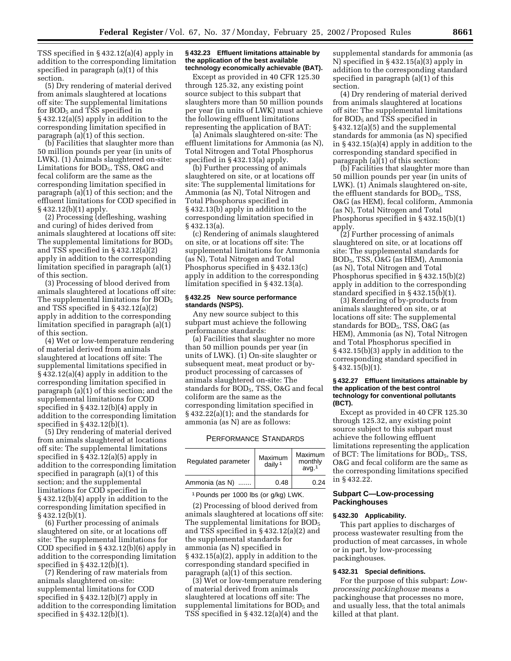TSS specified in § 432.12(a)(4) apply in addition to the corresponding limitation specified in paragraph (a)(1) of this section.

(5) Dry rendering of material derived from animals slaughtered at locations off site: The supplemental limitations for BOD5 and TSS specified in § 432.12(a)(5) apply in addition to the corresponding limitation specified in paragraph (a)(1) of this section.

(b) Facilities that slaughter more than 50 million pounds per year (in units of LWK). (1) Animals slaughtered on-site: Limitations for BOD5, TSS, O&G and fecal coliform are the same as the corresponding limitation specified in paragraph (a)(1) of this section; and the effluent limitations for COD specified in § 432.12(b)(1) apply.

(2) Processing (defleshing, washing and curing) of hides derived from animals slaughtered at locations off site: The supplemental limitations for BOD<sub>5</sub> and TSS specified in § 432.12(a)(2) apply in addition to the corresponding limitation specified in paragraph (a)(1) of this section.

(3) Processing of blood derived from animals slaughtered at locations off site: The supplemental limitations for BOD<sub>5</sub> and TSS specified in § 432.12(a)(2) apply in addition to the corresponding limitation specified in paragraph (a)(1) of this section.

(4) Wet or low-temperature rendering of material derived from animals slaughtered at locations off site: The supplemental limitations specified in § 432.12(a)(4) apply in addition to the corresponding limitation specified in paragraph (a)(1) of this section; and the supplemental limitations for COD specified in § 432.12(b)(4) apply in addition to the corresponding limitation specified in § 432.12(b)(1).

(5) Dry rendering of material derived from animals slaughtered at locations off site: The supplemental limitations specified in § 432.12(a)(5) apply in addition to the corresponding limitation specified in paragraph (a)(1) of this section; and the supplemental limitations for COD specified in § 432.12(b)(4) apply in addition to the corresponding limitation specified in § 432.12(b)(1).

(6) Further processing of animals slaughtered on site, or at locations off site: The supplemental limitations for COD specified in § 432.12(b)(6) apply in addition to the corresponding limitation specified in § 432.12(b)(1).

(7) Rendering of raw materials from animals slaughtered on-site: supplemental limitations for COD specified in § 432.12(b)(7) apply in addition to the corresponding limitation specified in § 432.12(b)(1).

#### **§ 432.23 Effluent limitations attainable by the application of the best available technology economically achievable (BAT).**

Except as provided in 40 CFR 125.30 through 125.32, any existing point source subject to this subpart that slaughters more than 50 million pounds per year (in units of LWK) must achieve the following effluent limitations representing the application of BAT:

(a) Animals slaughtered on-site: The effluent limitations for Ammonia (as N), Total Nitrogen and Total Phosphorus specified in § 432.13(a) apply.

(b) Further processing of animals slaughtered on site, or at locations off site: The supplemental limitations for Ammonia (as N), Total Nitrogen and Total Phosphorus specified in § 432.13(b) apply in addition to the corresponding limitation specified in § 432.13(a).

(c) Rendering of animals slaughtered on site, or at locations off site: The supplemental limitations for Ammonia (as N), Total Nitrogen and Total Phosphorus specified in § 432.13(c) apply in addition to the corresponding limitation specified in § 432.13(a).

### **§ 432.25 New source performance standards (NSPS).**

Any new source subject to this subpart must achieve the following performance standards:

(a) Facilities that slaughter no more than 50 million pounds per year (in units of LWK). (1) On-site slaughter or subsequent meat, meat product or byproduct processing of carcasses of animals slaughtered on-site: The standards for BOD5, TSS, O&G and fecal coliform are the same as the corresponding limitation specified in  $§ 432.22(a)(1);$  and the standards for ammonia (as N) are as follows:

## PERFORMANCE STANDARDS

| Regulated parameter | Maximum<br>daily <sup>1</sup> | Maximum<br>monthly<br>ava <sup>1</sup> |
|---------------------|-------------------------------|----------------------------------------|
| Ammonia (as N)      | 0.48                          | 0.24                                   |

1Pounds per 1000 lbs (or g/kg) LWK.

(2) Processing of blood derived from animals slaughtered at locations off site: The supplemental limitations for BOD<sub>5</sub> and TSS specified in § 432.12(a)(2) and the supplemental standards for ammonia (as N) specified in § 432.15(a)(2), apply in addition to the corresponding standard specified in paragraph (a)(1) of this section.

(3) Wet or low-temperature rendering of material derived from animals slaughtered at locations off site: The supplemental limitations for  $BOD<sub>5</sub>$  and TSS specified in § 432.12(a)(4) and the

supplemental standards for ammonia (as N) specified in § 432.15(a)(3) apply in addition to the corresponding standard specified in paragraph (a)(1) of this section.

(4) Dry rendering of material derived from animals slaughtered at locations off site: The supplemental limitations for  $BOD<sub>5</sub>$  and  $\overline{TS}S$  specified in § 432.12(a)(5) and the supplemental standards for ammonia (as N) specified in § 432.15(a)(4) apply in addition to the corresponding standard specified in paragraph (a)(1) of this section:

(b) Facilities that slaughter more than 50 million pounds per year (in units of LWK). (1) Animals slaughtered on-site, the effluent standards for BOD<sub>5</sub>, TSS, O&G (as HEM), fecal coliform, Ammonia (as N), Total Nitrogen and Total Phosphorus specified in § 432.15(b)(1) apply.

(2) Further processing of animals slaughtered on site, or at locations off site: The supplemental standards for BOD5, TSS, O&G (as HEM), Ammonia (as N), Total Nitrogen and Total Phosphorus specified in § 432.15(b)(2) apply in addition to the corresponding standard specified in § 432.15(b)(1).

(3) Rendering of by-products from animals slaughtered on site, or at locations off site: The supplemental standards for BOD5, TSS, O&G (as HEM), Ammonia (as N), Total Nitrogen and Total Phosphorus specified in § 432.15(b)(3) apply in addition to the corresponding standard specified in § 432.15(b)(1).

#### **§ 432.27 Effluent limitations attainable by the application of the best control technology for conventional pollutants (BCT).**

Except as provided in 40 CFR 125.30 through 125.32, any existing point source subject to this subpart must achieve the following effluent limitations representing the application of BCT: The limitations for  $BOD<sub>5</sub>$ , TSS, O&G and fecal coliform are the same as the corresponding limitations specified in § 432.22.

# **Subpart C—Low-processing Packinghouses**

### **§ 432.30 Applicability.**

This part applies to discharges of process wastewater resulting from the production of meat carcasses, in whole or in part, by low-processing packinghouses.

## **§ 432.31 Special definitions.**

For the purpose of this subpart: *Lowprocessing packinghouse* means a packinghouse that processes no more, and usually less, that the total animals killed at that plant.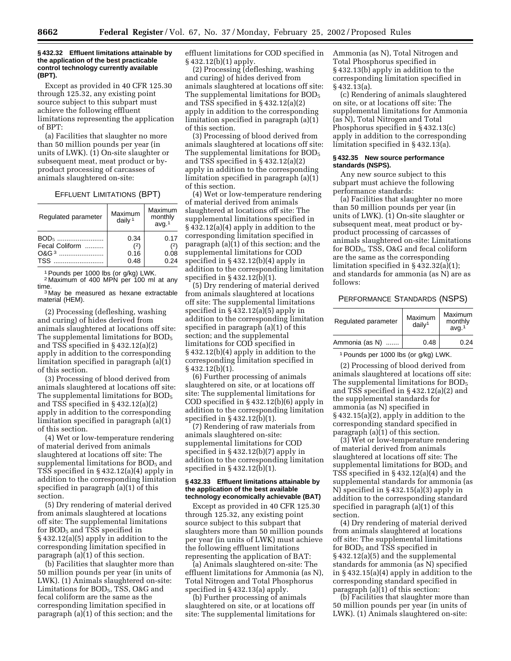### **§ 432.32 Effluent limitations attainable by the application of the best practicable control technology currently available (BPT).**

Except as provided in 40 CFR 125.30 through 125.32, any existing point source subject to this subpart must achieve the following effluent limitations representing the application of BPT:

(a) Facilities that slaughter no more than 50 million pounds per year (in units of LWK). (1) On-site slaughter or subsequent meat, meat product or byproduct processing of carcasses of animals slaughtered on-site:

#### EFFLUENT LIMITATIONS (BPT)

| Regulated parameter | Maximum<br>daily $1$ | Maximum<br>monthly<br>avg. <sup>1</sup> |
|---------------------|----------------------|-----------------------------------------|
| BOD <sub>5</sub>    | 0.34                 | 0.17                                    |
| Fecal Coliform      | (2)                  | (2)                                     |
| $0&G3$              | 0.16                 | 0.08                                    |
| TSS                 | 0.48                 | 0.24                                    |

1Pounds per 1000 lbs (or g/kg) LWK.

<sup>2</sup> Maximum of 400 MPN per 100 ml at any time.<br><sup>3</sup> May be measured as hexane extractable

material (HEM).

(2) Processing (defleshing, washing and curing) of hides derived from animals slaughtered at locations off site: The supplemental limitations for  $BOD<sub>5</sub>$ and TSS specified in § 432.12(a)(2) apply in addition to the corresponding limitation specified in paragraph (a)(1) of this section.

(3) Processing of blood derived from animals slaughtered at locations off site: The supplemental limitations for  $BOD<sub>5</sub>$ and TSS specified in § 432.12(a)(2) apply in addition to the corresponding limitation specified in paragraph (a)(1) of this section.

(4) Wet or low-temperature rendering of material derived from animals slaughtered at locations off site: The supplemental limitations for  $BOD<sub>5</sub>$  and TSS specified in § 432.12(a)(4) apply in addition to the corresponding limitation specified in paragraph (a)(1) of this section.

(5) Dry rendering of material derived from animals slaughtered at locations off site: The supplemental limitations for BOD5 and TSS specified in § 432.12(a)(5) apply in addition to the corresponding limitation specified in paragraph (a)(1) of this section.

(b) Facilities that slaughter more than 50 million pounds per year (in units of LWK). (1) Animals slaughtered on-site: Limitations for BOD5, TSS, O&G and fecal coliform are the same as the corresponding limitation specified in paragraph (a)(1) of this section; and the

effluent limitations for COD specified in § 432.12(b)(1) apply.

(2) Processing (defleshing, washing and curing) of hides derived from animals slaughtered at locations off site: The supplemental limitations for BOD<sub>5</sub> and TSS specified in § 432.12(a)(2) apply in addition to the corresponding limitation specified in paragraph (a)(1) of this section.

(3) Processing of blood derived from animals slaughtered at locations off site: The supplemental limitations for  $BOD<sub>5</sub>$ and TSS specified in § 432.12(a)(2) apply in addition to the corresponding limitation specified in paragraph (a)(1) of this section.

(4) Wet or low-temperature rendering of material derived from animals slaughtered at locations off site: The supplemental limitations specified in § 432.12(a)(4) apply in addition to the corresponding limitation specified in paragraph (a)(1) of this section; and the supplemental limitations for COD specified in § 432.12(b)(4) apply in addition to the corresponding limitation specified in  $\S 432.12(\overline{b})(1)$ .

(5) Dry rendering of material derived from animals slaughtered at locations off site: The supplemental limitations specified in § 432.12(a)(5) apply in addition to the corresponding limitation specified in paragraph (a)(1) of this section; and the supplemental limitations for COD specified in § 432.12(b)(4) apply in addition to the corresponding limitation specified in § 432.12(b)(1).

(6) Further processing of animals slaughtered on site, or at locations off site: The supplemental limitations for COD specified in § 432.12(b)(6) apply in addition to the corresponding limitation specified in § 432.12(b)(1).

(7) Rendering of raw materials from animals slaughtered on-site: supplemental limitations for COD specified in § 432.12(b)(7) apply in addition to the corresponding limitation specified in § 432.12(b)(1).

#### **§ 432.33 Effluent limitations attainable by the application of the best available technology economically achievable (BAT)**

Except as provided in 40 CFR 125.30 through 125.32, any existing point source subject to this subpart that slaughters more than 50 million pounds per year (in units of LWK) must achieve the following effluent limitations representing the application of BAT:

(a) Animals slaughtered on-site: The effluent limitations for Ammonia (as N), Total Nitrogen and Total Phosphorus specified in § 432.13(a) apply.

(b) Further processing of animals slaughtered on site, or at locations off site: The supplemental limitations for Ammonia (as N), Total Nitrogen and Total Phosphorus specified in § 432.13(b) apply in addition to the corresponding limitation specified in § 432.13(a).

(c) Rendering of animals slaughtered on site, or at locations off site: The supplemental limitations for Ammonia (as N), Total Nitrogen and Total Phosphorus specified in § 432.13(c) apply in addition to the corresponding limitation specified in § 432.13(a).

### **§ 432.35 New source performance standards (NSPS).**

Any new source subject to this subpart must achieve the following performance standards:

(a) Facilities that slaughter no more than 50 million pounds per year (in units of LWK). (1) On-site slaughter or subsequent meat, meat product or byproduct processing of carcasses of animals slaughtered on-site: Limitations for BOD5, TSS, O&G and fecal coliform are the same as the corresponding limitation specified in § 432.32(a)(1); and standards for ammonia (as N) are as follows:

### PERFORMANCE STANDARDS (NSPS)

| Regulated parameter | Maximum<br>$d$ aily <sup>1</sup> | Maximum<br>monthly<br>avq <sup>1</sup> |
|---------------------|----------------------------------|----------------------------------------|
| Ammonia (as N)      | 0.48                             | 0.24                                   |

1Pounds per 1000 lbs (or g/kg) LWK.

(2) Processing of blood derived from animals slaughtered at locations off site: The supplemental limitations for  $BOD<sub>5</sub>$ and TSS specified in § 432.12(a)(2) and the supplemental standards for ammonia (as N) specified in § 432.15(a)(2), apply in addition to the corresponding standard specified in paragraph  $(a)(1)$  of this section.

(3) Wet or low-temperature rendering of material derived from animals slaughtered at locations off site: The supplemental limitations for  $BOD<sub>5</sub>$  and TSS specified in § 432.12(a)(4) and the supplemental standards for ammonia (as N) specified in § 432.15(a)(3) apply in addition to the corresponding standard specified in paragraph (a)(1) of this section.

(4) Dry rendering of material derived from animals slaughtered at locations off site: The supplemental limitations for BOD<sub>5</sub> and TSS specified in § 432.12(a)(5) and the supplemental standards for ammonia (as N) specified in § 432.15(a)(4) apply in addition to the corresponding standard specified in paragraph (a)(1) of this section:

(b) Facilities that slaughter more than 50 million pounds per year (in units of LWK). (1) Animals slaughtered on-site: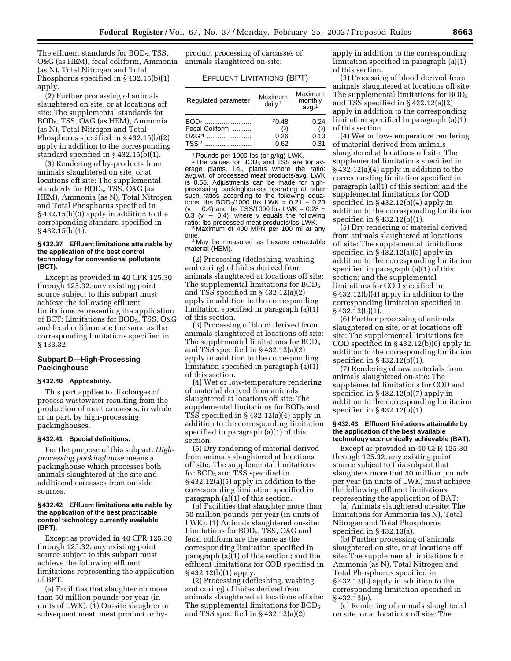The effluent standards for BOD<sub>5</sub>, TSS, O&G (as HEM), fecal coliform, Ammonia (as N), Total Nitrogen and Total Phosphorus specified in § 432.15(b)(1) apply.

(2) Further processing of animals slaughtered on site, or at locations off site: The supplemental standards for BOD5, TSS, O&G (as HEM), Ammonia (as N), Total Nitrogen and Total Phosphorus specified in § 432.15(b)(2) apply in addition to the corresponding standard specified in § 432.15(b)(1).

(3) Rendering of by-products from animals slaughtered on site, or at locations off site: The supplemental standards for BOD<sub>5</sub>, TSS, O&G (as HEM), Ammonia (as N), Total Nitrogen and Total Phosphorus specified in § 432.15(b)(3) apply in addition to the corresponding standard specified in § 432.15(b)(1).

### **§ 432.37 Effluent limitations attainable by the application of the best control technology for conventional pollutants (BCT).**

Except as provided in 40 CFR 125.30 through 125.32, any existing point source subject to this subpart must achieve the following effluent limitations representing the application of BCT: Limitations for BOD<sub>5</sub>, TSS, O&G and fecal coliform are the same as the corresponding limitations specified in § 433.32.

## **Subpart D—High-Processing Packinghouse**

# **§ 432.40 Applicability.**

This part applies to discharges of process wastewater resulting from the production of meat carcasses, in whole or in part, by high-processing packinghouses.

#### **§ 432.41 Special definitions.**

For the purpose of this subpart: *Highprocessing packinghouse* means a packinghouse which processes both animals slaughtered at the site and additional carcasses from outside sources.

#### **§ 432.42 Effluent limitations attainable by the application of the best practicable control technology currently available (BPT).**

Except as provided in 40 CFR 125.30 through 125.32, any existing point source subject to this subpart must achieve the following effluent limitations representing the application of BPT:

(a) Facilities that slaughter no more than 50 million pounds per year (in units of LWK). (1) On-site slaughter or subsequent meat, meat product or by-

product processing of carcasses of animals slaughtered on-site:

### EFFLUENT LIMITATIONS (BPT)

| Regulated parameter | Maximum<br>daily $1$ | Maximum<br>monthly<br>avg. <sup>1</sup> |
|---------------------|----------------------|-----------------------------------------|
| BOD <sub>5</sub>    | 20.48                | 0.24                                    |
| Fecal Coliform      | (3)                  | (3)                                     |
| $0&G4$              | 0.26                 | 0.13                                    |
| TSS <sup>2</sup>    | 0.62                 | 0.31                                    |

<sup>1</sup> Pounds per 1000 lbs (or g/kg) LWK.<br><sup>2</sup> The values for BOD<sub>5</sub> and TSS are for av-

erage plants, i.e., plants where the ratio: avg.wt. of processed meat products/avg. LWK is 0.55. Adjustments can be made for highprocessing packinghouses operating at other such ratios according to the following equations: lbs  $BOD_5/1000$  lbs LWK = 0.21 + 0.23  $(v - 0.4)$  and lbs TSS/1000 lbs LWK = 0.28 +  $0.3$  (v  $-$  0.4), where v equals the following ratio: lbs processed meat products/lbs LWK. <sup>3</sup> Maximum of 400 MPN per 100 ml at any

time.<br><sup>4</sup> May be measured as hexane extractable material (HEM).

(2) Processing (defleshing, washing and curing) of hides derived from animals slaughtered at locations off site: The supplemental limitations for BOD<sub>5</sub> and TSS specified in § 432.12(a)(2) apply in addition to the corresponding limitation specified in paragraph (a)(1) of this section.

(3) Processing of blood derived from animals slaughtered at locations off site: The supplemental limitations for BOD<sub>5</sub> and TSS specified in § 432.12(a)(2) apply in addition to the corresponding limitation specified in paragraph (a)(1) of this section.

(4) Wet or low-temperature rendering of material derived from animals slaughtered at locations off site: The supplemental limitations for  $BOD<sub>5</sub>$  and TSS specified in § 432.12(a)(4) apply in addition to the corresponding limitation specified in paragraph (a)(1) of this section.

(5) Dry rendering of material derived from animals slaughtered at locations off site: The supplemental limitations for BOD<sub>5</sub> and TSS specified in § 432.12(a)(5) apply in addition to the corresponding limitation specified in paragraph  $(a)(1)$  of this section.

(b) Facilities that slaughter more than 50 million pounds per year (in units of LWK). (1) Animals slaughtered on-site: Limitations for BOD<sub>5</sub>, TSS, O&G and fecal coliform are the same as the corresponding limitation specified in paragraph (a)(1) of this section; and the effluent limitations for COD specified in § 432.12(b)(1) apply.

(2) Processing (defleshing, washing and curing) of hides derived from animals slaughtered at locations off site: The supplemental limitations for BOD<sub>5</sub> and TSS specified in § 432.12(a)(2)

apply in addition to the corresponding limitation specified in paragraph (a)(1) of this section.

(3) Processing of blood derived from animals slaughtered at locations off site: The supplemental limitations for BOD<sub>5</sub> and TSS specified in § 432.12(a)(2) apply in addition to the corresponding limitation specified in paragraph (a)(1) of this section.

(4) Wet or low-temperature rendering of material derived from animals slaughtered at locations off site: The supplemental limitations specified in § 432.12(a)(4) apply in addition to the corresponding limitation specified in paragraph (a)(1) of this section; and the supplemental limitations for COD specified in § 432.12(b)(4) apply in addition to the corresponding limitation specified in § 432.12(b)(1).

(5) Dry rendering of material derived from animals slaughtered at locations off site: The supplemental limitations specified in § 432.12(a)(5) apply in addition to the corresponding limitation specified in paragraph (a)(1) of this section; and the supplemental limitations for COD specified in § 432.12(b)(4) apply in addition to the corresponding limitation specified in § 432.12(b)(1).

(6) Further processing of animals slaughtered on site, or at locations off site: The supplemental limitations for COD specified in § 432.12(b)(6) apply in addition to the corresponding limitation specified in § 432.12(b)(1).

(7) Rendering of raw materials from animals slaughtered on-site: The supplemental limitations for COD and specified in § 432.12(b)(7) apply in addition to the corresponding limitation specified in § 432.12(b)(1).

#### **§ 432.43 Effluent limitations attainable by the application of the best available technology economically achievable (BAT).**

Except as provided in 40 CFR 125.30 through 125.32, any existing point source subject to this subpart that slaughters more that 50 million pounds per year (in units of LWK) must achieve the following effluent limitations representing the application of BAT:

(a) Animals slaughtered on-site: The limitations for Ammonia (as N), Total Nitrogen and Total Phosphorus specified in § 432.13(a).

(b) Further processing of animals slaughtered on site, or at locations off site: The supplemental limitations for Ammonia (as N), Total Nitrogen and Total Phosphorus specified in § 432.13(b) apply in addition to the corresponding limitation specified in § 432.13(a).

(c) Rendering of animals slaughtered on site, or at locations off site: The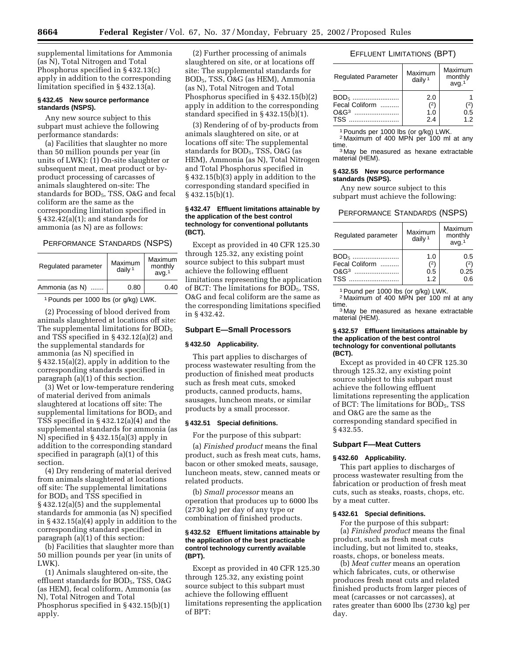supplemental limitations for Ammonia (as N), Total Nitrogen and Total Phosphorus specified in § 432.13(c) apply in addition to the corresponding limitation specified in § 432.13(a).

#### **§ 432.45 New source performance standards (NSPS).**

Any new source subject to this subpart must achieve the following performance standards:

(a) Facilities that slaughter no more than 50 million pounds per year (in units of LWK): (1) On-site slaughter or subsequent meat, meat product or byproduct processing of carcasses of animals slaughtered on-site: The standards for BOD<sub>5</sub>, TSS, O&G and fecal coliform are the same as the corresponding limitation specified in § 432.42(a)(1); and standards for ammonia (as N) are as follows:

## PERFORMANCE STANDARDS (NSPS)

| Regulated parameter | Maximum<br>daily $1$ | Maximum<br>monthly<br>avg. <sup>1</sup> |
|---------------------|----------------------|-----------------------------------------|
| Ammonia (as N)      | 0.80                 | 0.40                                    |

1Pounds per 1000 lbs (or g/kg) LWK.

(2) Processing of blood derived from animals slaughtered at locations off site: The supplemental limitations for BOD<sub>5</sub> and TSS specified in § 432.12(a)(2) and the supplemental standards for ammonia (as N) specified in § 432.15(a)(2), apply in addition to the corresponding standards specified in paragraph (a)(1) of this section.

(3) Wet or low-temperature rendering of material derived from animals slaughtered at locations off site: The supplemental limitations for BOD<sub>5</sub> and TSS specified in § 432.12(a)(4) and the supplemental standards for ammonia (as N) specified in § 432.15(a)(3) apply in addition to the corresponding standard specified in paragraph (a)(1) of this section.

(4) Dry rendering of material derived from animals slaughtered at locations off site: The supplemental limitations for BOD<sub>5</sub> and TSS specified in § 432.12(a)(5) and the supplemental standards for ammonia (as N) specified in § 432.15(a)(4) apply in addition to the corresponding standard specified in paragraph (a)(1) of this section:

(b) Facilities that slaughter more than 50 million pounds per year (in units of LWK).

(1) Animals slaughtered on-site, the effluent standards for  $BOD<sub>5</sub>$ , TSS, O&G (as HEM), fecal coliform, Ammonia (as N), Total Nitrogen and Total Phosphorus specified in § 432.15(b)(1) apply.

(2) Further processing of animals slaughtered on site, or at locations off site: The supplemental standards for BOD5, TSS, O&G (as HEM), Ammonia (as N), Total Nitrogen and Total Phosphorus specified in § 432.15(b)(2) apply in addition to the corresponding standard specified in § 432.15(b)(1).

(3) Rendering of of by-products from animals slaughtered on site, or at locations off site: The supplemental standards for BOD<sub>5</sub>, TSS, O&G (as HEM), Ammonia (as N), Total Nitrogen and Total Phosphorus specified in § 432.15(b)(3) apply in addition to the corresponding standard specified in  $§$  432.15(b)(1).

### **§ 432.47 Effluent limitations attainable by the application of the best control technology for conventional pollutants (BCT).**

Except as provided in 40 CFR 125.30 through 125.32, any existing point source subject to this subpart must achieve the following effluent limitations representing the application of BCT: The limitations for  $BOD<sub>5</sub>$ , TSS, O&G and fecal coliform are the same as the corresponding limitations specified in § 432.42.

### **Subpart E—Small Processors**

### **§ 432.50 Applicability.**

This part applies to discharges of process wastewater resulting from the production of finished meat products such as fresh meat cuts, smoked products, canned products, hams, sausages, luncheon meats, or similar products by a small processor.

### **§ 432.51 Special definitions.**

For the purpose of this subpart:

(a) *Finished product* means the final product, such as fresh meat cuts, hams, bacon or other smoked meats, sausage, luncheon meats, stew, canned meats or related products.

(b) *Small processor* means an operation that produces up to 6000 lbs (2730 kg) per day of any type or combination of finished products.

### **§ 432.52 Effluent limitations attainable by the application of the best practicable control technology currently available (BPT).**

Except as provided in 40 CFR 125.30 through 125.32, any existing point source subject to this subpart must achieve the following effluent limitations representing the application of BPT:

# EFFLUENT LIMITATIONS (BPT)

| <b>Regulated Parameter</b>         | Maximum<br>daily $1$     | Maximum<br>monthly<br>avg. <sup>1</sup> |
|------------------------------------|--------------------------|-----------------------------------------|
| $BOD_{5}$<br>Fecal Coliform<br>TSS | 2.0<br>(2)<br>1.0<br>2.4 | 2)<br>0.5<br>12                         |

1Pounds per 1000 lbs (or g/kg) LWK.

<sup>2</sup> Maximum of 400 MPN per 100 ml at any time.

<sup>3</sup> May be measured as hexane extractable material (HEM).

### **§ 432.55 New source performance standards (NSPS).**

Any new source subject to this subpart must achieve the following:

#### PERFORMANCE STANDARDS (NSPS)

| Regulated parameter | Maximum<br>daily $1$ | Maximum<br>monthly<br>avg. <sup>1</sup> |
|---------------------|----------------------|-----------------------------------------|
| BOD <sub>5</sub>    | 1.0                  | 0.5                                     |
| Fecal Coliform      | (2)                  | (2)                                     |
|                     | 0.5                  | 0.25                                    |
| <b>TSS</b>          | 1.2                  | 0.6                                     |

1Pound per 1000 lbs (or g/kg) LWK.

<sup>2</sup> Maximum of 400 MPN per 100 ml at any time.<br><sup>3</sup> May be measured as hexane extractable

material (HEM).

#### **§ 432.57 Effluent limitations attainable by the application of the best control technology for conventional pollutants (BCT).**

Except as provided in 40 CFR 125.30 through 125.32, any existing point source subject to this subpart must achieve the following effluent limitations representing the application of BCT: The limitations for BOD5, TSS and O&G are the same as the corresponding standard specified in § 432.55.

### **Subpart F—Meat Cutters**

### **§ 432.60 Applicability.**

This part applies to discharges of process wastewater resulting from the fabrication or production of fresh meat cuts, such as steaks, roasts, chops, etc. by a meat cutter.

### **§ 432.61 Special definitions.**

For the purpose of this subpart: (a) *Finished product* means the final product, such as fresh meat cuts including, but not limited to, steaks, roasts, chops, or boneless meats.

(b) *Meat cutter* means an operation which fabricates, cuts, or otherwise produces fresh meat cuts and related finished products from larger pieces of meat (carcasses or not carcasses), at rates greater than 6000 lbs (2730 kg) per day.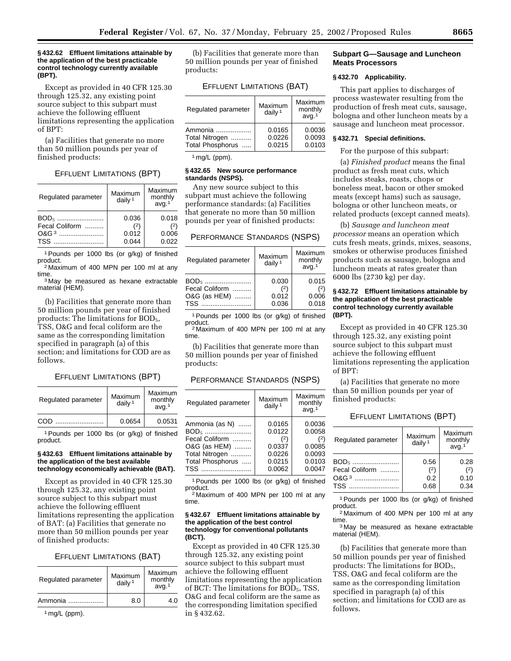### **§ 432.62 Effluent limitations attainable by the application of the best practicable control technology currently available (BPT).**

Except as provided in 40 CFR 125.30 through 125.32, any existing point source subject to this subpart must achieve the following effluent limitations representing the application of BPT:

(a) Facilities that generate no more than 50 million pounds per year of finished products:

## EFFLUENT LIMITATIONS (BPT)

| Regulated parameter | Maximum<br>daily <sup>1</sup> | Maximum<br>monthly<br>avg. <sup>1</sup> |
|---------------------|-------------------------------|-----------------------------------------|
|                     | 0.036                         | 0.018                                   |
| Fecal Coliform      | (2)                           | (2)                                     |
|                     | 0.012                         | 0.006                                   |
| TSS                 | 0.044                         | 0.022                                   |

1Pounds per 1000 lbs (or g/kg) of finished

product.<br>
<sup>2</sup> Maximum of 400 MPN per 100 ml at any<br>time. <sup>3</sup> May be measured as hexane extractable

material (HEM).

(b) Facilities that generate more than 50 million pounds per year of finished products: The limitations for  $BOD<sub>5</sub>$ , TSS, O&G and fecal coliform are the same as the corresponding limitation specified in paragraph (a) of this section; and limitations for COD are as follows.

## EFFLUENT LIMITATIONS (BPT)

| Regulated parameter | Maximum<br>daily $1$ | Maximum<br>monthly<br>avq <sup>1</sup> |
|---------------------|----------------------|----------------------------------------|
| COD                 | 0.0654               | 0.0531                                 |

1Pounds per 1000 lbs (or g/kg) of finished product.

#### **§ 432.63 Effluent limitations attainable by the application of the best available technology economically achievable (BAT).**

Except as provided in 40 CFR 125.30 through 125.32, any existing point source subject to this subpart must achieve the following effluent limitations representing the application of BAT: (a) Facilities that generate no more than 50 million pounds per year of finished products:

### EFFLUENT LIMITATIONS (BAT)

| Regulated parameter | Maximum<br>daily $1$ | Maximum<br>monthly<br>avq <sup>1</sup> |
|---------------------|----------------------|----------------------------------------|
| Ammonia             | 8.0                  | 1 ∩                                    |

1 mg/L (ppm).

(b) Facilities that generate more than 50 million pounds per year of finished products:

### EFFLUENT LIMITATIONS (BAT)

| Regulated parameter | Maximum<br>daily $1$ | Maximum<br>monthly<br>avg. <sup>1</sup> |
|---------------------|----------------------|-----------------------------------------|
| Ammonia             | 0.0165               | 0.0036                                  |
| Total Nitrogen      | 0.0226               | 0.0093                                  |
| Total Phosphorus    | 0.0215               | 0.0103                                  |

 $1$  mg/L (ppm).

### **§ 432.65 New source performance standards (NSPS).**

Any new source subject to this subpart must achieve the following performance standards: (a) Facilities that generate no more than 50 million pounds per year of finished products:

### PERFORMANCE STANDARDS (NSPS)

| Regulated parameter                                              | Maximum<br>daily $1$           | Maximum<br>monthly<br>avg.1    |
|------------------------------------------------------------------|--------------------------------|--------------------------------|
| BOD <sub>5</sub><br>Fecal Coliform<br>O&G (as HEM)<br><b>TSS</b> | 0.030<br>(2)<br>0.012<br>0.036 | 0.015<br>(2)<br>0.006<br>0.018 |

1Pounds per 1000 lbs (or g/kg) of finished product. <sup>2</sup> Maximum of 400 MPN per 100 ml at any

time.

(b) Facilities that generate more than 50 million pounds per year of finished products:

| PERFORMANCE STANDARDS (NSPS) |  |
|------------------------------|--|
|------------------------------|--|

| Regulated parameter                                        | Maximum<br>daily $1$              | Maximum<br>monthly<br>avq <sup>1</sup> |
|------------------------------------------------------------|-----------------------------------|----------------------------------------|
| Ammonia (as N)<br>$BOD5$<br>Fecal Coliform<br>O&G (as HEM) | 0.0165<br>0.0122<br>(2)<br>0.0337 | 0.0036<br>0.0058<br>(2)<br>0.0085      |
| Total Nitrogen                                             | 0.0226                            | 0.0093                                 |
| Total Phosphorus                                           | 0.0215                            | 0.0103                                 |
| TSS                                                        | 0.0062                            | 0.0047                                 |

1Pounds per 1000 lbs (or g/kg) of finished product. <sup>2</sup> Maximum of 400 MPN per 100 ml at any

time.

#### **§ 432.67 Effluent limitations attainable by the application of the best control technology for conventional pollutants (BCT).**

Except as provided in 40 CFR 125.30 through 125.32, any existing point source subject to this subpart must achieve the following effluent limitations representing the application of BCT: The limitations for  $BOD<sub>5</sub>$ , TSS, O&G and fecal coliform are the same as the corresponding limitation specified in § 432.62.

## **Subpart G—Sausage and Luncheon Meats Processors**

## **§ 432.70 Applicability.**

This part applies to discharges of process wastewater resulting from the production of fresh meat cuts, sausage, bologna and other luncheon meats by a sausage and luncheon meat processor.

## **§ 432.71 Special definitions.**

#### For the purpose of this subpart:

(a) *Finished product* means the final product as fresh meat cuts, which includes steaks, roasts, chops or boneless meat, bacon or other smoked meats (except hams) such as sausage, bologna or other luncheon meats, or related products (except canned meats).

(b) *Sausage and luncheon meat processor* means an operation which cuts fresh meats, grinds, mixes, seasons, smokes or otherwise produces finished products such as sausage, bologna and luncheon meats at rates greater than 6000 lbs (2730 kg) per day.

## **§ 432.72 Effluent limitations attainable by the application of the best practicable control technology currently available (BPT).**

Except as provided in 40 CFR 125.30 through 125.32, any existing point source subject to this subpart must achieve the following effluent limitations representing the application of BPT:

(a) Facilities that generate no more than 50 million pounds per year of finished products:

## EFFLUENT LIMITATIONS (BPT)

| Regulated parameter                    | Maximum<br>daily $1$ | Maximum<br>monthly<br>avg. <sup>1</sup> |
|----------------------------------------|----------------------|-----------------------------------------|
| $BOD_{5}$<br>Fecal Coliform<br>$OAG^3$ | 0.56<br>(2)<br>0.2   | 0.28<br>(2)<br>0.10                     |
| <b>TSS</b>                             | 0.68                 | 0.34                                    |

1Pounds per 1000 lbs (or g/kg) of finished product.

2 Maximum of 400 MPN per 100 ml at any time.

3 May be measured as hexane extractable material (HEM).

(b) Facilities that generate more than 50 million pounds per year of finished products: The limitations for  $BOD<sub>5</sub>$ , TSS, O&G and fecal coliform are the same as the corresponding limitation specified in paragraph (a) of this section; and limitations for COD are as follows.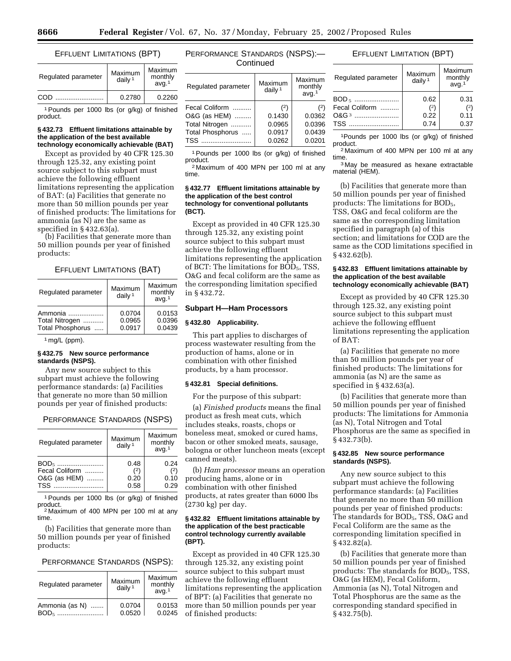### EFFLUENT LIMITATIONS (BPT)

| Regulated parameter | Maximum<br>daily $1$ | Maximum<br>monthly<br>avq <sup>1</sup> |
|---------------------|----------------------|----------------------------------------|
| COD                 | 0.2780               | 0.2260                                 |

1Pounds per 1000 lbs (or g/kg) of finished product.

## **§ 432.73 Effluent limitations attainable by the application of the best available technology economically achievable (BAT)**

Except as provided by 40 CFR 125.30 through 125.32, any existing point source subject to this subpart must achieve the following effluent limitations representing the application of BAT: (a) Facilities that generate no more than 50 million pounds per year of finished products: The limitations for ammonia (as N) are the same as specified in § 432.63(a).

(b) Facilities that generate more than 50 million pounds per year of finished products:

#### EFFLUENT LIMITATIONS (BAT)

| Regulated parameter                           | Maximum<br>daily $1$       | Maximum<br>monthly<br>avg. <sup>1</sup> |
|-----------------------------------------------|----------------------------|-----------------------------------------|
| Ammonia<br>Total Nitrogen<br>Total Phosphorus | 0.0704<br>0.0965<br>0.0917 | 0.0153<br>0.0396<br>0.0439              |
|                                               |                            |                                         |

1 mg/L (ppm).

### **§ 432.75 New source performance standards (NSPS).**

Any new source subject to this subpart must achieve the following performance standards: (a) Facilities that generate no more than 50 million pounds per year of finished products:

### PERFORMANCE STANDARDS (NSPS)

| Regulated parameter | Maximum<br>daily $1$ | Maximum<br>monthly<br>avg. <sup>1</sup> |
|---------------------|----------------------|-----------------------------------------|
|                     | 0.48                 | 0.24                                    |
| Fecal Coliform      | (2)                  |                                         |
| O&G (as HEM)        | 0.20                 | 0.10                                    |
| TSS                 | 0.58                 | 0.29                                    |

1Pounds per 1000 lbs (or g/kg) of finished

<sup>2</sup> Maximum of 400 MPN per 100 ml at any time.

(b) Facilities that generate more than 50 million pounds per year of finished products:

# PERFORMANCE STANDARDS (NSPS):

| Regulated parameter                | Maximum<br>daily $1$ | Maximum<br>monthly<br>avq <sup>1</sup> |
|------------------------------------|----------------------|----------------------------------------|
| Ammonia (as N)<br>BOD <sub>5</sub> | 0.0704<br>0.0520     | 0.0153<br>0.0245                       |

# PERFORMANCE STANDARDS (NSPS):— **Continued**

| Regulated parameter                                                                                                                                                                                                            | Maximum<br>daily $1$ | Maximum<br>monthly<br>avg. <sup>1</sup> |
|--------------------------------------------------------------------------------------------------------------------------------------------------------------------------------------------------------------------------------|----------------------|-----------------------------------------|
| Fecal Coliform                                                                                                                                                                                                                 | $^{(2)}$             | (2)                                     |
| O&G (as HEM)                                                                                                                                                                                                                   | 0.1430               | 0.0362                                  |
| Total Nitrogen                                                                                                                                                                                                                 | 0.0965               | 0.0396                                  |
| Total Phosphorus                                                                                                                                                                                                               | 0.0917               | 0.0439                                  |
| $TSS$ . The set of $S$ is the set of $S$ is $S$ is $S$ is $S$ is $S$ is $S$ is $S$ is $S$ is $S$ is $S$ is $S$ is $S$ is $S$ is $S$ is $S$ is $S$ is $S$ is $S$ is $S$ is $S$ is $S$ is $S$ is $S$ is $S$ is $S$ is $S$ is $S$ | 0.0262               | 0.0201                                  |
|                                                                                                                                                                                                                                |                      |                                         |

1Pounds per 1000 lbs (or g/kg) of finished product.

2 Maximum of 400 MPN per 100 ml at any time.

### **§ 432.77 Effluent limitations attainable by the application of the best control technology for conventional pollutants (BCT).**

Except as provided in 40 CFR 125.30 through 125.32, any existing point source subject to this subpart must achieve the following effluent limitations representing the application of BCT: The limitations for  $BOD<sub>5</sub>$ , TSS, O&G and fecal coliform are the same as the corresponding limitation specified in § 432.72.

#### **Subpart H—Ham Processors**

## **§ 432.80 Applicability.**

This part applies to discharges of process wastewater resulting from the production of hams, alone or in combination with other finished products, by a ham processor.

#### **§ 432.81 Special definitions.**

For the purpose of this subpart:

(a) *Finished products* means the final product as fresh meat cuts, which includes steaks, roasts, chops or boneless meat, smoked or cured hams, bacon or other smoked meats, sausage, bologna or other luncheon meats (except canned meats).

(b) *Ham processor* means an operation producing hams, alone or in combination with other finished products, at rates greater than 6000 lbs (2730 kg) per day.

### **§ 432.82 Effluent limitations attainable by the application of the best practicable control technology currently available (BPT).**

Except as provided in 40 CFR 125.30 through 125.32, any existing point source subject to this subpart must achieve the following effluent limitations representing the application of BPT: (a) Facilities that generate no more than 50 million pounds per year of finished products:

# EFFLUENT LIMITATION (BPT)

| Regulated parameter                | Maximum<br>daily $1$ | Maximum<br>monthly<br>avg. <sup>1</sup> |
|------------------------------------|----------------------|-----------------------------------------|
| Fecal Coliform<br>O&G <sup>3</sup> | 0.62<br>(2)<br>0.22  | 0.31<br>(2)<br>0.11                     |
|                                    | 0.74                 | 0.37                                    |

1Pounds per 1000 lbs (or g/kg) of finished product.

2 Maximum of 400 MPN per 100 ml at any time.

3 May be measured as hexane extractable material (HEM).

(b) Facilities that generate more than 50 million pounds per year of finished products: The limitations for BOD<sub>5</sub>, TSS, O&G and fecal coliform are the same as the corresponding limitation specified in paragraph (a) of this section; and limitations for COD are the same as the COD limitations specified in § 432.62(b).

#### **§ 432.83 Effluent limitations attainable by the application of the best available technology economically achievable (BAT)**

Except as provided by 40 CFR 125.30 through 125.32, any existing point source subject to this subpart must achieve the following effluent limitations representing the application of BAT:

(a) Facilities that generate no more than 50 million pounds per year of finished products: The limitations for ammonia (as N) are the same as specified in § 432.63(a).

(b) Facilities that generate more than 50 million pounds per year of finished products: The limitations for Ammonia (as N), Total Nitrogen and Total Phosphorus are the same as specified in § 432.73(b).

## **§ 432.85 New source performance standards (NSPS).**

Any new source subject to this subpart must achieve the following performance standards: (a) Facilities that generate no more than 50 million pounds per year of finished products: The standards for BOD<sub>5</sub>, TSS, O&G and Fecal Coliform are the same as the corresponding limitation specified in § 432.82(a).

(b) Facilities that generate more than 50 million pounds per year of finished products: The standards for BOD<sub>5</sub>, TSS, O&G (as HEM), Fecal Coliform, Ammonia (as N), Total Nitrogen and Total Phosphorus are the same as the corresponding standard specified in § 432.75(b).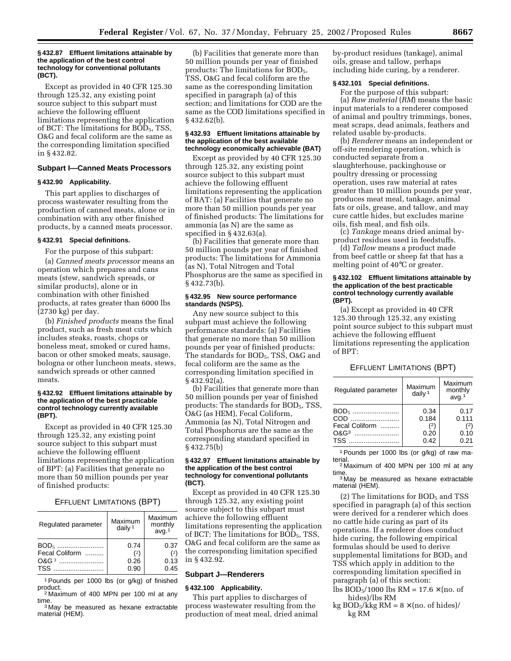#### **§ 432.87 Effluent limitations attainable by the application of the best control technology for conventional pollutants (BCT).**

Except as provided in 40 CFR 125.30 through 125.32, any existing point source subject to this subpart must achieve the following effluent limitations representing the application of BCT: The limitations for BOD<sub>5</sub>, TSS, O&G and fecal coliform are the same as the corresponding limitation specified in § 432.82.

#### **Subpart I—Canned Meats Processors**

#### **§ 432.90 Applicability.**

This part applies to discharges of process wastewater resulting from the production of canned meats, alone or in combination with any other finished products, by a canned meats processor.

### **§ 432.91 Special definitions.**

For the purpose of this subpart:

(a) *Canned meats processor* means an operation which prepares and cans meats (stew, sandwich spreads, or similar products), alone or in combination with other finished products, at rates greater than 6000 lbs (2730 kg) per day.

(b) *Finished products* means the final product, such as fresh meat cuts which includes steaks, roasts, chops or boneless meat, smoked or cured hams, bacon or other smoked meats, sausage, bologna or other luncheon meats, stews, sandwich spreads or other canned meats.

### **§ 432.92 Effluent limitations attainable by the application of the best practicable control technology currently available (BPT).**

Except as provided in 40 CFR 125.30 through 125.32, any existing point source subject to this subpart must achieve the following effluent limitations representing the application of BPT: (a) Facilities that generate no more than 50 million pounds per year of finished products:

#### EFFLUENT LIMITATIONS (BPT)

| Regulated parameter      | Maximum<br>daily <sup>1</sup> | Maximum<br>monthly<br>avq <sup>1</sup> |
|--------------------------|-------------------------------|----------------------------------------|
| Fecal Coliform<br>$0&G3$ | 0.74<br>(2)<br>0.26           | 0.37<br>(2)<br>0.13                    |
| <b>TSS</b>               | 0.90                          | 0.45                                   |

1Pounds per 1000 lbs (or g/kg) of finished

 $^{2}$  Maximum of 400 MPN per 100 ml at any time. <sup>3</sup> May be measured as hexane extractable

material (HEM).

(b) Facilities that generate more than 50 million pounds per year of finished products: The limitations for  $BOD<sub>5</sub>$ , TSS, O&G and fecal coliform are the same as the corresponding limitation specified in paragraph (a) of this section; and limitations for COD are the same as the COD limitations specified in § 432.62(b).

### **§ 432.93 Effluent limitations attainable by the application of the best available technology economically achievable (BAT)**

Except as provided by 40 CFR 125.30 through 125.32, any existing point source subject to this subpart must achieve the following effluent limitations representing the application of BAT: (a) Facilities that generate no more than 50 million pounds per year of finished products: The limitations for ammonia (as N) are the same as specified in § 432.63(a).

(b) Facilities that generate more than 50 million pounds per year of finished products: The limitations for Ammonia (as N), Total Nitrogen and Total Phosphorus are the same as specified in § 432.73(b).

## **§ 432.95 New source performance standards (NSPS).**

Any new source subject to this subpart must achieve the following performance standards: (a) Facilities that generate no more than 50 million pounds per year of finished products: The standards for BOD<sub>5</sub>, TSS, O&G and fecal coliform are the same as the corresponding limitation specified in § 432.92(a).

(b) Facilities that generate more than 50 million pounds per year of finished products: The standards for BOD5, TSS, O&G (as HEM), Fecal Coliform, Ammonia (as N), Total Nitrogen and Total Phosphorus are the same as the corresponding standard specified in § 432.75(b)

### **§ 432.97 Effluent limitations attainable by the application of the best control technology for conventional pollutants (BCT).**

Except as provided in 40 CFR 125.30 through 125.32, any existing point source subject to this subpart must achieve the following effluent limitations representing the application of BCT: The limitations for BOD<sub>5</sub>, TSS, O&G and fecal coliform are the same as the corresponding limitation specified in § 432.92.

### **Subpart J—Renderers**

### **§ 432.100 Applicability.**

This part applies to discharges of process wastewater resulting from the production of meat meal, dried animal by-product residues (tankage), animal oils, grease and tallow, perhaps including hide curing, by a renderer.

### **§ 432.101 Special definitions.**

For the purpose of this subpart: (a) *Raw material* (*RM*) means the basic input materials to a renderer composed of animal and poultry trimmings, bones, meat scraps, dead animals, feathers and related usable by-products.

(b) *Renderer* means an independent or off-site rendering operation, which is conducted separate from a slaughterhouse, packinghouse or poultry dressing or processing operation, uses raw material at rates greater than 10 million pounds per year, produces meat meal, tankage, animal fats or oils, grease, and tallow, and may cure cattle hides, but excludes marine oils, fish meal, and fish oils.

(c) *Tankage* means dried animal byproduct residues used in feedstuffs.

(d) *Tallow* means a product made from beef cattle or sheep fat that has a melting point of 40°C or greater.

### **§ 432.102 Effluent limitations attainable by the application of the best practicable control technology currently available (BPT).**

(a) Except as provided in 40 CFR 125.30 through 125.32, any existing point source subject to this subpart must achieve the following effluent limitations representing the application of BPT:

# EFFLUENT LIMITATIONS (BPT)

| Regulated parameter                                                      | Maximum<br>daily $1$                      | Maximum<br>monthly<br>avg. <sup>1</sup> |
|--------------------------------------------------------------------------|-------------------------------------------|-----------------------------------------|
| BOD <sub>5</sub><br>COD<br>Fecal Coliform<br><b>O&amp;G</b> <sup>3</sup> | 0.34<br>0.184<br>$^{(2)}$<br>0.20<br>0.42 | 0.17<br>0.111<br>(2)<br>0.10<br>0.21    |

1Pounds per 1000 lbs (or g/kg) of raw material.<br><sup>2</sup> Maximum of 400 MPN per 100 ml at any

time.<br> $3$  May be measured as hexane extractable

material (HEM).

 $(2)$  The limitations for BOD<sub>5</sub> and TSS specified in paragraph (a) of this section were derived for a renderer which does no cattle hide curing as part of its operations. If a renderer does conduct hide curing, the following empirical formulas should be used to derive supplemental limitations for  $BOD<sub>5</sub>$  and TSS which apply in addition to the corresponding limitation specified in paragraph (a) of this section: lbs BOD<sub>5</sub>/1000 lbs RM = 17.6  $\times$  (no. of

hides)/lbs RM

kg  $BOD<sub>5</sub>/kkg RM = 8 \times (no. of hides)$ kg RM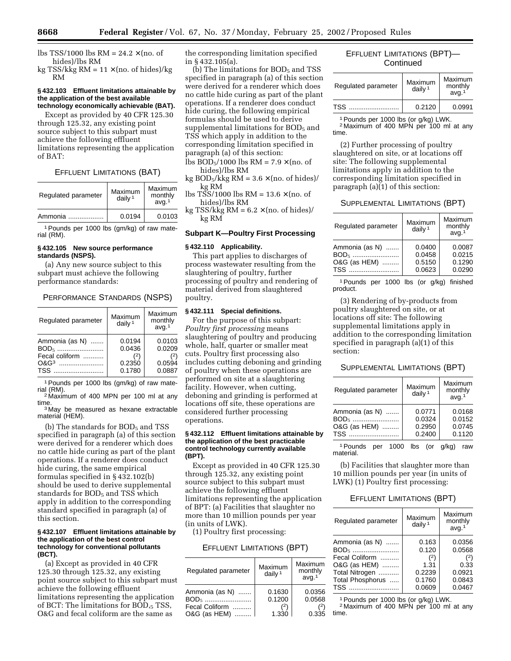kg TSS/kkg  $RM = 11 \times (no. of hides)/kg$ RM

### **§ 432.103 Effluent limitations attainable by the application of the best available technology economically achievable (BAT).**

Except as provided by 40 CFR 125.30 through 125.32, any existing point source subject to this subpart must achieve the following effluent limitations representing the application of BAT:

### EFFLUENT LIMITATIONS (BAT)

| Regulated parameter | Maximum<br>daily $1$ | Maximum<br>monthly<br>avq <sup>1</sup> |
|---------------------|----------------------|----------------------------------------|
| Ammonia             | 0.0194               | 0.0103                                 |

1Pounds per 1000 lbs (gm/kg) of raw material (RM).

### **§ 432.105 New source performance standards (NSPS).**

(a) Any new source subject to this subpart must achieve the following performance standards:

## PERFORMANCE STANDARDS (NSPS)

| Regulated parameter                                            | Maximum<br>daily $1$                 | Maximum<br>monthly<br>avg. <sup>1</sup>     |
|----------------------------------------------------------------|--------------------------------------|---------------------------------------------|
| Ammonia (as N)<br>$BOD_{5}$<br>Fecal coliform<br>$O&G3$<br>TSS | 0.0194<br>0.0436<br>0.2350<br>0.1780 | 0.0103<br>0.0209<br>(2)<br>0.0594<br>0.0887 |

<sup>1</sup> Pounds per 1000 lbs (gm/kg) of raw mate-<br>rial (RM).

<sup>2</sup> Maximum of 400 MPN per 100 ml at any time. <sup>3</sup> May be measured as hexane extractable

material (HEM).

(b) The standards for  $BOD<sub>5</sub>$  and TSS specified in paragraph (a) of this section were derived for a renderer which does no cattle hide curing as part of the plant operations. If a renderer does conduct hide curing, the same empirical formulas specified in § 432.102(b) should be used to derive supplemental standards for BOD<sub>5</sub> and TSS which apply in addition to the corresponding standard specified in paragraph (a) of this section.

### **§ 432.107 Effluent limitations attainable by the application of the best control technology for conventional pollutants (BCT).**

(a) Except as provided in 40 CFR 125.30 through 125.32, any existing point source subject to this subpart must achieve the following effluent limitations representing the application of BCT: The limitations for BOD,5 TSS, O&G and fecal coliform are the same as

the corresponding limitation specified in § 432.105(a).

(b) The limitations for  $BOD<sub>5</sub>$  and TSS specified in paragraph (a) of this section were derived for a renderer which does no cattle hide curing as part of the plant operations. If a renderer does conduct hide curing, the following empirical formulas should be used to derive supplemental limitations for BOD<sub>5</sub> and TSS which apply in addition to the corresponding limitation specified in paragraph (a) of this section:

lbs  $BOD<sub>5</sub>/1000$  lbs  $RM = 7.9 \times (no. of)$ hides)/lbs RM

kg  $BOD_5/kkg RM = 3.6 \times (no. of hides)$ kg RM

lbs TSS/1000 lbs RM =  $13.6 \times (no. of$ hides)/lbs RM

kg TSS/kkg  $RM = 6.2 \times (no. of hides)$ kg RM

## **Subpart K—Poultry First Processing**

### **§ 432.110 Applicability.**

This part applies to discharges of process wastewater resulting from the slaughtering of poultry, further processing of poultry and rendering of material derived from slaughtered poultry.

### **§ 432.111 Special definitions.**

For the purpose of this subpart: *Poultry first processing* means slaughtering of poultry and producing whole, half, quarter or smaller meat cuts. Poultry first processing also includes cutting deboning and grinding of poultry when these operations are performed on site at a slaughtering facility. However, when cutting, deboning and grinding is performed at locations off site, these operations are considered further processing operations.

### **§ 432.112 Effluent limitations attainable by the application of the best practicable control technology currently available (BPT).**

Except as provided in 40 CFR 125.30 through 125.32, any existing point source subject to this subpart must achieve the following effluent limitations representing the application of BPT: (a) Facilities that slaughter no more than 10 million pounds per year (in units of LWK).

(1) Poultry first processing:

### EFFLUENT LIMITATIONS (BPT)

| Regulated parameter | Maximum<br>daily $1$ | Maximum<br>monthly<br>avq <sup>1</sup> |
|---------------------|----------------------|----------------------------------------|
| Ammonia (as N)      | 0.1630               | 0.0356                                 |
|                     | 0.1200               | 0.0568                                 |
| Fecal Coliform      |                      | (2)                                    |
| O&G (as HEM)        | 1.330                | 0.335                                  |

# EFFLUENT LIMITATIONS (BPT)— **Continued**

| Regulated parameter | Maximum<br>daily $1$ | Maximum<br>monthly<br>avq <sup>1</sup> |
|---------------------|----------------------|----------------------------------------|
| TSS                 | 0.2120               | 0.0991                                 |

1Pounds per 1000 lbs (or g/kg) LWK. <sup>2</sup> Maximum of 400 MPN per 100 ml at any time.

(2) Further processing of poultry slaughtered on site, or at locations off site: The following supplemental limitations apply in addition to the corresponding limitation specified in paragraph (a)(1) of this section:

SUPPLEMENTAL LIMITATIONS (BPT)

| Regulated parameter                                                                                                                                                                                                            | Maximum<br>daily $1$ | Maximum<br>monthly<br>avq <sup>1</sup> |
|--------------------------------------------------------------------------------------------------------------------------------------------------------------------------------------------------------------------------------|----------------------|----------------------------------------|
| Ammonia (as N)                                                                                                                                                                                                                 | 0.0400               | 0.0087                                 |
| $BOD_{5}$                                                                                                                                                                                                                      | 0.0458               | 0.0215                                 |
| O&G (as HEM)                                                                                                                                                                                                                   | 0.5150               | 0.1290                                 |
| $TSS$ . The set of $S$ is the set of $S$ is $S$ is $S$ is $S$ is $S$ is $S$ is $S$ is $S$ is $S$ is $S$ is $S$ is $S$ is $S$ is $S$ is $S$ is $S$ is $S$ is $S$ is $S$ is $S$ is $S$ is $S$ is $S$ is $S$ is $S$ is $S$ is $S$ | 0.0623               | 0.0290                                 |

1Pounds per 1000 lbs (or g/kg) finished product.

(3) Rendering of by-products from poultry slaughtered on site, or at locations off site: The following supplemental limitations apply in addition to the corresponding limitation specified in paragraph (a)(1) of this section:

### SUPPLEMENTAL LIMITATIONS (BPT)

| Regulated parameter                                       | Maximum<br>daily $1$                 | Maximum<br>monthly<br>avg. <sup>1</sup> |
|-----------------------------------------------------------|--------------------------------------|-----------------------------------------|
| Ammonia (as N)<br>$BOD_{5}$<br>O&G (as HEM)<br><b>TSS</b> | 0.0771<br>0.0324<br>0.2950<br>0.2400 | 0.0168<br>0.0152<br>0.0745<br>0.1120    |
| <sup>1</sup> Pounds<br>1000<br>per                        | lbs<br>(or                           | g/kg)<br>raw                            |

material.

(b) Facilities that slaughter more than 10 million pounds per year (in units of LWK) (1) Poultry first processing:

# EFFLUENT LIMITATIONS (BPT)

| Ammonia (as N)                                                                                                                | monthly<br>daily $1$<br>avq <sup>1</sup>                                                       |
|-------------------------------------------------------------------------------------------------------------------------------|------------------------------------------------------------------------------------------------|
| $BOD_{5}$<br>Fecal Coliform<br>O&G (as HEM)<br>Total Nitrogen<br>0.2239<br>Total Phosphorus<br>0.1760<br>0.0609<br><b>TSS</b> | 0.163<br>0.0356<br>0.120<br>0.0568<br>(2)<br>(2)<br>1.31<br>0.33<br>0.0921<br>0.0843<br>0.0467 |

1Pounds per 1000 lbs (or g/kg) LWK.

<sup>2</sup> Maximum of 400 MPN per 100 ml at any time.